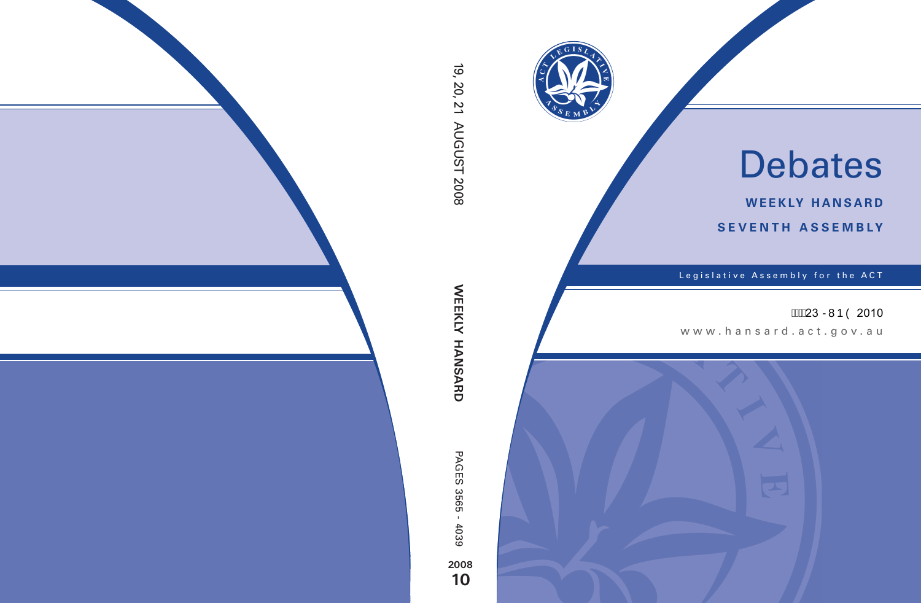

# Debates

**weekly hansard seventh asseMBly**

Legislative Assembly for the ACT

# **ASSE23 RMP O 2010**

www.hansard.act.go v .au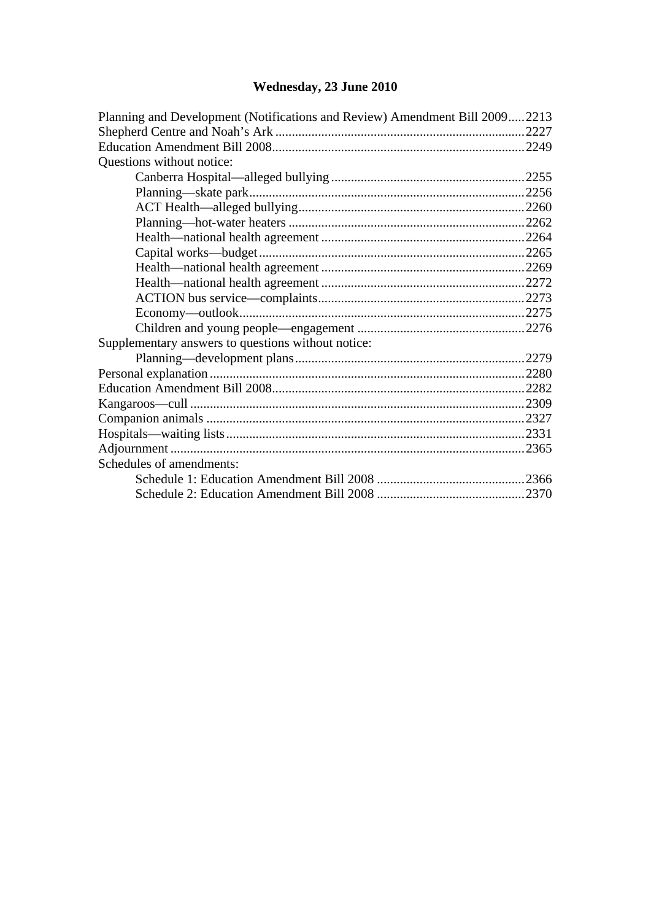## **[Wednesday, 23 June 2010](#page-2-0)**

| Planning and Development (Notifications and Review) Amendment Bill 20092213 |  |  |  |  |
|-----------------------------------------------------------------------------|--|--|--|--|
|                                                                             |  |  |  |  |
|                                                                             |  |  |  |  |
| Questions without notice:                                                   |  |  |  |  |
|                                                                             |  |  |  |  |
|                                                                             |  |  |  |  |
|                                                                             |  |  |  |  |
|                                                                             |  |  |  |  |
|                                                                             |  |  |  |  |
|                                                                             |  |  |  |  |
|                                                                             |  |  |  |  |
|                                                                             |  |  |  |  |
|                                                                             |  |  |  |  |
|                                                                             |  |  |  |  |
|                                                                             |  |  |  |  |
| Supplementary answers to questions without notice:                          |  |  |  |  |
|                                                                             |  |  |  |  |
|                                                                             |  |  |  |  |
|                                                                             |  |  |  |  |
|                                                                             |  |  |  |  |
|                                                                             |  |  |  |  |
|                                                                             |  |  |  |  |
|                                                                             |  |  |  |  |
| Schedules of amendments:                                                    |  |  |  |  |
|                                                                             |  |  |  |  |
|                                                                             |  |  |  |  |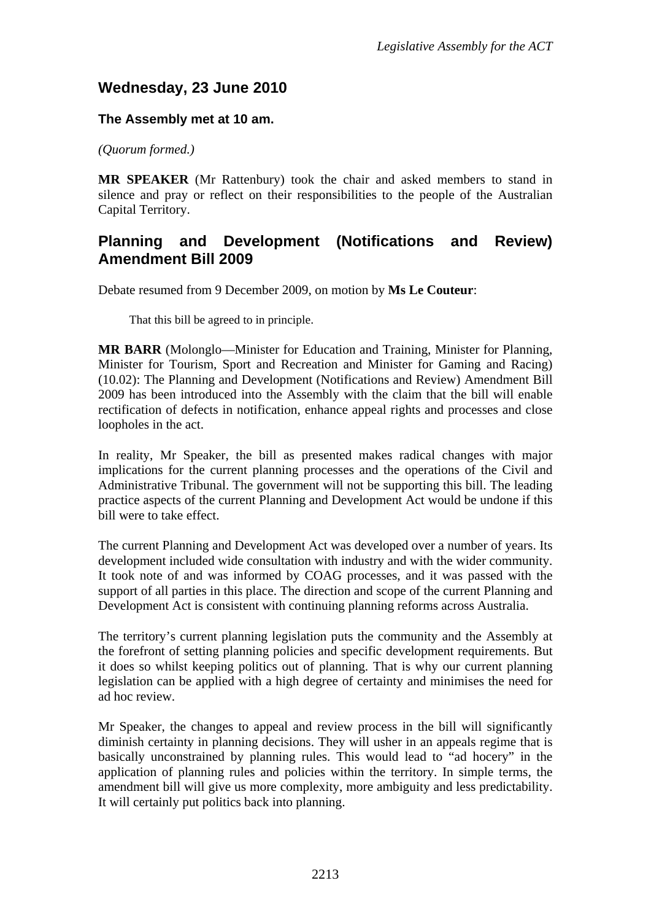# <span id="page-2-0"></span>**Wednesday, 23 June 2010**

#### **The Assembly met at 10 am.**

*(Quorum formed.)*

**MR SPEAKER** (Mr Rattenbury) took the chair and asked members to stand in silence and pray or reflect on their responsibilities to the people of the Australian Capital Territory.

### <span id="page-2-1"></span>**Planning and Development (Notifications and Review) Amendment Bill 2009**

Debate resumed from 9 December 2009, on motion by **Ms Le Couteur**:

That this bill be agreed to in principle.

**MR BARR** (Molonglo—Minister for Education and Training, Minister for Planning, Minister for Tourism, Sport and Recreation and Minister for Gaming and Racing) (10.02): The Planning and Development (Notifications and Review) Amendment Bill 2009 has been introduced into the Assembly with the claim that the bill will enable rectification of defects in notification, enhance appeal rights and processes and close loopholes in the act.

In reality, Mr Speaker, the bill as presented makes radical changes with major implications for the current planning processes and the operations of the Civil and Administrative Tribunal. The government will not be supporting this bill. The leading practice aspects of the current Planning and Development Act would be undone if this bill were to take effect.

The current Planning and Development Act was developed over a number of years. Its development included wide consultation with industry and with the wider community. It took note of and was informed by COAG processes, and it was passed with the support of all parties in this place. The direction and scope of the current Planning and Development Act is consistent with continuing planning reforms across Australia.

The territory's current planning legislation puts the community and the Assembly at the forefront of setting planning policies and specific development requirements. But it does so whilst keeping politics out of planning. That is why our current planning legislation can be applied with a high degree of certainty and minimises the need for ad hoc review.

Mr Speaker, the changes to appeal and review process in the bill will significantly diminish certainty in planning decisions. They will usher in an appeals regime that is basically unconstrained by planning rules. This would lead to "ad hocery" in the application of planning rules and policies within the territory. In simple terms, the amendment bill will give us more complexity, more ambiguity and less predictability. It will certainly put politics back into planning.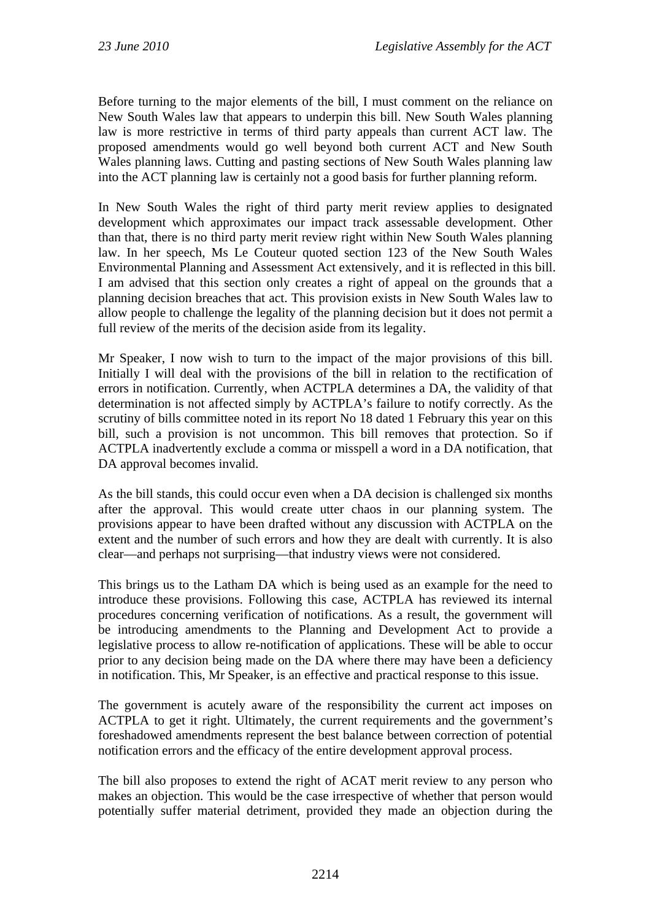Before turning to the major elements of the bill, I must comment on the reliance on New South Wales law that appears to underpin this bill. New South Wales planning law is more restrictive in terms of third party appeals than current ACT law. The proposed amendments would go well beyond both current ACT and New South Wales planning laws. Cutting and pasting sections of New South Wales planning law into the ACT planning law is certainly not a good basis for further planning reform.

In New South Wales the right of third party merit review applies to designated development which approximates our impact track assessable development. Other than that, there is no third party merit review right within New South Wales planning law. In her speech, Ms Le Couteur quoted section 123 of the New South Wales Environmental Planning and Assessment Act extensively, and it is reflected in this bill. I am advised that this section only creates a right of appeal on the grounds that a planning decision breaches that act. This provision exists in New South Wales law to allow people to challenge the legality of the planning decision but it does not permit a full review of the merits of the decision aside from its legality.

Mr Speaker, I now wish to turn to the impact of the major provisions of this bill. Initially I will deal with the provisions of the bill in relation to the rectification of errors in notification. Currently, when ACTPLA determines a DA, the validity of that determination is not affected simply by ACTPLA's failure to notify correctly. As the scrutiny of bills committee noted in its report No 18 dated 1 February this year on this bill, such a provision is not uncommon. This bill removes that protection. So if ACTPLA inadvertently exclude a comma or misspell a word in a DA notification, that DA approval becomes invalid.

As the bill stands, this could occur even when a DA decision is challenged six months after the approval. This would create utter chaos in our planning system. The provisions appear to have been drafted without any discussion with ACTPLA on the extent and the number of such errors and how they are dealt with currently. It is also clear—and perhaps not surprising—that industry views were not considered.

This brings us to the Latham DA which is being used as an example for the need to introduce these provisions. Following this case, ACTPLA has reviewed its internal procedures concerning verification of notifications. As a result, the government will be introducing amendments to the Planning and Development Act to provide a legislative process to allow re-notification of applications. These will be able to occur prior to any decision being made on the DA where there may have been a deficiency in notification. This, Mr Speaker, is an effective and practical response to this issue.

The government is acutely aware of the responsibility the current act imposes on ACTPLA to get it right. Ultimately, the current requirements and the government's foreshadowed amendments represent the best balance between correction of potential notification errors and the efficacy of the entire development approval process.

The bill also proposes to extend the right of ACAT merit review to any person who makes an objection. This would be the case irrespective of whether that person would potentially suffer material detriment, provided they made an objection during the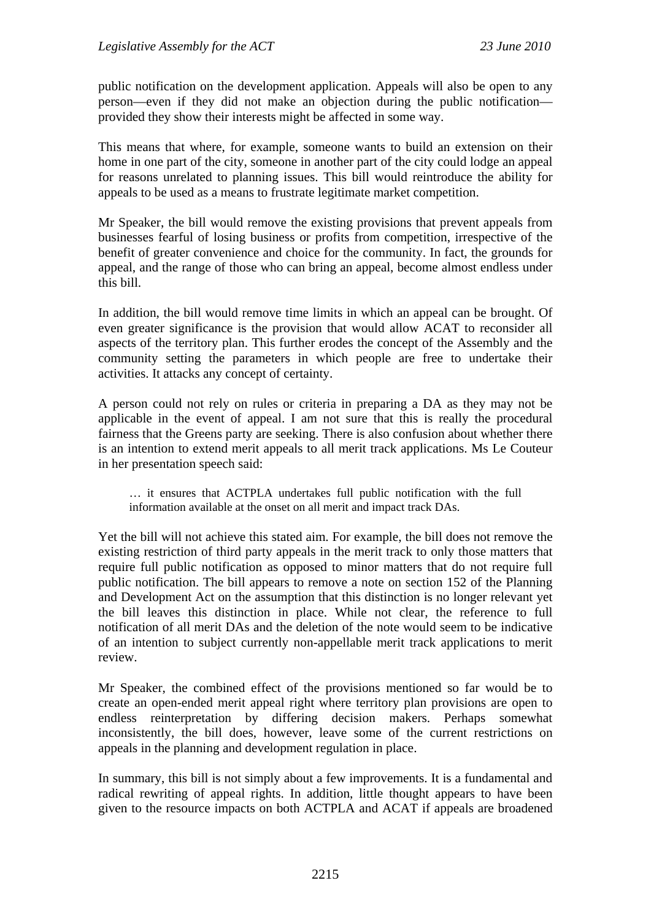public notification on the development application. Appeals will also be open to any person—even if they did not make an objection during the public notification provided they show their interests might be affected in some way.

This means that where, for example, someone wants to build an extension on their home in one part of the city, someone in another part of the city could lodge an appeal for reasons unrelated to planning issues. This bill would reintroduce the ability for appeals to be used as a means to frustrate legitimate market competition.

Mr Speaker, the bill would remove the existing provisions that prevent appeals from businesses fearful of losing business or profits from competition, irrespective of the benefit of greater convenience and choice for the community. In fact, the grounds for appeal, and the range of those who can bring an appeal, become almost endless under this bill.

In addition, the bill would remove time limits in which an appeal can be brought. Of even greater significance is the provision that would allow ACAT to reconsider all aspects of the territory plan. This further erodes the concept of the Assembly and the community setting the parameters in which people are free to undertake their activities. It attacks any concept of certainty.

A person could not rely on rules or criteria in preparing a DA as they may not be applicable in the event of appeal. I am not sure that this is really the procedural fairness that the Greens party are seeking. There is also confusion about whether there is an intention to extend merit appeals to all merit track applications. Ms Le Couteur in her presentation speech said:

… it ensures that ACTPLA undertakes full public notification with the full information available at the onset on all merit and impact track DAs.

Yet the bill will not achieve this stated aim. For example, the bill does not remove the existing restriction of third party appeals in the merit track to only those matters that require full public notification as opposed to minor matters that do not require full public notification. The bill appears to remove a note on section 152 of the Planning and Development Act on the assumption that this distinction is no longer relevant yet the bill leaves this distinction in place. While not clear, the reference to full notification of all merit DAs and the deletion of the note would seem to be indicative of an intention to subject currently non-appellable merit track applications to merit review.

Mr Speaker, the combined effect of the provisions mentioned so far would be to create an open-ended merit appeal right where territory plan provisions are open to endless reinterpretation by differing decision makers. Perhaps somewhat inconsistently, the bill does, however, leave some of the current restrictions on appeals in the planning and development regulation in place.

In summary, this bill is not simply about a few improvements. It is a fundamental and radical rewriting of appeal rights. In addition, little thought appears to have been given to the resource impacts on both ACTPLA and ACAT if appeals are broadened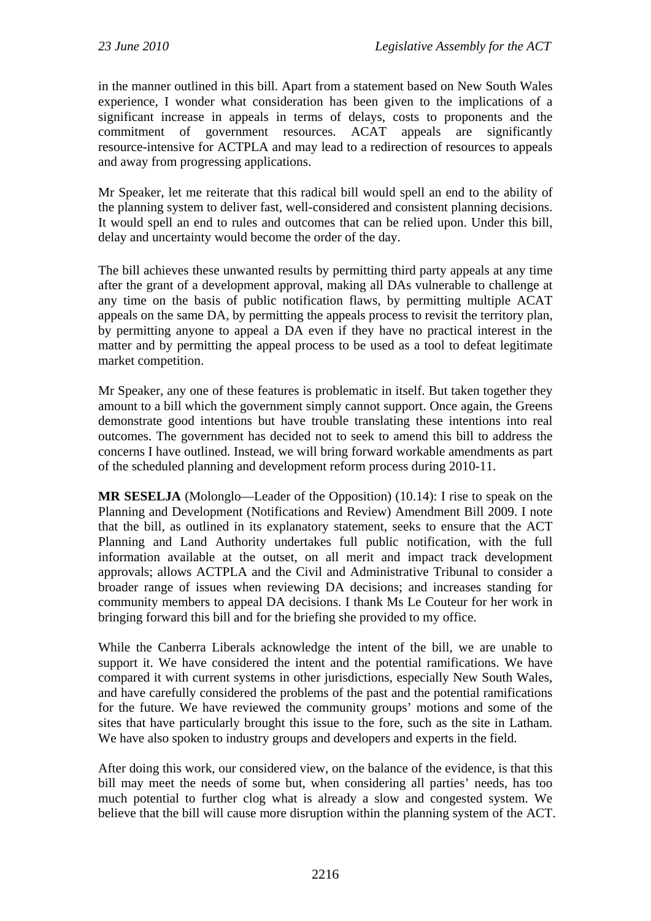in the manner outlined in this bill. Apart from a statement based on New South Wales experience, I wonder what consideration has been given to the implications of a significant increase in appeals in terms of delays, costs to proponents and the commitment of government resources. ACAT appeals are significantly resource-intensive for ACTPLA and may lead to a redirection of resources to appeals and away from progressing applications.

Mr Speaker, let me reiterate that this radical bill would spell an end to the ability of the planning system to deliver fast, well-considered and consistent planning decisions. It would spell an end to rules and outcomes that can be relied upon. Under this bill, delay and uncertainty would become the order of the day.

The bill achieves these unwanted results by permitting third party appeals at any time after the grant of a development approval, making all DAs vulnerable to challenge at any time on the basis of public notification flaws, by permitting multiple ACAT appeals on the same DA, by permitting the appeals process to revisit the territory plan, by permitting anyone to appeal a DA even if they have no practical interest in the matter and by permitting the appeal process to be used as a tool to defeat legitimate market competition.

Mr Speaker, any one of these features is problematic in itself. But taken together they amount to a bill which the government simply cannot support. Once again, the Greens demonstrate good intentions but have trouble translating these intentions into real outcomes. The government has decided not to seek to amend this bill to address the concerns I have outlined. Instead, we will bring forward workable amendments as part of the scheduled planning and development reform process during 2010-11.

**MR SESELJA** (Molonglo—Leader of the Opposition) (10.14): I rise to speak on the Planning and Development (Notifications and Review) Amendment Bill 2009. I note that the bill, as outlined in its explanatory statement, seeks to ensure that the ACT Planning and Land Authority undertakes full public notification, with the full information available at the outset, on all merit and impact track development approvals; allows ACTPLA and the Civil and Administrative Tribunal to consider a broader range of issues when reviewing DA decisions; and increases standing for community members to appeal DA decisions. I thank Ms Le Couteur for her work in bringing forward this bill and for the briefing she provided to my office.

While the Canberra Liberals acknowledge the intent of the bill, we are unable to support it. We have considered the intent and the potential ramifications. We have compared it with current systems in other jurisdictions, especially New South Wales, and have carefully considered the problems of the past and the potential ramifications for the future. We have reviewed the community groups' motions and some of the sites that have particularly brought this issue to the fore, such as the site in Latham. We have also spoken to industry groups and developers and experts in the field.

After doing this work, our considered view, on the balance of the evidence, is that this bill may meet the needs of some but, when considering all parties' needs, has too much potential to further clog what is already a slow and congested system. We believe that the bill will cause more disruption within the planning system of the ACT.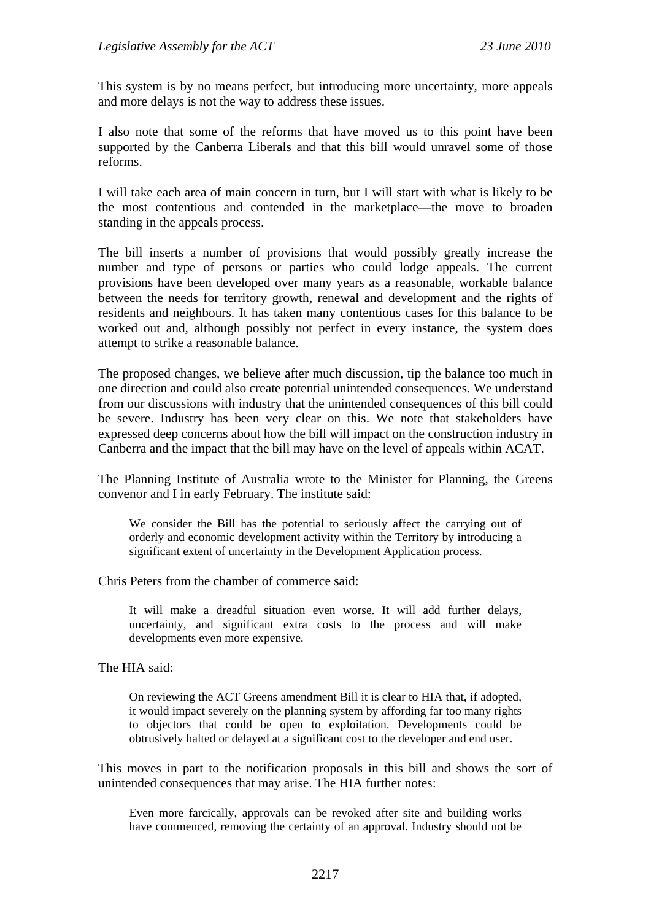This system is by no means perfect, but introducing more uncertainty, more appeals and more delays is not the way to address these issues.

I also note that some of the reforms that have moved us to this point have been supported by the Canberra Liberals and that this bill would unravel some of those reforms.

I will take each area of main concern in turn, but I will start with what is likely to be the most contentious and contended in the marketplace—the move to broaden standing in the appeals process.

The bill inserts a number of provisions that would possibly greatly increase the number and type of persons or parties who could lodge appeals. The current provisions have been developed over many years as a reasonable, workable balance between the needs for territory growth, renewal and development and the rights of residents and neighbours. It has taken many contentious cases for this balance to be worked out and, although possibly not perfect in every instance, the system does attempt to strike a reasonable balance.

The proposed changes, we believe after much discussion, tip the balance too much in one direction and could also create potential unintended consequences. We understand from our discussions with industry that the unintended consequences of this bill could be severe. Industry has been very clear on this. We note that stakeholders have expressed deep concerns about how the bill will impact on the construction industry in Canberra and the impact that the bill may have on the level of appeals within ACAT.

The Planning Institute of Australia wrote to the Minister for Planning, the Greens convenor and I in early February. The institute said:

We consider the Bill has the potential to seriously affect the carrying out of orderly and economic development activity within the Territory by introducing a significant extent of uncertainty in the Development Application process.

Chris Peters from the chamber of commerce said:

It will make a dreadful situation even worse. It will add further delays, uncertainty, and significant extra costs to the process and will make developments even more expensive.

The HIA said:

On reviewing the ACT Greens amendment Bill it is clear to HIA that, if adopted, it would impact severely on the planning system by affording far too many rights to objectors that could be open to exploitation. Developments could be obtrusively halted or delayed at a significant cost to the developer and end user.

This moves in part to the notification proposals in this bill and shows the sort of unintended consequences that may arise. The HIA further notes:

Even more farcically, approvals can be revoked after site and building works have commenced, removing the certainty of an approval. Industry should not be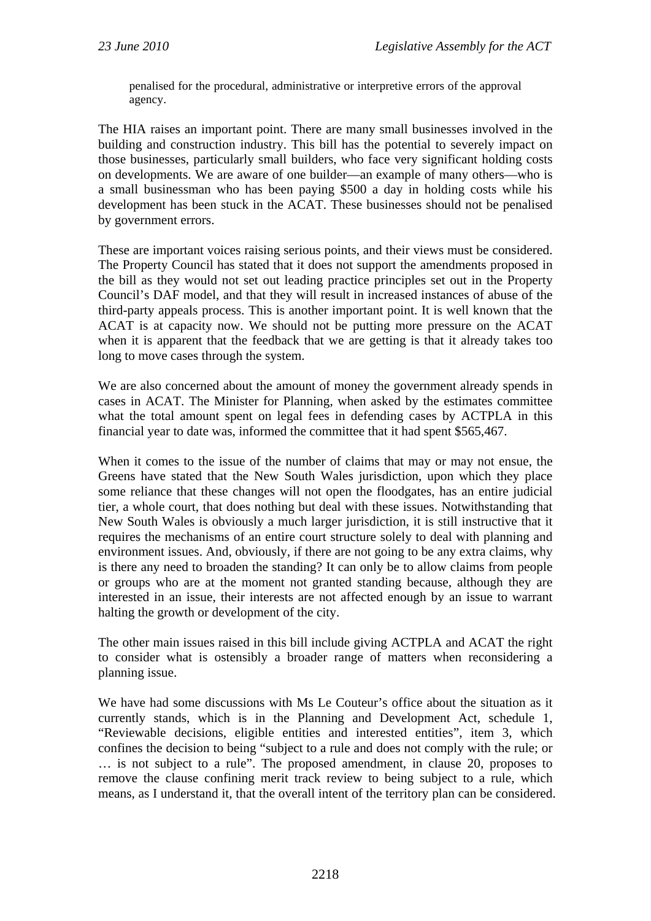penalised for the procedural, administrative or interpretive errors of the approval agency.

The HIA raises an important point. There are many small businesses involved in the building and construction industry. This bill has the potential to severely impact on those businesses, particularly small builders, who face very significant holding costs on developments. We are aware of one builder—an example of many others—who is a small businessman who has been paying \$500 a day in holding costs while his development has been stuck in the ACAT. These businesses should not be penalised by government errors.

These are important voices raising serious points, and their views must be considered. The Property Council has stated that it does not support the amendments proposed in the bill as they would not set out leading practice principles set out in the Property Council's DAF model, and that they will result in increased instances of abuse of the third-party appeals process. This is another important point. It is well known that the ACAT is at capacity now. We should not be putting more pressure on the ACAT when it is apparent that the feedback that we are getting is that it already takes too long to move cases through the system.

We are also concerned about the amount of money the government already spends in cases in ACAT. The Minister for Planning, when asked by the estimates committee what the total amount spent on legal fees in defending cases by ACTPLA in this financial year to date was, informed the committee that it had spent \$565,467.

When it comes to the issue of the number of claims that may or may not ensue, the Greens have stated that the New South Wales jurisdiction, upon which they place some reliance that these changes will not open the floodgates, has an entire judicial tier, a whole court, that does nothing but deal with these issues. Notwithstanding that New South Wales is obviously a much larger jurisdiction, it is still instructive that it requires the mechanisms of an entire court structure solely to deal with planning and environment issues. And, obviously, if there are not going to be any extra claims, why is there any need to broaden the standing? It can only be to allow claims from people or groups who are at the moment not granted standing because, although they are interested in an issue, their interests are not affected enough by an issue to warrant halting the growth or development of the city.

The other main issues raised in this bill include giving ACTPLA and ACAT the right to consider what is ostensibly a broader range of matters when reconsidering a planning issue.

We have had some discussions with Ms Le Couteur's office about the situation as it currently stands, which is in the Planning and Development Act, schedule 1, "Reviewable decisions, eligible entities and interested entities", item 3, which confines the decision to being "subject to a rule and does not comply with the rule; or … is not subject to a rule". The proposed amendment, in clause 20, proposes to remove the clause confining merit track review to being subject to a rule, which means, as I understand it, that the overall intent of the territory plan can be considered.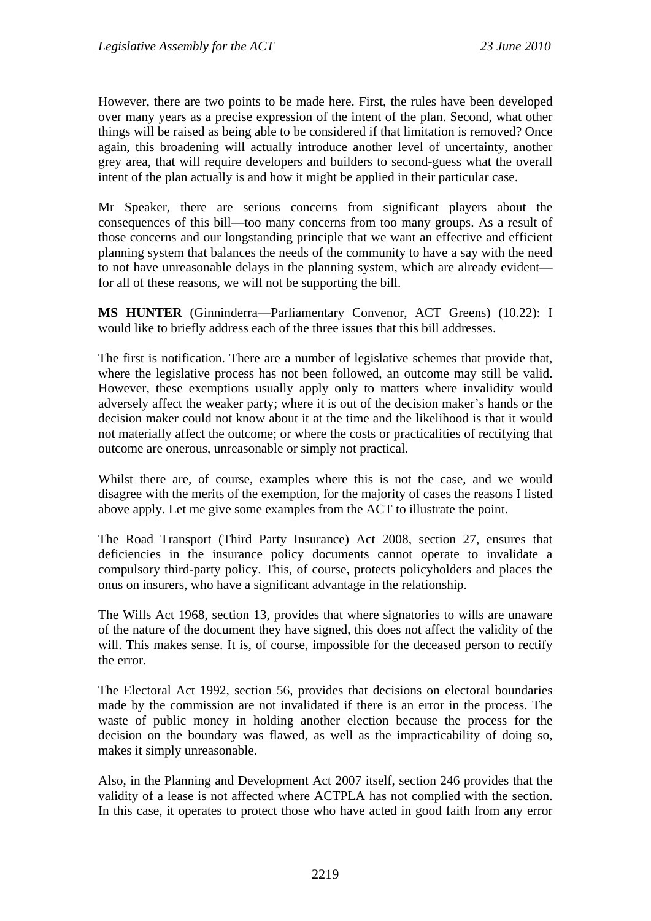However, there are two points to be made here. First, the rules have been developed over many years as a precise expression of the intent of the plan. Second, what other things will be raised as being able to be considered if that limitation is removed? Once again, this broadening will actually introduce another level of uncertainty, another grey area, that will require developers and builders to second-guess what the overall intent of the plan actually is and how it might be applied in their particular case.

Mr Speaker, there are serious concerns from significant players about the consequences of this bill—too many concerns from too many groups. As a result of those concerns and our longstanding principle that we want an effective and efficient planning system that balances the needs of the community to have a say with the need to not have unreasonable delays in the planning system, which are already evident for all of these reasons, we will not be supporting the bill.

**MS HUNTER** (Ginninderra—Parliamentary Convenor, ACT Greens) (10.22): I would like to briefly address each of the three issues that this bill addresses.

The first is notification. There are a number of legislative schemes that provide that, where the legislative process has not been followed, an outcome may still be valid. However, these exemptions usually apply only to matters where invalidity would adversely affect the weaker party; where it is out of the decision maker's hands or the decision maker could not know about it at the time and the likelihood is that it would not materially affect the outcome; or where the costs or practicalities of rectifying that outcome are onerous, unreasonable or simply not practical.

Whilst there are, of course, examples where this is not the case, and we would disagree with the merits of the exemption, for the majority of cases the reasons I listed above apply. Let me give some examples from the ACT to illustrate the point.

The Road Transport (Third Party Insurance) Act 2008, section 27, ensures that deficiencies in the insurance policy documents cannot operate to invalidate a compulsory third-party policy. This, of course, protects policyholders and places the onus on insurers, who have a significant advantage in the relationship.

The Wills Act 1968, section 13, provides that where signatories to wills are unaware of the nature of the document they have signed, this does not affect the validity of the will. This makes sense. It is, of course, impossible for the deceased person to rectify the error.

The Electoral Act 1992, section 56, provides that decisions on electoral boundaries made by the commission are not invalidated if there is an error in the process. The waste of public money in holding another election because the process for the decision on the boundary was flawed, as well as the impracticability of doing so, makes it simply unreasonable.

Also, in the Planning and Development Act 2007 itself, section 246 provides that the validity of a lease is not affected where ACTPLA has not complied with the section. In this case, it operates to protect those who have acted in good faith from any error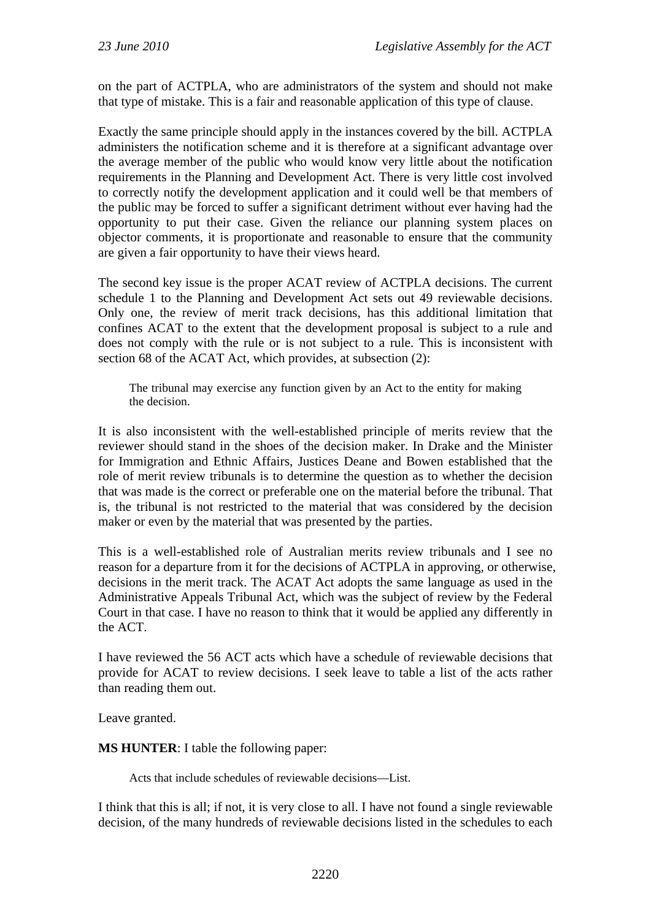on the part of ACTPLA, who are administrators of the system and should not make that type of mistake. This is a fair and reasonable application of this type of clause.

Exactly the same principle should apply in the instances covered by the bill. ACTPLA administers the notification scheme and it is therefore at a significant advantage over the average member of the public who would know very little about the notification requirements in the Planning and Development Act. There is very little cost involved to correctly notify the development application and it could well be that members of the public may be forced to suffer a significant detriment without ever having had the opportunity to put their case. Given the reliance our planning system places on objector comments, it is proportionate and reasonable to ensure that the community are given a fair opportunity to have their views heard.

The second key issue is the proper ACAT review of ACTPLA decisions. The current schedule 1 to the Planning and Development Act sets out 49 reviewable decisions. Only one, the review of merit track decisions, has this additional limitation that confines ACAT to the extent that the development proposal is subject to a rule and does not comply with the rule or is not subject to a rule. This is inconsistent with section 68 of the ACAT Act, which provides, at subsection (2):

The tribunal may exercise any function given by an Act to the entity for making the decision.

It is also inconsistent with the well-established principle of merits review that the reviewer should stand in the shoes of the decision maker. In Drake and the Minister for Immigration and Ethnic Affairs, Justices Deane and Bowen established that the role of merit review tribunals is to determine the question as to whether the decision that was made is the correct or preferable one on the material before the tribunal. That is, the tribunal is not restricted to the material that was considered by the decision maker or even by the material that was presented by the parties.

This is a well-established role of Australian merits review tribunals and I see no reason for a departure from it for the decisions of ACTPLA in approving, or otherwise, decisions in the merit track. The ACAT Act adopts the same language as used in the Administrative Appeals Tribunal Act, which was the subject of review by the Federal Court in that case. I have no reason to think that it would be applied any differently in the ACT.

I have reviewed the 56 ACT acts which have a schedule of reviewable decisions that provide for ACAT to review decisions. I seek leave to table a list of the acts rather than reading them out.

Leave granted.

**MS HUNTER**: I table the following paper:

Acts that include schedules of reviewable decisions—List.

I think that this is all; if not, it is very close to all. I have not found a single reviewable decision, of the many hundreds of reviewable decisions listed in the schedules to each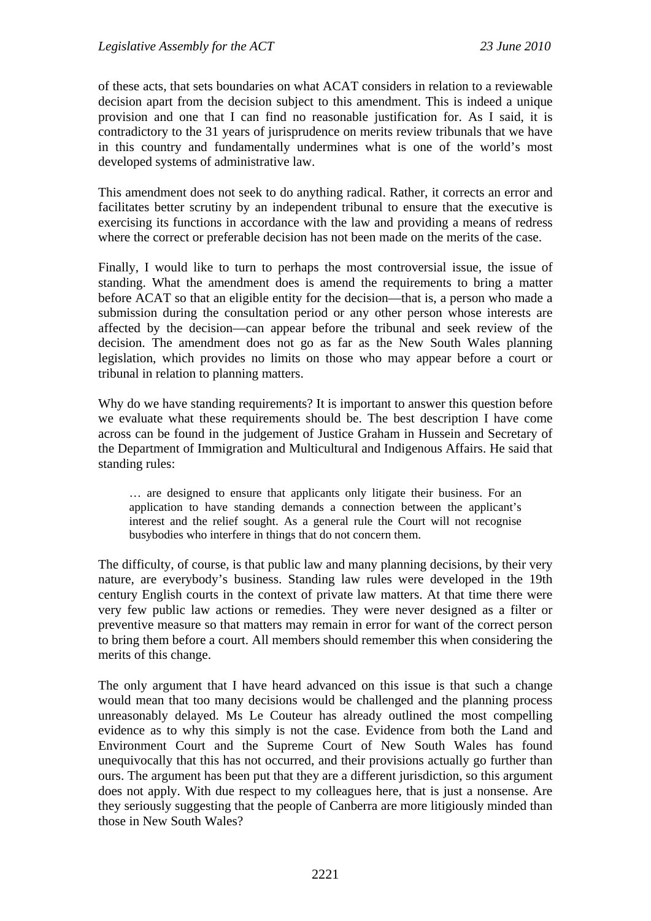of these acts, that sets boundaries on what ACAT considers in relation to a reviewable decision apart from the decision subject to this amendment. This is indeed a unique provision and one that I can find no reasonable justification for. As I said, it is contradictory to the 31 years of jurisprudence on merits review tribunals that we have in this country and fundamentally undermines what is one of the world's most developed systems of administrative law.

This amendment does not seek to do anything radical. Rather, it corrects an error and facilitates better scrutiny by an independent tribunal to ensure that the executive is exercising its functions in accordance with the law and providing a means of redress where the correct or preferable decision has not been made on the merits of the case.

Finally, I would like to turn to perhaps the most controversial issue, the issue of standing. What the amendment does is amend the requirements to bring a matter before ACAT so that an eligible entity for the decision—that is, a person who made a submission during the consultation period or any other person whose interests are affected by the decision—can appear before the tribunal and seek review of the decision. The amendment does not go as far as the New South Wales planning legislation, which provides no limits on those who may appear before a court or tribunal in relation to planning matters.

Why do we have standing requirements? It is important to answer this question before we evaluate what these requirements should be. The best description I have come across can be found in the judgement of Justice Graham in Hussein and Secretary of the Department of Immigration and Multicultural and Indigenous Affairs. He said that standing rules:

… are designed to ensure that applicants only litigate their business. For an application to have standing demands a connection between the applicant's interest and the relief sought. As a general rule the Court will not recognise busybodies who interfere in things that do not concern them.

The difficulty, of course, is that public law and many planning decisions, by their very nature, are everybody's business. Standing law rules were developed in the 19th century English courts in the context of private law matters. At that time there were very few public law actions or remedies. They were never designed as a filter or preventive measure so that matters may remain in error for want of the correct person to bring them before a court. All members should remember this when considering the merits of this change.

The only argument that I have heard advanced on this issue is that such a change would mean that too many decisions would be challenged and the planning process unreasonably delayed. Ms Le Couteur has already outlined the most compelling evidence as to why this simply is not the case. Evidence from both the Land and Environment Court and the Supreme Court of New South Wales has found unequivocally that this has not occurred, and their provisions actually go further than ours. The argument has been put that they are a different jurisdiction, so this argument does not apply. With due respect to my colleagues here, that is just a nonsense. Are they seriously suggesting that the people of Canberra are more litigiously minded than those in New South Wales?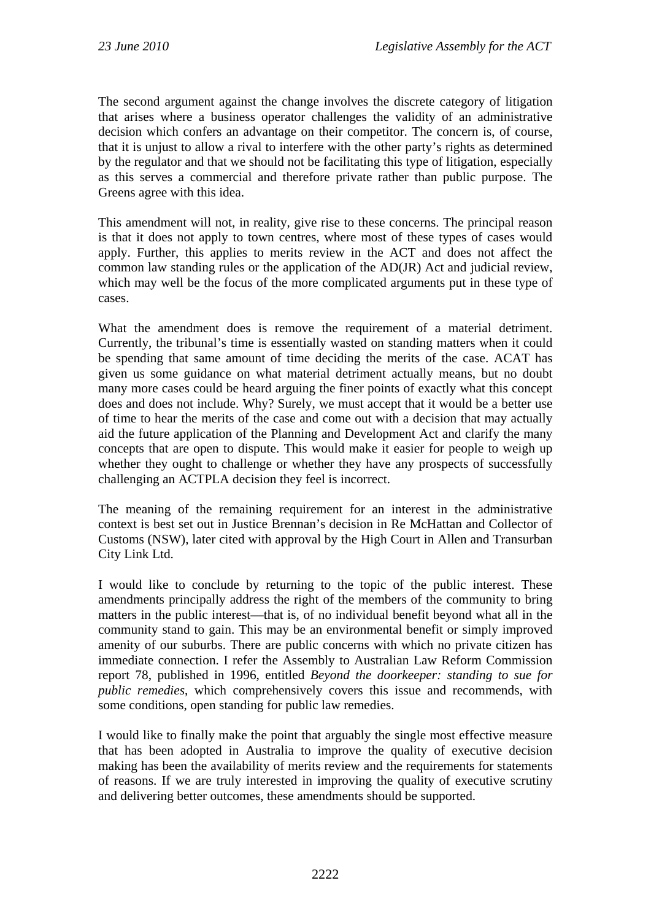The second argument against the change involves the discrete category of litigation that arises where a business operator challenges the validity of an administrative decision which confers an advantage on their competitor. The concern is, of course, that it is unjust to allow a rival to interfere with the other party's rights as determined by the regulator and that we should not be facilitating this type of litigation, especially as this serves a commercial and therefore private rather than public purpose. The Greens agree with this idea.

This amendment will not, in reality, give rise to these concerns. The principal reason is that it does not apply to town centres, where most of these types of cases would apply. Further, this applies to merits review in the ACT and does not affect the common law standing rules or the application of the AD(JR) Act and judicial review, which may well be the focus of the more complicated arguments put in these type of cases.

What the amendment does is remove the requirement of a material detriment. Currently, the tribunal's time is essentially wasted on standing matters when it could be spending that same amount of time deciding the merits of the case. ACAT has given us some guidance on what material detriment actually means, but no doubt many more cases could be heard arguing the finer points of exactly what this concept does and does not include. Why? Surely, we must accept that it would be a better use of time to hear the merits of the case and come out with a decision that may actually aid the future application of the Planning and Development Act and clarify the many concepts that are open to dispute. This would make it easier for people to weigh up whether they ought to challenge or whether they have any prospects of successfully challenging an ACTPLA decision they feel is incorrect.

The meaning of the remaining requirement for an interest in the administrative context is best set out in Justice Brennan's decision in Re McHattan and Collector of Customs (NSW), later cited with approval by the High Court in Allen and Transurban City Link Ltd.

I would like to conclude by returning to the topic of the public interest. These amendments principally address the right of the members of the community to bring matters in the public interest—that is, of no individual benefit beyond what all in the community stand to gain. This may be an environmental benefit or simply improved amenity of our suburbs. There are public concerns with which no private citizen has immediate connection. I refer the Assembly to Australian Law Reform Commission report 78, published in 1996, entitled *Beyond the doorkeeper: standing to sue for public remedies*, which comprehensively covers this issue and recommends, with some conditions, open standing for public law remedies.

I would like to finally make the point that arguably the single most effective measure that has been adopted in Australia to improve the quality of executive decision making has been the availability of merits review and the requirements for statements of reasons. If we are truly interested in improving the quality of executive scrutiny and delivering better outcomes, these amendments should be supported.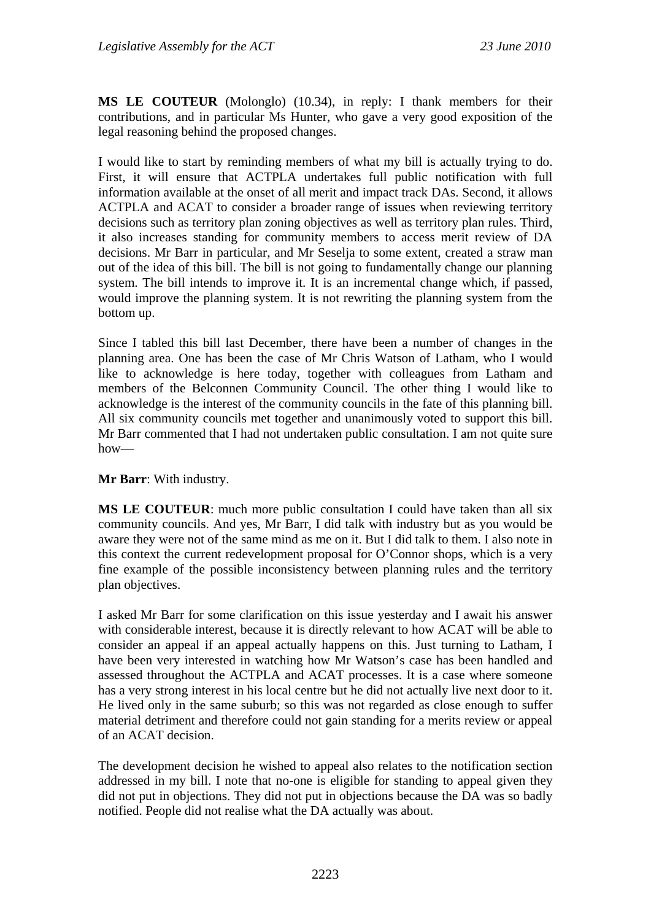**MS LE COUTEUR** (Molonglo) (10.34), in reply: I thank members for their contributions, and in particular Ms Hunter, who gave a very good exposition of the legal reasoning behind the proposed changes.

I would like to start by reminding members of what my bill is actually trying to do. First, it will ensure that ACTPLA undertakes full public notification with full information available at the onset of all merit and impact track DAs. Second, it allows ACTPLA and ACAT to consider a broader range of issues when reviewing territory decisions such as territory plan zoning objectives as well as territory plan rules. Third, it also increases standing for community members to access merit review of DA decisions. Mr Barr in particular, and Mr Seselja to some extent, created a straw man out of the idea of this bill. The bill is not going to fundamentally change our planning system. The bill intends to improve it. It is an incremental change which, if passed, would improve the planning system. It is not rewriting the planning system from the bottom up.

Since I tabled this bill last December, there have been a number of changes in the planning area. One has been the case of Mr Chris Watson of Latham, who I would like to acknowledge is here today, together with colleagues from Latham and members of the Belconnen Community Council. The other thing I would like to acknowledge is the interest of the community councils in the fate of this planning bill. All six community councils met together and unanimously voted to support this bill. Mr Barr commented that I had not undertaken public consultation. I am not quite sure how—

#### **Mr Barr**: With industry.

**MS LE COUTEUR**: much more public consultation I could have taken than all six community councils. And yes, Mr Barr, I did talk with industry but as you would be aware they were not of the same mind as me on it. But I did talk to them. I also note in this context the current redevelopment proposal for O'Connor shops, which is a very fine example of the possible inconsistency between planning rules and the territory plan objectives.

I asked Mr Barr for some clarification on this issue yesterday and I await his answer with considerable interest, because it is directly relevant to how ACAT will be able to consider an appeal if an appeal actually happens on this. Just turning to Latham, I have been very interested in watching how Mr Watson's case has been handled and assessed throughout the ACTPLA and ACAT processes. It is a case where someone has a very strong interest in his local centre but he did not actually live next door to it. He lived only in the same suburb; so this was not regarded as close enough to suffer material detriment and therefore could not gain standing for a merits review or appeal of an ACAT decision.

The development decision he wished to appeal also relates to the notification section addressed in my bill. I note that no-one is eligible for standing to appeal given they did not put in objections. They did not put in objections because the DA was so badly notified. People did not realise what the DA actually was about.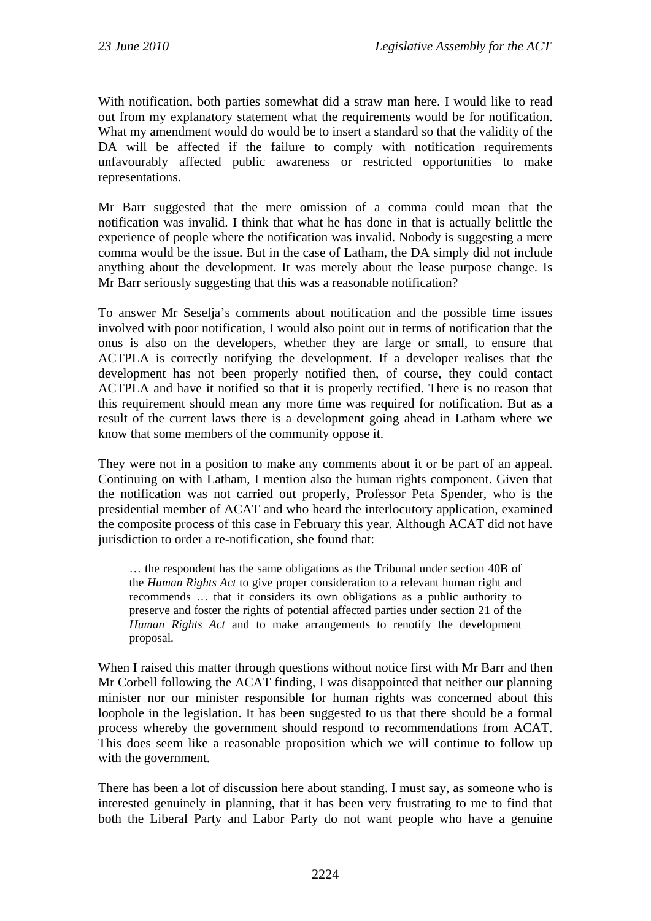With notification, both parties somewhat did a straw man here. I would like to read out from my explanatory statement what the requirements would be for notification. What my amendment would do would be to insert a standard so that the validity of the DA will be affected if the failure to comply with notification requirements unfavourably affected public awareness or restricted opportunities to make representations.

Mr Barr suggested that the mere omission of a comma could mean that the notification was invalid. I think that what he has done in that is actually belittle the experience of people where the notification was invalid. Nobody is suggesting a mere comma would be the issue. But in the case of Latham, the DA simply did not include anything about the development. It was merely about the lease purpose change. Is Mr Barr seriously suggesting that this was a reasonable notification?

To answer Mr Seselja's comments about notification and the possible time issues involved with poor notification, I would also point out in terms of notification that the onus is also on the developers, whether they are large or small, to ensure that ACTPLA is correctly notifying the development. If a developer realises that the development has not been properly notified then, of course, they could contact ACTPLA and have it notified so that it is properly rectified. There is no reason that this requirement should mean any more time was required for notification. But as a result of the current laws there is a development going ahead in Latham where we know that some members of the community oppose it.

They were not in a position to make any comments about it or be part of an appeal. Continuing on with Latham, I mention also the human rights component. Given that the notification was not carried out properly, Professor Peta Spender, who is the presidential member of ACAT and who heard the interlocutory application, examined the composite process of this case in February this year. Although ACAT did not have jurisdiction to order a re-notification, she found that:

… the respondent has the same obligations as the Tribunal under section 40B of the *Human Rights Act* to give proper consideration to a relevant human right and recommends … that it considers its own obligations as a public authority to preserve and foster the rights of potential affected parties under section 21 of the *Human Rights Act* and to make arrangements to renotify the development proposal.

When I raised this matter through questions without notice first with Mr Barr and then Mr Corbell following the ACAT finding, I was disappointed that neither our planning minister nor our minister responsible for human rights was concerned about this loophole in the legislation. It has been suggested to us that there should be a formal process whereby the government should respond to recommendations from ACAT. This does seem like a reasonable proposition which we will continue to follow up with the government.

There has been a lot of discussion here about standing. I must say, as someone who is interested genuinely in planning, that it has been very frustrating to me to find that both the Liberal Party and Labor Party do not want people who have a genuine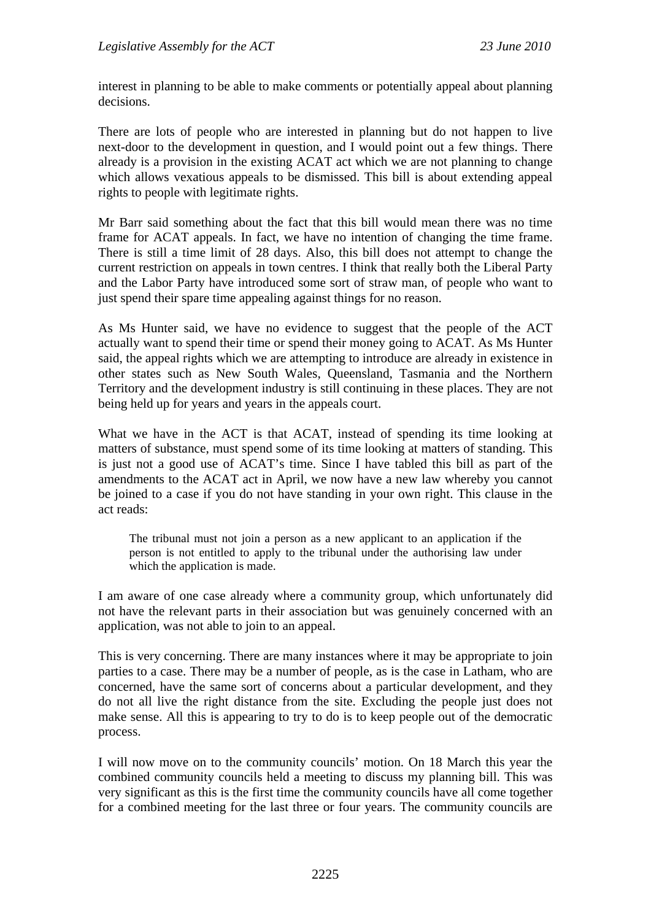interest in planning to be able to make comments or potentially appeal about planning decisions.

There are lots of people who are interested in planning but do not happen to live next-door to the development in question, and I would point out a few things. There already is a provision in the existing ACAT act which we are not planning to change which allows vexatious appeals to be dismissed. This bill is about extending appeal rights to people with legitimate rights.

Mr Barr said something about the fact that this bill would mean there was no time frame for ACAT appeals. In fact, we have no intention of changing the time frame. There is still a time limit of 28 days. Also, this bill does not attempt to change the current restriction on appeals in town centres. I think that really both the Liberal Party and the Labor Party have introduced some sort of straw man, of people who want to just spend their spare time appealing against things for no reason.

As Ms Hunter said, we have no evidence to suggest that the people of the ACT actually want to spend their time or spend their money going to ACAT. As Ms Hunter said, the appeal rights which we are attempting to introduce are already in existence in other states such as New South Wales, Queensland, Tasmania and the Northern Territory and the development industry is still continuing in these places. They are not being held up for years and years in the appeals court.

What we have in the ACT is that ACAT, instead of spending its time looking at matters of substance, must spend some of its time looking at matters of standing. This is just not a good use of ACAT's time. Since I have tabled this bill as part of the amendments to the ACAT act in April, we now have a new law whereby you cannot be joined to a case if you do not have standing in your own right. This clause in the act reads:

The tribunal must not join a person as a new applicant to an application if the person is not entitled to apply to the tribunal under the authorising law under which the application is made.

I am aware of one case already where a community group, which unfortunately did not have the relevant parts in their association but was genuinely concerned with an application, was not able to join to an appeal.

This is very concerning. There are many instances where it may be appropriate to join parties to a case. There may be a number of people, as is the case in Latham, who are concerned, have the same sort of concerns about a particular development, and they do not all live the right distance from the site. Excluding the people just does not make sense. All this is appearing to try to do is to keep people out of the democratic process.

I will now move on to the community councils' motion. On 18 March this year the combined community councils held a meeting to discuss my planning bill. This was very significant as this is the first time the community councils have all come together for a combined meeting for the last three or four years. The community councils are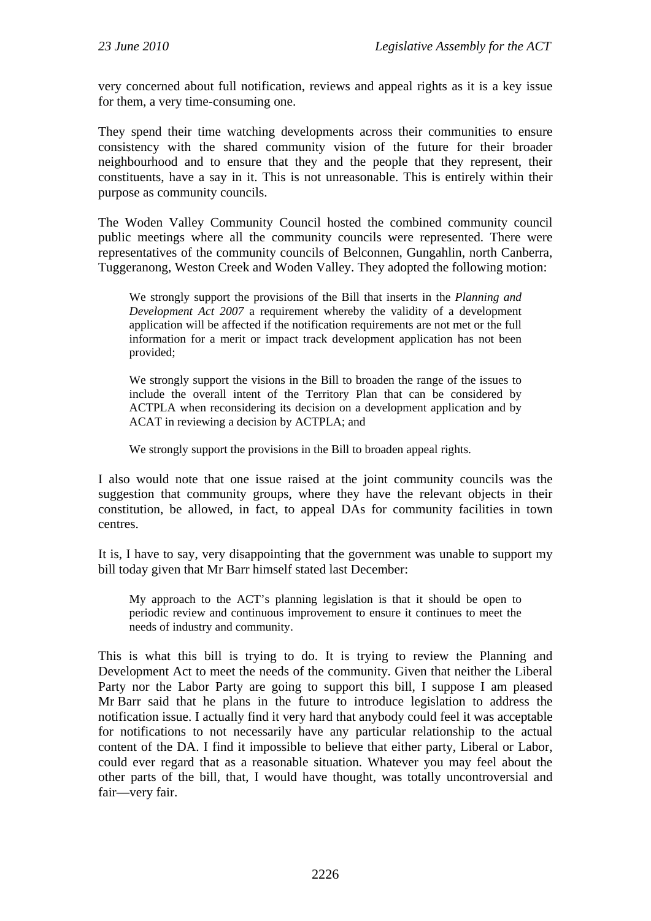very concerned about full notification, reviews and appeal rights as it is a key issue for them, a very time-consuming one.

They spend their time watching developments across their communities to ensure consistency with the shared community vision of the future for their broader neighbourhood and to ensure that they and the people that they represent, their constituents, have a say in it. This is not unreasonable. This is entirely within their purpose as community councils.

The Woden Valley Community Council hosted the combined community council public meetings where all the community councils were represented. There were representatives of the community councils of Belconnen, Gungahlin, north Canberra, Tuggeranong, Weston Creek and Woden Valley. They adopted the following motion:

We strongly support the provisions of the Bill that inserts in the *Planning and Development Act 2007* a requirement whereby the validity of a development application will be affected if the notification requirements are not met or the full information for a merit or impact track development application has not been provided;

We strongly support the visions in the Bill to broaden the range of the issues to include the overall intent of the Territory Plan that can be considered by ACTPLA when reconsidering its decision on a development application and by ACAT in reviewing a decision by ACTPLA; and

We strongly support the provisions in the Bill to broaden appeal rights.

I also would note that one issue raised at the joint community councils was the suggestion that community groups, where they have the relevant objects in their constitution, be allowed, in fact, to appeal DAs for community facilities in town centres.

It is, I have to say, very disappointing that the government was unable to support my bill today given that Mr Barr himself stated last December:

My approach to the ACT's planning legislation is that it should be open to periodic review and continuous improvement to ensure it continues to meet the needs of industry and community.

This is what this bill is trying to do. It is trying to review the Planning and Development Act to meet the needs of the community. Given that neither the Liberal Party nor the Labor Party are going to support this bill, I suppose I am pleased Mr Barr said that he plans in the future to introduce legislation to address the notification issue. I actually find it very hard that anybody could feel it was acceptable for notifications to not necessarily have any particular relationship to the actual content of the DA. I find it impossible to believe that either party, Liberal or Labor, could ever regard that as a reasonable situation. Whatever you may feel about the other parts of the bill, that, I would have thought, was totally uncontroversial and fair—very fair.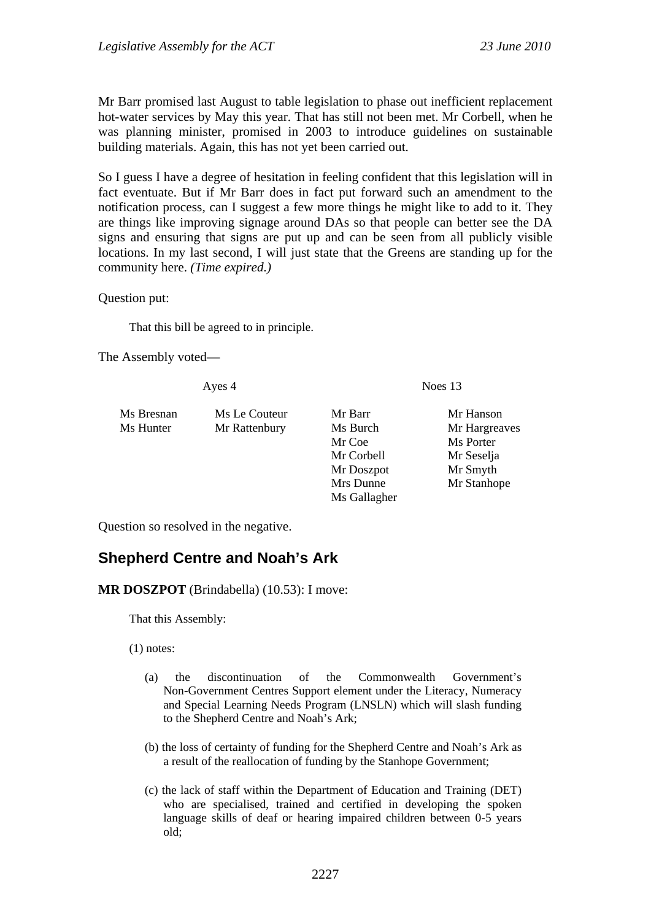Mr Barr promised last August to table legislation to phase out inefficient replacement hot-water services by May this year. That has still not been met. Mr Corbell, when he was planning minister, promised in 2003 to introduce guidelines on sustainable building materials. Again, this has not yet been carried out.

So I guess I have a degree of hesitation in feeling confident that this legislation will in fact eventuate. But if Mr Barr does in fact put forward such an amendment to the notification process, can I suggest a few more things he might like to add to it. They are things like improving signage around DAs so that people can better see the DA signs and ensuring that signs are put up and can be seen from all publicly visible locations. In my last second, I will just state that the Greens are standing up for the community here. *(Time expired.)*

Question put:

That this bill be agreed to in principle.

The Assembly voted—

Ayes 4 Noes 13

| Ms Bresnan | Ms Le Couteur | Mr Barr    | Mr Hanson     |
|------------|---------------|------------|---------------|
| Ms Hunter  | Mr Rattenbury | Ms Burch   | Mr Hargreaves |
|            |               | Mr Coe     | Ms Porter     |
|            |               | Mr Corbell | Mr Seselja    |
|            |               | Mr Doszpot | Mr Smyth      |
|            |               | Mrs Dunne  | Mr Stanhope   |

Ms Gallagher

Question so resolved in the negative.

## <span id="page-16-0"></span>**Shepherd Centre and Noah's Ark**

**MR DOSZPOT** (Brindabella) (10.53): I move:

That this Assembly:

(1) notes:

- (a) the discontinuation of the Commonwealth Government's Non-Government Centres Support element under the Literacy, Numeracy and Special Learning Needs Program (LNSLN) which will slash funding to the Shepherd Centre and Noah's Ark;
- (b) the loss of certainty of funding for the Shepherd Centre and Noah's Ark as a result of the reallocation of funding by the Stanhope Government;
- (c) the lack of staff within the Department of Education and Training (DET) who are specialised, trained and certified in developing the spoken language skills of deaf or hearing impaired children between 0-5 years old;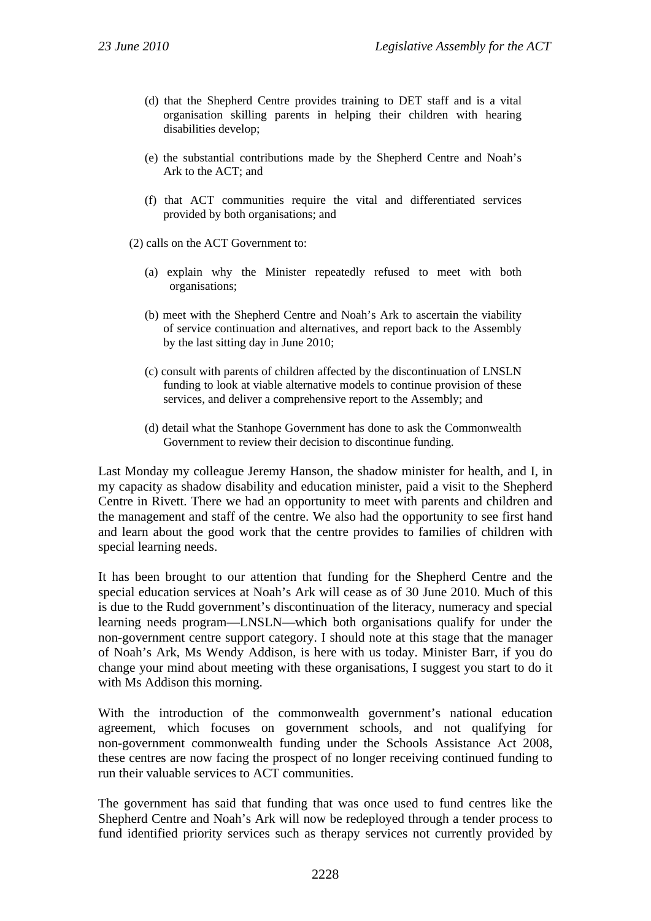- (d) that the Shepherd Centre provides training to DET staff and is a vital organisation skilling parents in helping their children with hearing disabilities develop;
- (e) the substantial contributions made by the Shepherd Centre and Noah's Ark to the ACT; and
- (f) that ACT communities require the vital and differentiated services provided by both organisations; and
- (2) calls on the ACT Government to:
	- (a) explain why the Minister repeatedly refused to meet with both organisations;
	- (b) meet with the Shepherd Centre and Noah's Ark to ascertain the viability of service continuation and alternatives, and report back to the Assembly by the last sitting day in June 2010;
	- (c) consult with parents of children affected by the discontinuation of LNSLN funding to look at viable alternative models to continue provision of these services, and deliver a comprehensive report to the Assembly; and
	- (d) detail what the Stanhope Government has done to ask the Commonwealth Government to review their decision to discontinue funding.

Last Monday my colleague Jeremy Hanson, the shadow minister for health, and I, in my capacity as shadow disability and education minister, paid a visit to the Shepherd Centre in Rivett. There we had an opportunity to meet with parents and children and the management and staff of the centre. We also had the opportunity to see first hand and learn about the good work that the centre provides to families of children with special learning needs.

It has been brought to our attention that funding for the Shepherd Centre and the special education services at Noah's Ark will cease as of 30 June 2010. Much of this is due to the Rudd government's discontinuation of the literacy, numeracy and special learning needs program—LNSLN—which both organisations qualify for under the non-government centre support category. I should note at this stage that the manager of Noah's Ark, Ms Wendy Addison, is here with us today. Minister Barr, if you do change your mind about meeting with these organisations, I suggest you start to do it with Ms Addison this morning.

With the introduction of the commonwealth government's national education agreement, which focuses on government schools, and not qualifying for non-government commonwealth funding under the Schools Assistance Act 2008, these centres are now facing the prospect of no longer receiving continued funding to run their valuable services to ACT communities.

The government has said that funding that was once used to fund centres like the Shepherd Centre and Noah's Ark will now be redeployed through a tender process to fund identified priority services such as therapy services not currently provided by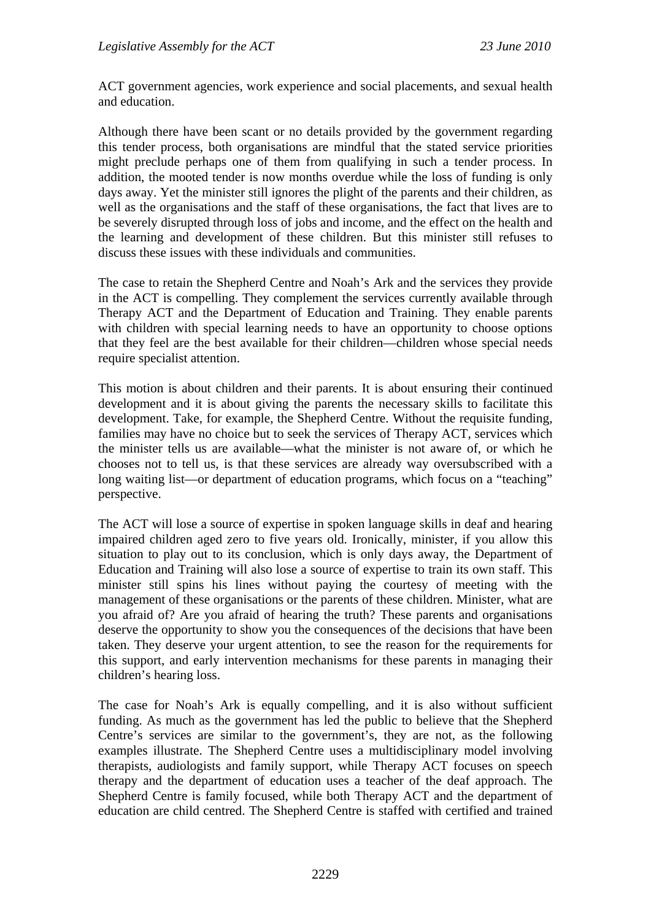ACT government agencies, work experience and social placements, and sexual health and education.

Although there have been scant or no details provided by the government regarding this tender process, both organisations are mindful that the stated service priorities might preclude perhaps one of them from qualifying in such a tender process. In addition, the mooted tender is now months overdue while the loss of funding is only days away. Yet the minister still ignores the plight of the parents and their children, as well as the organisations and the staff of these organisations, the fact that lives are to be severely disrupted through loss of jobs and income, and the effect on the health and the learning and development of these children. But this minister still refuses to discuss these issues with these individuals and communities.

The case to retain the Shepherd Centre and Noah's Ark and the services they provide in the ACT is compelling. They complement the services currently available through Therapy ACT and the Department of Education and Training. They enable parents with children with special learning needs to have an opportunity to choose options that they feel are the best available for their children—children whose special needs require specialist attention.

This motion is about children and their parents. It is about ensuring their continued development and it is about giving the parents the necessary skills to facilitate this development. Take, for example, the Shepherd Centre. Without the requisite funding, families may have no choice but to seek the services of Therapy ACT, services which the minister tells us are available—what the minister is not aware of, or which he chooses not to tell us, is that these services are already way oversubscribed with a long waiting list—or department of education programs, which focus on a "teaching" perspective.

The ACT will lose a source of expertise in spoken language skills in deaf and hearing impaired children aged zero to five years old. Ironically, minister, if you allow this situation to play out to its conclusion, which is only days away, the Department of Education and Training will also lose a source of expertise to train its own staff. This minister still spins his lines without paying the courtesy of meeting with the management of these organisations or the parents of these children. Minister, what are you afraid of? Are you afraid of hearing the truth? These parents and organisations deserve the opportunity to show you the consequences of the decisions that have been taken. They deserve your urgent attention, to see the reason for the requirements for this support, and early intervention mechanisms for these parents in managing their children's hearing loss.

The case for Noah's Ark is equally compelling, and it is also without sufficient funding. As much as the government has led the public to believe that the Shepherd Centre's services are similar to the government's, they are not, as the following examples illustrate. The Shepherd Centre uses a multidisciplinary model involving therapists, audiologists and family support, while Therapy ACT focuses on speech therapy and the department of education uses a teacher of the deaf approach. The Shepherd Centre is family focused, while both Therapy ACT and the department of education are child centred. The Shepherd Centre is staffed with certified and trained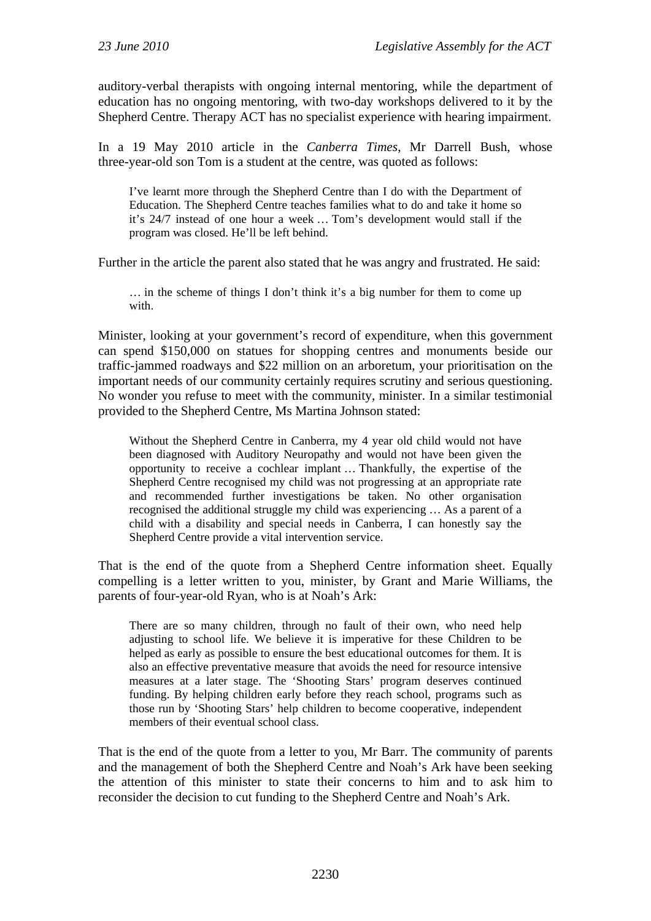auditory-verbal therapists with ongoing internal mentoring, while the department of education has no ongoing mentoring, with two-day workshops delivered to it by the Shepherd Centre. Therapy ACT has no specialist experience with hearing impairment.

In a 19 May 2010 article in the *Canberra Times*, Mr Darrell Bush, whose three-year-old son Tom is a student at the centre, was quoted as follows:

I've learnt more through the Shepherd Centre than I do with the Department of Education. The Shepherd Centre teaches families what to do and take it home so it's 24/7 instead of one hour a week … Tom's development would stall if the program was closed. He'll be left behind.

Further in the article the parent also stated that he was angry and frustrated. He said:

… in the scheme of things I don't think it's a big number for them to come up with.

Minister, looking at your government's record of expenditure, when this government can spend \$150,000 on statues for shopping centres and monuments beside our traffic-jammed roadways and \$22 million on an arboretum, your prioritisation on the important needs of our community certainly requires scrutiny and serious questioning. No wonder you refuse to meet with the community, minister. In a similar testimonial provided to the Shepherd Centre, Ms Martina Johnson stated:

Without the Shepherd Centre in Canberra, my 4 year old child would not have been diagnosed with Auditory Neuropathy and would not have been given the opportunity to receive a cochlear implant … Thankfully, the expertise of the Shepherd Centre recognised my child was not progressing at an appropriate rate and recommended further investigations be taken. No other organisation recognised the additional struggle my child was experiencing … As a parent of a child with a disability and special needs in Canberra, I can honestly say the Shepherd Centre provide a vital intervention service.

That is the end of the quote from a Shepherd Centre information sheet. Equally compelling is a letter written to you, minister, by Grant and Marie Williams, the parents of four-year-old Ryan, who is at Noah's Ark:

There are so many children, through no fault of their own, who need help adjusting to school life. We believe it is imperative for these Children to be helped as early as possible to ensure the best educational outcomes for them. It is also an effective preventative measure that avoids the need for resource intensive measures at a later stage. The 'Shooting Stars' program deserves continued funding. By helping children early before they reach school, programs such as those run by 'Shooting Stars' help children to become cooperative, independent members of their eventual school class.

That is the end of the quote from a letter to you, Mr Barr. The community of parents and the management of both the Shepherd Centre and Noah's Ark have been seeking the attention of this minister to state their concerns to him and to ask him to reconsider the decision to cut funding to the Shepherd Centre and Noah's Ark.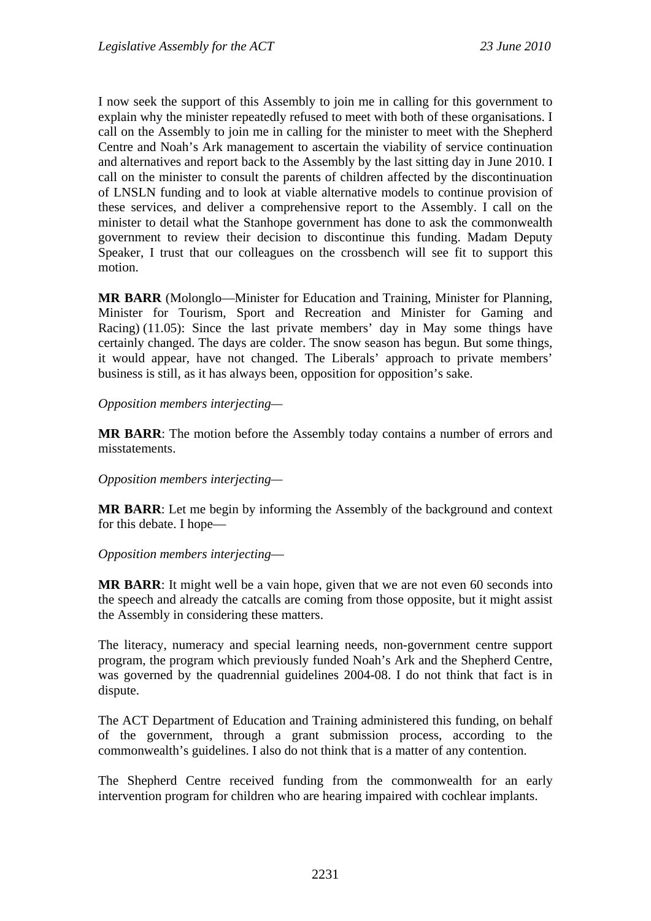I now seek the support of this Assembly to join me in calling for this government to explain why the minister repeatedly refused to meet with both of these organisations. I call on the Assembly to join me in calling for the minister to meet with the Shepherd Centre and Noah's Ark management to ascertain the viability of service continuation and alternatives and report back to the Assembly by the last sitting day in June 2010. I call on the minister to consult the parents of children affected by the discontinuation of LNSLN funding and to look at viable alternative models to continue provision of these services, and deliver a comprehensive report to the Assembly. I call on the minister to detail what the Stanhope government has done to ask the commonwealth government to review their decision to discontinue this funding. Madam Deputy Speaker, I trust that our colleagues on the crossbench will see fit to support this motion.

**MR BARR** (Molonglo—Minister for Education and Training, Minister for Planning, Minister for Tourism, Sport and Recreation and Minister for Gaming and Racing) (11.05): Since the last private members' day in May some things have certainly changed. The days are colder. The snow season has begun. But some things, it would appear, have not changed. The Liberals' approach to private members' business is still, as it has always been, opposition for opposition's sake.

#### *Opposition members interjecting—*

**MR BARR**: The motion before the Assembly today contains a number of errors and misstatements.

#### *Opposition members interjecting—*

**MR BARR**: Let me begin by informing the Assembly of the background and context for this debate. I hope—

#### *Opposition members interjecting*—

**MR BARR**: It might well be a vain hope, given that we are not even 60 seconds into the speech and already the catcalls are coming from those opposite, but it might assist the Assembly in considering these matters.

The literacy, numeracy and special learning needs, non-government centre support program, the program which previously funded Noah's Ark and the Shepherd Centre, was governed by the quadrennial guidelines 2004-08. I do not think that fact is in dispute.

The ACT Department of Education and Training administered this funding, on behalf of the government, through a grant submission process, according to the commonwealth's guidelines. I also do not think that is a matter of any contention.

The Shepherd Centre received funding from the commonwealth for an early intervention program for children who are hearing impaired with cochlear implants.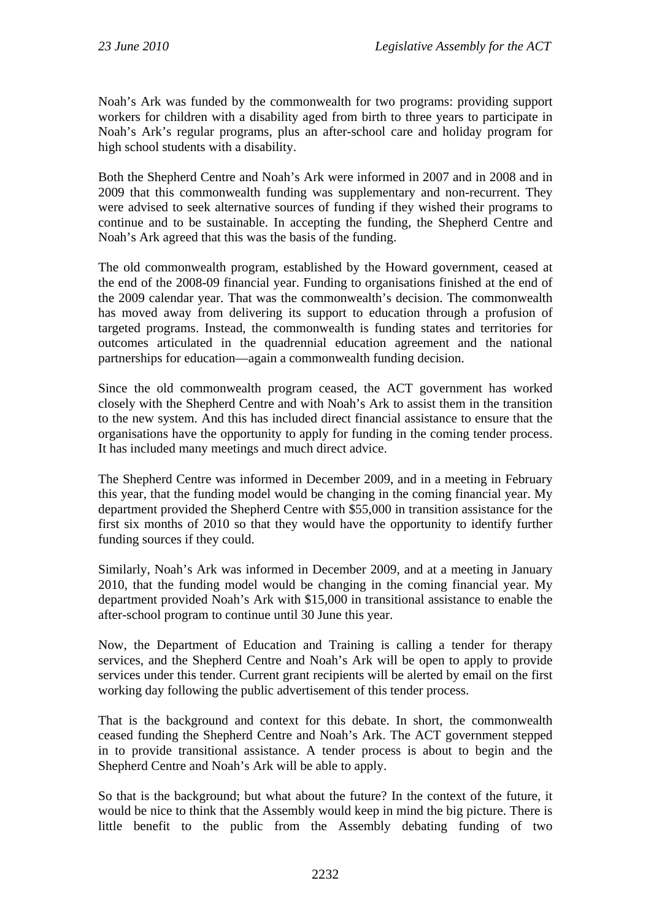Noah's Ark was funded by the commonwealth for two programs: providing support workers for children with a disability aged from birth to three years to participate in Noah's Ark's regular programs, plus an after-school care and holiday program for high school students with a disability.

Both the Shepherd Centre and Noah's Ark were informed in 2007 and in 2008 and in 2009 that this commonwealth funding was supplementary and non-recurrent. They were advised to seek alternative sources of funding if they wished their programs to continue and to be sustainable. In accepting the funding, the Shepherd Centre and Noah's Ark agreed that this was the basis of the funding.

The old commonwealth program, established by the Howard government, ceased at the end of the 2008-09 financial year. Funding to organisations finished at the end of the 2009 calendar year. That was the commonwealth's decision. The commonwealth has moved away from delivering its support to education through a profusion of targeted programs. Instead, the commonwealth is funding states and territories for outcomes articulated in the quadrennial education agreement and the national partnerships for education—again a commonwealth funding decision.

Since the old commonwealth program ceased, the ACT government has worked closely with the Shepherd Centre and with Noah's Ark to assist them in the transition to the new system. And this has included direct financial assistance to ensure that the organisations have the opportunity to apply for funding in the coming tender process. It has included many meetings and much direct advice.

The Shepherd Centre was informed in December 2009, and in a meeting in February this year, that the funding model would be changing in the coming financial year. My department provided the Shepherd Centre with \$55,000 in transition assistance for the first six months of 2010 so that they would have the opportunity to identify further funding sources if they could.

Similarly, Noah's Ark was informed in December 2009, and at a meeting in January 2010, that the funding model would be changing in the coming financial year. My department provided Noah's Ark with \$15,000 in transitional assistance to enable the after-school program to continue until 30 June this year.

Now, the Department of Education and Training is calling a tender for therapy services, and the Shepherd Centre and Noah's Ark will be open to apply to provide services under this tender. Current grant recipients will be alerted by email on the first working day following the public advertisement of this tender process.

That is the background and context for this debate. In short, the commonwealth ceased funding the Shepherd Centre and Noah's Ark. The ACT government stepped in to provide transitional assistance. A tender process is about to begin and the Shepherd Centre and Noah's Ark will be able to apply.

So that is the background; but what about the future? In the context of the future, it would be nice to think that the Assembly would keep in mind the big picture. There is little benefit to the public from the Assembly debating funding of two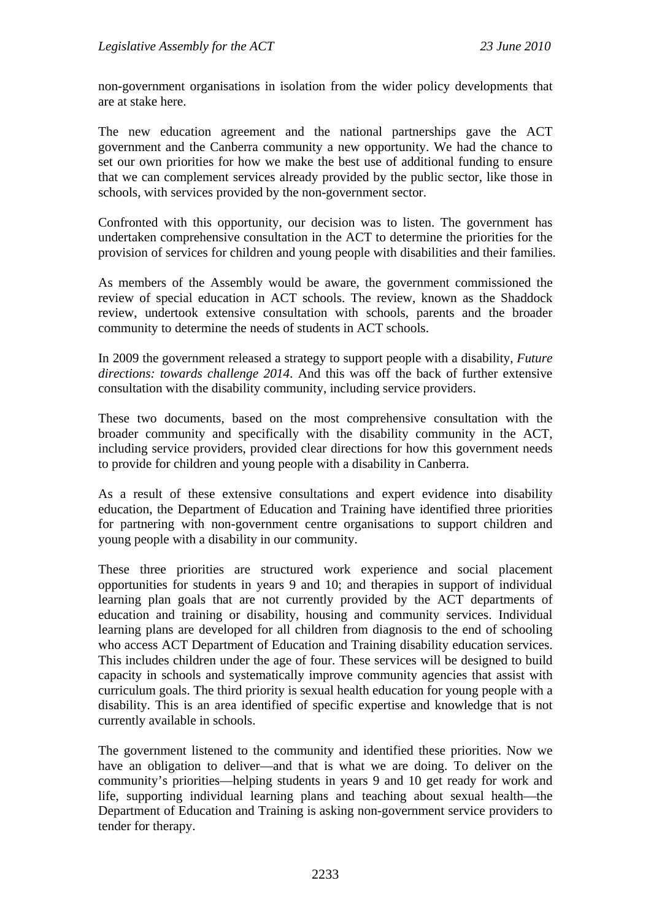non-government organisations in isolation from the wider policy developments that are at stake here.

The new education agreement and the national partnerships gave the ACT government and the Canberra community a new opportunity. We had the chance to set our own priorities for how we make the best use of additional funding to ensure that we can complement services already provided by the public sector, like those in schools, with services provided by the non-government sector.

Confronted with this opportunity, our decision was to listen. The government has undertaken comprehensive consultation in the ACT to determine the priorities for the provision of services for children and young people with disabilities and their families.

As members of the Assembly would be aware, the government commissioned the review of special education in ACT schools. The review, known as the Shaddock review, undertook extensive consultation with schools, parents and the broader community to determine the needs of students in ACT schools.

In 2009 the government released a strategy to support people with a disability, *Future directions: towards challenge 2014*. And this was off the back of further extensive consultation with the disability community, including service providers.

These two documents, based on the most comprehensive consultation with the broader community and specifically with the disability community in the ACT, including service providers, provided clear directions for how this government needs to provide for children and young people with a disability in Canberra.

As a result of these extensive consultations and expert evidence into disability education, the Department of Education and Training have identified three priorities for partnering with non-government centre organisations to support children and young people with a disability in our community.

These three priorities are structured work experience and social placement opportunities for students in years 9 and 10; and therapies in support of individual learning plan goals that are not currently provided by the ACT departments of education and training or disability, housing and community services. Individual learning plans are developed for all children from diagnosis to the end of schooling who access ACT Department of Education and Training disability education services. This includes children under the age of four. These services will be designed to build capacity in schools and systematically improve community agencies that assist with curriculum goals. The third priority is sexual health education for young people with a disability. This is an area identified of specific expertise and knowledge that is not currently available in schools.

The government listened to the community and identified these priorities. Now we have an obligation to deliver—and that is what we are doing. To deliver on the community's priorities—helping students in years 9 and 10 get ready for work and life, supporting individual learning plans and teaching about sexual health—the Department of Education and Training is asking non-government service providers to tender for therapy.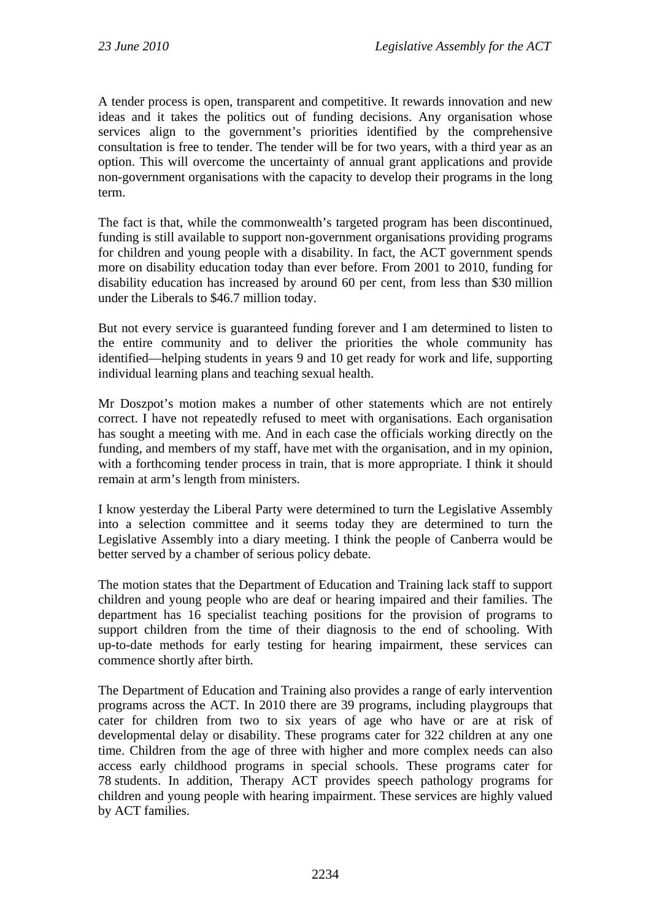A tender process is open, transparent and competitive. It rewards innovation and new ideas and it takes the politics out of funding decisions. Any organisation whose services align to the government's priorities identified by the comprehensive consultation is free to tender. The tender will be for two years, with a third year as an option. This will overcome the uncertainty of annual grant applications and provide non-government organisations with the capacity to develop their programs in the long term.

The fact is that, while the commonwealth's targeted program has been discontinued, funding is still available to support non-government organisations providing programs for children and young people with a disability. In fact, the ACT government spends more on disability education today than ever before. From 2001 to 2010, funding for disability education has increased by around 60 per cent, from less than \$30 million under the Liberals to \$46.7 million today.

But not every service is guaranteed funding forever and I am determined to listen to the entire community and to deliver the priorities the whole community has identified—helping students in years 9 and 10 get ready for work and life, supporting individual learning plans and teaching sexual health.

Mr Doszpot's motion makes a number of other statements which are not entirely correct. I have not repeatedly refused to meet with organisations. Each organisation has sought a meeting with me. And in each case the officials working directly on the funding, and members of my staff, have met with the organisation, and in my opinion, with a forthcoming tender process in train, that is more appropriate. I think it should remain at arm's length from ministers.

I know yesterday the Liberal Party were determined to turn the Legislative Assembly into a selection committee and it seems today they are determined to turn the Legislative Assembly into a diary meeting. I think the people of Canberra would be better served by a chamber of serious policy debate.

The motion states that the Department of Education and Training lack staff to support children and young people who are deaf or hearing impaired and their families. The department has 16 specialist teaching positions for the provision of programs to support children from the time of their diagnosis to the end of schooling. With up-to-date methods for early testing for hearing impairment, these services can commence shortly after birth.

The Department of Education and Training also provides a range of early intervention programs across the ACT. In 2010 there are 39 programs, including playgroups that cater for children from two to six years of age who have or are at risk of developmental delay or disability. These programs cater for 322 children at any one time. Children from the age of three with higher and more complex needs can also access early childhood programs in special schools. These programs cater for 78 students. In addition, Therapy ACT provides speech pathology programs for children and young people with hearing impairment. These services are highly valued by ACT families.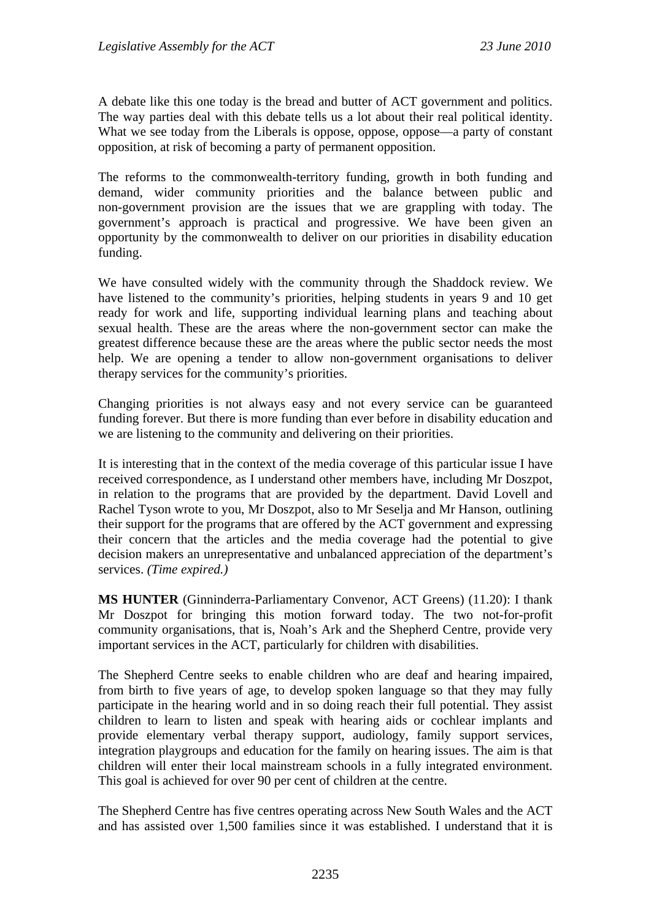A debate like this one today is the bread and butter of ACT government and politics. The way parties deal with this debate tells us a lot about their real political identity. What we see today from the Liberals is oppose, oppose, oppose—a party of constant opposition, at risk of becoming a party of permanent opposition.

The reforms to the commonwealth-territory funding, growth in both funding and demand, wider community priorities and the balance between public and non-government provision are the issues that we are grappling with today. The government's approach is practical and progressive. We have been given an opportunity by the commonwealth to deliver on our priorities in disability education funding.

We have consulted widely with the community through the Shaddock review. We have listened to the community's priorities, helping students in years 9 and 10 get ready for work and life, supporting individual learning plans and teaching about sexual health. These are the areas where the non-government sector can make the greatest difference because these are the areas where the public sector needs the most help. We are opening a tender to allow non-government organisations to deliver therapy services for the community's priorities.

Changing priorities is not always easy and not every service can be guaranteed funding forever. But there is more funding than ever before in disability education and we are listening to the community and delivering on their priorities.

It is interesting that in the context of the media coverage of this particular issue I have received correspondence, as I understand other members have, including Mr Doszpot, in relation to the programs that are provided by the department. David Lovell and Rachel Tyson wrote to you, Mr Doszpot, also to Mr Seselja and Mr Hanson, outlining their support for the programs that are offered by the ACT government and expressing their concern that the articles and the media coverage had the potential to give decision makers an unrepresentative and unbalanced appreciation of the department's services. *(Time expired.)*

**MS HUNTER** (Ginninderra-Parliamentary Convenor, ACT Greens) (11.20): I thank Mr Doszpot for bringing this motion forward today. The two not-for-profit community organisations, that is, Noah's Ark and the Shepherd Centre, provide very important services in the ACT, particularly for children with disabilities.

The Shepherd Centre seeks to enable children who are deaf and hearing impaired, from birth to five years of age, to develop spoken language so that they may fully participate in the hearing world and in so doing reach their full potential. They assist children to learn to listen and speak with hearing aids or cochlear implants and provide elementary verbal therapy support, audiology, family support services, integration playgroups and education for the family on hearing issues. The aim is that children will enter their local mainstream schools in a fully integrated environment. This goal is achieved for over 90 per cent of children at the centre.

The Shepherd Centre has five centres operating across New South Wales and the ACT and has assisted over 1,500 families since it was established. I understand that it is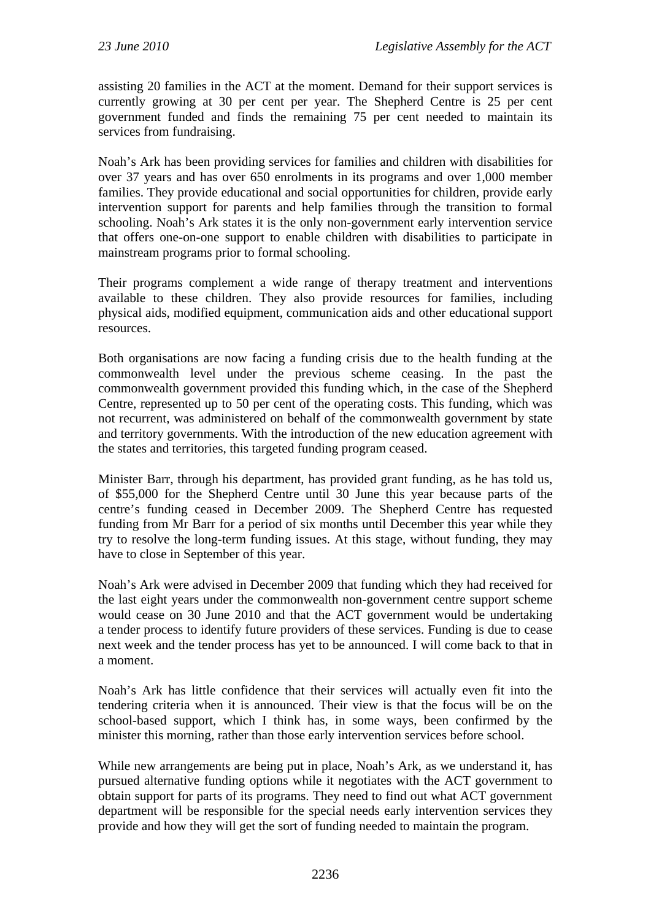assisting 20 families in the ACT at the moment. Demand for their support services is currently growing at 30 per cent per year. The Shepherd Centre is 25 per cent government funded and finds the remaining 75 per cent needed to maintain its services from fundraising.

Noah's Ark has been providing services for families and children with disabilities for over 37 years and has over 650 enrolments in its programs and over 1,000 member families. They provide educational and social opportunities for children, provide early intervention support for parents and help families through the transition to formal schooling. Noah's Ark states it is the only non-government early intervention service that offers one-on-one support to enable children with disabilities to participate in mainstream programs prior to formal schooling.

Their programs complement a wide range of therapy treatment and interventions available to these children. They also provide resources for families, including physical aids, modified equipment, communication aids and other educational support resources.

Both organisations are now facing a funding crisis due to the health funding at the commonwealth level under the previous scheme ceasing. In the past the commonwealth government provided this funding which, in the case of the Shepherd Centre, represented up to 50 per cent of the operating costs. This funding, which was not recurrent, was administered on behalf of the commonwealth government by state and territory governments. With the introduction of the new education agreement with the states and territories, this targeted funding program ceased.

Minister Barr, through his department, has provided grant funding, as he has told us, of \$55,000 for the Shepherd Centre until 30 June this year because parts of the centre's funding ceased in December 2009. The Shepherd Centre has requested funding from Mr Barr for a period of six months until December this year while they try to resolve the long-term funding issues. At this stage, without funding, they may have to close in September of this year.

Noah's Ark were advised in December 2009 that funding which they had received for the last eight years under the commonwealth non-government centre support scheme would cease on 30 June 2010 and that the ACT government would be undertaking a tender process to identify future providers of these services. Funding is due to cease next week and the tender process has yet to be announced. I will come back to that in a moment.

Noah's Ark has little confidence that their services will actually even fit into the tendering criteria when it is announced. Their view is that the focus will be on the school-based support, which I think has, in some ways, been confirmed by the minister this morning, rather than those early intervention services before school.

While new arrangements are being put in place, Noah's Ark, as we understand it, has pursued alternative funding options while it negotiates with the ACT government to obtain support for parts of its programs. They need to find out what ACT government department will be responsible for the special needs early intervention services they provide and how they will get the sort of funding needed to maintain the program.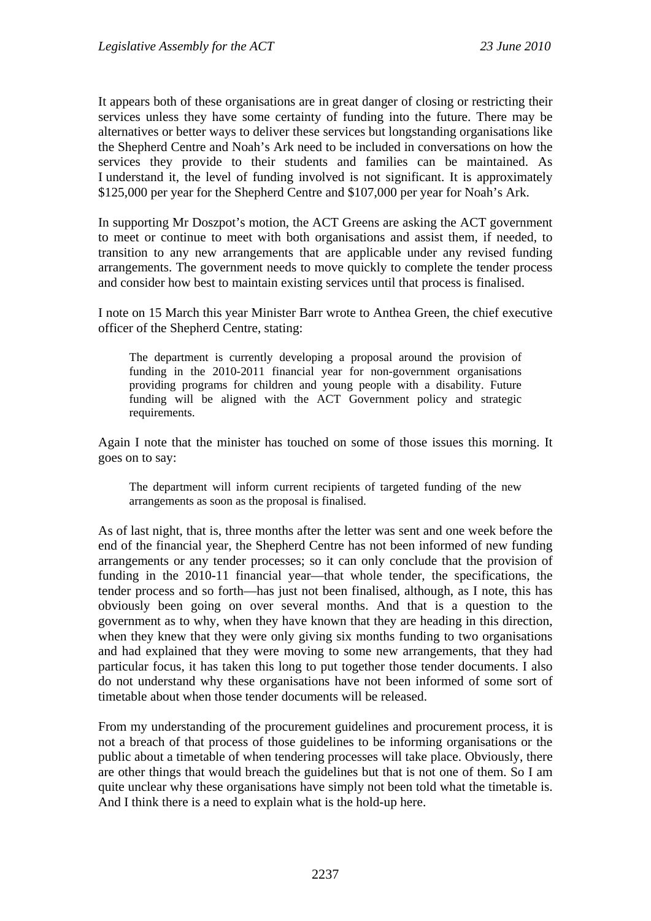It appears both of these organisations are in great danger of closing or restricting their services unless they have some certainty of funding into the future. There may be alternatives or better ways to deliver these services but longstanding organisations like the Shepherd Centre and Noah's Ark need to be included in conversations on how the services they provide to their students and families can be maintained. As I understand it, the level of funding involved is not significant. It is approximately \$125,000 per year for the Shepherd Centre and \$107,000 per year for Noah's Ark.

In supporting Mr Doszpot's motion, the ACT Greens are asking the ACT government to meet or continue to meet with both organisations and assist them, if needed, to transition to any new arrangements that are applicable under any revised funding arrangements. The government needs to move quickly to complete the tender process and consider how best to maintain existing services until that process is finalised.

I note on 15 March this year Minister Barr wrote to Anthea Green, the chief executive officer of the Shepherd Centre, stating:

The department is currently developing a proposal around the provision of funding in the 2010-2011 financial year for non-government organisations providing programs for children and young people with a disability. Future funding will be aligned with the ACT Government policy and strategic requirements.

Again I note that the minister has touched on some of those issues this morning. It goes on to say:

The department will inform current recipients of targeted funding of the new arrangements as soon as the proposal is finalised.

As of last night, that is, three months after the letter was sent and one week before the end of the financial year, the Shepherd Centre has not been informed of new funding arrangements or any tender processes; so it can only conclude that the provision of funding in the 2010-11 financial year—that whole tender, the specifications, the tender process and so forth—has just not been finalised, although, as I note, this has obviously been going on over several months. And that is a question to the government as to why, when they have known that they are heading in this direction, when they knew that they were only giving six months funding to two organisations and had explained that they were moving to some new arrangements, that they had particular focus, it has taken this long to put together those tender documents. I also do not understand why these organisations have not been informed of some sort of timetable about when those tender documents will be released.

From my understanding of the procurement guidelines and procurement process, it is not a breach of that process of those guidelines to be informing organisations or the public about a timetable of when tendering processes will take place. Obviously, there are other things that would breach the guidelines but that is not one of them. So I am quite unclear why these organisations have simply not been told what the timetable is. And I think there is a need to explain what is the hold-up here.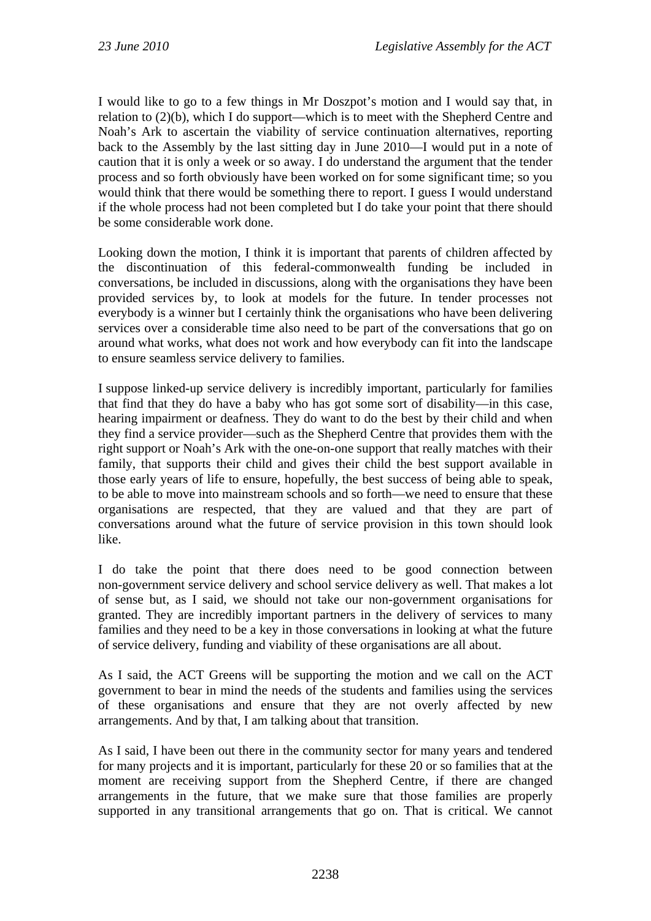I would like to go to a few things in Mr Doszpot's motion and I would say that, in relation to (2)(b), which I do support—which is to meet with the Shepherd Centre and Noah's Ark to ascertain the viability of service continuation alternatives, reporting back to the Assembly by the last sitting day in June 2010—I would put in a note of caution that it is only a week or so away. I do understand the argument that the tender process and so forth obviously have been worked on for some significant time; so you would think that there would be something there to report. I guess I would understand if the whole process had not been completed but I do take your point that there should be some considerable work done.

Looking down the motion, I think it is important that parents of children affected by the discontinuation of this federal-commonwealth funding be included in conversations, be included in discussions, along with the organisations they have been provided services by, to look at models for the future. In tender processes not everybody is a winner but I certainly think the organisations who have been delivering services over a considerable time also need to be part of the conversations that go on around what works, what does not work and how everybody can fit into the landscape to ensure seamless service delivery to families.

I suppose linked-up service delivery is incredibly important, particularly for families that find that they do have a baby who has got some sort of disability—in this case, hearing impairment or deafness. They do want to do the best by their child and when they find a service provider—such as the Shepherd Centre that provides them with the right support or Noah's Ark with the one-on-one support that really matches with their family, that supports their child and gives their child the best support available in those early years of life to ensure, hopefully, the best success of being able to speak, to be able to move into mainstream schools and so forth—we need to ensure that these organisations are respected, that they are valued and that they are part of conversations around what the future of service provision in this town should look like.

I do take the point that there does need to be good connection between non-government service delivery and school service delivery as well. That makes a lot of sense but, as I said, we should not take our non-government organisations for granted. They are incredibly important partners in the delivery of services to many families and they need to be a key in those conversations in looking at what the future of service delivery, funding and viability of these organisations are all about.

As I said, the ACT Greens will be supporting the motion and we call on the ACT government to bear in mind the needs of the students and families using the services of these organisations and ensure that they are not overly affected by new arrangements. And by that, I am talking about that transition.

As I said, I have been out there in the community sector for many years and tendered for many projects and it is important, particularly for these 20 or so families that at the moment are receiving support from the Shepherd Centre, if there are changed arrangements in the future, that we make sure that those families are properly supported in any transitional arrangements that go on. That is critical. We cannot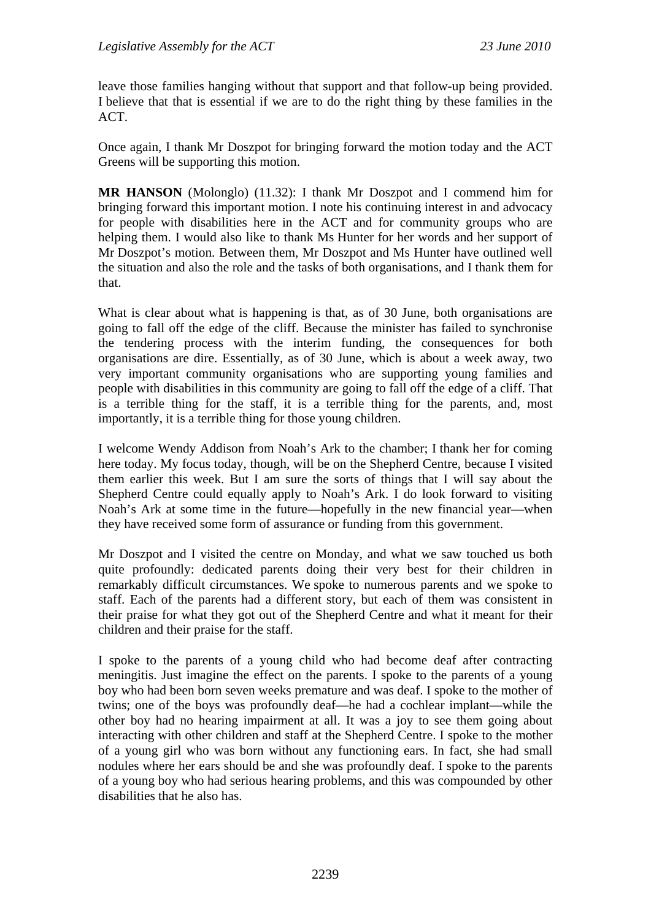leave those families hanging without that support and that follow-up being provided. I believe that that is essential if we are to do the right thing by these families in the ACT.

Once again, I thank Mr Doszpot for bringing forward the motion today and the ACT Greens will be supporting this motion.

**MR HANSON** (Molonglo) (11.32): I thank Mr Doszpot and I commend him for bringing forward this important motion. I note his continuing interest in and advocacy for people with disabilities here in the ACT and for community groups who are helping them. I would also like to thank Ms Hunter for her words and her support of Mr Doszpot's motion. Between them, Mr Doszpot and Ms Hunter have outlined well the situation and also the role and the tasks of both organisations, and I thank them for that.

What is clear about what is happening is that, as of 30 June, both organisations are going to fall off the edge of the cliff. Because the minister has failed to synchronise the tendering process with the interim funding, the consequences for both organisations are dire. Essentially, as of 30 June, which is about a week away, two very important community organisations who are supporting young families and people with disabilities in this community are going to fall off the edge of a cliff. That is a terrible thing for the staff, it is a terrible thing for the parents, and, most importantly, it is a terrible thing for those young children.

I welcome Wendy Addison from Noah's Ark to the chamber; I thank her for coming here today. My focus today, though, will be on the Shepherd Centre, because I visited them earlier this week. But I am sure the sorts of things that I will say about the Shepherd Centre could equally apply to Noah's Ark. I do look forward to visiting Noah's Ark at some time in the future—hopefully in the new financial year—when they have received some form of assurance or funding from this government.

Mr Doszpot and I visited the centre on Monday, and what we saw touched us both quite profoundly: dedicated parents doing their very best for their children in remarkably difficult circumstances. We spoke to numerous parents and we spoke to staff. Each of the parents had a different story, but each of them was consistent in their praise for what they got out of the Shepherd Centre and what it meant for their children and their praise for the staff.

I spoke to the parents of a young child who had become deaf after contracting meningitis. Just imagine the effect on the parents. I spoke to the parents of a young boy who had been born seven weeks premature and was deaf. I spoke to the mother of twins; one of the boys was profoundly deaf—he had a cochlear implant—while the other boy had no hearing impairment at all. It was a joy to see them going about interacting with other children and staff at the Shepherd Centre. I spoke to the mother of a young girl who was born without any functioning ears. In fact, she had small nodules where her ears should be and she was profoundly deaf. I spoke to the parents of a young boy who had serious hearing problems, and this was compounded by other disabilities that he also has.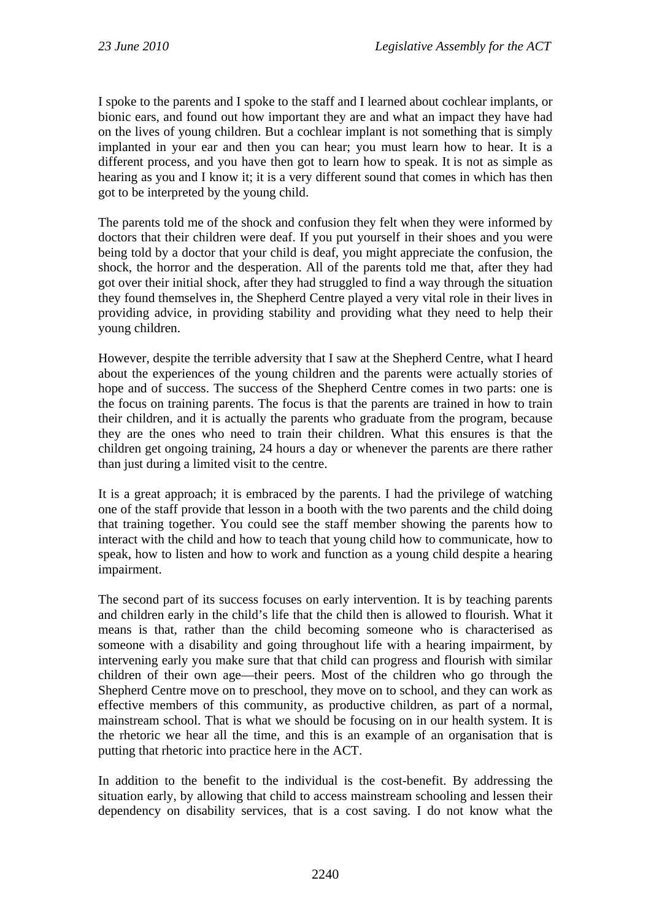I spoke to the parents and I spoke to the staff and I learned about cochlear implants, or bionic ears, and found out how important they are and what an impact they have had on the lives of young children. But a cochlear implant is not something that is simply implanted in your ear and then you can hear; you must learn how to hear. It is a different process, and you have then got to learn how to speak. It is not as simple as hearing as you and I know it; it is a very different sound that comes in which has then got to be interpreted by the young child.

The parents told me of the shock and confusion they felt when they were informed by doctors that their children were deaf. If you put yourself in their shoes and you were being told by a doctor that your child is deaf, you might appreciate the confusion, the shock, the horror and the desperation. All of the parents told me that, after they had got over their initial shock, after they had struggled to find a way through the situation they found themselves in, the Shepherd Centre played a very vital role in their lives in providing advice, in providing stability and providing what they need to help their young children.

However, despite the terrible adversity that I saw at the Shepherd Centre, what I heard about the experiences of the young children and the parents were actually stories of hope and of success. The success of the Shepherd Centre comes in two parts: one is the focus on training parents. The focus is that the parents are trained in how to train their children, and it is actually the parents who graduate from the program, because they are the ones who need to train their children. What this ensures is that the children get ongoing training, 24 hours a day or whenever the parents are there rather than just during a limited visit to the centre.

It is a great approach; it is embraced by the parents. I had the privilege of watching one of the staff provide that lesson in a booth with the two parents and the child doing that training together. You could see the staff member showing the parents how to interact with the child and how to teach that young child how to communicate, how to speak, how to listen and how to work and function as a young child despite a hearing impairment.

The second part of its success focuses on early intervention. It is by teaching parents and children early in the child's life that the child then is allowed to flourish. What it means is that, rather than the child becoming someone who is characterised as someone with a disability and going throughout life with a hearing impairment, by intervening early you make sure that that child can progress and flourish with similar children of their own age—their peers. Most of the children who go through the Shepherd Centre move on to preschool, they move on to school, and they can work as effective members of this community, as productive children, as part of a normal, mainstream school. That is what we should be focusing on in our health system. It is the rhetoric we hear all the time, and this is an example of an organisation that is putting that rhetoric into practice here in the ACT.

In addition to the benefit to the individual is the cost-benefit. By addressing the situation early, by allowing that child to access mainstream schooling and lessen their dependency on disability services, that is a cost saving. I do not know what the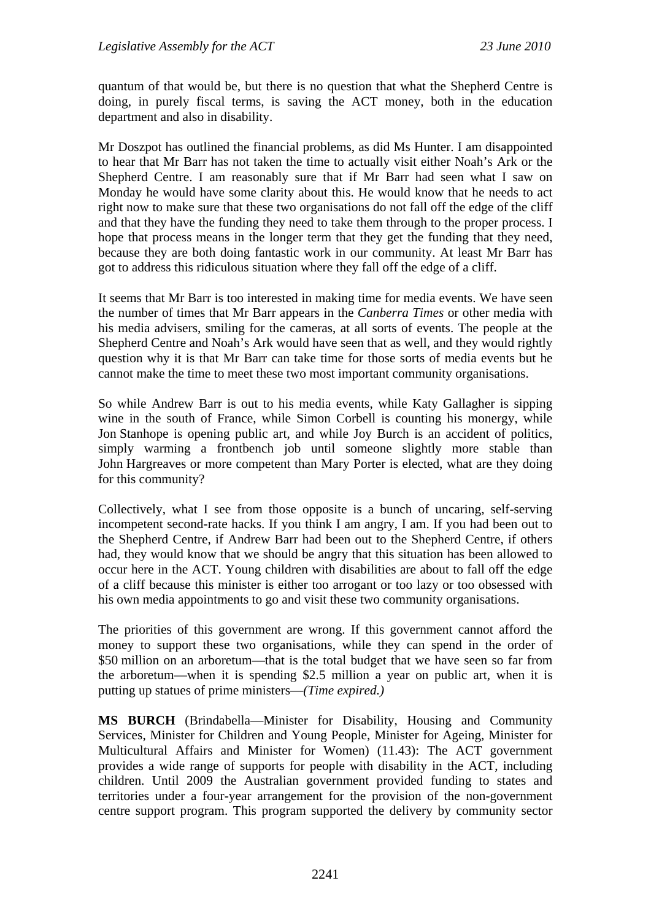quantum of that would be, but there is no question that what the Shepherd Centre is doing, in purely fiscal terms, is saving the ACT money, both in the education department and also in disability.

Mr Doszpot has outlined the financial problems, as did Ms Hunter. I am disappointed to hear that Mr Barr has not taken the time to actually visit either Noah's Ark or the Shepherd Centre. I am reasonably sure that if Mr Barr had seen what I saw on Monday he would have some clarity about this. He would know that he needs to act right now to make sure that these two organisations do not fall off the edge of the cliff and that they have the funding they need to take them through to the proper process. I hope that process means in the longer term that they get the funding that they need, because they are both doing fantastic work in our community. At least Mr Barr has got to address this ridiculous situation where they fall off the edge of a cliff.

It seems that Mr Barr is too interested in making time for media events. We have seen the number of times that Mr Barr appears in the *Canberra Times* or other media with his media advisers, smiling for the cameras, at all sorts of events. The people at the Shepherd Centre and Noah's Ark would have seen that as well, and they would rightly question why it is that Mr Barr can take time for those sorts of media events but he cannot make the time to meet these two most important community organisations.

So while Andrew Barr is out to his media events, while Katy Gallagher is sipping wine in the south of France, while Simon Corbell is counting his monergy, while Jon Stanhope is opening public art, and while Joy Burch is an accident of politics, simply warming a frontbench job until someone slightly more stable than John Hargreaves or more competent than Mary Porter is elected, what are they doing for this community?

Collectively, what I see from those opposite is a bunch of uncaring, self-serving incompetent second-rate hacks. If you think I am angry, I am. If you had been out to the Shepherd Centre, if Andrew Barr had been out to the Shepherd Centre, if others had, they would know that we should be angry that this situation has been allowed to occur here in the ACT. Young children with disabilities are about to fall off the edge of a cliff because this minister is either too arrogant or too lazy or too obsessed with his own media appointments to go and visit these two community organisations.

The priorities of this government are wrong. If this government cannot afford the money to support these two organisations, while they can spend in the order of \$50 million on an arboretum—that is the total budget that we have seen so far from the arboretum—when it is spending \$2.5 million a year on public art, when it is putting up statues of prime ministers—*(Time expired.)*

**MS BURCH** (Brindabella—Minister for Disability, Housing and Community Services, Minister for Children and Young People, Minister for Ageing, Minister for Multicultural Affairs and Minister for Women) (11.43): The ACT government provides a wide range of supports for people with disability in the ACT, including children. Until 2009 the Australian government provided funding to states and territories under a four-year arrangement for the provision of the non-government centre support program. This program supported the delivery by community sector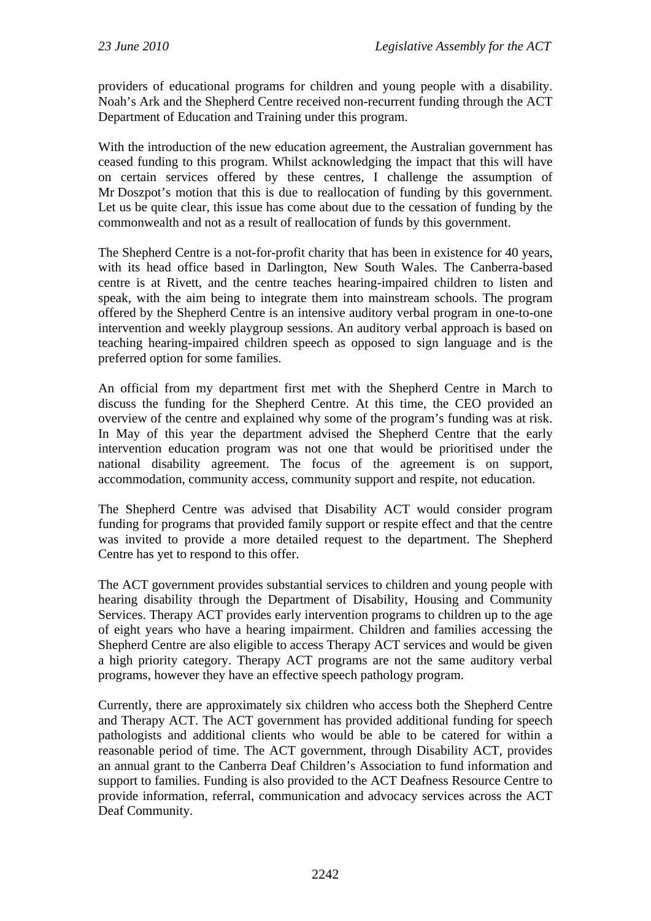providers of educational programs for children and young people with a disability. Noah's Ark and the Shepherd Centre received non-recurrent funding through the ACT Department of Education and Training under this program.

With the introduction of the new education agreement, the Australian government has ceased funding to this program. Whilst acknowledging the impact that this will have on certain services offered by these centres, I challenge the assumption of Mr Doszpot's motion that this is due to reallocation of funding by this government. Let us be quite clear, this issue has come about due to the cessation of funding by the commonwealth and not as a result of reallocation of funds by this government.

The Shepherd Centre is a not-for-profit charity that has been in existence for 40 years, with its head office based in Darlington, New South Wales. The Canberra-based centre is at Rivett, and the centre teaches hearing-impaired children to listen and speak, with the aim being to integrate them into mainstream schools. The program offered by the Shepherd Centre is an intensive auditory verbal program in one-to-one intervention and weekly playgroup sessions. An auditory verbal approach is based on teaching hearing-impaired children speech as opposed to sign language and is the preferred option for some families.

An official from my department first met with the Shepherd Centre in March to discuss the funding for the Shepherd Centre. At this time, the CEO provided an overview of the centre and explained why some of the program's funding was at risk. In May of this year the department advised the Shepherd Centre that the early intervention education program was not one that would be prioritised under the national disability agreement. The focus of the agreement is on support, accommodation, community access, community support and respite, not education.

The Shepherd Centre was advised that Disability ACT would consider program funding for programs that provided family support or respite effect and that the centre was invited to provide a more detailed request to the department. The Shepherd Centre has yet to respond to this offer.

The ACT government provides substantial services to children and young people with hearing disability through the Department of Disability, Housing and Community Services. Therapy ACT provides early intervention programs to children up to the age of eight years who have a hearing impairment. Children and families accessing the Shepherd Centre are also eligible to access Therapy ACT services and would be given a high priority category. Therapy ACT programs are not the same auditory verbal programs, however they have an effective speech pathology program.

Currently, there are approximately six children who access both the Shepherd Centre and Therapy ACT. The ACT government has provided additional funding for speech pathologists and additional clients who would be able to be catered for within a reasonable period of time. The ACT government, through Disability ACT, provides an annual grant to the Canberra Deaf Children's Association to fund information and support to families. Funding is also provided to the ACT Deafness Resource Centre to provide information, referral, communication and advocacy services across the ACT Deaf Community.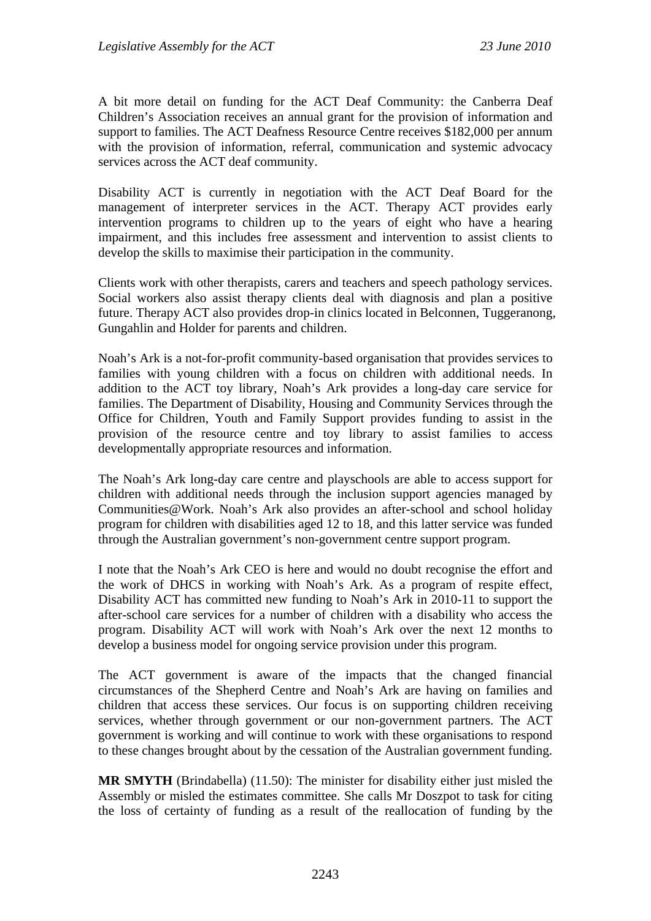A bit more detail on funding for the ACT Deaf Community: the Canberra Deaf Children's Association receives an annual grant for the provision of information and support to families. The ACT Deafness Resource Centre receives \$182,000 per annum with the provision of information, referral, communication and systemic advocacy services across the ACT deaf community.

Disability ACT is currently in negotiation with the ACT Deaf Board for the management of interpreter services in the ACT. Therapy ACT provides early intervention programs to children up to the years of eight who have a hearing impairment, and this includes free assessment and intervention to assist clients to develop the skills to maximise their participation in the community.

Clients work with other therapists, carers and teachers and speech pathology services. Social workers also assist therapy clients deal with diagnosis and plan a positive future. Therapy ACT also provides drop-in clinics located in Belconnen, Tuggeranong, Gungahlin and Holder for parents and children.

Noah's Ark is a not-for-profit community-based organisation that provides services to families with young children with a focus on children with additional needs. In addition to the ACT toy library, Noah's Ark provides a long-day care service for families. The Department of Disability, Housing and Community Services through the Office for Children, Youth and Family Support provides funding to assist in the provision of the resource centre and toy library to assist families to access developmentally appropriate resources and information.

The Noah's Ark long-day care centre and playschools are able to access support for children with additional needs through the inclusion support agencies managed by Communities@Work. Noah's Ark also provides an after-school and school holiday program for children with disabilities aged 12 to 18, and this latter service was funded through the Australian government's non-government centre support program.

I note that the Noah's Ark CEO is here and would no doubt recognise the effort and the work of DHCS in working with Noah's Ark. As a program of respite effect, Disability ACT has committed new funding to Noah's Ark in 2010-11 to support the after-school care services for a number of children with a disability who access the program. Disability ACT will work with Noah's Ark over the next 12 months to develop a business model for ongoing service provision under this program.

The ACT government is aware of the impacts that the changed financial circumstances of the Shepherd Centre and Noah's Ark are having on families and children that access these services. Our focus is on supporting children receiving services, whether through government or our non-government partners. The ACT government is working and will continue to work with these organisations to respond to these changes brought about by the cessation of the Australian government funding.

**MR SMYTH** (Brindabella) (11.50): The minister for disability either just misled the Assembly or misled the estimates committee. She calls Mr Doszpot to task for citing the loss of certainty of funding as a result of the reallocation of funding by the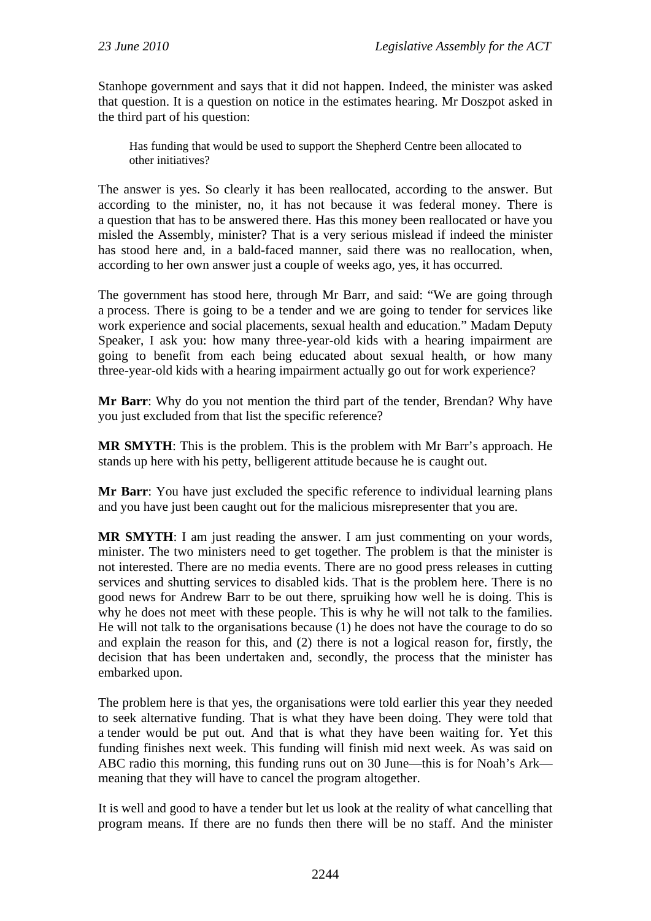Stanhope government and says that it did not happen. Indeed, the minister was asked that question. It is a question on notice in the estimates hearing. Mr Doszpot asked in the third part of his question:

Has funding that would be used to support the Shepherd Centre been allocated to other initiatives?

The answer is yes. So clearly it has been reallocated, according to the answer. But according to the minister, no, it has not because it was federal money. There is a question that has to be answered there. Has this money been reallocated or have you misled the Assembly, minister? That is a very serious mislead if indeed the minister has stood here and, in a bald-faced manner, said there was no reallocation, when, according to her own answer just a couple of weeks ago, yes, it has occurred.

The government has stood here, through Mr Barr, and said: "We are going through a process. There is going to be a tender and we are going to tender for services like work experience and social placements, sexual health and education." Madam Deputy Speaker, I ask you: how many three-year-old kids with a hearing impairment are going to benefit from each being educated about sexual health, or how many three-year-old kids with a hearing impairment actually go out for work experience?

**Mr Barr**: Why do you not mention the third part of the tender, Brendan? Why have you just excluded from that list the specific reference?

**MR SMYTH**: This is the problem. This is the problem with Mr Barr's approach. He stands up here with his petty, belligerent attitude because he is caught out.

**Mr Barr**: You have just excluded the specific reference to individual learning plans and you have just been caught out for the malicious misrepresenter that you are.

**MR SMYTH**: I am just reading the answer. I am just commenting on your words, minister. The two ministers need to get together. The problem is that the minister is not interested. There are no media events. There are no good press releases in cutting services and shutting services to disabled kids. That is the problem here. There is no good news for Andrew Barr to be out there, spruiking how well he is doing. This is why he does not meet with these people. This is why he will not talk to the families. He will not talk to the organisations because (1) he does not have the courage to do so and explain the reason for this, and (2) there is not a logical reason for, firstly, the decision that has been undertaken and, secondly, the process that the minister has embarked upon.

The problem here is that yes, the organisations were told earlier this year they needed to seek alternative funding. That is what they have been doing. They were told that a tender would be put out. And that is what they have been waiting for. Yet this funding finishes next week. This funding will finish mid next week. As was said on ABC radio this morning, this funding runs out on 30 June—this is for Noah's Ark meaning that they will have to cancel the program altogether.

It is well and good to have a tender but let us look at the reality of what cancelling that program means. If there are no funds then there will be no staff. And the minister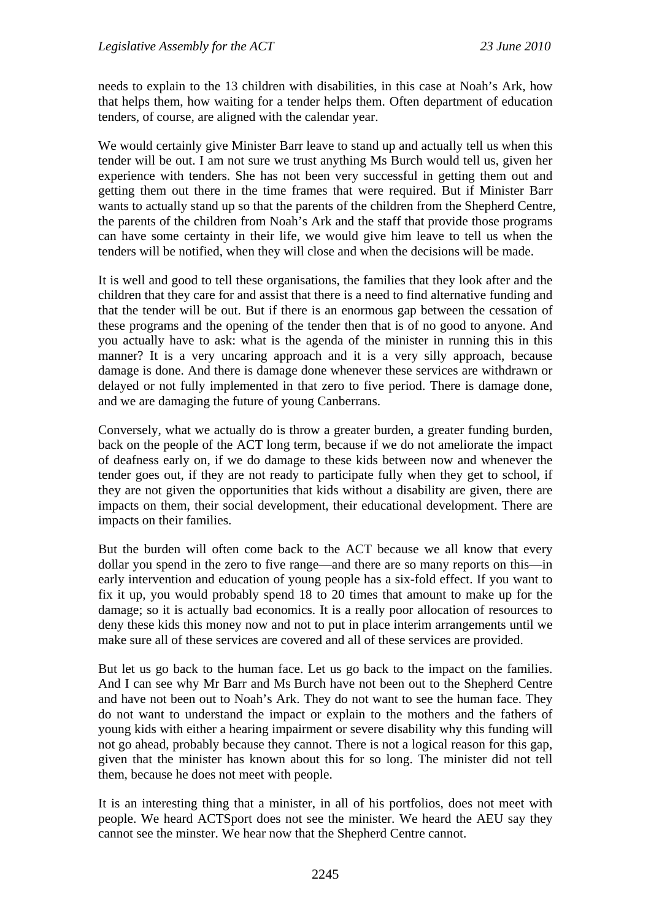needs to explain to the 13 children with disabilities, in this case at Noah's Ark, how that helps them, how waiting for a tender helps them. Often department of education tenders, of course, are aligned with the calendar year.

We would certainly give Minister Barr leave to stand up and actually tell us when this tender will be out. I am not sure we trust anything Ms Burch would tell us, given her experience with tenders. She has not been very successful in getting them out and getting them out there in the time frames that were required. But if Minister Barr wants to actually stand up so that the parents of the children from the Shepherd Centre, the parents of the children from Noah's Ark and the staff that provide those programs can have some certainty in their life, we would give him leave to tell us when the tenders will be notified, when they will close and when the decisions will be made.

It is well and good to tell these organisations, the families that they look after and the children that they care for and assist that there is a need to find alternative funding and that the tender will be out. But if there is an enormous gap between the cessation of these programs and the opening of the tender then that is of no good to anyone. And you actually have to ask: what is the agenda of the minister in running this in this manner? It is a very uncaring approach and it is a very silly approach, because damage is done. And there is damage done whenever these services are withdrawn or delayed or not fully implemented in that zero to five period. There is damage done, and we are damaging the future of young Canberrans.

Conversely, what we actually do is throw a greater burden, a greater funding burden, back on the people of the ACT long term, because if we do not ameliorate the impact of deafness early on, if we do damage to these kids between now and whenever the tender goes out, if they are not ready to participate fully when they get to school, if they are not given the opportunities that kids without a disability are given, there are impacts on them, their social development, their educational development. There are impacts on their families.

But the burden will often come back to the ACT because we all know that every dollar you spend in the zero to five range—and there are so many reports on this—in early intervention and education of young people has a six-fold effect. If you want to fix it up, you would probably spend 18 to 20 times that amount to make up for the damage; so it is actually bad economics. It is a really poor allocation of resources to deny these kids this money now and not to put in place interim arrangements until we make sure all of these services are covered and all of these services are provided.

But let us go back to the human face. Let us go back to the impact on the families. And I can see why Mr Barr and Ms Burch have not been out to the Shepherd Centre and have not been out to Noah's Ark. They do not want to see the human face. They do not want to understand the impact or explain to the mothers and the fathers of young kids with either a hearing impairment or severe disability why this funding will not go ahead, probably because they cannot. There is not a logical reason for this gap, given that the minister has known about this for so long. The minister did not tell them, because he does not meet with people.

It is an interesting thing that a minister, in all of his portfolios, does not meet with people. We heard ACTSport does not see the minister. We heard the AEU say they cannot see the minster. We hear now that the Shepherd Centre cannot.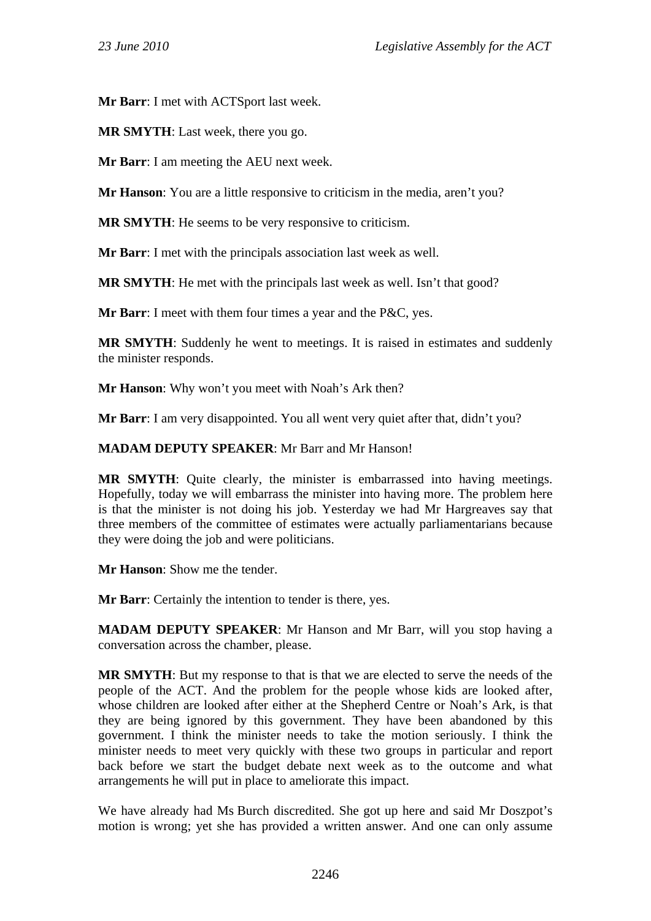**Mr Barr**: I met with ACTSport last week.

**MR SMYTH**: Last week, there you go.

**Mr Barr**: I am meeting the AEU next week.

**Mr Hanson**: You are a little responsive to criticism in the media, aren't you?

**MR SMYTH**: He seems to be very responsive to criticism.

**Mr Barr**: I met with the principals association last week as well.

**MR SMYTH**: He met with the principals last week as well. Isn't that good?

**Mr Barr**: I meet with them four times a year and the P&C, yes.

**MR SMYTH**: Suddenly he went to meetings. It is raised in estimates and suddenly the minister responds.

**Mr Hanson**: Why won't you meet with Noah's Ark then?

**Mr Barr**: I am very disappointed. You all went very quiet after that, didn't you?

**MADAM DEPUTY SPEAKER**: Mr Barr and Mr Hanson!

**MR SMYTH**: Quite clearly, the minister is embarrassed into having meetings. Hopefully, today we will embarrass the minister into having more. The problem here is that the minister is not doing his job. Yesterday we had Mr Hargreaves say that three members of the committee of estimates were actually parliamentarians because they were doing the job and were politicians.

**Mr Hanson**: Show me the tender.

**Mr Barr**: Certainly the intention to tender is there, yes.

**MADAM DEPUTY SPEAKER**: Mr Hanson and Mr Barr, will you stop having a conversation across the chamber, please.

**MR SMYTH**: But my response to that is that we are elected to serve the needs of the people of the ACT. And the problem for the people whose kids are looked after, whose children are looked after either at the Shepherd Centre or Noah's Ark, is that they are being ignored by this government. They have been abandoned by this government. I think the minister needs to take the motion seriously. I think the minister needs to meet very quickly with these two groups in particular and report back before we start the budget debate next week as to the outcome and what arrangements he will put in place to ameliorate this impact.

We have already had Ms Burch discredited. She got up here and said Mr Doszpot's motion is wrong; yet she has provided a written answer. And one can only assume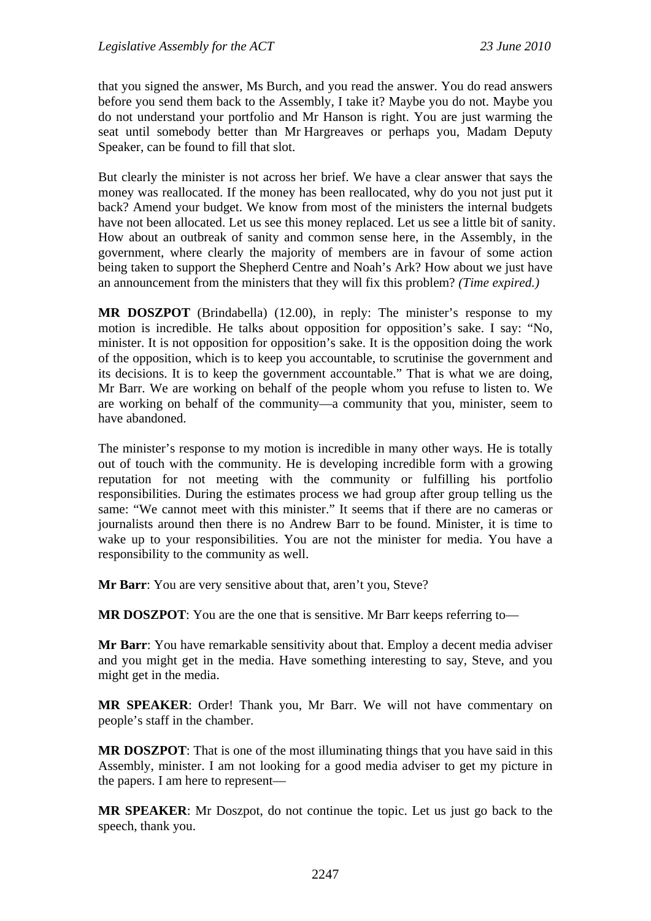that you signed the answer, Ms Burch, and you read the answer. You do read answers before you send them back to the Assembly, I take it? Maybe you do not. Maybe you do not understand your portfolio and Mr Hanson is right. You are just warming the seat until somebody better than Mr Hargreaves or perhaps you, Madam Deputy Speaker, can be found to fill that slot.

But clearly the minister is not across her brief. We have a clear answer that says the money was reallocated. If the money has been reallocated, why do you not just put it back? Amend your budget. We know from most of the ministers the internal budgets have not been allocated. Let us see this money replaced. Let us see a little bit of sanity. How about an outbreak of sanity and common sense here, in the Assembly, in the government, where clearly the majority of members are in favour of some action being taken to support the Shepherd Centre and Noah's Ark? How about we just have an announcement from the ministers that they will fix this problem? *(Time expired.)*

**MR DOSZPOT** (Brindabella) (12.00), in reply: The minister's response to my motion is incredible. He talks about opposition for opposition's sake. I say: "No, minister. It is not opposition for opposition's sake. It is the opposition doing the work of the opposition, which is to keep you accountable, to scrutinise the government and its decisions. It is to keep the government accountable." That is what we are doing, Mr Barr. We are working on behalf of the people whom you refuse to listen to. We are working on behalf of the community—a community that you, minister, seem to have abandoned.

The minister's response to my motion is incredible in many other ways. He is totally out of touch with the community. He is developing incredible form with a growing reputation for not meeting with the community or fulfilling his portfolio responsibilities. During the estimates process we had group after group telling us the same: "We cannot meet with this minister." It seems that if there are no cameras or journalists around then there is no Andrew Barr to be found. Minister, it is time to wake up to your responsibilities. You are not the minister for media. You have a responsibility to the community as well.

**Mr Barr**: You are very sensitive about that, aren't you, Steve?

**MR DOSZPOT:** You are the one that is sensitive. Mr Barr keeps referring to—

**Mr Barr**: You have remarkable sensitivity about that. Employ a decent media adviser and you might get in the media. Have something interesting to say, Steve, and you might get in the media.

**MR SPEAKER**: Order! Thank you, Mr Barr. We will not have commentary on people's staff in the chamber.

**MR DOSZPOT**: That is one of the most illuminating things that you have said in this Assembly, minister. I am not looking for a good media adviser to get my picture in the papers. I am here to represent—

**MR SPEAKER**: Mr Doszpot, do not continue the topic. Let us just go back to the speech, thank you.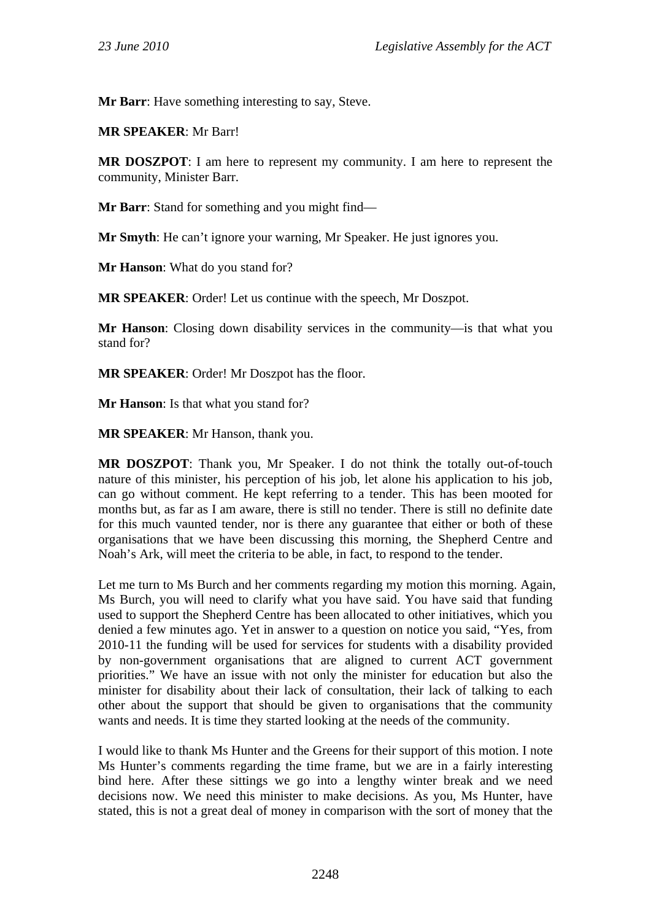**Mr Barr**: Have something interesting to say, Steve.

**MR SPEAKER**: Mr Barr!

**MR DOSZPOT**: I am here to represent my community. I am here to represent the community, Minister Barr.

**Mr Barr**: Stand for something and you might find—

**Mr Smyth**: He can't ignore your warning, Mr Speaker. He just ignores you.

**Mr Hanson**: What do you stand for?

**MR SPEAKER**: Order! Let us continue with the speech, Mr Doszpot.

**Mr Hanson**: Closing down disability services in the community—is that what you stand for?

**MR SPEAKER**: Order! Mr Doszpot has the floor.

**Mr Hanson**: Is that what you stand for?

**MR SPEAKER**: Mr Hanson, thank you.

**MR DOSZPOT**: Thank you, Mr Speaker. I do not think the totally out-of-touch nature of this minister, his perception of his job, let alone his application to his job, can go without comment. He kept referring to a tender. This has been mooted for months but, as far as I am aware, there is still no tender. There is still no definite date for this much vaunted tender, nor is there any guarantee that either or both of these organisations that we have been discussing this morning, the Shepherd Centre and Noah's Ark, will meet the criteria to be able, in fact, to respond to the tender.

Let me turn to Ms Burch and her comments regarding my motion this morning. Again, Ms Burch, you will need to clarify what you have said. You have said that funding used to support the Shepherd Centre has been allocated to other initiatives, which you denied a few minutes ago. Yet in answer to a question on notice you said, "Yes, from 2010-11 the funding will be used for services for students with a disability provided by non-government organisations that are aligned to current ACT government priorities." We have an issue with not only the minister for education but also the minister for disability about their lack of consultation, their lack of talking to each other about the support that should be given to organisations that the community wants and needs. It is time they started looking at the needs of the community.

I would like to thank Ms Hunter and the Greens for their support of this motion. I note Ms Hunter's comments regarding the time frame, but we are in a fairly interesting bind here. After these sittings we go into a lengthy winter break and we need decisions now. We need this minister to make decisions. As you, Ms Hunter, have stated, this is not a great deal of money in comparison with the sort of money that the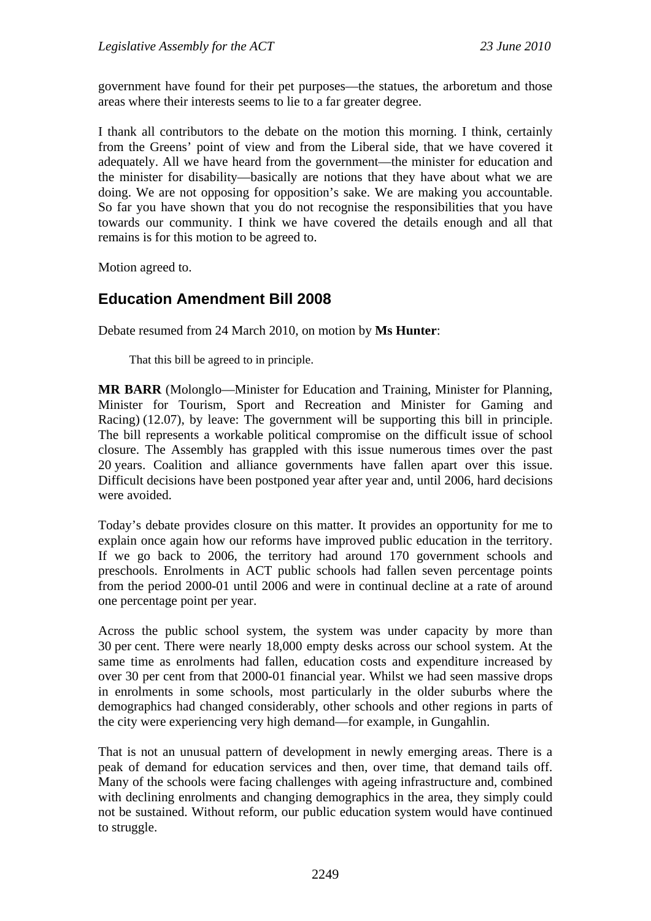government have found for their pet purposes—the statues, the arboretum and those areas where their interests seems to lie to a far greater degree.

I thank all contributors to the debate on the motion this morning. I think, certainly from the Greens' point of view and from the Liberal side, that we have covered it adequately. All we have heard from the government—the minister for education and the minister for disability—basically are notions that they have about what we are doing. We are not opposing for opposition's sake. We are making you accountable. So far you have shown that you do not recognise the responsibilities that you have towards our community. I think we have covered the details enough and all that remains is for this motion to be agreed to.

Motion agreed to.

# **Education Amendment Bill 2008**

Debate resumed from 24 March 2010, on motion by **Ms Hunter**:

That this bill be agreed to in principle.

**MR BARR** (Molonglo—Minister for Education and Training, Minister for Planning, Minister for Tourism, Sport and Recreation and Minister for Gaming and Racing) (12.07), by leave: The government will be supporting this bill in principle. The bill represents a workable political compromise on the difficult issue of school closure. The Assembly has grappled with this issue numerous times over the past 20 years. Coalition and alliance governments have fallen apart over this issue. Difficult decisions have been postponed year after year and, until 2006, hard decisions were avoided.

Today's debate provides closure on this matter. It provides an opportunity for me to explain once again how our reforms have improved public education in the territory. If we go back to 2006, the territory had around 170 government schools and preschools. Enrolments in ACT public schools had fallen seven percentage points from the period 2000-01 until 2006 and were in continual decline at a rate of around one percentage point per year.

Across the public school system, the system was under capacity by more than 30 per cent. There were nearly 18,000 empty desks across our school system. At the same time as enrolments had fallen, education costs and expenditure increased by over 30 per cent from that 2000-01 financial year. Whilst we had seen massive drops in enrolments in some schools, most particularly in the older suburbs where the demographics had changed considerably, other schools and other regions in parts of the city were experiencing very high demand—for example, in Gungahlin.

That is not an unusual pattern of development in newly emerging areas. There is a peak of demand for education services and then, over time, that demand tails off. Many of the schools were facing challenges with ageing infrastructure and, combined with declining enrolments and changing demographics in the area, they simply could not be sustained. Without reform, our public education system would have continued to struggle.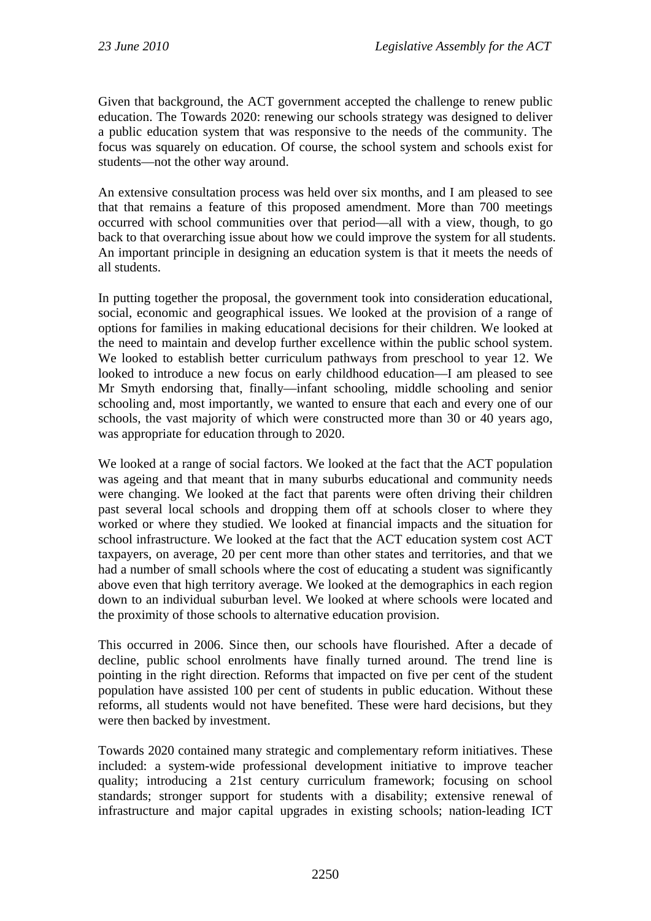Given that background, the ACT government accepted the challenge to renew public education. The Towards 2020: renewing our schools strategy was designed to deliver a public education system that was responsive to the needs of the community. The focus was squarely on education. Of course, the school system and schools exist for students—not the other way around.

An extensive consultation process was held over six months, and I am pleased to see that that remains a feature of this proposed amendment. More than 700 meetings occurred with school communities over that period—all with a view, though, to go back to that overarching issue about how we could improve the system for all students. An important principle in designing an education system is that it meets the needs of all students.

In putting together the proposal, the government took into consideration educational, social, economic and geographical issues. We looked at the provision of a range of options for families in making educational decisions for their children. We looked at the need to maintain and develop further excellence within the public school system. We looked to establish better curriculum pathways from preschool to year 12. We looked to introduce a new focus on early childhood education—I am pleased to see Mr Smyth endorsing that, finally—infant schooling, middle schooling and senior schooling and, most importantly, we wanted to ensure that each and every one of our schools, the vast majority of which were constructed more than 30 or 40 years ago, was appropriate for education through to 2020.

We looked at a range of social factors. We looked at the fact that the ACT population was ageing and that meant that in many suburbs educational and community needs were changing. We looked at the fact that parents were often driving their children past several local schools and dropping them off at schools closer to where they worked or where they studied. We looked at financial impacts and the situation for school infrastructure. We looked at the fact that the ACT education system cost ACT taxpayers, on average, 20 per cent more than other states and territories, and that we had a number of small schools where the cost of educating a student was significantly above even that high territory average. We looked at the demographics in each region down to an individual suburban level. We looked at where schools were located and the proximity of those schools to alternative education provision.

This occurred in 2006. Since then, our schools have flourished. After a decade of decline, public school enrolments have finally turned around. The trend line is pointing in the right direction. Reforms that impacted on five per cent of the student population have assisted 100 per cent of students in public education. Without these reforms, all students would not have benefited. These were hard decisions, but they were then backed by investment.

Towards 2020 contained many strategic and complementary reform initiatives. These included: a system-wide professional development initiative to improve teacher quality; introducing a 21st century curriculum framework; focusing on school standards; stronger support for students with a disability; extensive renewal of infrastructure and major capital upgrades in existing schools; nation-leading ICT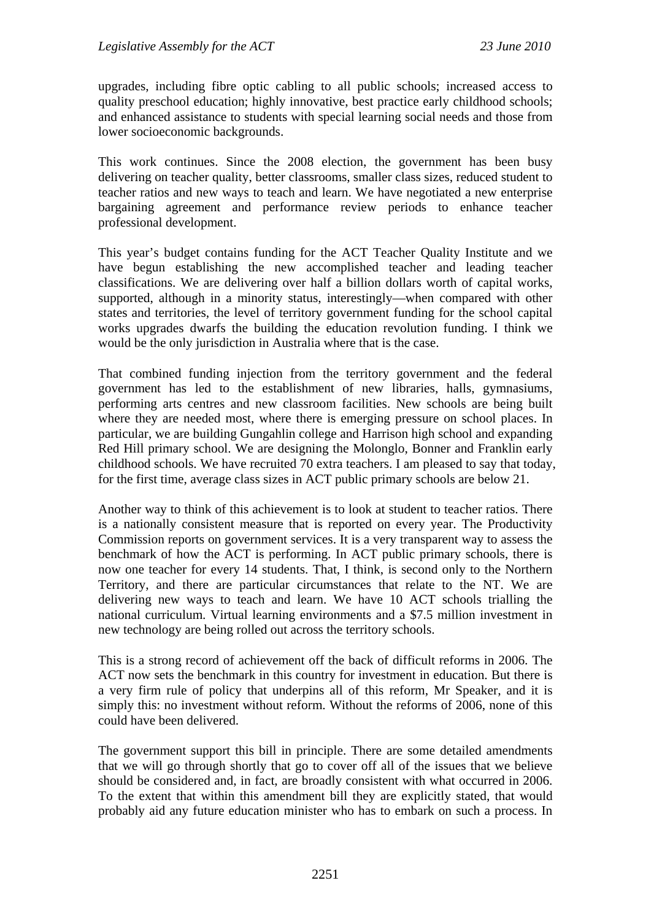upgrades, including fibre optic cabling to all public schools; increased access to quality preschool education; highly innovative, best practice early childhood schools; and enhanced assistance to students with special learning social needs and those from lower socioeconomic backgrounds.

This work continues. Since the 2008 election, the government has been busy delivering on teacher quality, better classrooms, smaller class sizes, reduced student to teacher ratios and new ways to teach and learn. We have negotiated a new enterprise bargaining agreement and performance review periods to enhance teacher professional development.

This year's budget contains funding for the ACT Teacher Quality Institute and we have begun establishing the new accomplished teacher and leading teacher classifications. We are delivering over half a billion dollars worth of capital works, supported, although in a minority status, interestingly—when compared with other states and territories, the level of territory government funding for the school capital works upgrades dwarfs the building the education revolution funding. I think we would be the only jurisdiction in Australia where that is the case.

That combined funding injection from the territory government and the federal government has led to the establishment of new libraries, halls, gymnasiums, performing arts centres and new classroom facilities. New schools are being built where they are needed most, where there is emerging pressure on school places. In particular, we are building Gungahlin college and Harrison high school and expanding Red Hill primary school. We are designing the Molonglo, Bonner and Franklin early childhood schools. We have recruited 70 extra teachers. I am pleased to say that today, for the first time, average class sizes in ACT public primary schools are below 21.

Another way to think of this achievement is to look at student to teacher ratios. There is a nationally consistent measure that is reported on every year. The Productivity Commission reports on government services. It is a very transparent way to assess the benchmark of how the ACT is performing. In ACT public primary schools, there is now one teacher for every 14 students. That, I think, is second only to the Northern Territory, and there are particular circumstances that relate to the NT. We are delivering new ways to teach and learn. We have 10 ACT schools trialling the national curriculum. Virtual learning environments and a \$7.5 million investment in new technology are being rolled out across the territory schools.

This is a strong record of achievement off the back of difficult reforms in 2006. The ACT now sets the benchmark in this country for investment in education. But there is a very firm rule of policy that underpins all of this reform, Mr Speaker, and it is simply this: no investment without reform. Without the reforms of 2006, none of this could have been delivered.

The government support this bill in principle. There are some detailed amendments that we will go through shortly that go to cover off all of the issues that we believe should be considered and, in fact, are broadly consistent with what occurred in 2006. To the extent that within this amendment bill they are explicitly stated, that would probably aid any future education minister who has to embark on such a process. In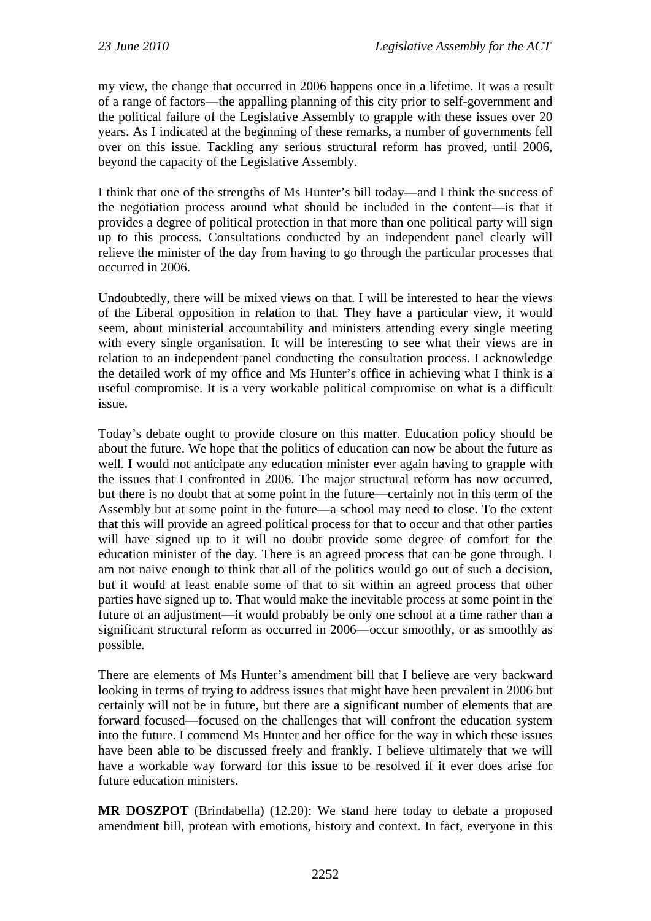my view, the change that occurred in 2006 happens once in a lifetime. It was a result of a range of factors—the appalling planning of this city prior to self-government and the political failure of the Legislative Assembly to grapple with these issues over 20 years. As I indicated at the beginning of these remarks, a number of governments fell over on this issue. Tackling any serious structural reform has proved, until 2006, beyond the capacity of the Legislative Assembly.

I think that one of the strengths of Ms Hunter's bill today—and I think the success of the negotiation process around what should be included in the content—is that it provides a degree of political protection in that more than one political party will sign up to this process. Consultations conducted by an independent panel clearly will relieve the minister of the day from having to go through the particular processes that occurred in 2006.

Undoubtedly, there will be mixed views on that. I will be interested to hear the views of the Liberal opposition in relation to that. They have a particular view, it would seem, about ministerial accountability and ministers attending every single meeting with every single organisation. It will be interesting to see what their views are in relation to an independent panel conducting the consultation process. I acknowledge the detailed work of my office and Ms Hunter's office in achieving what I think is a useful compromise. It is a very workable political compromise on what is a difficult issue.

Today's debate ought to provide closure on this matter. Education policy should be about the future. We hope that the politics of education can now be about the future as well. I would not anticipate any education minister ever again having to grapple with the issues that I confronted in 2006. The major structural reform has now occurred, but there is no doubt that at some point in the future—certainly not in this term of the Assembly but at some point in the future—a school may need to close. To the extent that this will provide an agreed political process for that to occur and that other parties will have signed up to it will no doubt provide some degree of comfort for the education minister of the day. There is an agreed process that can be gone through. I am not naive enough to think that all of the politics would go out of such a decision, but it would at least enable some of that to sit within an agreed process that other parties have signed up to. That would make the inevitable process at some point in the future of an adjustment—it would probably be only one school at a time rather than a significant structural reform as occurred in 2006—occur smoothly, or as smoothly as possible.

There are elements of Ms Hunter's amendment bill that I believe are very backward looking in terms of trying to address issues that might have been prevalent in 2006 but certainly will not be in future, but there are a significant number of elements that are forward focused—focused on the challenges that will confront the education system into the future. I commend Ms Hunter and her office for the way in which these issues have been able to be discussed freely and frankly. I believe ultimately that we will have a workable way forward for this issue to be resolved if it ever does arise for future education ministers.

**MR DOSZPOT** (Brindabella) (12.20): We stand here today to debate a proposed amendment bill, protean with emotions, history and context. In fact, everyone in this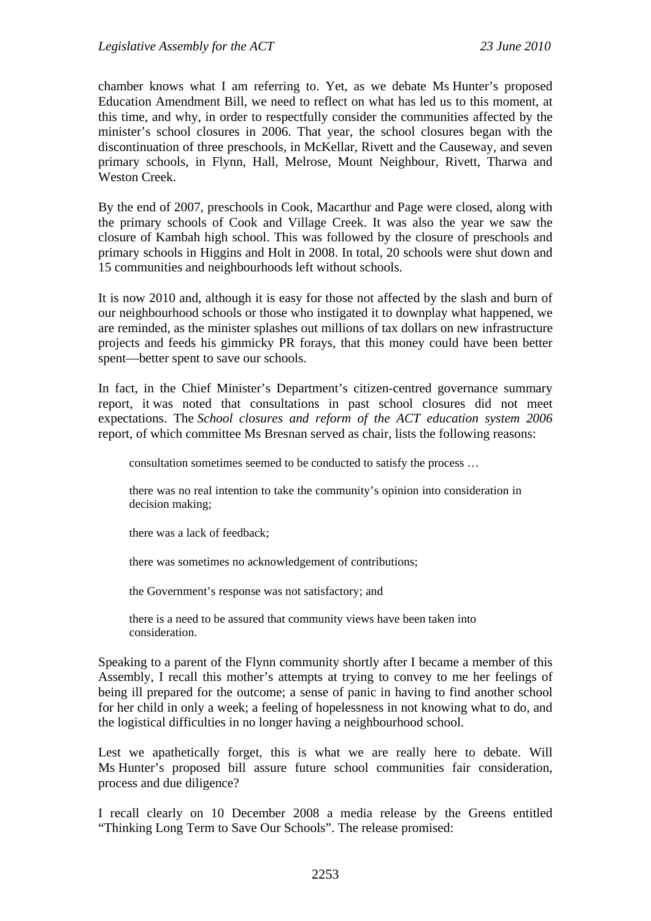chamber knows what I am referring to. Yet, as we debate Ms Hunter's proposed Education Amendment Bill, we need to reflect on what has led us to this moment, at this time, and why, in order to respectfully consider the communities affected by the minister's school closures in 2006. That year, the school closures began with the discontinuation of three preschools, in McKellar, Rivett and the Causeway, and seven primary schools, in Flynn, Hall, Melrose, Mount Neighbour, Rivett, Tharwa and Weston Creek.

By the end of 2007, preschools in Cook, Macarthur and Page were closed, along with the primary schools of Cook and Village Creek. It was also the year we saw the closure of Kambah high school. This was followed by the closure of preschools and primary schools in Higgins and Holt in 2008. In total, 20 schools were shut down and 15 communities and neighbourhoods left without schools.

It is now 2010 and, although it is easy for those not affected by the slash and burn of our neighbourhood schools or those who instigated it to downplay what happened, we are reminded, as the minister splashes out millions of tax dollars on new infrastructure projects and feeds his gimmicky PR forays, that this money could have been better spent—better spent to save our schools.

In fact, in the Chief Minister's Department's citizen-centred governance summary report, it was noted that consultations in past school closures did not meet expectations. The *School closures and reform of the ACT education system 2006* report, of which committee Ms Bresnan served as chair, lists the following reasons:

consultation sometimes seemed to be conducted to satisfy the process …

there was no real intention to take the community's opinion into consideration in decision making;

there was a lack of feedback;

there was sometimes no acknowledgement of contributions;

the Government's response was not satisfactory; and

there is a need to be assured that community views have been taken into consideration.

Speaking to a parent of the Flynn community shortly after I became a member of this Assembly, I recall this mother's attempts at trying to convey to me her feelings of being ill prepared for the outcome; a sense of panic in having to find another school for her child in only a week; a feeling of hopelessness in not knowing what to do, and the logistical difficulties in no longer having a neighbourhood school.

Lest we apathetically forget, this is what we are really here to debate. Will Ms Hunter's proposed bill assure future school communities fair consideration, process and due diligence?

I recall clearly on 10 December 2008 a media release by the Greens entitled "Thinking Long Term to Save Our Schools". The release promised: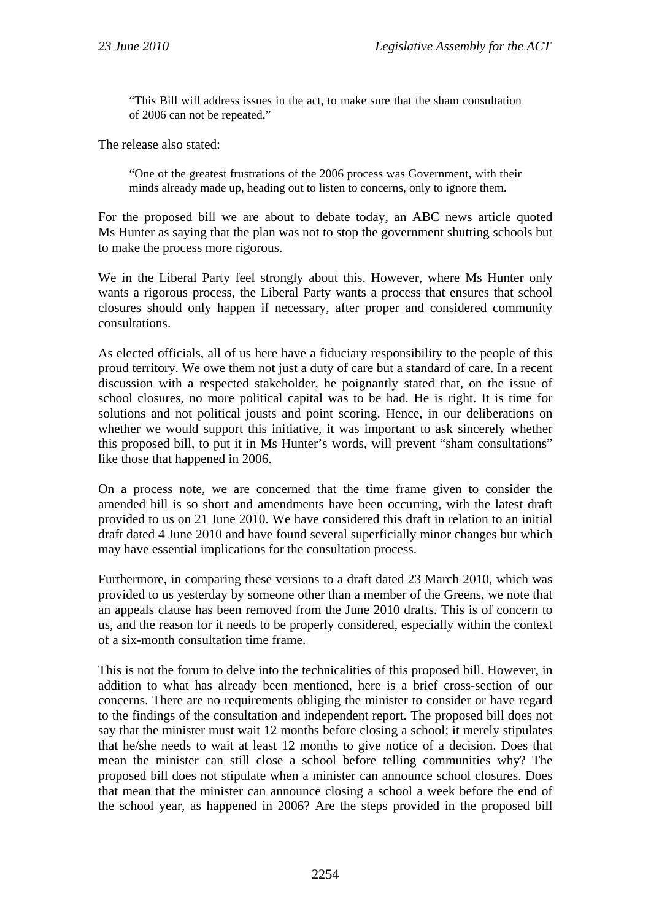"This Bill will address issues in the act, to make sure that the sham consultation of 2006 can not be repeated,"

The release also stated:

"One of the greatest frustrations of the 2006 process was Government, with their minds already made up, heading out to listen to concerns, only to ignore them.

For the proposed bill we are about to debate today, an ABC news article quoted Ms Hunter as saying that the plan was not to stop the government shutting schools but to make the process more rigorous.

We in the Liberal Party feel strongly about this. However, where Ms Hunter only wants a rigorous process, the Liberal Party wants a process that ensures that school closures should only happen if necessary, after proper and considered community consultations.

As elected officials, all of us here have a fiduciary responsibility to the people of this proud territory. We owe them not just a duty of care but a standard of care. In a recent discussion with a respected stakeholder, he poignantly stated that, on the issue of school closures, no more political capital was to be had. He is right. It is time for solutions and not political jousts and point scoring. Hence, in our deliberations on whether we would support this initiative, it was important to ask sincerely whether this proposed bill, to put it in Ms Hunter's words, will prevent "sham consultations" like those that happened in 2006.

On a process note, we are concerned that the time frame given to consider the amended bill is so short and amendments have been occurring, with the latest draft provided to us on 21 June 2010. We have considered this draft in relation to an initial draft dated 4 June 2010 and have found several superficially minor changes but which may have essential implications for the consultation process.

Furthermore, in comparing these versions to a draft dated 23 March 2010, which was provided to us yesterday by someone other than a member of the Greens, we note that an appeals clause has been removed from the June 2010 drafts. This is of concern to us, and the reason for it needs to be properly considered, especially within the context of a six-month consultation time frame.

This is not the forum to delve into the technicalities of this proposed bill. However, in addition to what has already been mentioned, here is a brief cross-section of our concerns. There are no requirements obliging the minister to consider or have regard to the findings of the consultation and independent report. The proposed bill does not say that the minister must wait 12 months before closing a school; it merely stipulates that he/she needs to wait at least 12 months to give notice of a decision. Does that mean the minister can still close a school before telling communities why? The proposed bill does not stipulate when a minister can announce school closures. Does that mean that the minister can announce closing a school a week before the end of the school year, as happened in 2006? Are the steps provided in the proposed bill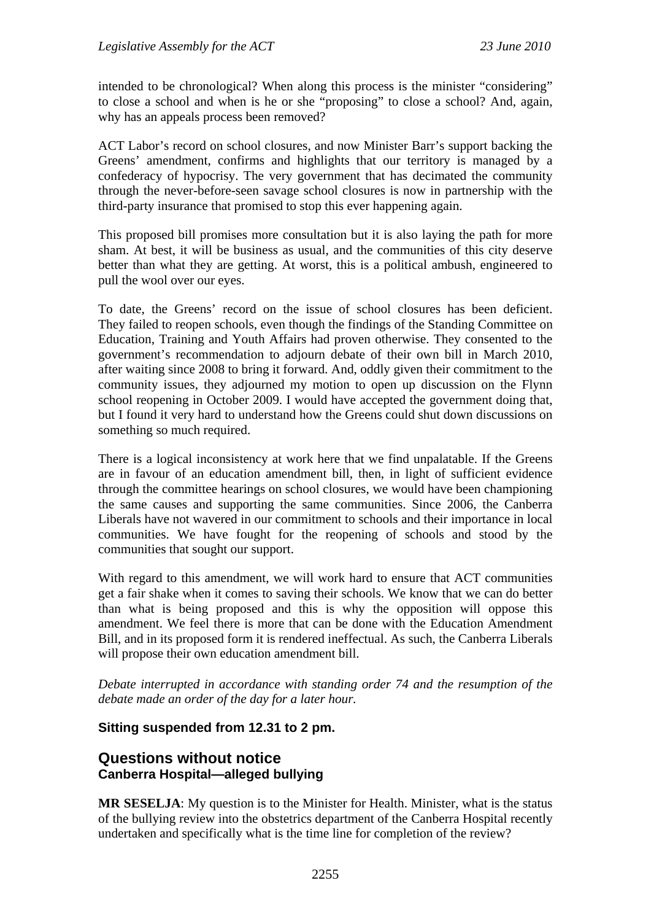intended to be chronological? When along this process is the minister "considering" to close a school and when is he or she "proposing" to close a school? And, again, why has an appeals process been removed?

ACT Labor's record on school closures, and now Minister Barr's support backing the Greens' amendment, confirms and highlights that our territory is managed by a confederacy of hypocrisy. The very government that has decimated the community through the never-before-seen savage school closures is now in partnership with the third-party insurance that promised to stop this ever happening again.

This proposed bill promises more consultation but it is also laying the path for more sham. At best, it will be business as usual, and the communities of this city deserve better than what they are getting. At worst, this is a political ambush, engineered to pull the wool over our eyes.

To date, the Greens' record on the issue of school closures has been deficient. They failed to reopen schools, even though the findings of the Standing Committee on Education, Training and Youth Affairs had proven otherwise. They consented to the government's recommendation to adjourn debate of their own bill in March 2010, after waiting since 2008 to bring it forward. And, oddly given their commitment to the community issues, they adjourned my motion to open up discussion on the Flynn school reopening in October 2009. I would have accepted the government doing that, but I found it very hard to understand how the Greens could shut down discussions on something so much required.

There is a logical inconsistency at work here that we find unpalatable. If the Greens are in favour of an education amendment bill, then, in light of sufficient evidence through the committee hearings on school closures, we would have been championing the same causes and supporting the same communities. Since 2006, the Canberra Liberals have not wavered in our commitment to schools and their importance in local communities. We have fought for the reopening of schools and stood by the communities that sought our support.

With regard to this amendment, we will work hard to ensure that ACT communities get a fair shake when it comes to saving their schools. We know that we can do better than what is being proposed and this is why the opposition will oppose this amendment. We feel there is more that can be done with the Education Amendment Bill, and in its proposed form it is rendered ineffectual. As such, the Canberra Liberals will propose their own education amendment bill.

*Debate interrupted in accordance with standing order 74 and the resumption of the debate made an order of the day for a later hour.* 

## **Sitting suspended from 12.31 to 2 pm.**

# **Questions without notice Canberra Hospital—alleged bullying**

**MR SESELJA**: My question is to the Minister for Health. Minister, what is the status of the bullying review into the obstetrics department of the Canberra Hospital recently undertaken and specifically what is the time line for completion of the review?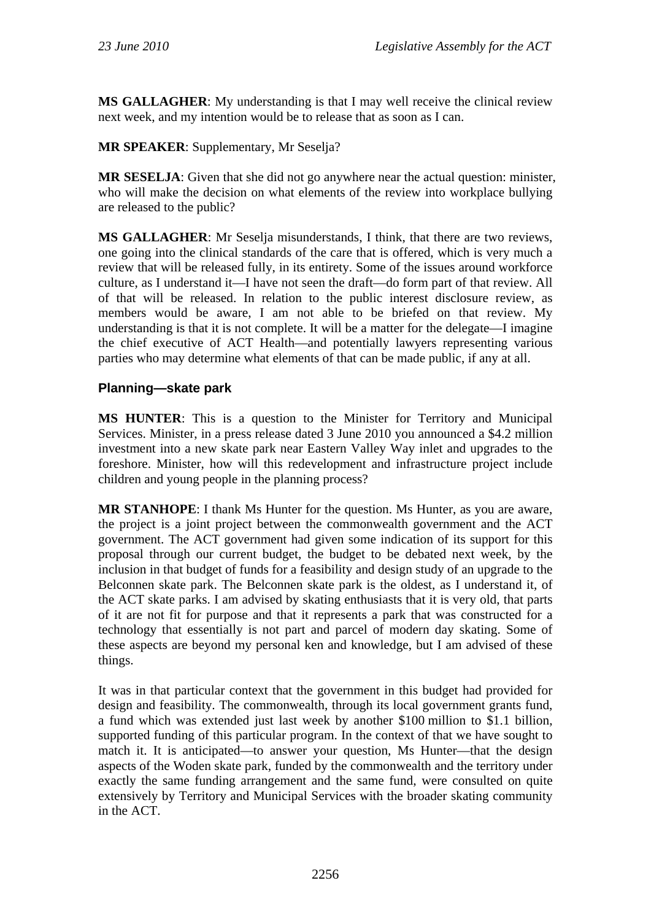**MS GALLAGHER**: My understanding is that I may well receive the clinical review next week, and my intention would be to release that as soon as I can.

## **MR SPEAKER**: Supplementary, Mr Seselja?

**MR SESELJA**: Given that she did not go anywhere near the actual question: minister, who will make the decision on what elements of the review into workplace bullying are released to the public?

**MS GALLAGHER**: Mr Seselja misunderstands, I think, that there are two reviews, one going into the clinical standards of the care that is offered, which is very much a review that will be released fully, in its entirety. Some of the issues around workforce culture, as I understand it—I have not seen the draft—do form part of that review. All of that will be released. In relation to the public interest disclosure review, as members would be aware, I am not able to be briefed on that review. My understanding is that it is not complete. It will be a matter for the delegate—I imagine the chief executive of ACT Health—and potentially lawyers representing various parties who may determine what elements of that can be made public, if any at all.

# **Planning—skate park**

**MS HUNTER**: This is a question to the Minister for Territory and Municipal Services. Minister, in a press release dated 3 June 2010 you announced a \$4.2 million investment into a new skate park near Eastern Valley Way inlet and upgrades to the foreshore. Minister, how will this redevelopment and infrastructure project include children and young people in the planning process?

**MR STANHOPE**: I thank Ms Hunter for the question. Ms Hunter, as you are aware, the project is a joint project between the commonwealth government and the ACT government. The ACT government had given some indication of its support for this proposal through our current budget, the budget to be debated next week, by the inclusion in that budget of funds for a feasibility and design study of an upgrade to the Belconnen skate park. The Belconnen skate park is the oldest, as I understand it, of the ACT skate parks. I am advised by skating enthusiasts that it is very old, that parts of it are not fit for purpose and that it represents a park that was constructed for a technology that essentially is not part and parcel of modern day skating. Some of these aspects are beyond my personal ken and knowledge, but I am advised of these things.

It was in that particular context that the government in this budget had provided for design and feasibility. The commonwealth, through its local government grants fund, a fund which was extended just last week by another \$100 million to \$1.1 billion, supported funding of this particular program. In the context of that we have sought to match it. It is anticipated—to answer your question, Ms Hunter—that the design aspects of the Woden skate park, funded by the commonwealth and the territory under exactly the same funding arrangement and the same fund, were consulted on quite extensively by Territory and Municipal Services with the broader skating community in the ACT.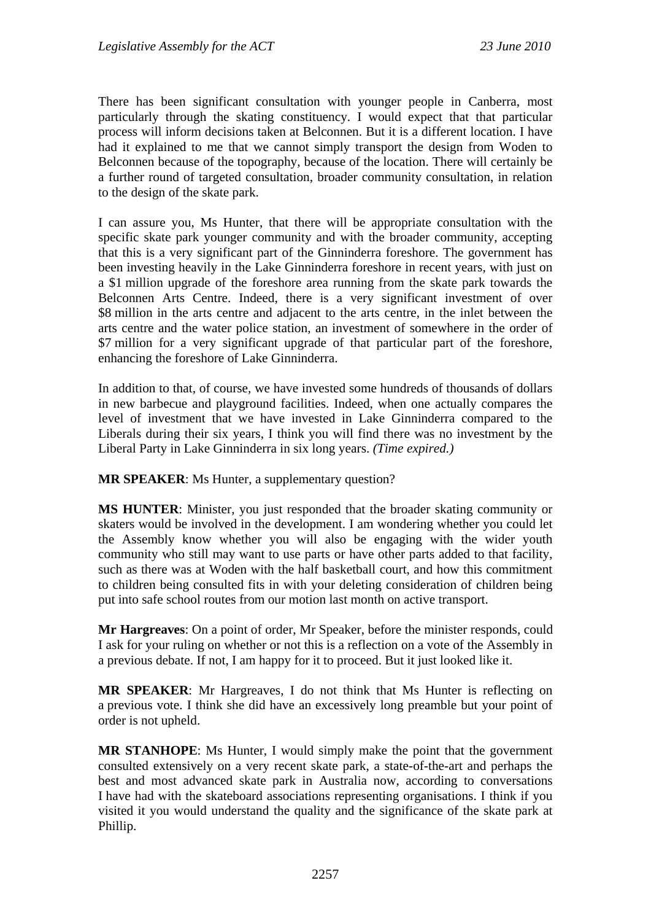There has been significant consultation with younger people in Canberra, most particularly through the skating constituency. I would expect that that particular process will inform decisions taken at Belconnen. But it is a different location. I have had it explained to me that we cannot simply transport the design from Woden to Belconnen because of the topography, because of the location. There will certainly be a further round of targeted consultation, broader community consultation, in relation to the design of the skate park.

I can assure you, Ms Hunter, that there will be appropriate consultation with the specific skate park younger community and with the broader community, accepting that this is a very significant part of the Ginninderra foreshore. The government has been investing heavily in the Lake Ginninderra foreshore in recent years, with just on a \$1 million upgrade of the foreshore area running from the skate park towards the Belconnen Arts Centre. Indeed, there is a very significant investment of over \$8 million in the arts centre and adjacent to the arts centre, in the inlet between the arts centre and the water police station, an investment of somewhere in the order of \$7 million for a very significant upgrade of that particular part of the foreshore, enhancing the foreshore of Lake Ginninderra.

In addition to that, of course, we have invested some hundreds of thousands of dollars in new barbecue and playground facilities. Indeed, when one actually compares the level of investment that we have invested in Lake Ginninderra compared to the Liberals during their six years, I think you will find there was no investment by the Liberal Party in Lake Ginninderra in six long years. *(Time expired.)*

**MR SPEAKER**: Ms Hunter, a supplementary question?

**MS HUNTER**: Minister, you just responded that the broader skating community or skaters would be involved in the development. I am wondering whether you could let the Assembly know whether you will also be engaging with the wider youth community who still may want to use parts or have other parts added to that facility, such as there was at Woden with the half basketball court, and how this commitment to children being consulted fits in with your deleting consideration of children being put into safe school routes from our motion last month on active transport.

**Mr Hargreaves**: On a point of order, Mr Speaker, before the minister responds, could I ask for your ruling on whether or not this is a reflection on a vote of the Assembly in a previous debate. If not, I am happy for it to proceed. But it just looked like it.

**MR SPEAKER**: Mr Hargreaves, I do not think that Ms Hunter is reflecting on a previous vote. I think she did have an excessively long preamble but your point of order is not upheld.

**MR STANHOPE**: Ms Hunter, I would simply make the point that the government consulted extensively on a very recent skate park, a state-of-the-art and perhaps the best and most advanced skate park in Australia now, according to conversations I have had with the skateboard associations representing organisations. I think if you visited it you would understand the quality and the significance of the skate park at Phillip.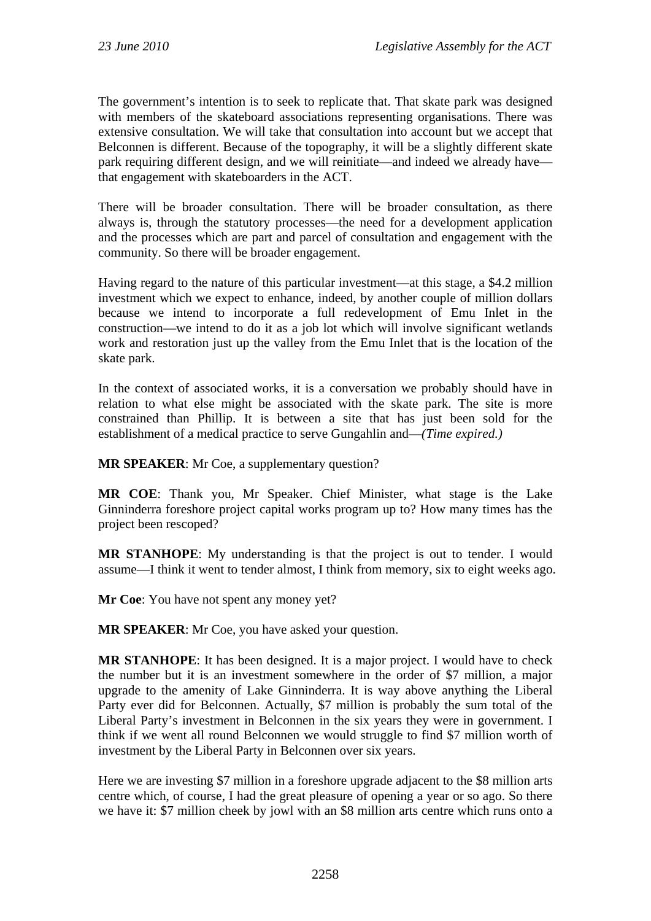The government's intention is to seek to replicate that. That skate park was designed with members of the skateboard associations representing organisations. There was extensive consultation. We will take that consultation into account but we accept that Belconnen is different. Because of the topography, it will be a slightly different skate park requiring different design, and we will reinitiate—and indeed we already have that engagement with skateboarders in the ACT.

There will be broader consultation. There will be broader consultation, as there always is, through the statutory processes—the need for a development application and the processes which are part and parcel of consultation and engagement with the community. So there will be broader engagement.

Having regard to the nature of this particular investment—at this stage, a \$4.2 million investment which we expect to enhance, indeed, by another couple of million dollars because we intend to incorporate a full redevelopment of Emu Inlet in the construction—we intend to do it as a job lot which will involve significant wetlands work and restoration just up the valley from the Emu Inlet that is the location of the skate park.

In the context of associated works, it is a conversation we probably should have in relation to what else might be associated with the skate park. The site is more constrained than Phillip. It is between a site that has just been sold for the establishment of a medical practice to serve Gungahlin and—*(Time expired.)* 

**MR SPEAKER**: Mr Coe, a supplementary question?

**MR COE**: Thank you, Mr Speaker. Chief Minister, what stage is the Lake Ginninderra foreshore project capital works program up to? How many times has the project been rescoped?

**MR STANHOPE**: My understanding is that the project is out to tender. I would assume—I think it went to tender almost, I think from memory, six to eight weeks ago.

**Mr Coe**: You have not spent any money yet?

**MR SPEAKER:** Mr Coe, you have asked your question.

**MR STANHOPE**: It has been designed. It is a major project. I would have to check the number but it is an investment somewhere in the order of \$7 million, a major upgrade to the amenity of Lake Ginninderra. It is way above anything the Liberal Party ever did for Belconnen. Actually, \$7 million is probably the sum total of the Liberal Party's investment in Belconnen in the six years they were in government. I think if we went all round Belconnen we would struggle to find \$7 million worth of investment by the Liberal Party in Belconnen over six years.

Here we are investing \$7 million in a foreshore upgrade adjacent to the \$8 million arts centre which, of course, I had the great pleasure of opening a year or so ago. So there we have it: \$7 million cheek by jowl with an \$8 million arts centre which runs onto a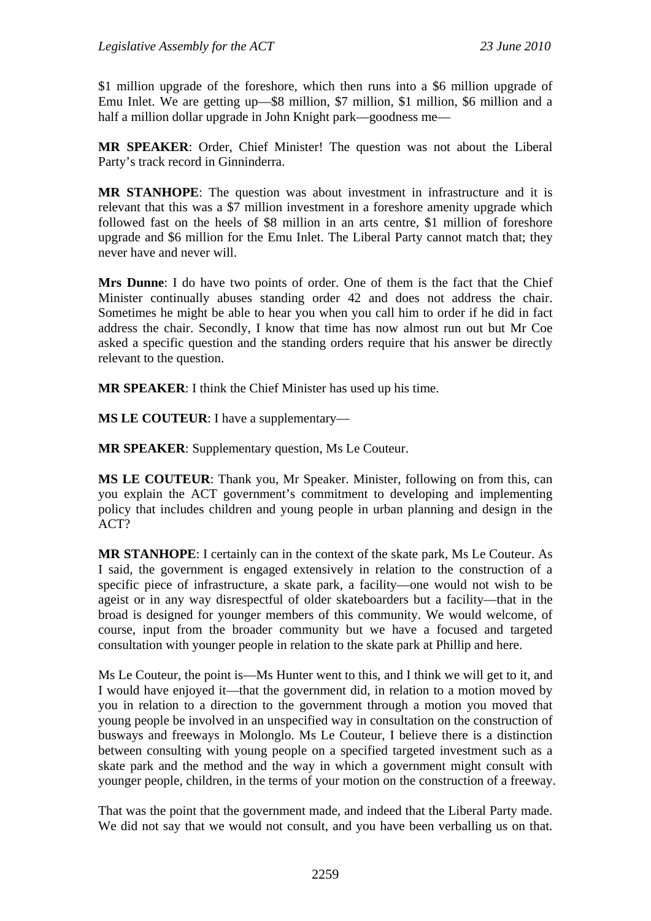\$1 million upgrade of the foreshore, which then runs into a \$6 million upgrade of Emu Inlet. We are getting up—\$8 million, \$7 million, \$1 million, \$6 million and a half a million dollar upgrade in John Knight park—goodness me—

**MR SPEAKER**: Order, Chief Minister! The question was not about the Liberal Party's track record in Ginninderra.

**MR STANHOPE**: The question was about investment in infrastructure and it is relevant that this was a \$7 million investment in a foreshore amenity upgrade which followed fast on the heels of \$8 million in an arts centre, \$1 million of foreshore upgrade and \$6 million for the Emu Inlet. The Liberal Party cannot match that; they never have and never will.

**Mrs Dunne**: I do have two points of order. One of them is the fact that the Chief Minister continually abuses standing order 42 and does not address the chair. Sometimes he might be able to hear you when you call him to order if he did in fact address the chair. Secondly, I know that time has now almost run out but Mr Coe asked a specific question and the standing orders require that his answer be directly relevant to the question.

**MR SPEAKER**: I think the Chief Minister has used up his time.

**MS LE COUTEUR**: I have a supplementary—

**MR SPEAKER**: Supplementary question, Ms Le Couteur.

**MS LE COUTEUR**: Thank you, Mr Speaker. Minister, following on from this, can you explain the ACT government's commitment to developing and implementing policy that includes children and young people in urban planning and design in the ACT?

**MR STANHOPE**: I certainly can in the context of the skate park, Ms Le Couteur. As I said, the government is engaged extensively in relation to the construction of a specific piece of infrastructure, a skate park, a facility—one would not wish to be ageist or in any way disrespectful of older skateboarders but a facility—that in the broad is designed for younger members of this community. We would welcome, of course, input from the broader community but we have a focused and targeted consultation with younger people in relation to the skate park at Phillip and here.

Ms Le Couteur, the point is—Ms Hunter went to this, and I think we will get to it, and I would have enjoyed it—that the government did, in relation to a motion moved by you in relation to a direction to the government through a motion you moved that young people be involved in an unspecified way in consultation on the construction of busways and freeways in Molonglo. Ms Le Couteur, I believe there is a distinction between consulting with young people on a specified targeted investment such as a skate park and the method and the way in which a government might consult with younger people, children, in the terms of your motion on the construction of a freeway.

That was the point that the government made, and indeed that the Liberal Party made. We did not say that we would not consult, and you have been verballing us on that.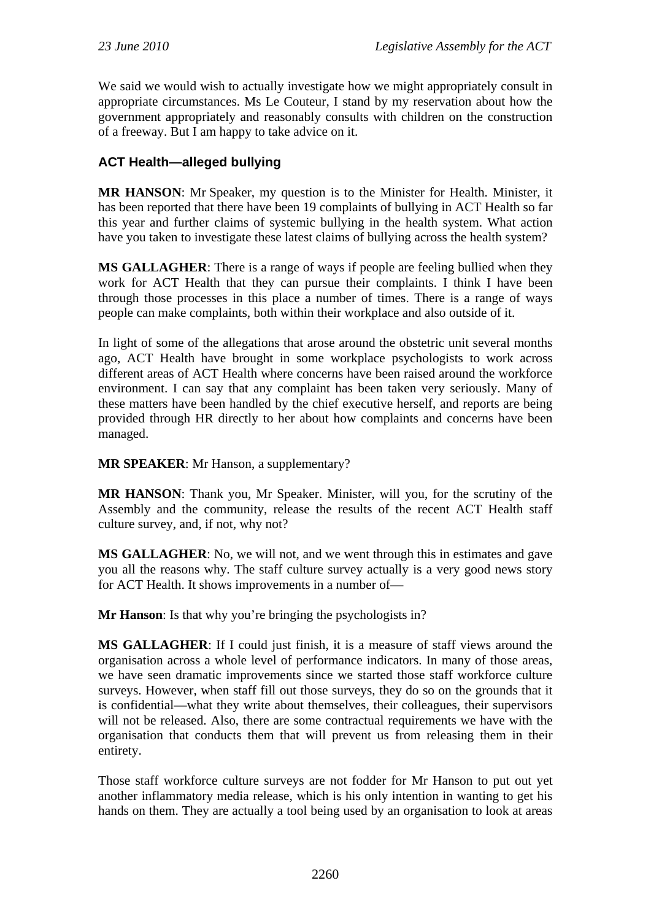We said we would wish to actually investigate how we might appropriately consult in appropriate circumstances. Ms Le Couteur, I stand by my reservation about how the government appropriately and reasonably consults with children on the construction of a freeway. But I am happy to take advice on it.

# **ACT Health—alleged bullying**

**MR HANSON**: Mr Speaker, my question is to the Minister for Health. Minister, it has been reported that there have been 19 complaints of bullying in ACT Health so far this year and further claims of systemic bullying in the health system. What action have you taken to investigate these latest claims of bullying across the health system?

**MS GALLAGHER**: There is a range of ways if people are feeling bullied when they work for ACT Health that they can pursue their complaints. I think I have been through those processes in this place a number of times. There is a range of ways people can make complaints, both within their workplace and also outside of it.

In light of some of the allegations that arose around the obstetric unit several months ago, ACT Health have brought in some workplace psychologists to work across different areas of ACT Health where concerns have been raised around the workforce environment. I can say that any complaint has been taken very seriously. Many of these matters have been handled by the chief executive herself, and reports are being provided through HR directly to her about how complaints and concerns have been managed.

**MR SPEAKER**: Mr Hanson, a supplementary?

**MR HANSON**: Thank you, Mr Speaker. Minister, will you, for the scrutiny of the Assembly and the community, release the results of the recent ACT Health staff culture survey, and, if not, why not?

**MS GALLAGHER**: No, we will not, and we went through this in estimates and gave you all the reasons why. The staff culture survey actually is a very good news story for ACT Health. It shows improvements in a number of—

**Mr Hanson**: Is that why you're bringing the psychologists in?

**MS GALLAGHER**: If I could just finish, it is a measure of staff views around the organisation across a whole level of performance indicators. In many of those areas, we have seen dramatic improvements since we started those staff workforce culture surveys. However, when staff fill out those surveys, they do so on the grounds that it is confidential—what they write about themselves, their colleagues, their supervisors will not be released. Also, there are some contractual requirements we have with the organisation that conducts them that will prevent us from releasing them in their entirety.

Those staff workforce culture surveys are not fodder for Mr Hanson to put out yet another inflammatory media release, which is his only intention in wanting to get his hands on them. They are actually a tool being used by an organisation to look at areas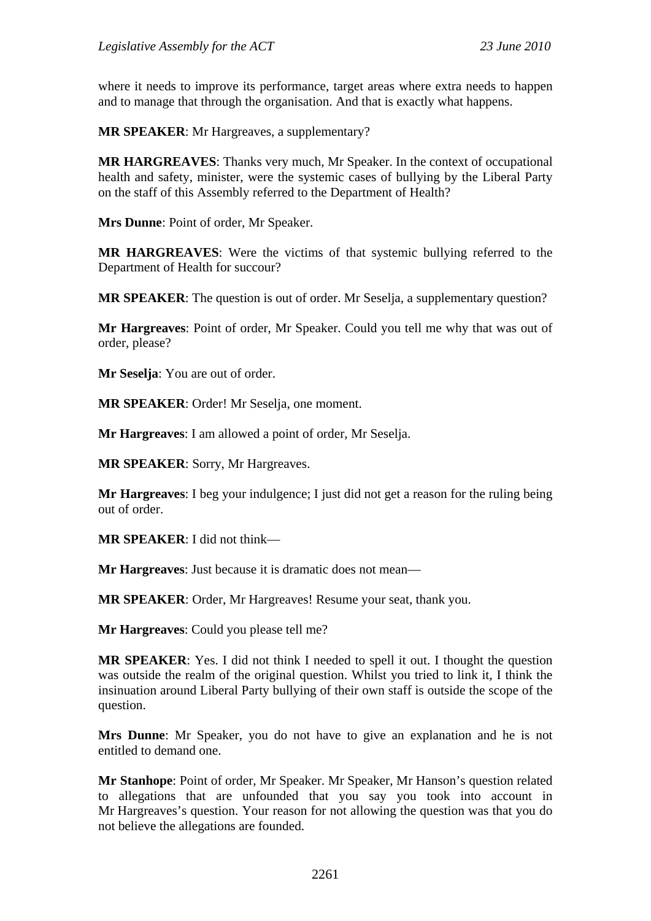where it needs to improve its performance, target areas where extra needs to happen and to manage that through the organisation. And that is exactly what happens.

**MR SPEAKER**: Mr Hargreaves, a supplementary?

**MR HARGREAVES**: Thanks very much, Mr Speaker. In the context of occupational health and safety, minister, were the systemic cases of bullying by the Liberal Party on the staff of this Assembly referred to the Department of Health?

**Mrs Dunne**: Point of order, Mr Speaker.

**MR HARGREAVES**: Were the victims of that systemic bullying referred to the Department of Health for succour?

**MR SPEAKER:** The question is out of order. Mr Seselja, a supplementary question?

**Mr Hargreaves**: Point of order, Mr Speaker. Could you tell me why that was out of order, please?

**Mr Seselja**: You are out of order.

**MR SPEAKER**: Order! Mr Seselja, one moment.

**Mr Hargreaves**: I am allowed a point of order, Mr Seselja.

**MR SPEAKER**: Sorry, Mr Hargreaves.

**Mr Hargreaves**: I beg your indulgence; I just did not get a reason for the ruling being out of order.

**MR SPEAKER**: I did not think—

**Mr Hargreaves**: Just because it is dramatic does not mean—

**MR SPEAKER**: Order, Mr Hargreaves! Resume your seat, thank you.

**Mr Hargreaves**: Could you please tell me?

**MR SPEAKER**: Yes. I did not think I needed to spell it out. I thought the question was outside the realm of the original question. Whilst you tried to link it, I think the insinuation around Liberal Party bullying of their own staff is outside the scope of the question.

**Mrs Dunne**: Mr Speaker, you do not have to give an explanation and he is not entitled to demand one.

**Mr Stanhope**: Point of order, Mr Speaker. Mr Speaker, Mr Hanson's question related to allegations that are unfounded that you say you took into account in Mr Hargreaves's question. Your reason for not allowing the question was that you do not believe the allegations are founded.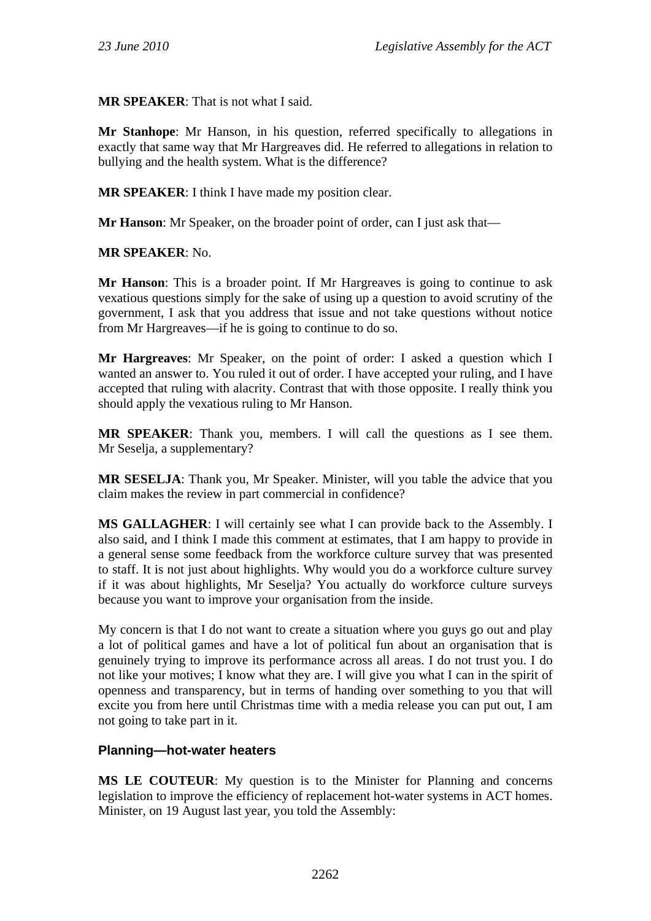**MR SPEAKER**: That is not what I said.

**Mr Stanhope**: Mr Hanson, in his question, referred specifically to allegations in exactly that same way that Mr Hargreaves did. He referred to allegations in relation to bullying and the health system. What is the difference?

**MR SPEAKER**: I think I have made my position clear.

**Mr Hanson:** Mr Speaker, on the broader point of order, can I just ask that—

**MR SPEAKER**: No.

**Mr Hanson**: This is a broader point. If Mr Hargreaves is going to continue to ask vexatious questions simply for the sake of using up a question to avoid scrutiny of the government, I ask that you address that issue and not take questions without notice from Mr Hargreaves—if he is going to continue to do so.

**Mr Hargreaves**: Mr Speaker, on the point of order: I asked a question which I wanted an answer to. You ruled it out of order. I have accepted your ruling, and I have accepted that ruling with alacrity. Contrast that with those opposite. I really think you should apply the vexatious ruling to Mr Hanson.

**MR SPEAKER**: Thank you, members. I will call the questions as I see them. Mr Seselja, a supplementary?

**MR SESELJA**: Thank you, Mr Speaker. Minister, will you table the advice that you claim makes the review in part commercial in confidence?

**MS GALLAGHER**: I will certainly see what I can provide back to the Assembly. I also said, and I think I made this comment at estimates, that I am happy to provide in a general sense some feedback from the workforce culture survey that was presented to staff. It is not just about highlights. Why would you do a workforce culture survey if it was about highlights, Mr Seselja? You actually do workforce culture surveys because you want to improve your organisation from the inside.

My concern is that I do not want to create a situation where you guys go out and play a lot of political games and have a lot of political fun about an organisation that is genuinely trying to improve its performance across all areas. I do not trust you. I do not like your motives; I know what they are. I will give you what I can in the spirit of openness and transparency, but in terms of handing over something to you that will excite you from here until Christmas time with a media release you can put out, I am not going to take part in it.

## **Planning—hot-water heaters**

**MS LE COUTEUR**: My question is to the Minister for Planning and concerns legislation to improve the efficiency of replacement hot-water systems in ACT homes. Minister, on 19 August last year, you told the Assembly: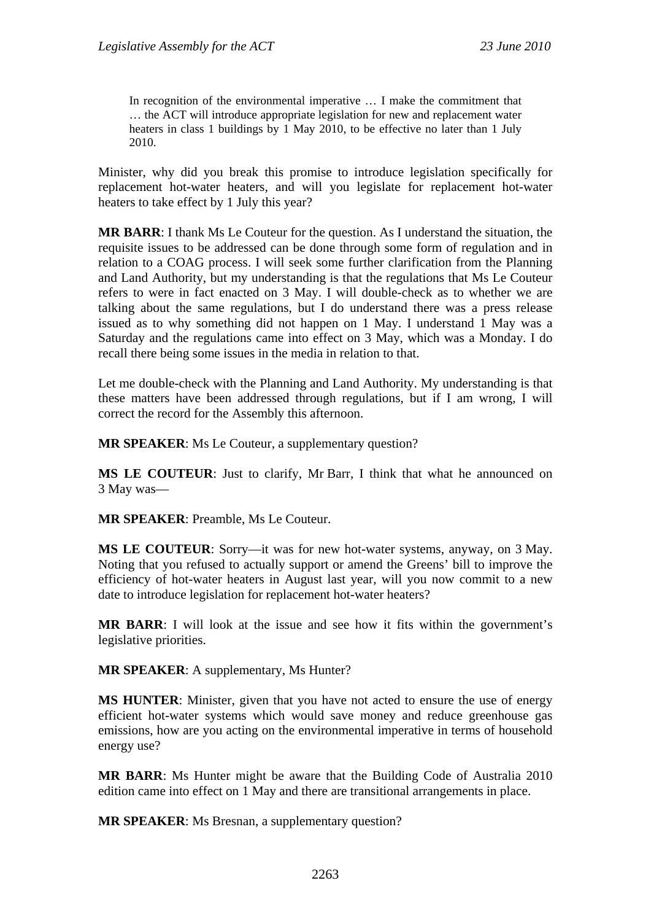In recognition of the environmental imperative ... I make the commitment that … the ACT will introduce appropriate legislation for new and replacement water heaters in class 1 buildings by 1 May 2010, to be effective no later than 1 July 2010.

Minister, why did you break this promise to introduce legislation specifically for replacement hot-water heaters, and will you legislate for replacement hot-water heaters to take effect by 1 July this year?

**MR BARR**: I thank Ms Le Couteur for the question. As I understand the situation, the requisite issues to be addressed can be done through some form of regulation and in relation to a COAG process. I will seek some further clarification from the Planning and Land Authority, but my understanding is that the regulations that Ms Le Couteur refers to were in fact enacted on 3 May. I will double-check as to whether we are talking about the same regulations, but I do understand there was a press release issued as to why something did not happen on 1 May. I understand 1 May was a Saturday and the regulations came into effect on 3 May, which was a Monday. I do recall there being some issues in the media in relation to that.

Let me double-check with the Planning and Land Authority. My understanding is that these matters have been addressed through regulations, but if I am wrong, I will correct the record for the Assembly this afternoon.

**MR SPEAKER**: Ms Le Couteur, a supplementary question?

**MS LE COUTEUR**: Just to clarify, Mr Barr, I think that what he announced on 3 May was—

**MR SPEAKER**: Preamble, Ms Le Couteur.

**MS LE COUTEUR**: Sorry—it was for new hot-water systems, anyway, on 3 May. Noting that you refused to actually support or amend the Greens' bill to improve the efficiency of hot-water heaters in August last year, will you now commit to a new date to introduce legislation for replacement hot-water heaters?

**MR BARR**: I will look at the issue and see how it fits within the government's legislative priorities.

**MR SPEAKER**: A supplementary, Ms Hunter?

**MS HUNTER**: Minister, given that you have not acted to ensure the use of energy efficient hot-water systems which would save money and reduce greenhouse gas emissions, how are you acting on the environmental imperative in terms of household energy use?

**MR BARR**: Ms Hunter might be aware that the Building Code of Australia 2010 edition came into effect on 1 May and there are transitional arrangements in place.

**MR SPEAKER**: Ms Bresnan, a supplementary question?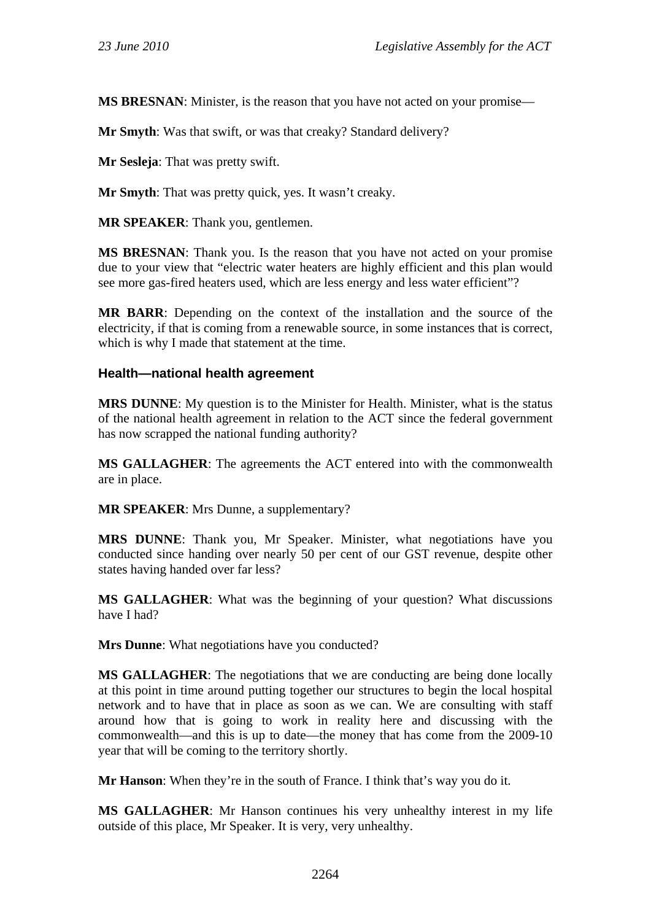**MS BRESNAN**: Minister, is the reason that you have not acted on your promise—

**Mr Smyth**: Was that swift, or was that creaky? Standard delivery?

**Mr Sesleja**: That was pretty swift.

**Mr Smyth**: That was pretty quick, yes. It wasn't creaky.

**MR SPEAKER**: Thank you, gentlemen.

**MS BRESNAN**: Thank you. Is the reason that you have not acted on your promise due to your view that "electric water heaters are highly efficient and this plan would see more gas-fired heaters used, which are less energy and less water efficient"?

**MR BARR**: Depending on the context of the installation and the source of the electricity, if that is coming from a renewable source, in some instances that is correct, which is why I made that statement at the time.

### **Health—national health agreement**

**MRS DUNNE**: My question is to the Minister for Health. Minister, what is the status of the national health agreement in relation to the ACT since the federal government has now scrapped the national funding authority?

**MS GALLAGHER**: The agreements the ACT entered into with the commonwealth are in place.

**MR SPEAKER**: Mrs Dunne, a supplementary?

**MRS DUNNE**: Thank you, Mr Speaker. Minister, what negotiations have you conducted since handing over nearly 50 per cent of our GST revenue, despite other states having handed over far less?

**MS GALLAGHER**: What was the beginning of your question? What discussions have I had?

**Mrs Dunne**: What negotiations have you conducted?

**MS GALLAGHER**: The negotiations that we are conducting are being done locally at this point in time around putting together our structures to begin the local hospital network and to have that in place as soon as we can. We are consulting with staff around how that is going to work in reality here and discussing with the commonwealth—and this is up to date—the money that has come from the 2009-10 year that will be coming to the territory shortly.

**Mr Hanson**: When they're in the south of France. I think that's way you do it.

**MS GALLAGHER**: Mr Hanson continues his very unhealthy interest in my life outside of this place, Mr Speaker. It is very, very unhealthy.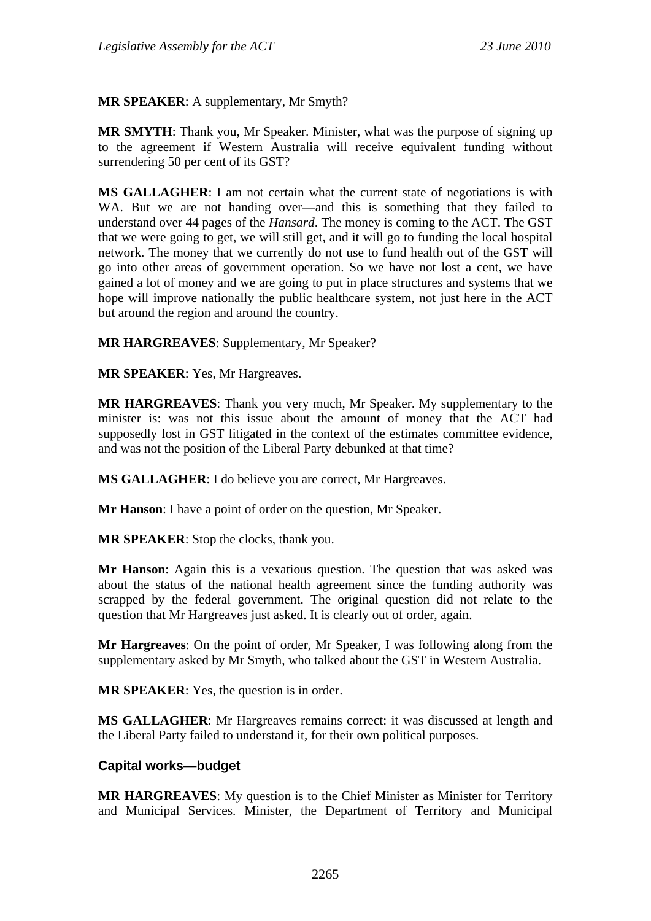**MR SPEAKER**: A supplementary, Mr Smyth?

**MR SMYTH**: Thank you, Mr Speaker. Minister, what was the purpose of signing up to the agreement if Western Australia will receive equivalent funding without surrendering 50 per cent of its GST?

**MS GALLAGHER**: I am not certain what the current state of negotiations is with WA. But we are not handing over—and this is something that they failed to understand over 44 pages of the *Hansard*. The money is coming to the ACT. The GST that we were going to get, we will still get, and it will go to funding the local hospital network. The money that we currently do not use to fund health out of the GST will go into other areas of government operation. So we have not lost a cent, we have gained a lot of money and we are going to put in place structures and systems that we hope will improve nationally the public healthcare system, not just here in the ACT but around the region and around the country.

**MR HARGREAVES**: Supplementary, Mr Speaker?

**MR SPEAKER**: Yes, Mr Hargreaves.

**MR HARGREAVES**: Thank you very much, Mr Speaker. My supplementary to the minister is: was not this issue about the amount of money that the ACT had supposedly lost in GST litigated in the context of the estimates committee evidence, and was not the position of the Liberal Party debunked at that time?

**MS GALLAGHER**: I do believe you are correct, Mr Hargreaves.

**Mr Hanson**: I have a point of order on the question, Mr Speaker.

**MR SPEAKER**: Stop the clocks, thank you.

**Mr Hanson**: Again this is a vexatious question. The question that was asked was about the status of the national health agreement since the funding authority was scrapped by the federal government. The original question did not relate to the question that Mr Hargreaves just asked. It is clearly out of order, again.

**Mr Hargreaves**: On the point of order, Mr Speaker, I was following along from the supplementary asked by Mr Smyth, who talked about the GST in Western Australia.

**MR SPEAKER**: Yes, the question is in order.

**MS GALLAGHER**: Mr Hargreaves remains correct: it was discussed at length and the Liberal Party failed to understand it, for their own political purposes.

#### **Capital works—budget**

**MR HARGREAVES**: My question is to the Chief Minister as Minister for Territory and Municipal Services. Minister, the Department of Territory and Municipal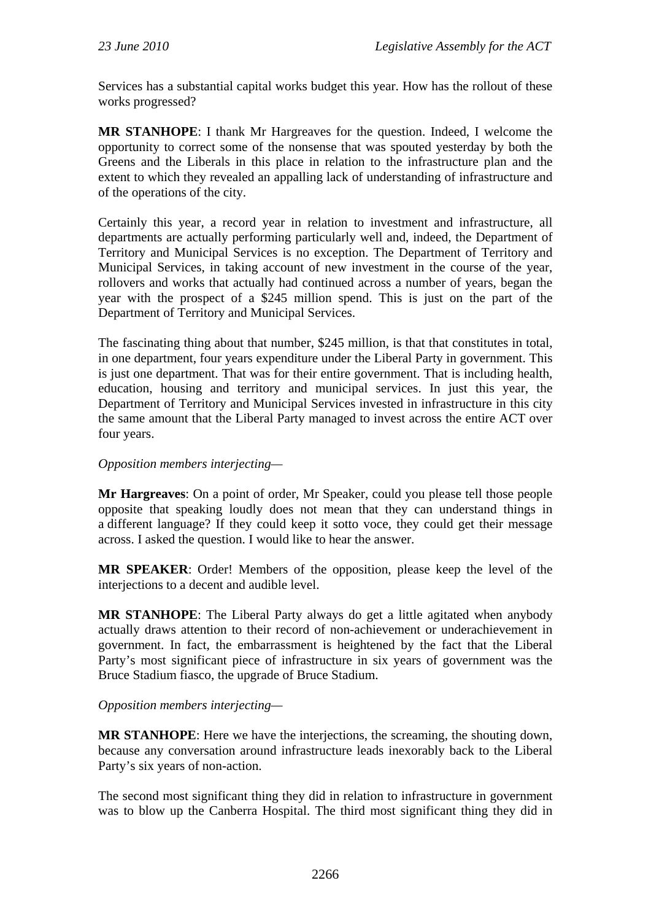Services has a substantial capital works budget this year. How has the rollout of these works progressed?

**MR STANHOPE**: I thank Mr Hargreaves for the question. Indeed, I welcome the opportunity to correct some of the nonsense that was spouted yesterday by both the Greens and the Liberals in this place in relation to the infrastructure plan and the extent to which they revealed an appalling lack of understanding of infrastructure and of the operations of the city.

Certainly this year, a record year in relation to investment and infrastructure, all departments are actually performing particularly well and, indeed, the Department of Territory and Municipal Services is no exception. The Department of Territory and Municipal Services, in taking account of new investment in the course of the year, rollovers and works that actually had continued across a number of years, began the year with the prospect of a \$245 million spend. This is just on the part of the Department of Territory and Municipal Services.

The fascinating thing about that number, \$245 million, is that that constitutes in total, in one department, four years expenditure under the Liberal Party in government. This is just one department. That was for their entire government. That is including health, education, housing and territory and municipal services. In just this year, the Department of Territory and Municipal Services invested in infrastructure in this city the same amount that the Liberal Party managed to invest across the entire ACT over four years.

## *Opposition members interjecting—*

**Mr Hargreaves**: On a point of order, Mr Speaker, could you please tell those people opposite that speaking loudly does not mean that they can understand things in a different language? If they could keep it sotto voce, they could get their message across. I asked the question. I would like to hear the answer.

**MR SPEAKER**: Order! Members of the opposition, please keep the level of the interjections to a decent and audible level.

**MR STANHOPE**: The Liberal Party always do get a little agitated when anybody actually draws attention to their record of non-achievement or underachievement in government. In fact, the embarrassment is heightened by the fact that the Liberal Party's most significant piece of infrastructure in six years of government was the Bruce Stadium fiasco, the upgrade of Bruce Stadium.

## *Opposition members interjecting—*

**MR STANHOPE**: Here we have the interjections, the screaming, the shouting down, because any conversation around infrastructure leads inexorably back to the Liberal Party's six years of non-action.

The second most significant thing they did in relation to infrastructure in government was to blow up the Canberra Hospital. The third most significant thing they did in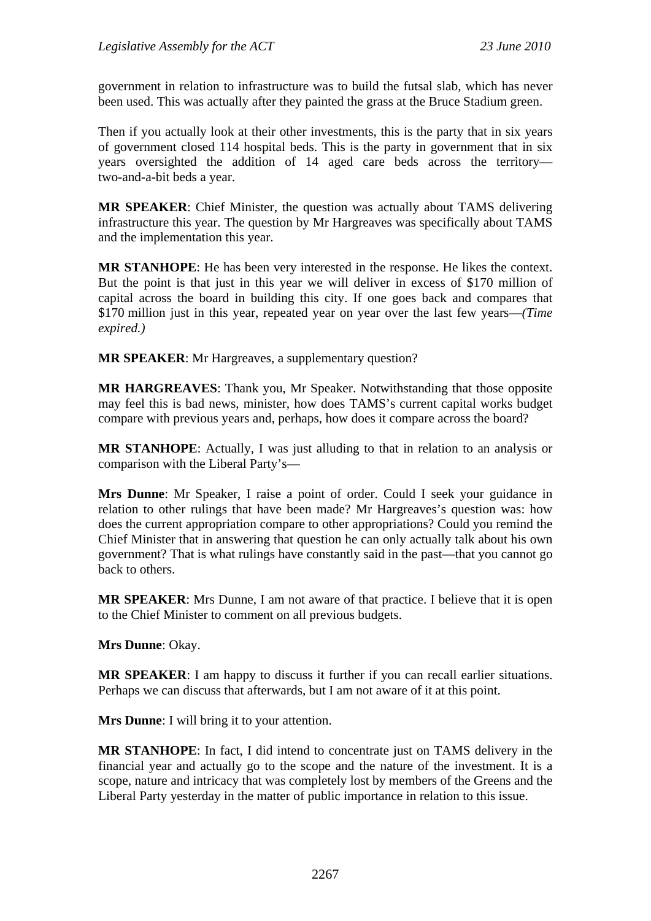government in relation to infrastructure was to build the futsal slab, which has never been used. This was actually after they painted the grass at the Bruce Stadium green.

Then if you actually look at their other investments, this is the party that in six years of government closed 114 hospital beds. This is the party in government that in six years oversighted the addition of 14 aged care beds across the territory two-and-a-bit beds a year.

**MR SPEAKER**: Chief Minister, the question was actually about TAMS delivering infrastructure this year. The question by Mr Hargreaves was specifically about TAMS and the implementation this year.

**MR STANHOPE**: He has been very interested in the response. He likes the context. But the point is that just in this year we will deliver in excess of \$170 million of capital across the board in building this city. If one goes back and compares that \$170 million just in this year, repeated year on year over the last few years—*(Time expired.)* 

**MR SPEAKER**: Mr Hargreaves, a supplementary question?

**MR HARGREAVES**: Thank you, Mr Speaker. Notwithstanding that those opposite may feel this is bad news, minister, how does TAMS's current capital works budget compare with previous years and, perhaps, how does it compare across the board?

**MR STANHOPE**: Actually, I was just alluding to that in relation to an analysis or comparison with the Liberal Party's—

**Mrs Dunne**: Mr Speaker, I raise a point of order. Could I seek your guidance in relation to other rulings that have been made? Mr Hargreaves's question was: how does the current appropriation compare to other appropriations? Could you remind the Chief Minister that in answering that question he can only actually talk about his own government? That is what rulings have constantly said in the past—that you cannot go back to others.

**MR SPEAKER**: Mrs Dunne, I am not aware of that practice. I believe that it is open to the Chief Minister to comment on all previous budgets.

**Mrs Dunne**: Okay.

**MR SPEAKER**: I am happy to discuss it further if you can recall earlier situations. Perhaps we can discuss that afterwards, but I am not aware of it at this point.

**Mrs Dunne**: I will bring it to your attention.

**MR STANHOPE**: In fact, I did intend to concentrate just on TAMS delivery in the financial year and actually go to the scope and the nature of the investment. It is a scope, nature and intricacy that was completely lost by members of the Greens and the Liberal Party yesterday in the matter of public importance in relation to this issue.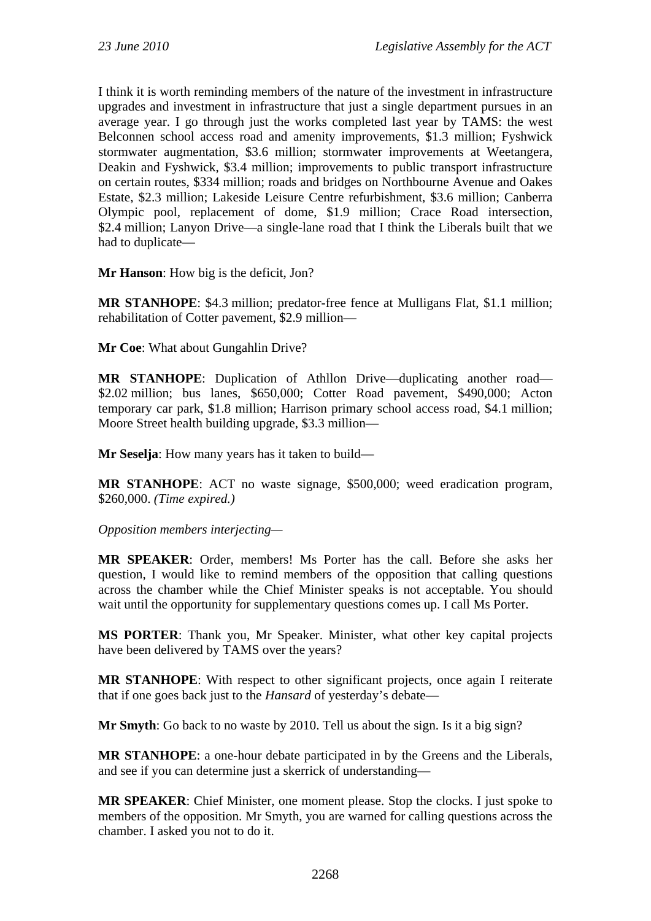I think it is worth reminding members of the nature of the investment in infrastructure upgrades and investment in infrastructure that just a single department pursues in an average year. I go through just the works completed last year by TAMS: the west Belconnen school access road and amenity improvements, \$1.3 million; Fyshwick stormwater augmentation, \$3.6 million; stormwater improvements at Weetangera, Deakin and Fyshwick, \$3.4 million; improvements to public transport infrastructure on certain routes, \$334 million; roads and bridges on Northbourne Avenue and Oakes Estate, \$2.3 million; Lakeside Leisure Centre refurbishment, \$3.6 million; Canberra Olympic pool, replacement of dome, \$1.9 million; Crace Road intersection, \$2.4 million; Lanyon Drive—a single-lane road that I think the Liberals built that we had to duplicate—

**Mr Hanson**: How big is the deficit, Jon?

**MR STANHOPE**: \$4.3 million; predator-free fence at Mulligans Flat, \$1.1 million; rehabilitation of Cotter pavement, \$2.9 million—

**Mr Coe**: What about Gungahlin Drive?

**MR STANHOPE**: Duplication of Athllon Drive—duplicating another road— \$2.02 million; bus lanes, \$650,000; Cotter Road pavement, \$490,000; Acton temporary car park, \$1.8 million; Harrison primary school access road, \$4.1 million; Moore Street health building upgrade, \$3.3 million—

**Mr Seselja**: How many years has it taken to build—

**MR STANHOPE**: ACT no waste signage, \$500,000; weed eradication program, \$260,000. *(Time expired.)*

*Opposition members interjecting—* 

**MR SPEAKER**: Order, members! Ms Porter has the call. Before she asks her question, I would like to remind members of the opposition that calling questions across the chamber while the Chief Minister speaks is not acceptable. You should wait until the opportunity for supplementary questions comes up. I call Ms Porter.

**MS PORTER**: Thank you, Mr Speaker. Minister, what other key capital projects have been delivered by TAMS over the years?

**MR STANHOPE**: With respect to other significant projects, once again I reiterate that if one goes back just to the *Hansard* of yesterday's debate—

**Mr Smyth**: Go back to no waste by 2010. Tell us about the sign. Is it a big sign?

**MR STANHOPE**: a one-hour debate participated in by the Greens and the Liberals, and see if you can determine just a skerrick of understanding—

**MR SPEAKER**: Chief Minister, one moment please. Stop the clocks. I just spoke to members of the opposition. Mr Smyth, you are warned for calling questions across the chamber. I asked you not to do it.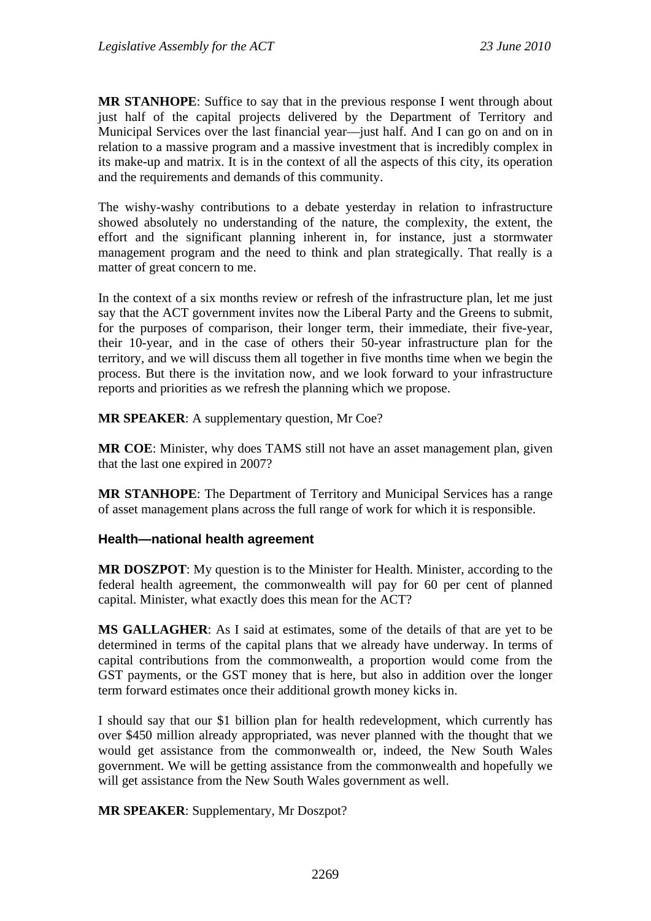**MR STANHOPE**: Suffice to say that in the previous response I went through about just half of the capital projects delivered by the Department of Territory and Municipal Services over the last financial year—just half. And I can go on and on in relation to a massive program and a massive investment that is incredibly complex in its make-up and matrix. It is in the context of all the aspects of this city, its operation and the requirements and demands of this community.

The wishy-washy contributions to a debate yesterday in relation to infrastructure showed absolutely no understanding of the nature, the complexity, the extent, the effort and the significant planning inherent in, for instance, just a stormwater management program and the need to think and plan strategically. That really is a matter of great concern to me.

In the context of a six months review or refresh of the infrastructure plan, let me just say that the ACT government invites now the Liberal Party and the Greens to submit, for the purposes of comparison, their longer term, their immediate, their five-year, their 10-year, and in the case of others their 50-year infrastructure plan for the territory, and we will discuss them all together in five months time when we begin the process. But there is the invitation now, and we look forward to your infrastructure reports and priorities as we refresh the planning which we propose.

**MR SPEAKER**: A supplementary question, Mr Coe?

**MR COE**: Minister, why does TAMS still not have an asset management plan, given that the last one expired in 2007?

**MR STANHOPE**: The Department of Territory and Municipal Services has a range of asset management plans across the full range of work for which it is responsible.

#### **Health—national health agreement**

**MR DOSZPOT**: My question is to the Minister for Health. Minister, according to the federal health agreement, the commonwealth will pay for 60 per cent of planned capital. Minister, what exactly does this mean for the ACT?

**MS GALLAGHER**: As I said at estimates, some of the details of that are yet to be determined in terms of the capital plans that we already have underway. In terms of capital contributions from the commonwealth, a proportion would come from the GST payments, or the GST money that is here, but also in addition over the longer term forward estimates once their additional growth money kicks in.

I should say that our \$1 billion plan for health redevelopment, which currently has over \$450 million already appropriated, was never planned with the thought that we would get assistance from the commonwealth or, indeed, the New South Wales government. We will be getting assistance from the commonwealth and hopefully we will get assistance from the New South Wales government as well.

**MR SPEAKER**: Supplementary, Mr Doszpot?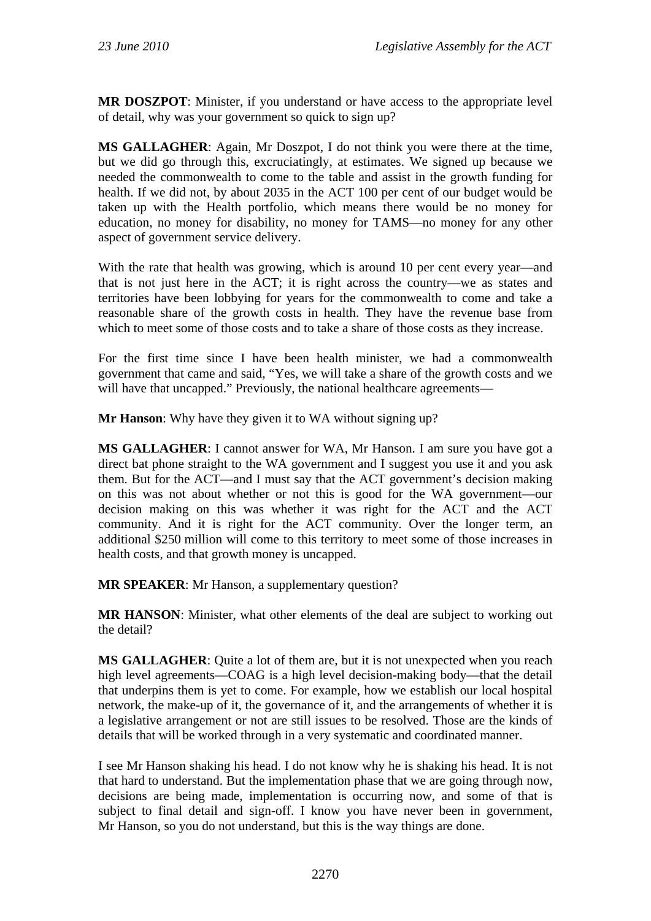**MR DOSZPOT**: Minister, if you understand or have access to the appropriate level of detail, why was your government so quick to sign up?

**MS GALLAGHER**: Again, Mr Doszpot, I do not think you were there at the time, but we did go through this, excruciatingly, at estimates. We signed up because we needed the commonwealth to come to the table and assist in the growth funding for health. If we did not, by about 2035 in the ACT 100 per cent of our budget would be taken up with the Health portfolio, which means there would be no money for education, no money for disability, no money for TAMS—no money for any other aspect of government service delivery.

With the rate that health was growing, which is around 10 per cent every year—and that is not just here in the ACT; it is right across the country—we as states and territories have been lobbying for years for the commonwealth to come and take a reasonable share of the growth costs in health. They have the revenue base from which to meet some of those costs and to take a share of those costs as they increase.

For the first time since I have been health minister, we had a commonwealth government that came and said, "Yes, we will take a share of the growth costs and we will have that uncapped." Previously, the national healthcare agreements—

**Mr Hanson**: Why have they given it to WA without signing up?

**MS GALLAGHER**: I cannot answer for WA, Mr Hanson. I am sure you have got a direct bat phone straight to the WA government and I suggest you use it and you ask them. But for the ACT—and I must say that the ACT government's decision making on this was not about whether or not this is good for the WA government—our decision making on this was whether it was right for the ACT and the ACT community. And it is right for the ACT community. Over the longer term, an additional \$250 million will come to this territory to meet some of those increases in health costs, and that growth money is uncapped.

**MR SPEAKER**: Mr Hanson, a supplementary question?

**MR HANSON**: Minister, what other elements of the deal are subject to working out the detail?

**MS GALLAGHER**: Quite a lot of them are, but it is not unexpected when you reach high level agreements—COAG is a high level decision-making body—that the detail that underpins them is yet to come. For example, how we establish our local hospital network, the make-up of it, the governance of it, and the arrangements of whether it is a legislative arrangement or not are still issues to be resolved. Those are the kinds of details that will be worked through in a very systematic and coordinated manner.

I see Mr Hanson shaking his head. I do not know why he is shaking his head. It is not that hard to understand. But the implementation phase that we are going through now, decisions are being made, implementation is occurring now, and some of that is subject to final detail and sign-off. I know you have never been in government, Mr Hanson, so you do not understand, but this is the way things are done.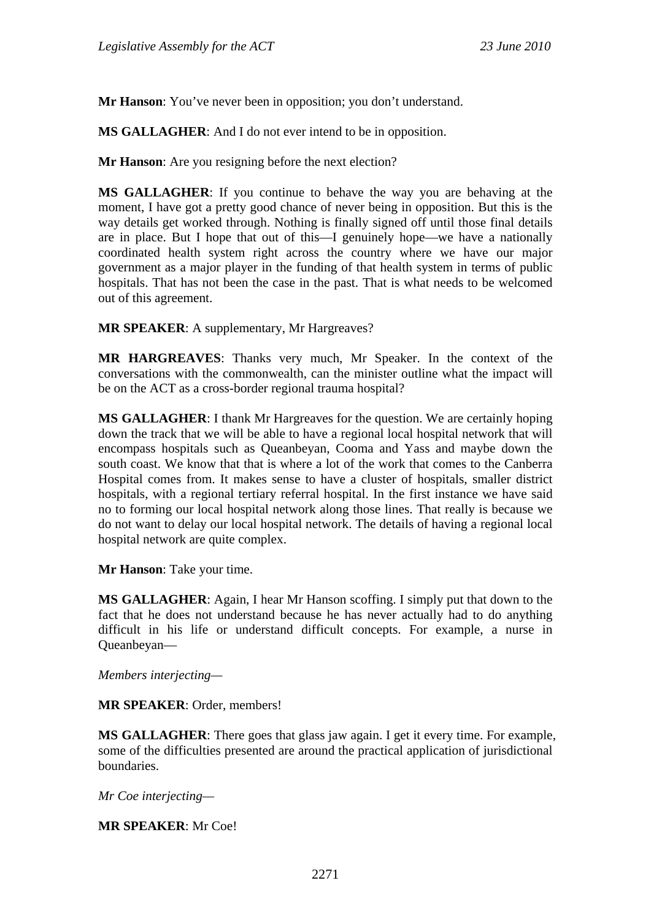**Mr Hanson**: You've never been in opposition; you don't understand.

**MS GALLAGHER**: And I do not ever intend to be in opposition.

**Mr Hanson**: Are you resigning before the next election?

**MS GALLAGHER**: If you continue to behave the way you are behaving at the moment, I have got a pretty good chance of never being in opposition. But this is the way details get worked through. Nothing is finally signed off until those final details are in place. But I hope that out of this—I genuinely hope—we have a nationally coordinated health system right across the country where we have our major government as a major player in the funding of that health system in terms of public hospitals. That has not been the case in the past. That is what needs to be welcomed out of this agreement.

**MR SPEAKER**: A supplementary, Mr Hargreaves?

**MR HARGREAVES**: Thanks very much, Mr Speaker. In the context of the conversations with the commonwealth, can the minister outline what the impact will be on the ACT as a cross-border regional trauma hospital?

**MS GALLAGHER**: I thank Mr Hargreaves for the question. We are certainly hoping down the track that we will be able to have a regional local hospital network that will encompass hospitals such as Queanbeyan, Cooma and Yass and maybe down the south coast. We know that that is where a lot of the work that comes to the Canberra Hospital comes from. It makes sense to have a cluster of hospitals, smaller district hospitals, with a regional tertiary referral hospital. In the first instance we have said no to forming our local hospital network along those lines. That really is because we do not want to delay our local hospital network. The details of having a regional local hospital network are quite complex.

**Mr Hanson**: Take your time.

**MS GALLAGHER**: Again, I hear Mr Hanson scoffing. I simply put that down to the fact that he does not understand because he has never actually had to do anything difficult in his life or understand difficult concepts. For example, a nurse in Queanbeyan—

*Members interjecting—* 

**MR SPEAKER**: Order, members!

**MS GALLAGHER**: There goes that glass jaw again. I get it every time. For example, some of the difficulties presented are around the practical application of jurisdictional boundaries.

*Mr Coe interjecting—* 

**MR SPEAKER**: Mr Coe!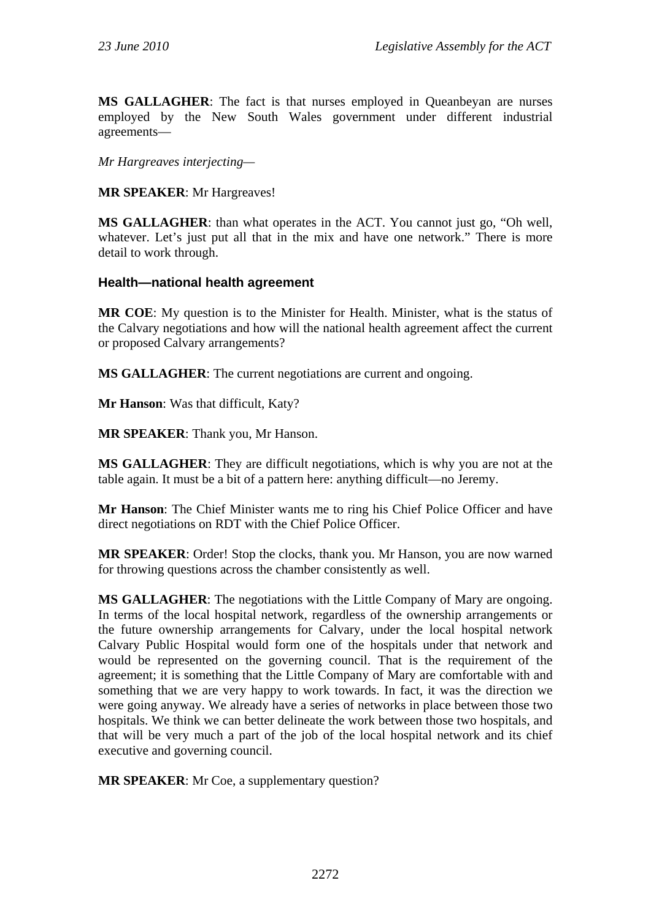**MS GALLAGHER**: The fact is that nurses employed in Queanbeyan are nurses employed by the New South Wales government under different industrial agreements—

*Mr Hargreaves interjecting—* 

**MR SPEAKER**: Mr Hargreaves!

**MS GALLAGHER**: than what operates in the ACT. You cannot just go, "Oh well, whatever. Let's just put all that in the mix and have one network." There is more detail to work through.

## **Health—national health agreement**

**MR COE**: My question is to the Minister for Health. Minister, what is the status of the Calvary negotiations and how will the national health agreement affect the current or proposed Calvary arrangements?

**MS GALLAGHER**: The current negotiations are current and ongoing.

**Mr Hanson**: Was that difficult, Katy?

**MR SPEAKER**: Thank you, Mr Hanson.

**MS GALLAGHER**: They are difficult negotiations, which is why you are not at the table again. It must be a bit of a pattern here: anything difficult—no Jeremy.

**Mr Hanson**: The Chief Minister wants me to ring his Chief Police Officer and have direct negotiations on RDT with the Chief Police Officer.

**MR SPEAKER**: Order! Stop the clocks, thank you. Mr Hanson, you are now warned for throwing questions across the chamber consistently as well.

**MS GALLAGHER**: The negotiations with the Little Company of Mary are ongoing. In terms of the local hospital network, regardless of the ownership arrangements or the future ownership arrangements for Calvary, under the local hospital network Calvary Public Hospital would form one of the hospitals under that network and would be represented on the governing council. That is the requirement of the agreement; it is something that the Little Company of Mary are comfortable with and something that we are very happy to work towards. In fact, it was the direction we were going anyway. We already have a series of networks in place between those two hospitals. We think we can better delineate the work between those two hospitals, and that will be very much a part of the job of the local hospital network and its chief executive and governing council.

**MR SPEAKER**: Mr Coe, a supplementary question?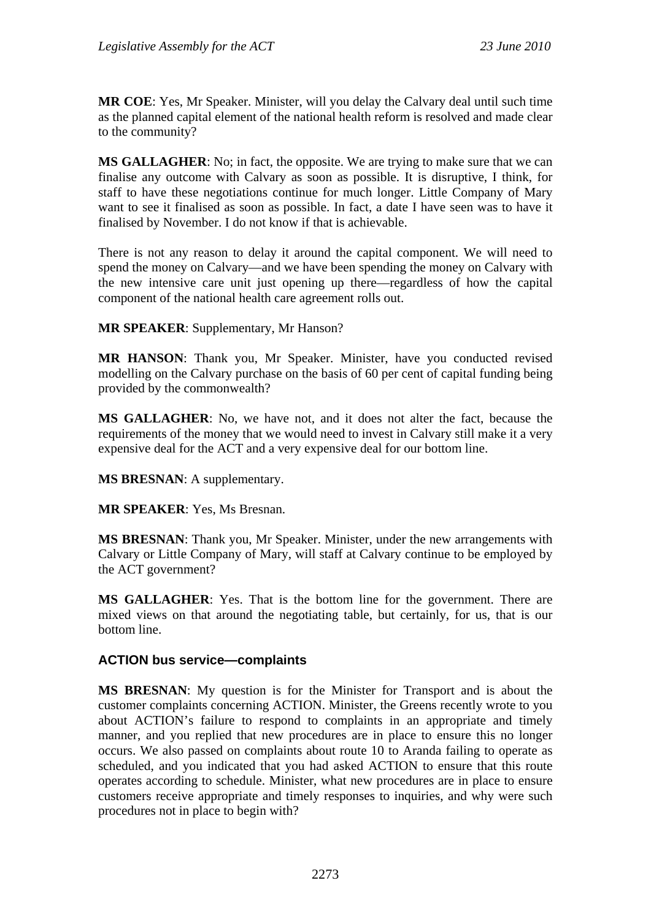**MR COE**: Yes, Mr Speaker. Minister, will you delay the Calvary deal until such time as the planned capital element of the national health reform is resolved and made clear to the community?

**MS GALLAGHER**: No; in fact, the opposite. We are trying to make sure that we can finalise any outcome with Calvary as soon as possible. It is disruptive, I think, for staff to have these negotiations continue for much longer. Little Company of Mary want to see it finalised as soon as possible. In fact, a date I have seen was to have it finalised by November. I do not know if that is achievable.

There is not any reason to delay it around the capital component. We will need to spend the money on Calvary—and we have been spending the money on Calvary with the new intensive care unit just opening up there—regardless of how the capital component of the national health care agreement rolls out.

**MR SPEAKER**: Supplementary, Mr Hanson?

**MR HANSON**: Thank you, Mr Speaker. Minister, have you conducted revised modelling on the Calvary purchase on the basis of 60 per cent of capital funding being provided by the commonwealth?

**MS GALLAGHER**: No, we have not, and it does not alter the fact, because the requirements of the money that we would need to invest in Calvary still make it a very expensive deal for the ACT and a very expensive deal for our bottom line.

**MS BRESNAN**: A supplementary.

**MR SPEAKER**: Yes, Ms Bresnan.

**MS BRESNAN**: Thank you, Mr Speaker. Minister, under the new arrangements with Calvary or Little Company of Mary, will staff at Calvary continue to be employed by the ACT government?

**MS GALLAGHER**: Yes. That is the bottom line for the government. There are mixed views on that around the negotiating table, but certainly, for us, that is our bottom line.

## **ACTION bus service—complaints**

**MS BRESNAN**: My question is for the Minister for Transport and is about the customer complaints concerning ACTION. Minister, the Greens recently wrote to you about ACTION's failure to respond to complaints in an appropriate and timely manner, and you replied that new procedures are in place to ensure this no longer occurs. We also passed on complaints about route 10 to Aranda failing to operate as scheduled, and you indicated that you had asked ACTION to ensure that this route operates according to schedule. Minister, what new procedures are in place to ensure customers receive appropriate and timely responses to inquiries, and why were such procedures not in place to begin with?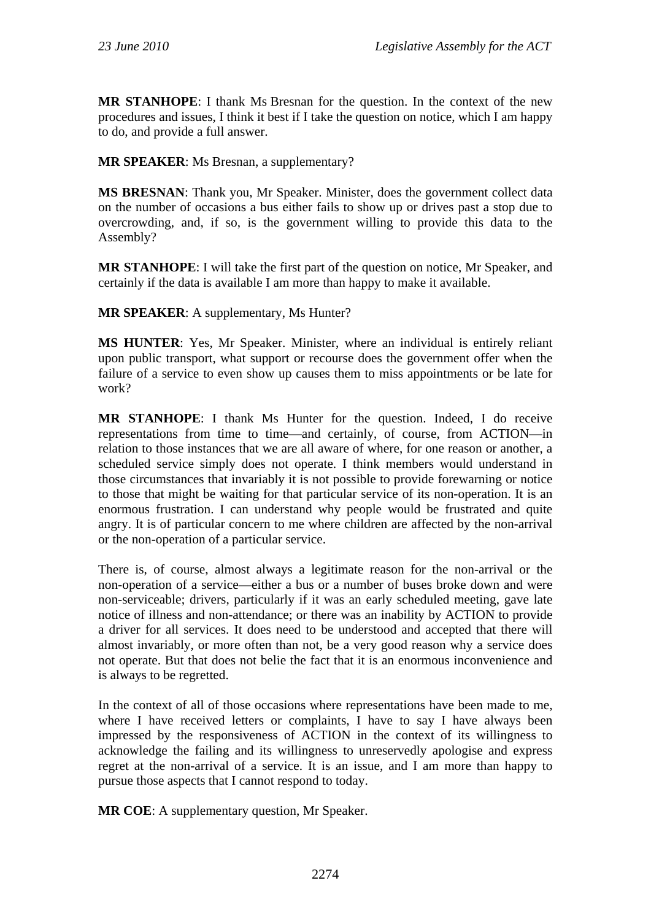**MR STANHOPE**: I thank Ms Bresnan for the question. In the context of the new procedures and issues, I think it best if I take the question on notice, which I am happy to do, and provide a full answer.

**MR SPEAKER**: Ms Bresnan, a supplementary?

**MS BRESNAN**: Thank you, Mr Speaker. Minister, does the government collect data on the number of occasions a bus either fails to show up or drives past a stop due to overcrowding, and, if so, is the government willing to provide this data to the Assembly?

**MR STANHOPE**: I will take the first part of the question on notice, Mr Speaker, and certainly if the data is available I am more than happy to make it available.

**MR SPEAKER**: A supplementary, Ms Hunter?

**MS HUNTER**: Yes, Mr Speaker. Minister, where an individual is entirely reliant upon public transport, what support or recourse does the government offer when the failure of a service to even show up causes them to miss appointments or be late for work?

**MR STANHOPE**: I thank Ms Hunter for the question. Indeed, I do receive representations from time to time—and certainly, of course, from ACTION—in relation to those instances that we are all aware of where, for one reason or another, a scheduled service simply does not operate. I think members would understand in those circumstances that invariably it is not possible to provide forewarning or notice to those that might be waiting for that particular service of its non-operation. It is an enormous frustration. I can understand why people would be frustrated and quite angry. It is of particular concern to me where children are affected by the non-arrival or the non-operation of a particular service.

There is, of course, almost always a legitimate reason for the non-arrival or the non-operation of a service—either a bus or a number of buses broke down and were non-serviceable; drivers, particularly if it was an early scheduled meeting, gave late notice of illness and non-attendance; or there was an inability by ACTION to provide a driver for all services. It does need to be understood and accepted that there will almost invariably, or more often than not, be a very good reason why a service does not operate. But that does not belie the fact that it is an enormous inconvenience and is always to be regretted.

In the context of all of those occasions where representations have been made to me, where I have received letters or complaints, I have to say I have always been impressed by the responsiveness of ACTION in the context of its willingness to acknowledge the failing and its willingness to unreservedly apologise and express regret at the non-arrival of a service. It is an issue, and I am more than happy to pursue those aspects that I cannot respond to today.

**MR COE**: A supplementary question, Mr Speaker.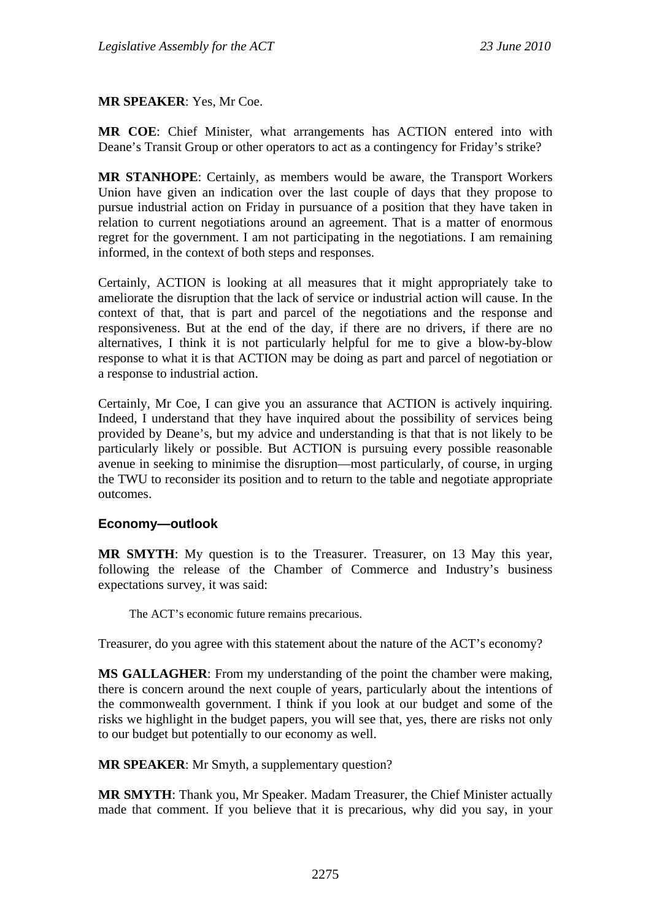### **MR SPEAKER**: Yes, Mr Coe.

**MR COE**: Chief Minister, what arrangements has ACTION entered into with Deane's Transit Group or other operators to act as a contingency for Friday's strike?

**MR STANHOPE**: Certainly, as members would be aware, the Transport Workers Union have given an indication over the last couple of days that they propose to pursue industrial action on Friday in pursuance of a position that they have taken in relation to current negotiations around an agreement. That is a matter of enormous regret for the government. I am not participating in the negotiations. I am remaining informed, in the context of both steps and responses.

Certainly, ACTION is looking at all measures that it might appropriately take to ameliorate the disruption that the lack of service or industrial action will cause. In the context of that, that is part and parcel of the negotiations and the response and responsiveness. But at the end of the day, if there are no drivers, if there are no alternatives, I think it is not particularly helpful for me to give a blow-by-blow response to what it is that ACTION may be doing as part and parcel of negotiation or a response to industrial action.

Certainly, Mr Coe, I can give you an assurance that ACTION is actively inquiring. Indeed, I understand that they have inquired about the possibility of services being provided by Deane's, but my advice and understanding is that that is not likely to be particularly likely or possible. But ACTION is pursuing every possible reasonable avenue in seeking to minimise the disruption—most particularly, of course, in urging the TWU to reconsider its position and to return to the table and negotiate appropriate outcomes.

## **Economy—outlook**

**MR SMYTH**: My question is to the Treasurer. Treasurer, on 13 May this year, following the release of the Chamber of Commerce and Industry's business expectations survey, it was said:

The ACT's economic future remains precarious.

Treasurer, do you agree with this statement about the nature of the ACT's economy?

**MS GALLAGHER**: From my understanding of the point the chamber were making, there is concern around the next couple of years, particularly about the intentions of the commonwealth government. I think if you look at our budget and some of the risks we highlight in the budget papers, you will see that, yes, there are risks not only to our budget but potentially to our economy as well.

**MR SPEAKER:** Mr Smyth, a supplementary question?

**MR SMYTH**: Thank you, Mr Speaker. Madam Treasurer, the Chief Minister actually made that comment. If you believe that it is precarious, why did you say, in your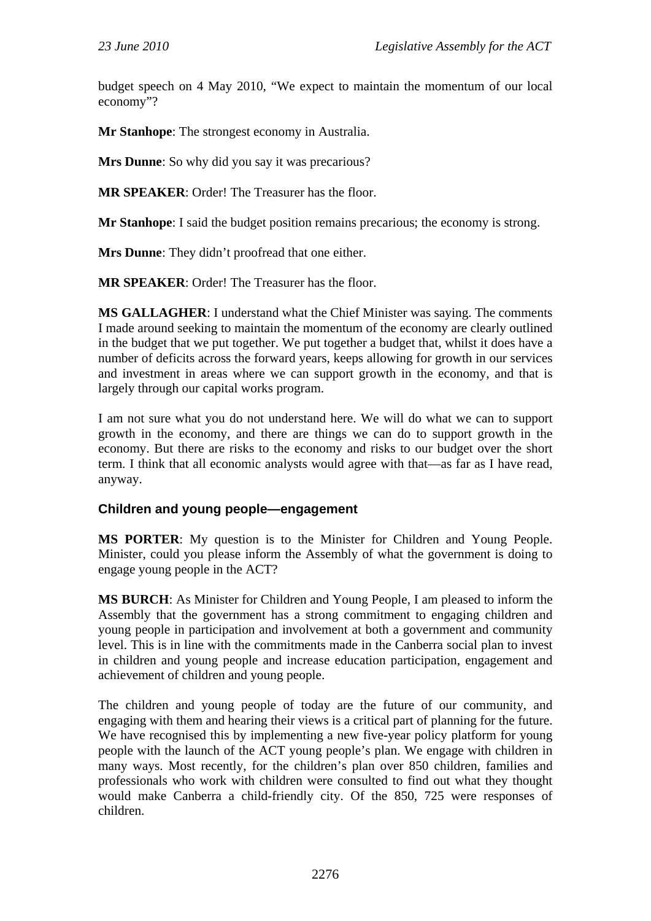budget speech on 4 May 2010, "We expect to maintain the momentum of our local economy"?

**Mr Stanhope**: The strongest economy in Australia.

**Mrs Dunne**: So why did you say it was precarious?

**MR SPEAKER**: Order! The Treasurer has the floor.

**Mr Stanhope**: I said the budget position remains precarious; the economy is strong.

**Mrs Dunne**: They didn't proofread that one either.

**MR SPEAKER**: Order! The Treasurer has the floor.

**MS GALLAGHER**: I understand what the Chief Minister was saying. The comments I made around seeking to maintain the momentum of the economy are clearly outlined in the budget that we put together. We put together a budget that, whilst it does have a number of deficits across the forward years, keeps allowing for growth in our services and investment in areas where we can support growth in the economy, and that is largely through our capital works program.

I am not sure what you do not understand here. We will do what we can to support growth in the economy, and there are things we can do to support growth in the economy. But there are risks to the economy and risks to our budget over the short term. I think that all economic analysts would agree with that—as far as I have read, anyway.

# **Children and young people—engagement**

**MS PORTER**: My question is to the Minister for Children and Young People. Minister, could you please inform the Assembly of what the government is doing to engage young people in the ACT?

**MS BURCH**: As Minister for Children and Young People, I am pleased to inform the Assembly that the government has a strong commitment to engaging children and young people in participation and involvement at both a government and community level. This is in line with the commitments made in the Canberra social plan to invest in children and young people and increase education participation, engagement and achievement of children and young people.

The children and young people of today are the future of our community, and engaging with them and hearing their views is a critical part of planning for the future. We have recognised this by implementing a new five-year policy platform for young people with the launch of the ACT young people's plan. We engage with children in many ways. Most recently, for the children's plan over 850 children, families and professionals who work with children were consulted to find out what they thought would make Canberra a child-friendly city. Of the 850, 725 were responses of children.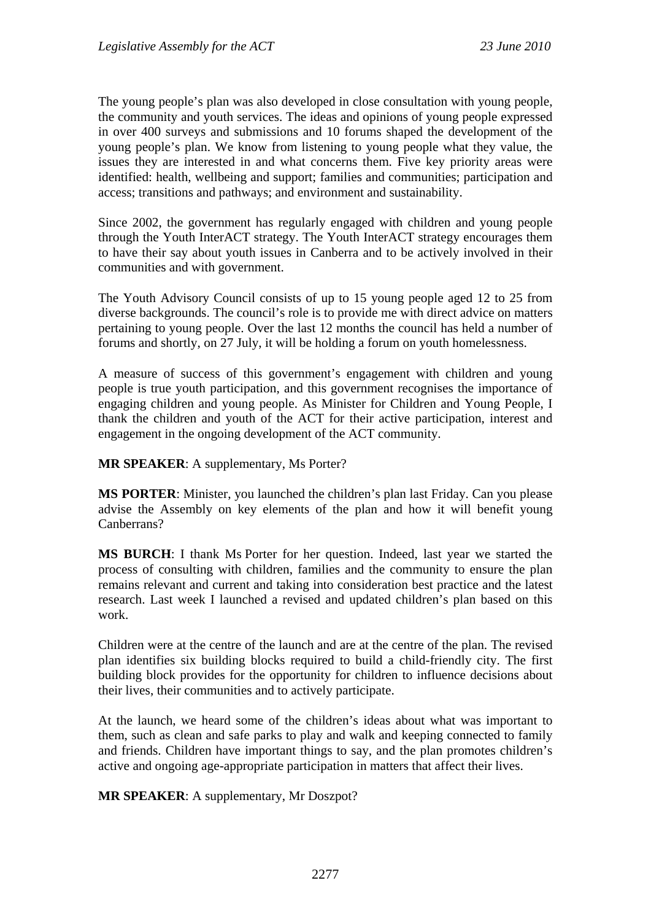The young people's plan was also developed in close consultation with young people, the community and youth services. The ideas and opinions of young people expressed in over 400 surveys and submissions and 10 forums shaped the development of the young people's plan. We know from listening to young people what they value, the issues they are interested in and what concerns them. Five key priority areas were identified: health, wellbeing and support; families and communities; participation and access; transitions and pathways; and environment and sustainability.

Since 2002, the government has regularly engaged with children and young people through the Youth InterACT strategy. The Youth InterACT strategy encourages them to have their say about youth issues in Canberra and to be actively involved in their communities and with government.

The Youth Advisory Council consists of up to 15 young people aged 12 to 25 from diverse backgrounds. The council's role is to provide me with direct advice on matters pertaining to young people. Over the last 12 months the council has held a number of forums and shortly, on 27 July, it will be holding a forum on youth homelessness.

A measure of success of this government's engagement with children and young people is true youth participation, and this government recognises the importance of engaging children and young people. As Minister for Children and Young People, I thank the children and youth of the ACT for their active participation, interest and engagement in the ongoing development of the ACT community.

**MR SPEAKER**: A supplementary, Ms Porter?

**MS PORTER**: Minister, you launched the children's plan last Friday. Can you please advise the Assembly on key elements of the plan and how it will benefit young Canberrans?

**MS BURCH**: I thank Ms Porter for her question. Indeed, last year we started the process of consulting with children, families and the community to ensure the plan remains relevant and current and taking into consideration best practice and the latest research. Last week I launched a revised and updated children's plan based on this work.

Children were at the centre of the launch and are at the centre of the plan. The revised plan identifies six building blocks required to build a child-friendly city. The first building block provides for the opportunity for children to influence decisions about their lives, their communities and to actively participate.

At the launch, we heard some of the children's ideas about what was important to them, such as clean and safe parks to play and walk and keeping connected to family and friends. Children have important things to say, and the plan promotes children's active and ongoing age-appropriate participation in matters that affect their lives.

**MR SPEAKER**: A supplementary, Mr Doszpot?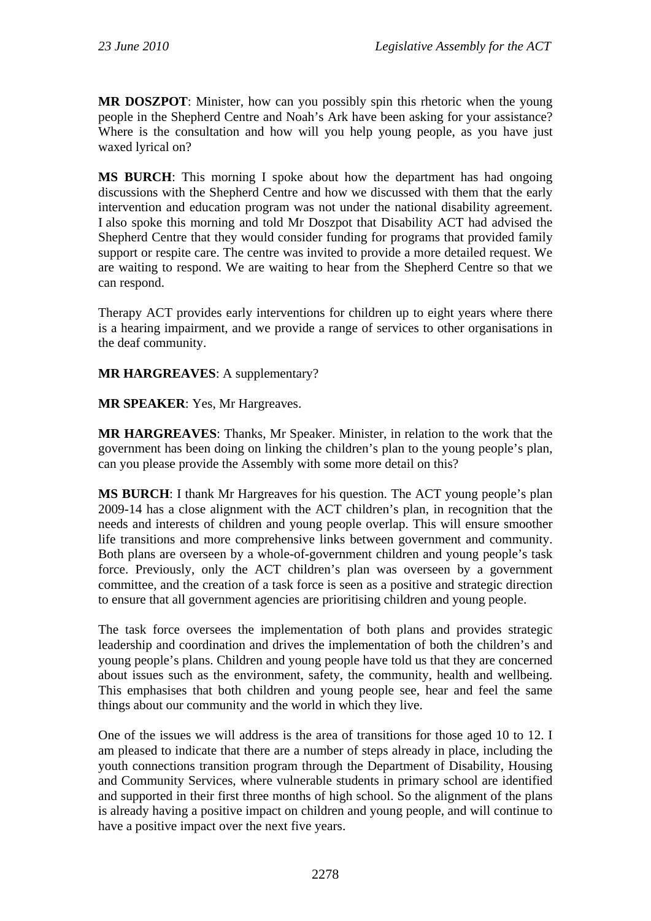**MR DOSZPOT**: Minister, how can you possibly spin this rhetoric when the young people in the Shepherd Centre and Noah's Ark have been asking for your assistance? Where is the consultation and how will you help young people, as you have just waxed lyrical on?

**MS BURCH**: This morning I spoke about how the department has had ongoing discussions with the Shepherd Centre and how we discussed with them that the early intervention and education program was not under the national disability agreement. I also spoke this morning and told Mr Doszpot that Disability ACT had advised the Shepherd Centre that they would consider funding for programs that provided family support or respite care. The centre was invited to provide a more detailed request. We are waiting to respond. We are waiting to hear from the Shepherd Centre so that we can respond.

Therapy ACT provides early interventions for children up to eight years where there is a hearing impairment, and we provide a range of services to other organisations in the deaf community.

**MR HARGREAVES**: A supplementary?

**MR SPEAKER**: Yes, Mr Hargreaves.

**MR HARGREAVES**: Thanks, Mr Speaker. Minister, in relation to the work that the government has been doing on linking the children's plan to the young people's plan, can you please provide the Assembly with some more detail on this?

**MS BURCH**: I thank Mr Hargreaves for his question. The ACT young people's plan 2009-14 has a close alignment with the ACT children's plan, in recognition that the needs and interests of children and young people overlap. This will ensure smoother life transitions and more comprehensive links between government and community. Both plans are overseen by a whole-of-government children and young people's task force. Previously, only the ACT children's plan was overseen by a government committee, and the creation of a task force is seen as a positive and strategic direction to ensure that all government agencies are prioritising children and young people.

The task force oversees the implementation of both plans and provides strategic leadership and coordination and drives the implementation of both the children's and young people's plans. Children and young people have told us that they are concerned about issues such as the environment, safety, the community, health and wellbeing. This emphasises that both children and young people see, hear and feel the same things about our community and the world in which they live.

One of the issues we will address is the area of transitions for those aged 10 to 12. I am pleased to indicate that there are a number of steps already in place, including the youth connections transition program through the Department of Disability, Housing and Community Services, where vulnerable students in primary school are identified and supported in their first three months of high school. So the alignment of the plans is already having a positive impact on children and young people, and will continue to have a positive impact over the next five years.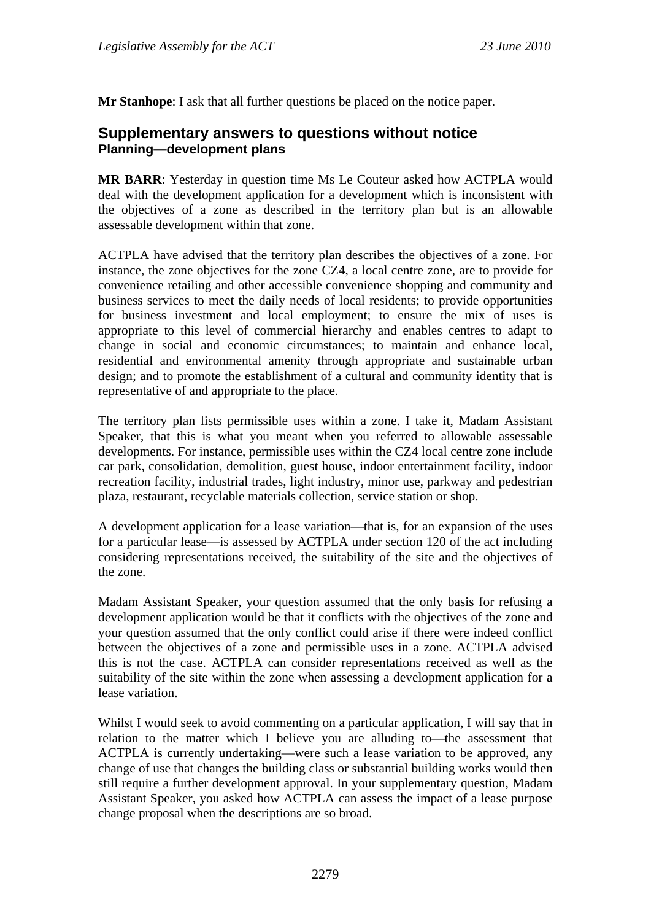**Mr Stanhope**: I ask that all further questions be placed on the notice paper.

# **Supplementary answers to questions without notice Planning—development plans**

**MR BARR**: Yesterday in question time Ms Le Couteur asked how ACTPLA would deal with the development application for a development which is inconsistent with the objectives of a zone as described in the territory plan but is an allowable assessable development within that zone.

ACTPLA have advised that the territory plan describes the objectives of a zone. For instance, the zone objectives for the zone CZ4, a local centre zone, are to provide for convenience retailing and other accessible convenience shopping and community and business services to meet the daily needs of local residents; to provide opportunities for business investment and local employment; to ensure the mix of uses is appropriate to this level of commercial hierarchy and enables centres to adapt to change in social and economic circumstances; to maintain and enhance local, residential and environmental amenity through appropriate and sustainable urban design; and to promote the establishment of a cultural and community identity that is representative of and appropriate to the place.

The territory plan lists permissible uses within a zone. I take it, Madam Assistant Speaker, that this is what you meant when you referred to allowable assessable developments. For instance, permissible uses within the CZ4 local centre zone include car park, consolidation, demolition, guest house, indoor entertainment facility, indoor recreation facility, industrial trades, light industry, minor use, parkway and pedestrian plaza, restaurant, recyclable materials collection, service station or shop.

A development application for a lease variation—that is, for an expansion of the uses for a particular lease—is assessed by ACTPLA under section 120 of the act including considering representations received, the suitability of the site and the objectives of the zone.

Madam Assistant Speaker, your question assumed that the only basis for refusing a development application would be that it conflicts with the objectives of the zone and your question assumed that the only conflict could arise if there were indeed conflict between the objectives of a zone and permissible uses in a zone. ACTPLA advised this is not the case. ACTPLA can consider representations received as well as the suitability of the site within the zone when assessing a development application for a lease variation.

Whilst I would seek to avoid commenting on a particular application, I will say that in relation to the matter which I believe you are alluding to—the assessment that ACTPLA is currently undertaking—were such a lease variation to be approved, any change of use that changes the building class or substantial building works would then still require a further development approval. In your supplementary question, Madam Assistant Speaker, you asked how ACTPLA can assess the impact of a lease purpose change proposal when the descriptions are so broad.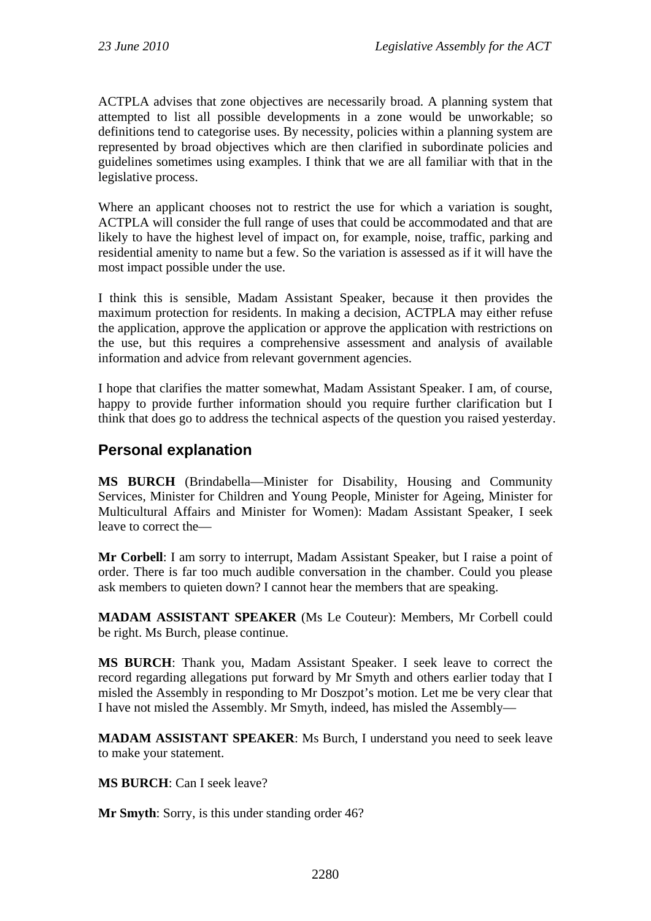ACTPLA advises that zone objectives are necessarily broad. A planning system that attempted to list all possible developments in a zone would be unworkable; so definitions tend to categorise uses. By necessity, policies within a planning system are represented by broad objectives which are then clarified in subordinate policies and guidelines sometimes using examples. I think that we are all familiar with that in the legislative process.

Where an applicant chooses not to restrict the use for which a variation is sought, ACTPLA will consider the full range of uses that could be accommodated and that are likely to have the highest level of impact on, for example, noise, traffic, parking and residential amenity to name but a few. So the variation is assessed as if it will have the most impact possible under the use.

I think this is sensible, Madam Assistant Speaker, because it then provides the maximum protection for residents. In making a decision, ACTPLA may either refuse the application, approve the application or approve the application with restrictions on the use, but this requires a comprehensive assessment and analysis of available information and advice from relevant government agencies.

I hope that clarifies the matter somewhat, Madam Assistant Speaker. I am, of course, happy to provide further information should you require further clarification but I think that does go to address the technical aspects of the question you raised yesterday.

# **Personal explanation**

**MS BURCH** (Brindabella—Minister for Disability, Housing and Community Services, Minister for Children and Young People, Minister for Ageing, Minister for Multicultural Affairs and Minister for Women): Madam Assistant Speaker, I seek leave to correct the—

**Mr Corbell**: I am sorry to interrupt, Madam Assistant Speaker, but I raise a point of order. There is far too much audible conversation in the chamber. Could you please ask members to quieten down? I cannot hear the members that are speaking.

**MADAM ASSISTANT SPEAKER** (Ms Le Couteur): Members, Mr Corbell could be right. Ms Burch, please continue.

**MS BURCH**: Thank you, Madam Assistant Speaker. I seek leave to correct the record regarding allegations put forward by Mr Smyth and others earlier today that I misled the Assembly in responding to Mr Doszpot's motion. Let me be very clear that I have not misled the Assembly. Mr Smyth, indeed, has misled the Assembly—

**MADAM ASSISTANT SPEAKER**: Ms Burch, I understand you need to seek leave to make your statement.

**MS BURCH**: Can I seek leave?

**Mr Smyth**: Sorry, is this under standing order 46?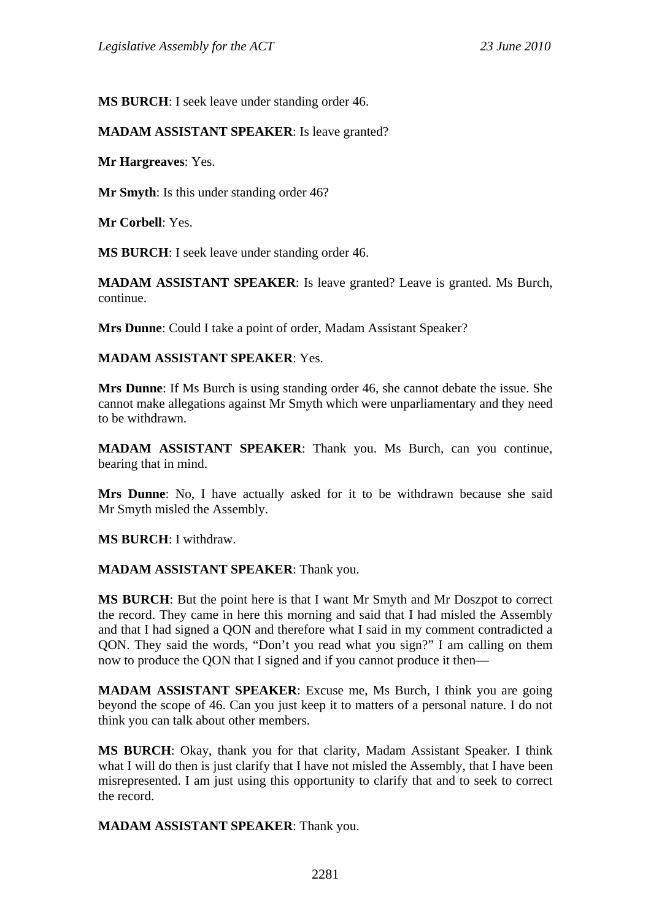**MS BURCH**: I seek leave under standing order 46.

### **MADAM ASSISTANT SPEAKER**: Is leave granted?

**Mr Hargreaves**: Yes.

**Mr Smyth**: Is this under standing order 46?

**Mr Corbell**: Yes.

**MS BURCH**: I seek leave under standing order 46.

**MADAM ASSISTANT SPEAKER**: Is leave granted? Leave is granted. Ms Burch, continue.

**Mrs Dunne**: Could I take a point of order, Madam Assistant Speaker?

### **MADAM ASSISTANT SPEAKER**: Yes.

**Mrs Dunne**: If Ms Burch is using standing order 46, she cannot debate the issue. She cannot make allegations against Mr Smyth which were unparliamentary and they need to be withdrawn.

**MADAM ASSISTANT SPEAKER**: Thank you. Ms Burch, can you continue, bearing that in mind.

**Mrs Dunne**: No, I have actually asked for it to be withdrawn because she said Mr Smyth misled the Assembly.

**MS BURCH**: I withdraw.

#### **MADAM ASSISTANT SPEAKER**: Thank you.

**MS BURCH**: But the point here is that I want Mr Smyth and Mr Doszpot to correct the record. They came in here this morning and said that I had misled the Assembly and that I had signed a QON and therefore what I said in my comment contradicted a QON. They said the words, "Don't you read what you sign?" I am calling on them now to produce the QON that I signed and if you cannot produce it then—

**MADAM ASSISTANT SPEAKER:** Excuse me, Ms Burch, I think you are going beyond the scope of 46. Can you just keep it to matters of a personal nature. I do not think you can talk about other members.

**MS BURCH**: Okay, thank you for that clarity, Madam Assistant Speaker. I think what I will do then is just clarify that I have not misled the Assembly, that I have been misrepresented. I am just using this opportunity to clarify that and to seek to correct the record.

**MADAM ASSISTANT SPEAKER**: Thank you.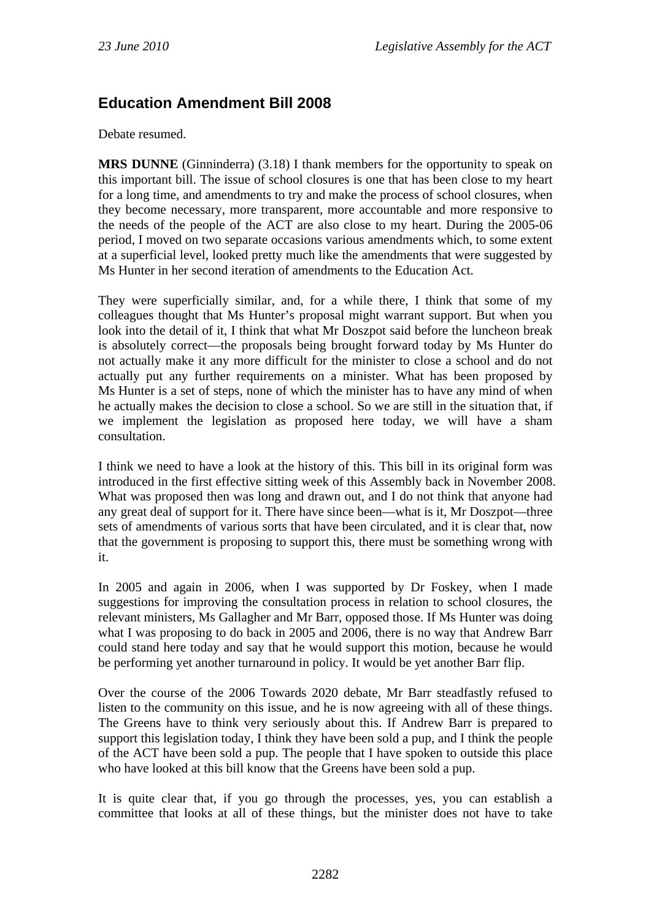# **Education Amendment Bill 2008**

Debate resumed.

**MRS DUNNE** (Ginninderra) (3.18) I thank members for the opportunity to speak on this important bill. The issue of school closures is one that has been close to my heart for a long time, and amendments to try and make the process of school closures, when they become necessary, more transparent, more accountable and more responsive to the needs of the people of the ACT are also close to my heart. During the 2005-06 period, I moved on two separate occasions various amendments which, to some extent at a superficial level, looked pretty much like the amendments that were suggested by Ms Hunter in her second iteration of amendments to the Education Act.

They were superficially similar, and, for a while there, I think that some of my colleagues thought that Ms Hunter's proposal might warrant support. But when you look into the detail of it, I think that what Mr Doszpot said before the luncheon break is absolutely correct—the proposals being brought forward today by Ms Hunter do not actually make it any more difficult for the minister to close a school and do not actually put any further requirements on a minister. What has been proposed by Ms Hunter is a set of steps, none of which the minister has to have any mind of when he actually makes the decision to close a school. So we are still in the situation that, if we implement the legislation as proposed here today, we will have a sham consultation.

I think we need to have a look at the history of this. This bill in its original form was introduced in the first effective sitting week of this Assembly back in November 2008. What was proposed then was long and drawn out, and I do not think that anyone had any great deal of support for it. There have since been—what is it, Mr Doszpot—three sets of amendments of various sorts that have been circulated, and it is clear that, now that the government is proposing to support this, there must be something wrong with it.

In 2005 and again in 2006, when I was supported by Dr Foskey, when I made suggestions for improving the consultation process in relation to school closures, the relevant ministers, Ms Gallagher and Mr Barr, opposed those. If Ms Hunter was doing what I was proposing to do back in 2005 and 2006, there is no way that Andrew Barr could stand here today and say that he would support this motion, because he would be performing yet another turnaround in policy. It would be yet another Barr flip.

Over the course of the 2006 Towards 2020 debate, Mr Barr steadfastly refused to listen to the community on this issue, and he is now agreeing with all of these things. The Greens have to think very seriously about this. If Andrew Barr is prepared to support this legislation today, I think they have been sold a pup, and I think the people of the ACT have been sold a pup. The people that I have spoken to outside this place who have looked at this bill know that the Greens have been sold a pup.

It is quite clear that, if you go through the processes, yes, you can establish a committee that looks at all of these things, but the minister does not have to take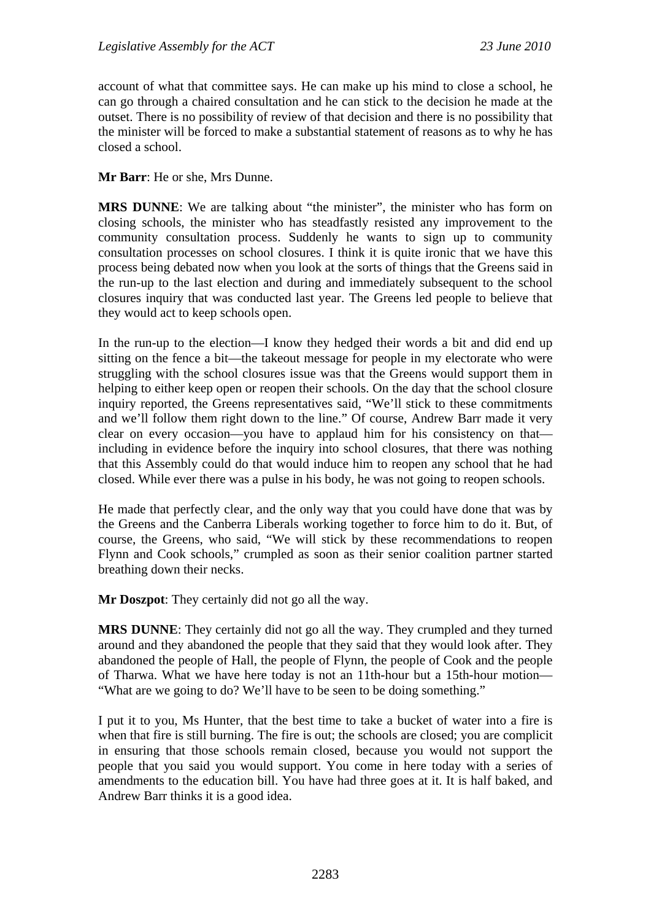account of what that committee says. He can make up his mind to close a school, he can go through a chaired consultation and he can stick to the decision he made at the outset. There is no possibility of review of that decision and there is no possibility that the minister will be forced to make a substantial statement of reasons as to why he has closed a school.

**Mr Barr**: He or she, Mrs Dunne.

**MRS DUNNE**: We are talking about "the minister", the minister who has form on closing schools, the minister who has steadfastly resisted any improvement to the community consultation process. Suddenly he wants to sign up to community consultation processes on school closures. I think it is quite ironic that we have this process being debated now when you look at the sorts of things that the Greens said in the run-up to the last election and during and immediately subsequent to the school closures inquiry that was conducted last year. The Greens led people to believe that they would act to keep schools open.

In the run-up to the election—I know they hedged their words a bit and did end up sitting on the fence a bit—the takeout message for people in my electorate who were struggling with the school closures issue was that the Greens would support them in helping to either keep open or reopen their schools. On the day that the school closure inquiry reported, the Greens representatives said, "We'll stick to these commitments and we'll follow them right down to the line." Of course, Andrew Barr made it very clear on every occasion—you have to applaud him for his consistency on that including in evidence before the inquiry into school closures, that there was nothing that this Assembly could do that would induce him to reopen any school that he had closed. While ever there was a pulse in his body, he was not going to reopen schools.

He made that perfectly clear, and the only way that you could have done that was by the Greens and the Canberra Liberals working together to force him to do it. But, of course, the Greens, who said, "We will stick by these recommendations to reopen Flynn and Cook schools," crumpled as soon as their senior coalition partner started breathing down their necks.

**Mr Doszpot**: They certainly did not go all the way.

**MRS DUNNE**: They certainly did not go all the way. They crumpled and they turned around and they abandoned the people that they said that they would look after. They abandoned the people of Hall, the people of Flynn, the people of Cook and the people of Tharwa. What we have here today is not an 11th-hour but a 15th-hour motion— "What are we going to do? We'll have to be seen to be doing something."

I put it to you, Ms Hunter, that the best time to take a bucket of water into a fire is when that fire is still burning. The fire is out; the schools are closed; you are complicit in ensuring that those schools remain closed, because you would not support the people that you said you would support. You come in here today with a series of amendments to the education bill. You have had three goes at it. It is half baked, and Andrew Barr thinks it is a good idea.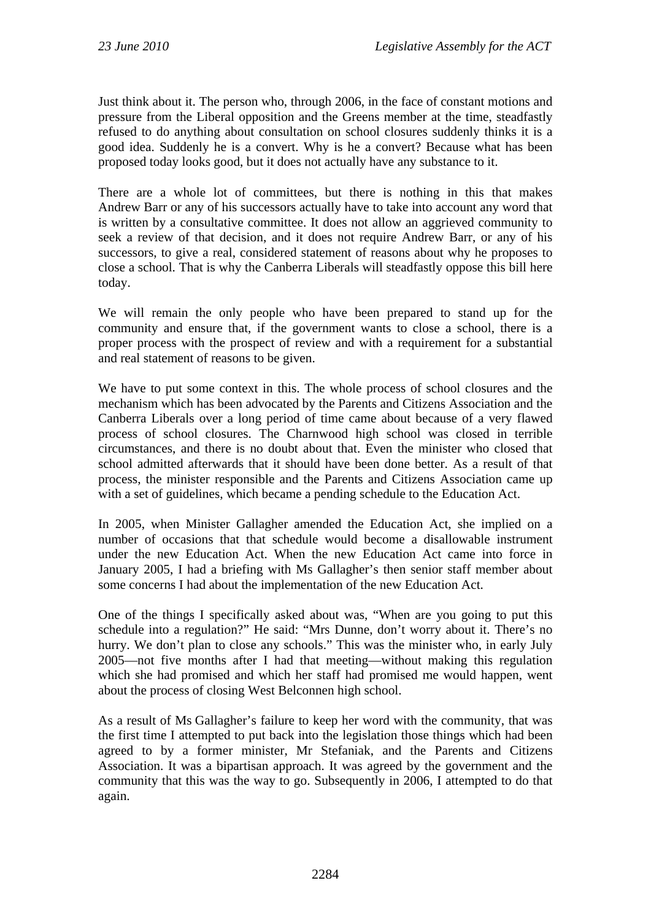Just think about it. The person who, through 2006, in the face of constant motions and pressure from the Liberal opposition and the Greens member at the time, steadfastly refused to do anything about consultation on school closures suddenly thinks it is a good idea. Suddenly he is a convert. Why is he a convert? Because what has been proposed today looks good, but it does not actually have any substance to it.

There are a whole lot of committees, but there is nothing in this that makes Andrew Barr or any of his successors actually have to take into account any word that is written by a consultative committee. It does not allow an aggrieved community to seek a review of that decision, and it does not require Andrew Barr, or any of his successors, to give a real, considered statement of reasons about why he proposes to close a school. That is why the Canberra Liberals will steadfastly oppose this bill here today.

We will remain the only people who have been prepared to stand up for the community and ensure that, if the government wants to close a school, there is a proper process with the prospect of review and with a requirement for a substantial and real statement of reasons to be given.

We have to put some context in this. The whole process of school closures and the mechanism which has been advocated by the Parents and Citizens Association and the Canberra Liberals over a long period of time came about because of a very flawed process of school closures. The Charnwood high school was closed in terrible circumstances, and there is no doubt about that. Even the minister who closed that school admitted afterwards that it should have been done better. As a result of that process, the minister responsible and the Parents and Citizens Association came up with a set of guidelines, which became a pending schedule to the Education Act.

In 2005, when Minister Gallagher amended the Education Act, she implied on a number of occasions that that schedule would become a disallowable instrument under the new Education Act. When the new Education Act came into force in January 2005, I had a briefing with Ms Gallagher's then senior staff member about some concerns I had about the implementation of the new Education Act.

One of the things I specifically asked about was, "When are you going to put this schedule into a regulation?" He said: "Mrs Dunne, don't worry about it. There's no hurry. We don't plan to close any schools." This was the minister who, in early July 2005—not five months after I had that meeting—without making this regulation which she had promised and which her staff had promised me would happen, went about the process of closing West Belconnen high school.

As a result of Ms Gallagher's failure to keep her word with the community, that was the first time I attempted to put back into the legislation those things which had been agreed to by a former minister, Mr Stefaniak, and the Parents and Citizens Association. It was a bipartisan approach. It was agreed by the government and the community that this was the way to go. Subsequently in 2006, I attempted to do that again.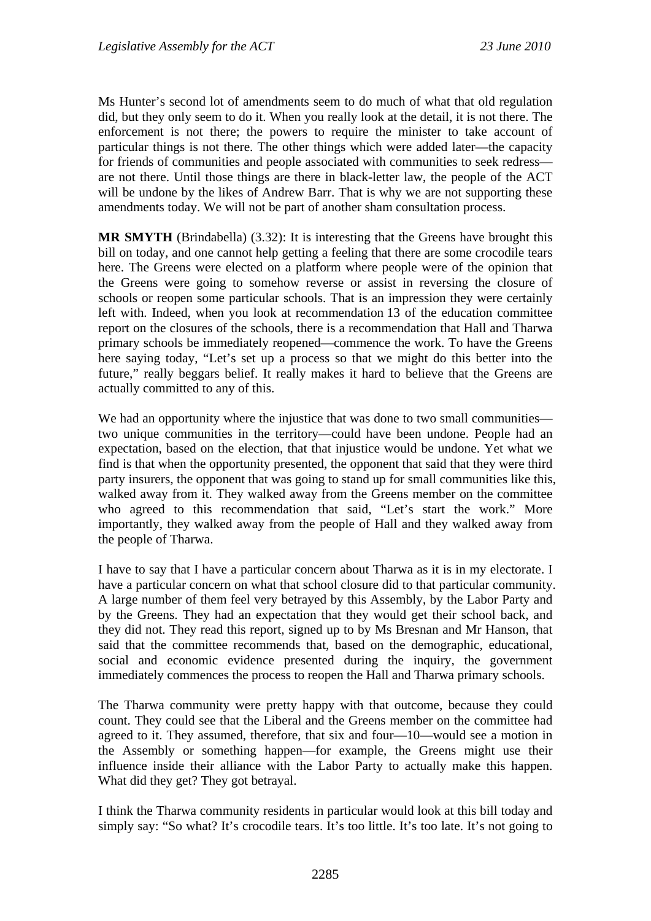Ms Hunter's second lot of amendments seem to do much of what that old regulation did, but they only seem to do it. When you really look at the detail, it is not there. The enforcement is not there; the powers to require the minister to take account of particular things is not there. The other things which were added later—the capacity for friends of communities and people associated with communities to seek redress are not there. Until those things are there in black-letter law, the people of the ACT will be undone by the likes of Andrew Barr. That is why we are not supporting these amendments today. We will not be part of another sham consultation process.

**MR SMYTH** (Brindabella) (3.32): It is interesting that the Greens have brought this bill on today, and one cannot help getting a feeling that there are some crocodile tears here. The Greens were elected on a platform where people were of the opinion that the Greens were going to somehow reverse or assist in reversing the closure of schools or reopen some particular schools. That is an impression they were certainly left with. Indeed, when you look at recommendation 13 of the education committee report on the closures of the schools, there is a recommendation that Hall and Tharwa primary schools be immediately reopened—commence the work. To have the Greens here saying today, "Let's set up a process so that we might do this better into the future," really beggars belief. It really makes it hard to believe that the Greens are actually committed to any of this.

We had an opportunity where the injustice that was done to two small communities two unique communities in the territory—could have been undone. People had an expectation, based on the election, that that injustice would be undone. Yet what we find is that when the opportunity presented, the opponent that said that they were third party insurers, the opponent that was going to stand up for small communities like this, walked away from it. They walked away from the Greens member on the committee who agreed to this recommendation that said, "Let's start the work." More importantly, they walked away from the people of Hall and they walked away from the people of Tharwa.

I have to say that I have a particular concern about Tharwa as it is in my electorate. I have a particular concern on what that school closure did to that particular community. A large number of them feel very betrayed by this Assembly, by the Labor Party and by the Greens. They had an expectation that they would get their school back, and they did not. They read this report, signed up to by Ms Bresnan and Mr Hanson, that said that the committee recommends that, based on the demographic, educational, social and economic evidence presented during the inquiry, the government immediately commences the process to reopen the Hall and Tharwa primary schools.

The Tharwa community were pretty happy with that outcome, because they could count. They could see that the Liberal and the Greens member on the committee had agreed to it. They assumed, therefore, that six and four—10—would see a motion in the Assembly or something happen—for example, the Greens might use their influence inside their alliance with the Labor Party to actually make this happen. What did they get? They got betrayal.

I think the Tharwa community residents in particular would look at this bill today and simply say: "So what? It's crocodile tears. It's too little. It's too late. It's not going to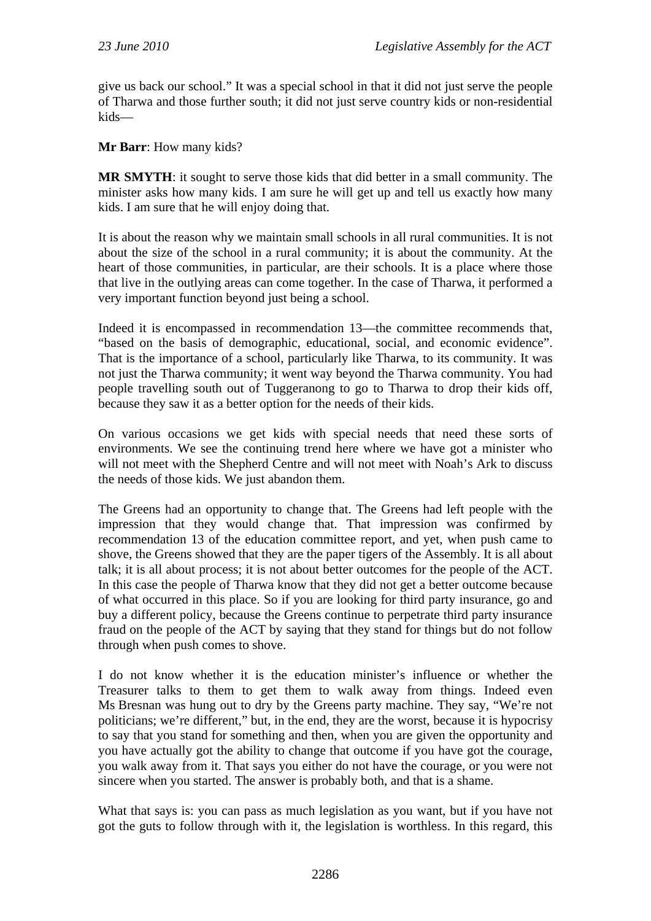give us back our school." It was a special school in that it did not just serve the people of Tharwa and those further south; it did not just serve country kids or non-residential kids—

**Mr Barr**: How many kids?

**MR SMYTH**: it sought to serve those kids that did better in a small community. The minister asks how many kids. I am sure he will get up and tell us exactly how many kids. I am sure that he will enjoy doing that.

It is about the reason why we maintain small schools in all rural communities. It is not about the size of the school in a rural community; it is about the community. At the heart of those communities, in particular, are their schools. It is a place where those that live in the outlying areas can come together. In the case of Tharwa, it performed a very important function beyond just being a school.

Indeed it is encompassed in recommendation 13—the committee recommends that, "based on the basis of demographic, educational, social, and economic evidence". That is the importance of a school, particularly like Tharwa, to its community. It was not just the Tharwa community; it went way beyond the Tharwa community. You had people travelling south out of Tuggeranong to go to Tharwa to drop their kids off, because they saw it as a better option for the needs of their kids.

On various occasions we get kids with special needs that need these sorts of environments. We see the continuing trend here where we have got a minister who will not meet with the Shepherd Centre and will not meet with Noah's Ark to discuss the needs of those kids. We just abandon them.

The Greens had an opportunity to change that. The Greens had left people with the impression that they would change that. That impression was confirmed by recommendation 13 of the education committee report, and yet, when push came to shove, the Greens showed that they are the paper tigers of the Assembly. It is all about talk; it is all about process; it is not about better outcomes for the people of the ACT. In this case the people of Tharwa know that they did not get a better outcome because of what occurred in this place. So if you are looking for third party insurance, go and buy a different policy, because the Greens continue to perpetrate third party insurance fraud on the people of the ACT by saying that they stand for things but do not follow through when push comes to shove.

I do not know whether it is the education minister's influence or whether the Treasurer talks to them to get them to walk away from things. Indeed even Ms Bresnan was hung out to dry by the Greens party machine. They say, "We're not politicians; we're different," but, in the end, they are the worst, because it is hypocrisy to say that you stand for something and then, when you are given the opportunity and you have actually got the ability to change that outcome if you have got the courage, you walk away from it. That says you either do not have the courage, or you were not sincere when you started. The answer is probably both, and that is a shame.

What that says is: you can pass as much legislation as you want, but if you have not got the guts to follow through with it, the legislation is worthless. In this regard, this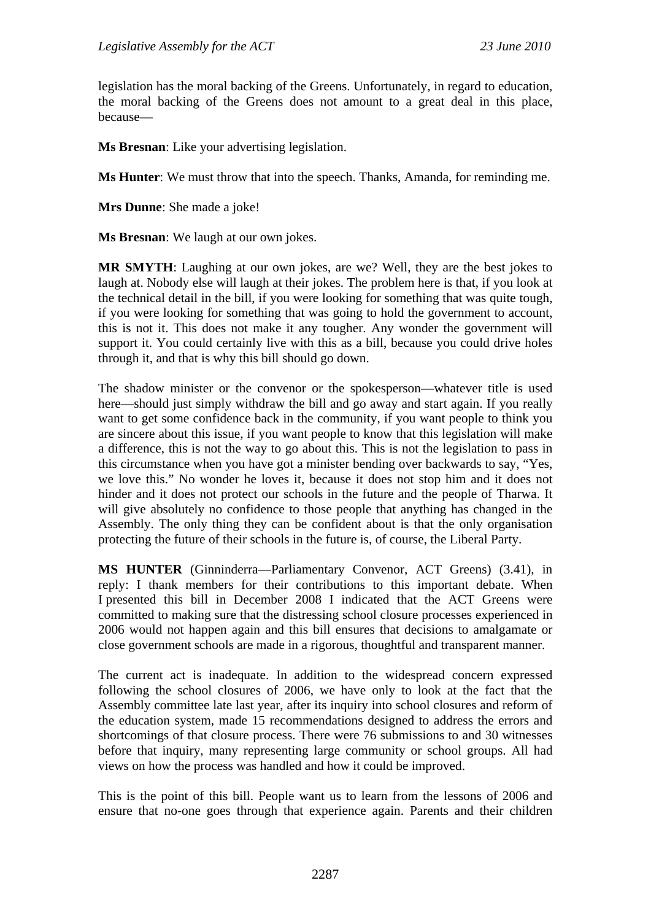legislation has the moral backing of the Greens. Unfortunately, in regard to education, the moral backing of the Greens does not amount to a great deal in this place, because—

**Ms Bresnan**: Like your advertising legislation.

**Ms Hunter**: We must throw that into the speech. Thanks, Amanda, for reminding me.

**Mrs Dunne**: She made a joke!

**Ms Bresnan**: We laugh at our own jokes.

**MR SMYTH**: Laughing at our own jokes, are we? Well, they are the best jokes to laugh at. Nobody else will laugh at their jokes. The problem here is that, if you look at the technical detail in the bill, if you were looking for something that was quite tough, if you were looking for something that was going to hold the government to account, this is not it. This does not make it any tougher. Any wonder the government will support it. You could certainly live with this as a bill, because you could drive holes through it, and that is why this bill should go down.

The shadow minister or the convenor or the spokesperson—whatever title is used here—should just simply withdraw the bill and go away and start again. If you really want to get some confidence back in the community, if you want people to think you are sincere about this issue, if you want people to know that this legislation will make a difference, this is not the way to go about this. This is not the legislation to pass in this circumstance when you have got a minister bending over backwards to say, "Yes, we love this." No wonder he loves it, because it does not stop him and it does not hinder and it does not protect our schools in the future and the people of Tharwa. It will give absolutely no confidence to those people that anything has changed in the Assembly. The only thing they can be confident about is that the only organisation protecting the future of their schools in the future is, of course, the Liberal Party.

**MS HUNTER** (Ginninderra—Parliamentary Convenor, ACT Greens) (3.41), in reply: I thank members for their contributions to this important debate. When I presented this bill in December 2008 I indicated that the ACT Greens were committed to making sure that the distressing school closure processes experienced in 2006 would not happen again and this bill ensures that decisions to amalgamate or close government schools are made in a rigorous, thoughtful and transparent manner.

The current act is inadequate. In addition to the widespread concern expressed following the school closures of 2006, we have only to look at the fact that the Assembly committee late last year, after its inquiry into school closures and reform of the education system, made 15 recommendations designed to address the errors and shortcomings of that closure process. There were 76 submissions to and 30 witnesses before that inquiry, many representing large community or school groups. All had views on how the process was handled and how it could be improved.

This is the point of this bill. People want us to learn from the lessons of 2006 and ensure that no-one goes through that experience again. Parents and their children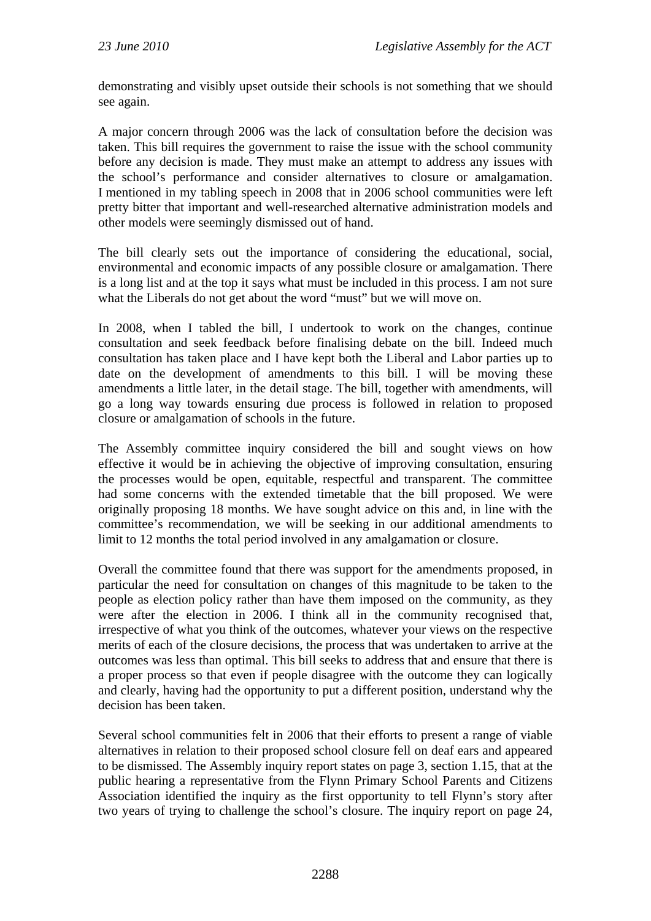demonstrating and visibly upset outside their schools is not something that we should see again.

A major concern through 2006 was the lack of consultation before the decision was taken. This bill requires the government to raise the issue with the school community before any decision is made. They must make an attempt to address any issues with the school's performance and consider alternatives to closure or amalgamation. I mentioned in my tabling speech in 2008 that in 2006 school communities were left pretty bitter that important and well-researched alternative administration models and other models were seemingly dismissed out of hand.

The bill clearly sets out the importance of considering the educational, social, environmental and economic impacts of any possible closure or amalgamation. There is a long list and at the top it says what must be included in this process. I am not sure what the Liberals do not get about the word "must" but we will move on.

In 2008, when I tabled the bill, I undertook to work on the changes, continue consultation and seek feedback before finalising debate on the bill. Indeed much consultation has taken place and I have kept both the Liberal and Labor parties up to date on the development of amendments to this bill. I will be moving these amendments a little later, in the detail stage. The bill, together with amendments, will go a long way towards ensuring due process is followed in relation to proposed closure or amalgamation of schools in the future.

The Assembly committee inquiry considered the bill and sought views on how effective it would be in achieving the objective of improving consultation, ensuring the processes would be open, equitable, respectful and transparent. The committee had some concerns with the extended timetable that the bill proposed. We were originally proposing 18 months. We have sought advice on this and, in line with the committee's recommendation, we will be seeking in our additional amendments to limit to 12 months the total period involved in any amalgamation or closure.

Overall the committee found that there was support for the amendments proposed, in particular the need for consultation on changes of this magnitude to be taken to the people as election policy rather than have them imposed on the community, as they were after the election in 2006. I think all in the community recognised that, irrespective of what you think of the outcomes, whatever your views on the respective merits of each of the closure decisions, the process that was undertaken to arrive at the outcomes was less than optimal. This bill seeks to address that and ensure that there is a proper process so that even if people disagree with the outcome they can logically and clearly, having had the opportunity to put a different position, understand why the decision has been taken.

Several school communities felt in 2006 that their efforts to present a range of viable alternatives in relation to their proposed school closure fell on deaf ears and appeared to be dismissed. The Assembly inquiry report states on page 3, section 1.15, that at the public hearing a representative from the Flynn Primary School Parents and Citizens Association identified the inquiry as the first opportunity to tell Flynn's story after two years of trying to challenge the school's closure. The inquiry report on page 24,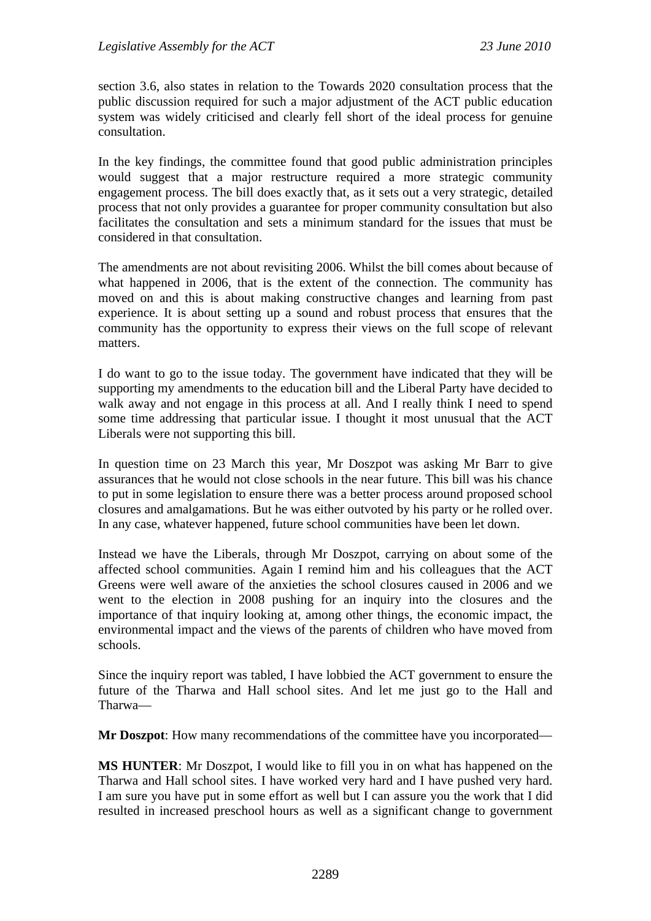section 3.6, also states in relation to the Towards 2020 consultation process that the public discussion required for such a major adjustment of the ACT public education system was widely criticised and clearly fell short of the ideal process for genuine consultation.

In the key findings, the committee found that good public administration principles would suggest that a major restructure required a more strategic community engagement process. The bill does exactly that, as it sets out a very strategic, detailed process that not only provides a guarantee for proper community consultation but also facilitates the consultation and sets a minimum standard for the issues that must be considered in that consultation.

The amendments are not about revisiting 2006. Whilst the bill comes about because of what happened in 2006, that is the extent of the connection. The community has moved on and this is about making constructive changes and learning from past experience. It is about setting up a sound and robust process that ensures that the community has the opportunity to express their views on the full scope of relevant matters.

I do want to go to the issue today. The government have indicated that they will be supporting my amendments to the education bill and the Liberal Party have decided to walk away and not engage in this process at all. And I really think I need to spend some time addressing that particular issue. I thought it most unusual that the ACT Liberals were not supporting this bill.

In question time on 23 March this year, Mr Doszpot was asking Mr Barr to give assurances that he would not close schools in the near future. This bill was his chance to put in some legislation to ensure there was a better process around proposed school closures and amalgamations. But he was either outvoted by his party or he rolled over. In any case, whatever happened, future school communities have been let down.

Instead we have the Liberals, through Mr Doszpot, carrying on about some of the affected school communities. Again I remind him and his colleagues that the ACT Greens were well aware of the anxieties the school closures caused in 2006 and we went to the election in 2008 pushing for an inquiry into the closures and the importance of that inquiry looking at, among other things, the economic impact, the environmental impact and the views of the parents of children who have moved from schools.

Since the inquiry report was tabled, I have lobbied the ACT government to ensure the future of the Tharwa and Hall school sites. And let me just go to the Hall and Tharwa—

**Mr Doszpot**: How many recommendations of the committee have you incorporated—

**MS HUNTER**: Mr Doszpot, I would like to fill you in on what has happened on the Tharwa and Hall school sites. I have worked very hard and I have pushed very hard. I am sure you have put in some effort as well but I can assure you the work that I did resulted in increased preschool hours as well as a significant change to government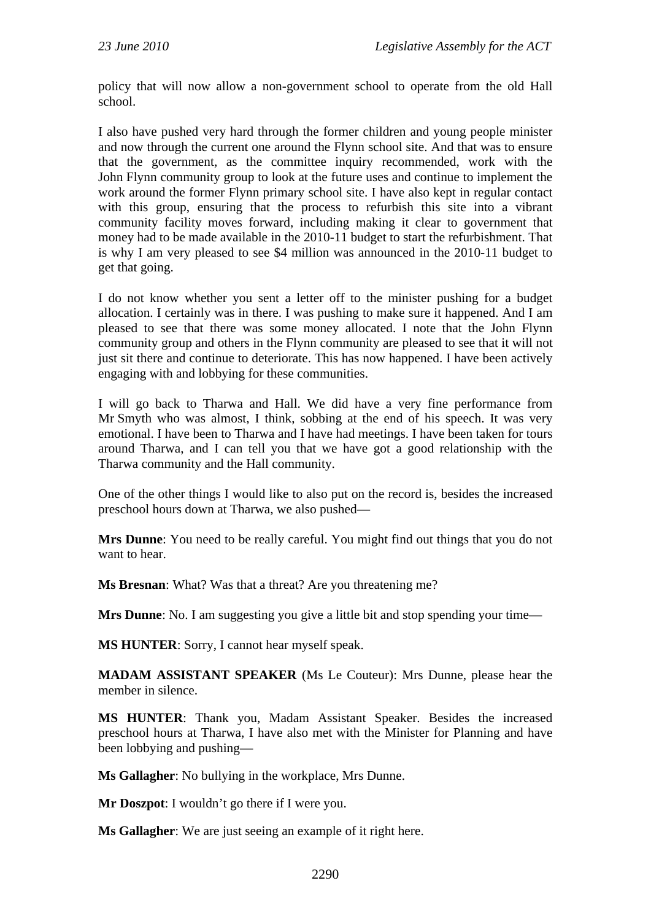policy that will now allow a non-government school to operate from the old Hall school.

I also have pushed very hard through the former children and young people minister and now through the current one around the Flynn school site. And that was to ensure that the government, as the committee inquiry recommended, work with the John Flynn community group to look at the future uses and continue to implement the work around the former Flynn primary school site. I have also kept in regular contact with this group, ensuring that the process to refurbish this site into a vibrant community facility moves forward, including making it clear to government that money had to be made available in the 2010-11 budget to start the refurbishment. That is why I am very pleased to see \$4 million was announced in the 2010-11 budget to get that going.

I do not know whether you sent a letter off to the minister pushing for a budget allocation. I certainly was in there. I was pushing to make sure it happened. And I am pleased to see that there was some money allocated. I note that the John Flynn community group and others in the Flynn community are pleased to see that it will not just sit there and continue to deteriorate. This has now happened. I have been actively engaging with and lobbying for these communities.

I will go back to Tharwa and Hall. We did have a very fine performance from Mr Smyth who was almost, I think, sobbing at the end of his speech. It was very emotional. I have been to Tharwa and I have had meetings. I have been taken for tours around Tharwa, and I can tell you that we have got a good relationship with the Tharwa community and the Hall community.

One of the other things I would like to also put on the record is, besides the increased preschool hours down at Tharwa, we also pushed—

**Mrs Dunne**: You need to be really careful. You might find out things that you do not want to hear.

**Ms Bresnan**: What? Was that a threat? Are you threatening me?

**Mrs Dunne**: No. I am suggesting you give a little bit and stop spending your time—

**MS HUNTER**: Sorry, I cannot hear myself speak.

**MADAM ASSISTANT SPEAKER** (Ms Le Couteur): Mrs Dunne, please hear the member in silence.

**MS HUNTER**: Thank you, Madam Assistant Speaker. Besides the increased preschool hours at Tharwa, I have also met with the Minister for Planning and have been lobbying and pushing—

**Ms Gallagher**: No bullying in the workplace, Mrs Dunne.

**Mr Doszpot**: I wouldn't go there if I were you.

**Ms Gallagher**: We are just seeing an example of it right here.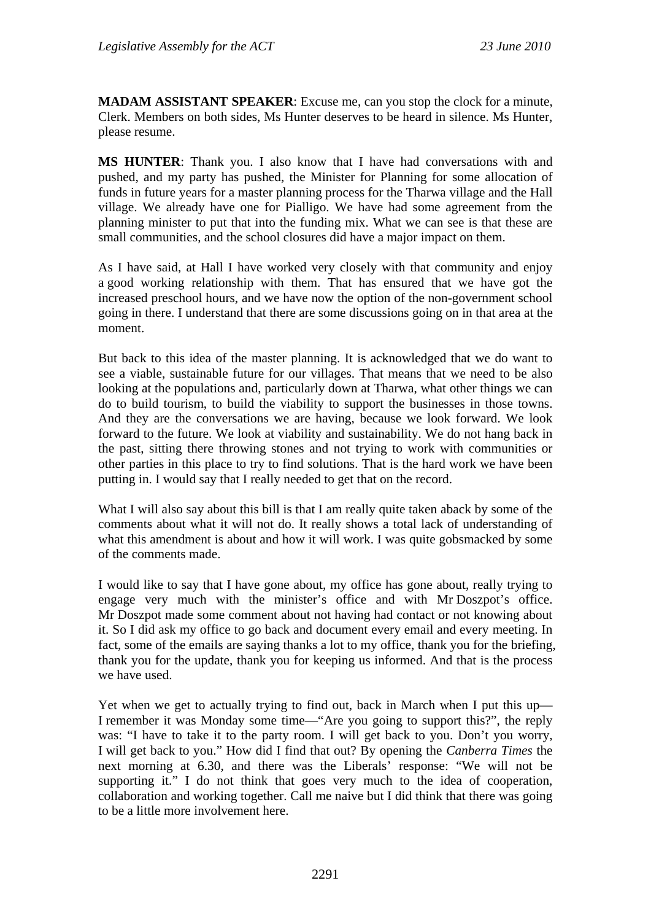**MADAM ASSISTANT SPEAKER**: Excuse me, can you stop the clock for a minute, Clerk. Members on both sides, Ms Hunter deserves to be heard in silence. Ms Hunter, please resume.

**MS HUNTER**: Thank you. I also know that I have had conversations with and pushed, and my party has pushed, the Minister for Planning for some allocation of funds in future years for a master planning process for the Tharwa village and the Hall village. We already have one for Pialligo. We have had some agreement from the planning minister to put that into the funding mix. What we can see is that these are small communities, and the school closures did have a major impact on them.

As I have said, at Hall I have worked very closely with that community and enjoy a good working relationship with them. That has ensured that we have got the increased preschool hours, and we have now the option of the non-government school going in there. I understand that there are some discussions going on in that area at the moment.

But back to this idea of the master planning. It is acknowledged that we do want to see a viable, sustainable future for our villages. That means that we need to be also looking at the populations and, particularly down at Tharwa, what other things we can do to build tourism, to build the viability to support the businesses in those towns. And they are the conversations we are having, because we look forward. We look forward to the future. We look at viability and sustainability. We do not hang back in the past, sitting there throwing stones and not trying to work with communities or other parties in this place to try to find solutions. That is the hard work we have been putting in. I would say that I really needed to get that on the record.

What I will also say about this bill is that I am really quite taken aback by some of the comments about what it will not do. It really shows a total lack of understanding of what this amendment is about and how it will work. I was quite gobsmacked by some of the comments made.

I would like to say that I have gone about, my office has gone about, really trying to engage very much with the minister's office and with Mr Doszpot's office. Mr Doszpot made some comment about not having had contact or not knowing about it. So I did ask my office to go back and document every email and every meeting. In fact, some of the emails are saying thanks a lot to my office, thank you for the briefing, thank you for the update, thank you for keeping us informed. And that is the process we have used.

Yet when we get to actually trying to find out, back in March when I put this up— I remember it was Monday some time—"Are you going to support this?", the reply was: "I have to take it to the party room. I will get back to you. Don't you worry, I will get back to you." How did I find that out? By opening the *Canberra Times* the next morning at 6.30, and there was the Liberals' response: "We will not be supporting it." I do not think that goes very much to the idea of cooperation, collaboration and working together. Call me naive but I did think that there was going to be a little more involvement here.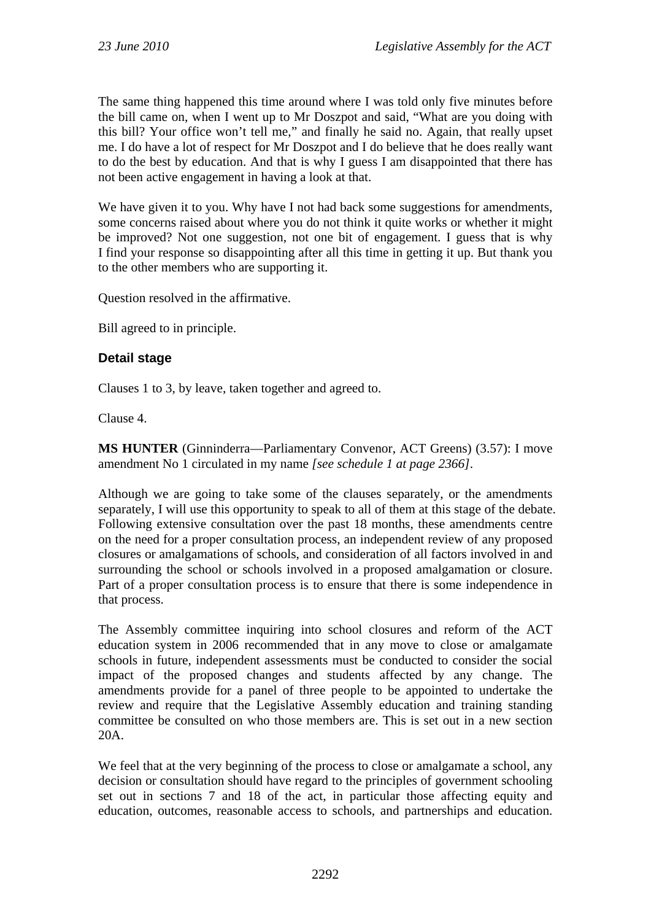The same thing happened this time around where I was told only five minutes before the bill came on, when I went up to Mr Doszpot and said, "What are you doing with this bill? Your office won't tell me," and finally he said no. Again, that really upset me. I do have a lot of respect for Mr Doszpot and I do believe that he does really want to do the best by education. And that is why I guess I am disappointed that there has not been active engagement in having a look at that.

We have given it to you. Why have I not had back some suggestions for amendments, some concerns raised about where you do not think it quite works or whether it might be improved? Not one suggestion, not one bit of engagement. I guess that is why I find your response so disappointing after all this time in getting it up. But thank you to the other members who are supporting it.

Question resolved in the affirmative.

Bill agreed to in principle.

## **Detail stage**

Clauses 1 to 3, by leave, taken together and agreed to.

Clause 4.

**MS HUNTER** (Ginninderra—Parliamentary Convenor, ACT Greens) (3.57): I move amendment No 1 circulated in my name *[see schedule 1 at page 2366]*.

Although we are going to take some of the clauses separately, or the amendments separately, I will use this opportunity to speak to all of them at this stage of the debate. Following extensive consultation over the past 18 months, these amendments centre on the need for a proper consultation process, an independent review of any proposed closures or amalgamations of schools, and consideration of all factors involved in and surrounding the school or schools involved in a proposed amalgamation or closure. Part of a proper consultation process is to ensure that there is some independence in that process.

The Assembly committee inquiring into school closures and reform of the ACT education system in 2006 recommended that in any move to close or amalgamate schools in future, independent assessments must be conducted to consider the social impact of the proposed changes and students affected by any change. The amendments provide for a panel of three people to be appointed to undertake the review and require that the Legislative Assembly education and training standing committee be consulted on who those members are. This is set out in a new section 20A.

We feel that at the very beginning of the process to close or amalgamate a school, any decision or consultation should have regard to the principles of government schooling set out in sections 7 and 18 of the act, in particular those affecting equity and education, outcomes, reasonable access to schools, and partnerships and education.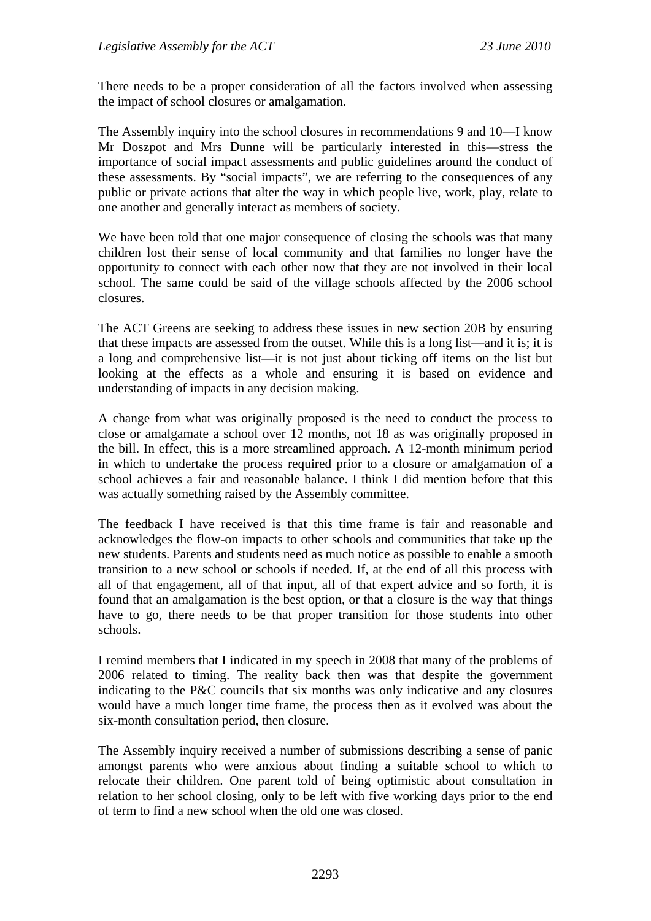There needs to be a proper consideration of all the factors involved when assessing the impact of school closures or amalgamation.

The Assembly inquiry into the school closures in recommendations 9 and 10—I know Mr Doszpot and Mrs Dunne will be particularly interested in this—stress the importance of social impact assessments and public guidelines around the conduct of these assessments. By "social impacts", we are referring to the consequences of any public or private actions that alter the way in which people live, work, play, relate to one another and generally interact as members of society.

We have been told that one major consequence of closing the schools was that many children lost their sense of local community and that families no longer have the opportunity to connect with each other now that they are not involved in their local school. The same could be said of the village schools affected by the 2006 school closures.

The ACT Greens are seeking to address these issues in new section 20B by ensuring that these impacts are assessed from the outset. While this is a long list—and it is; it is a long and comprehensive list—it is not just about ticking off items on the list but looking at the effects as a whole and ensuring it is based on evidence and understanding of impacts in any decision making.

A change from what was originally proposed is the need to conduct the process to close or amalgamate a school over 12 months, not 18 as was originally proposed in the bill. In effect, this is a more streamlined approach. A 12-month minimum period in which to undertake the process required prior to a closure or amalgamation of a school achieves a fair and reasonable balance. I think I did mention before that this was actually something raised by the Assembly committee.

The feedback I have received is that this time frame is fair and reasonable and acknowledges the flow-on impacts to other schools and communities that take up the new students. Parents and students need as much notice as possible to enable a smooth transition to a new school or schools if needed. If, at the end of all this process with all of that engagement, all of that input, all of that expert advice and so forth, it is found that an amalgamation is the best option, or that a closure is the way that things have to go, there needs to be that proper transition for those students into other schools.

I remind members that I indicated in my speech in 2008 that many of the problems of 2006 related to timing. The reality back then was that despite the government indicating to the P&C councils that six months was only indicative and any closures would have a much longer time frame, the process then as it evolved was about the six-month consultation period, then closure.

The Assembly inquiry received a number of submissions describing a sense of panic amongst parents who were anxious about finding a suitable school to which to relocate their children. One parent told of being optimistic about consultation in relation to her school closing, only to be left with five working days prior to the end of term to find a new school when the old one was closed.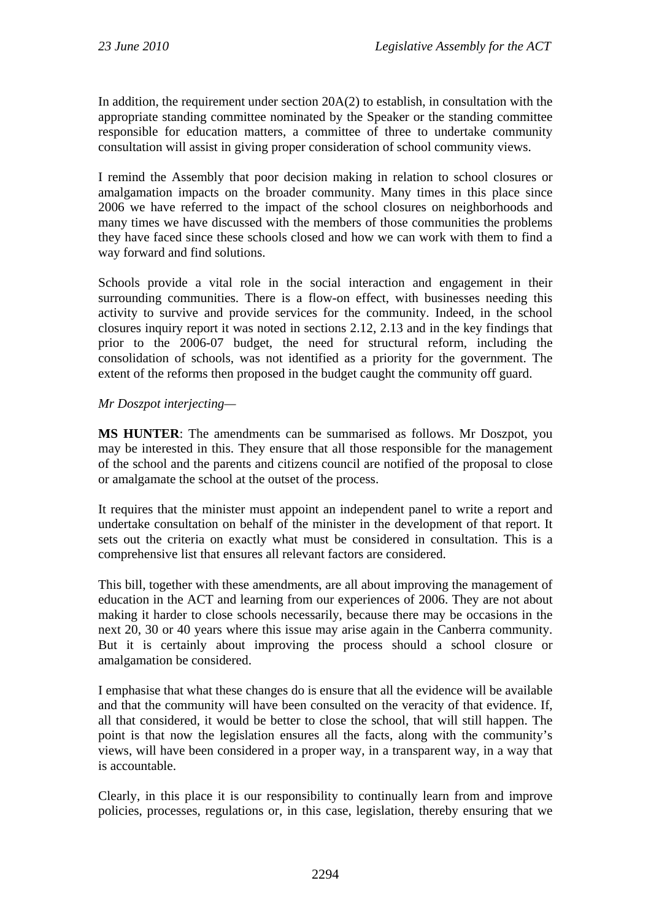In addition, the requirement under section 20A(2) to establish, in consultation with the appropriate standing committee nominated by the Speaker or the standing committee responsible for education matters, a committee of three to undertake community consultation will assist in giving proper consideration of school community views.

I remind the Assembly that poor decision making in relation to school closures or amalgamation impacts on the broader community. Many times in this place since 2006 we have referred to the impact of the school closures on neighborhoods and many times we have discussed with the members of those communities the problems they have faced since these schools closed and how we can work with them to find a way forward and find solutions.

Schools provide a vital role in the social interaction and engagement in their surrounding communities. There is a flow-on effect, with businesses needing this activity to survive and provide services for the community. Indeed, in the school closures inquiry report it was noted in sections 2.12, 2.13 and in the key findings that prior to the 2006-07 budget, the need for structural reform, including the consolidation of schools, was not identified as a priority for the government. The extent of the reforms then proposed in the budget caught the community off guard.

## *Mr Doszpot interjecting—*

**MS HUNTER**: The amendments can be summarised as follows. Mr Doszpot, you may be interested in this. They ensure that all those responsible for the management of the school and the parents and citizens council are notified of the proposal to close or amalgamate the school at the outset of the process.

It requires that the minister must appoint an independent panel to write a report and undertake consultation on behalf of the minister in the development of that report. It sets out the criteria on exactly what must be considered in consultation. This is a comprehensive list that ensures all relevant factors are considered.

This bill, together with these amendments, are all about improving the management of education in the ACT and learning from our experiences of 2006. They are not about making it harder to close schools necessarily, because there may be occasions in the next 20, 30 or 40 years where this issue may arise again in the Canberra community. But it is certainly about improving the process should a school closure or amalgamation be considered.

I emphasise that what these changes do is ensure that all the evidence will be available and that the community will have been consulted on the veracity of that evidence. If, all that considered, it would be better to close the school, that will still happen. The point is that now the legislation ensures all the facts, along with the community's views, will have been considered in a proper way, in a transparent way, in a way that is accountable.

Clearly, in this place it is our responsibility to continually learn from and improve policies, processes, regulations or, in this case, legislation, thereby ensuring that we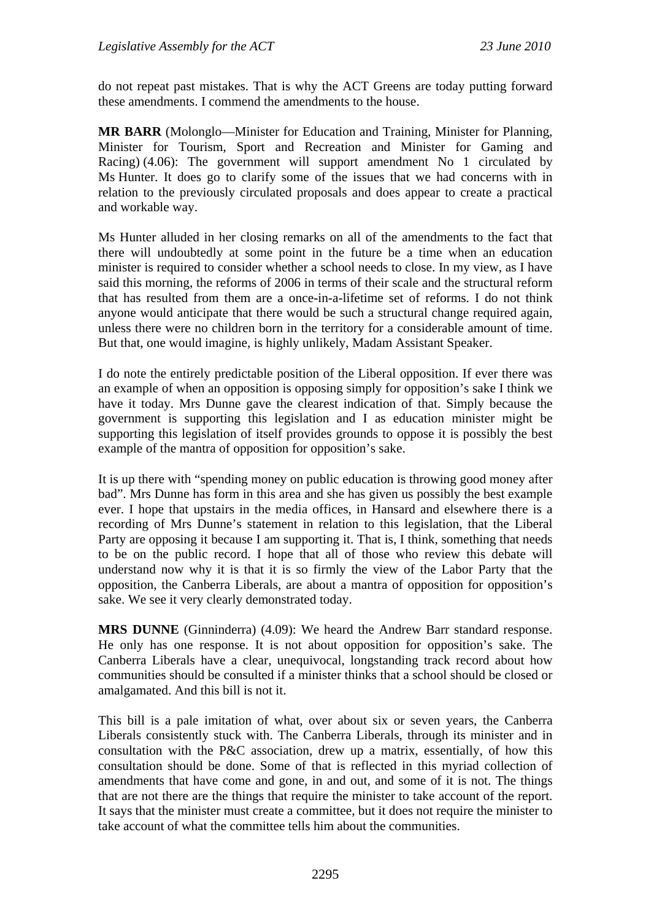do not repeat past mistakes. That is why the ACT Greens are today putting forward these amendments. I commend the amendments to the house.

**MR BARR** (Molonglo—Minister for Education and Training, Minister for Planning, Minister for Tourism, Sport and Recreation and Minister for Gaming and Racing) (4.06): The government will support amendment No 1 circulated by Ms Hunter. It does go to clarify some of the issues that we had concerns with in relation to the previously circulated proposals and does appear to create a practical and workable way.

Ms Hunter alluded in her closing remarks on all of the amendments to the fact that there will undoubtedly at some point in the future be a time when an education minister is required to consider whether a school needs to close. In my view, as I have said this morning, the reforms of 2006 in terms of their scale and the structural reform that has resulted from them are a once-in-a-lifetime set of reforms. I do not think anyone would anticipate that there would be such a structural change required again, unless there were no children born in the territory for a considerable amount of time. But that, one would imagine, is highly unlikely, Madam Assistant Speaker.

I do note the entirely predictable position of the Liberal opposition. If ever there was an example of when an opposition is opposing simply for opposition's sake I think we have it today. Mrs Dunne gave the clearest indication of that. Simply because the government is supporting this legislation and I as education minister might be supporting this legislation of itself provides grounds to oppose it is possibly the best example of the mantra of opposition for opposition's sake.

It is up there with "spending money on public education is throwing good money after bad". Mrs Dunne has form in this area and she has given us possibly the best example ever. I hope that upstairs in the media offices, in Hansard and elsewhere there is a recording of Mrs Dunne's statement in relation to this legislation, that the Liberal Party are opposing it because I am supporting it. That is, I think, something that needs to be on the public record. I hope that all of those who review this debate will understand now why it is that it is so firmly the view of the Labor Party that the opposition, the Canberra Liberals, are about a mantra of opposition for opposition's sake. We see it very clearly demonstrated today.

**MRS DUNNE** (Ginninderra) (4.09): We heard the Andrew Barr standard response. He only has one response. It is not about opposition for opposition's sake. The Canberra Liberals have a clear, unequivocal, longstanding track record about how communities should be consulted if a minister thinks that a school should be closed or amalgamated. And this bill is not it.

This bill is a pale imitation of what, over about six or seven years, the Canberra Liberals consistently stuck with. The Canberra Liberals, through its minister and in consultation with the P&C association, drew up a matrix, essentially, of how this consultation should be done. Some of that is reflected in this myriad collection of amendments that have come and gone, in and out, and some of it is not. The things that are not there are the things that require the minister to take account of the report. It says that the minister must create a committee, but it does not require the minister to take account of what the committee tells him about the communities.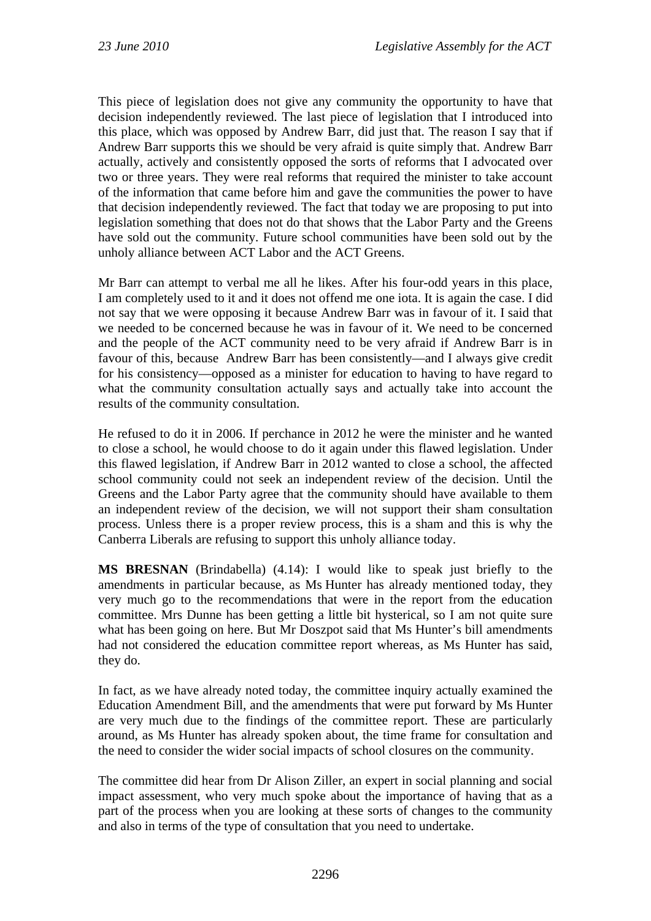This piece of legislation does not give any community the opportunity to have that decision independently reviewed. The last piece of legislation that I introduced into this place, which was opposed by Andrew Barr, did just that. The reason I say that if Andrew Barr supports this we should be very afraid is quite simply that. Andrew Barr actually, actively and consistently opposed the sorts of reforms that I advocated over two or three years. They were real reforms that required the minister to take account of the information that came before him and gave the communities the power to have that decision independently reviewed. The fact that today we are proposing to put into legislation something that does not do that shows that the Labor Party and the Greens have sold out the community. Future school communities have been sold out by the unholy alliance between ACT Labor and the ACT Greens.

Mr Barr can attempt to verbal me all he likes. After his four-odd years in this place, I am completely used to it and it does not offend me one iota. It is again the case. I did not say that we were opposing it because Andrew Barr was in favour of it. I said that we needed to be concerned because he was in favour of it. We need to be concerned and the people of the ACT community need to be very afraid if Andrew Barr is in favour of this, because Andrew Barr has been consistently—and I always give credit for his consistency—opposed as a minister for education to having to have regard to what the community consultation actually says and actually take into account the results of the community consultation.

He refused to do it in 2006. If perchance in 2012 he were the minister and he wanted to close a school, he would choose to do it again under this flawed legislation. Under this flawed legislation, if Andrew Barr in 2012 wanted to close a school, the affected school community could not seek an independent review of the decision. Until the Greens and the Labor Party agree that the community should have available to them an independent review of the decision, we will not support their sham consultation process. Unless there is a proper review process, this is a sham and this is why the Canberra Liberals are refusing to support this unholy alliance today.

**MS BRESNAN** (Brindabella) (4.14): I would like to speak just briefly to the amendments in particular because, as Ms Hunter has already mentioned today, they very much go to the recommendations that were in the report from the education committee. Mrs Dunne has been getting a little bit hysterical, so I am not quite sure what has been going on here. But Mr Doszpot said that Ms Hunter's bill amendments had not considered the education committee report whereas, as Ms Hunter has said, they do.

In fact, as we have already noted today, the committee inquiry actually examined the Education Amendment Bill, and the amendments that were put forward by Ms Hunter are very much due to the findings of the committee report. These are particularly around, as Ms Hunter has already spoken about, the time frame for consultation and the need to consider the wider social impacts of school closures on the community.

The committee did hear from Dr Alison Ziller, an expert in social planning and social impact assessment, who very much spoke about the importance of having that as a part of the process when you are looking at these sorts of changes to the community and also in terms of the type of consultation that you need to undertake.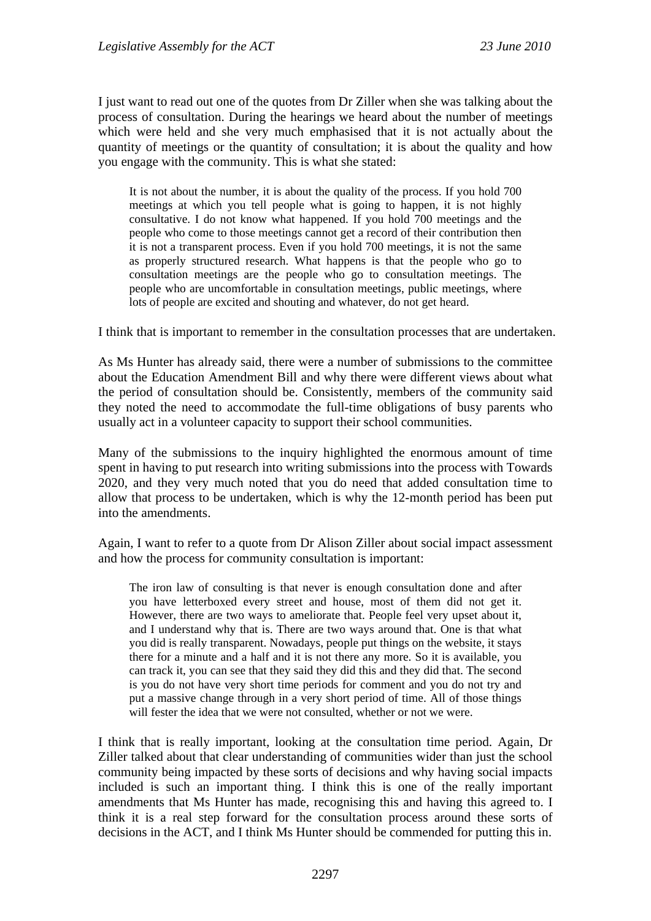I just want to read out one of the quotes from Dr Ziller when she was talking about the process of consultation. During the hearings we heard about the number of meetings which were held and she very much emphasised that it is not actually about the quantity of meetings or the quantity of consultation; it is about the quality and how you engage with the community. This is what she stated:

It is not about the number, it is about the quality of the process. If you hold 700 meetings at which you tell people what is going to happen, it is not highly consultative. I do not know what happened. If you hold 700 meetings and the people who come to those meetings cannot get a record of their contribution then it is not a transparent process. Even if you hold 700 meetings, it is not the same as properly structured research. What happens is that the people who go to consultation meetings are the people who go to consultation meetings. The people who are uncomfortable in consultation meetings, public meetings, where lots of people are excited and shouting and whatever, do not get heard.

I think that is important to remember in the consultation processes that are undertaken.

As Ms Hunter has already said, there were a number of submissions to the committee about the Education Amendment Bill and why there were different views about what the period of consultation should be. Consistently, members of the community said they noted the need to accommodate the full-time obligations of busy parents who usually act in a volunteer capacity to support their school communities.

Many of the submissions to the inquiry highlighted the enormous amount of time spent in having to put research into writing submissions into the process with Towards 2020, and they very much noted that you do need that added consultation time to allow that process to be undertaken, which is why the 12-month period has been put into the amendments.

Again, I want to refer to a quote from Dr Alison Ziller about social impact assessment and how the process for community consultation is important:

The iron law of consulting is that never is enough consultation done and after you have letterboxed every street and house, most of them did not get it. However, there are two ways to ameliorate that. People feel very upset about it, and I understand why that is. There are two ways around that. One is that what you did is really transparent. Nowadays, people put things on the website, it stays there for a minute and a half and it is not there any more. So it is available, you can track it, you can see that they said they did this and they did that. The second is you do not have very short time periods for comment and you do not try and put a massive change through in a very short period of time. All of those things will fester the idea that we were not consulted, whether or not we were.

I think that is really important, looking at the consultation time period. Again, Dr Ziller talked about that clear understanding of communities wider than just the school community being impacted by these sorts of decisions and why having social impacts included is such an important thing. I think this is one of the really important amendments that Ms Hunter has made, recognising this and having this agreed to. I think it is a real step forward for the consultation process around these sorts of decisions in the ACT, and I think Ms Hunter should be commended for putting this in.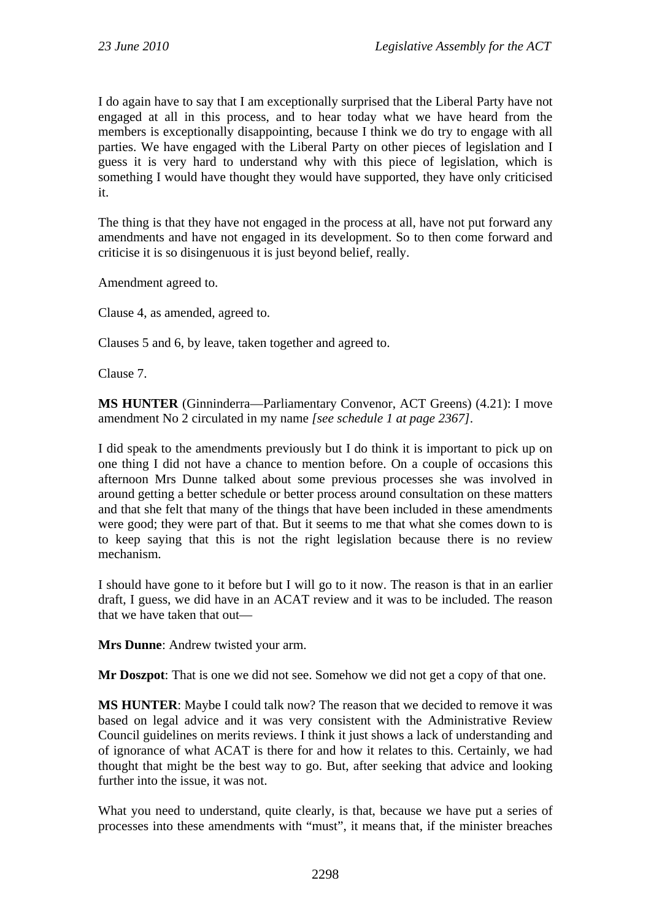I do again have to say that I am exceptionally surprised that the Liberal Party have not engaged at all in this process, and to hear today what we have heard from the members is exceptionally disappointing, because I think we do try to engage with all parties. We have engaged with the Liberal Party on other pieces of legislation and I guess it is very hard to understand why with this piece of legislation, which is something I would have thought they would have supported, they have only criticised it.

The thing is that they have not engaged in the process at all, have not put forward any amendments and have not engaged in its development. So to then come forward and criticise it is so disingenuous it is just beyond belief, really.

Amendment agreed to.

Clause 4, as amended, agreed to.

Clauses 5 and 6, by leave, taken together and agreed to.

Clause 7.

**MS HUNTER** (Ginninderra—Parliamentary Convenor, ACT Greens) (4.21): I move amendment No 2 circulated in my name *[see schedule 1 at page 2367]*.

I did speak to the amendments previously but I do think it is important to pick up on one thing I did not have a chance to mention before. On a couple of occasions this afternoon Mrs Dunne talked about some previous processes she was involved in around getting a better schedule or better process around consultation on these matters and that she felt that many of the things that have been included in these amendments were good; they were part of that. But it seems to me that what she comes down to is to keep saying that this is not the right legislation because there is no review mechanism.

I should have gone to it before but I will go to it now. The reason is that in an earlier draft, I guess, we did have in an ACAT review and it was to be included. The reason that we have taken that out—

**Mrs Dunne**: Andrew twisted your arm.

**Mr Doszpot**: That is one we did not see. Somehow we did not get a copy of that one.

**MS HUNTER**: Maybe I could talk now? The reason that we decided to remove it was based on legal advice and it was very consistent with the Administrative Review Council guidelines on merits reviews. I think it just shows a lack of understanding and of ignorance of what ACAT is there for and how it relates to this. Certainly, we had thought that might be the best way to go. But, after seeking that advice and looking further into the issue, it was not.

What you need to understand, quite clearly, is that, because we have put a series of processes into these amendments with "must", it means that, if the minister breaches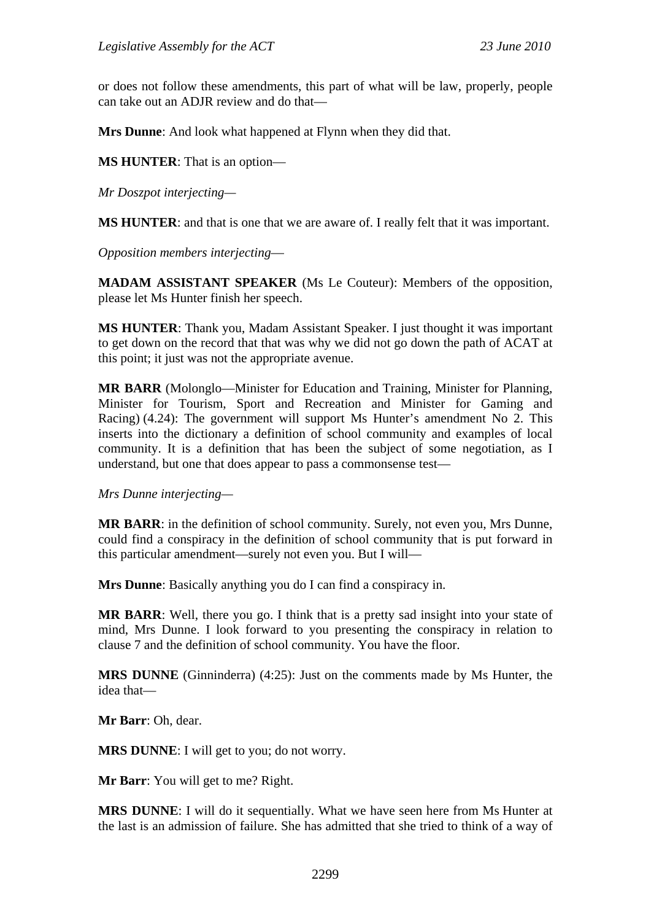or does not follow these amendments, this part of what will be law, properly, people can take out an ADJR review and do that—

**Mrs Dunne**: And look what happened at Flynn when they did that.

**MS HUNTER**: That is an option—

*Mr Doszpot interjecting—* 

**MS HUNTER**: and that is one that we are aware of. I really felt that it was important.

*Opposition members interjecting*—

**MADAM ASSISTANT SPEAKER** (Ms Le Couteur): Members of the opposition, please let Ms Hunter finish her speech.

**MS HUNTER**: Thank you, Madam Assistant Speaker. I just thought it was important to get down on the record that that was why we did not go down the path of ACAT at this point; it just was not the appropriate avenue.

**MR BARR** (Molonglo—Minister for Education and Training, Minister for Planning, Minister for Tourism, Sport and Recreation and Minister for Gaming and Racing) (4.24): The government will support Ms Hunter's amendment No 2. This inserts into the dictionary a definition of school community and examples of local community. It is a definition that has been the subject of some negotiation, as I understand, but one that does appear to pass a commonsense test—

*Mrs Dunne interjecting—* 

**MR BARR**: in the definition of school community. Surely, not even you, Mrs Dunne, could find a conspiracy in the definition of school community that is put forward in this particular amendment—surely not even you. But I will—

**Mrs Dunne**: Basically anything you do I can find a conspiracy in.

**MR BARR**: Well, there you go. I think that is a pretty sad insight into your state of mind, Mrs Dunne. I look forward to you presenting the conspiracy in relation to clause 7 and the definition of school community. You have the floor.

**MRS DUNNE** (Ginninderra) (4:25): Just on the comments made by Ms Hunter, the idea that—

**Mr Barr**: Oh, dear.

**MRS DUNNE**: I will get to you; do not worry.

**Mr Barr**: You will get to me? Right.

**MRS DUNNE**: I will do it sequentially. What we have seen here from Ms Hunter at the last is an admission of failure. She has admitted that she tried to think of a way of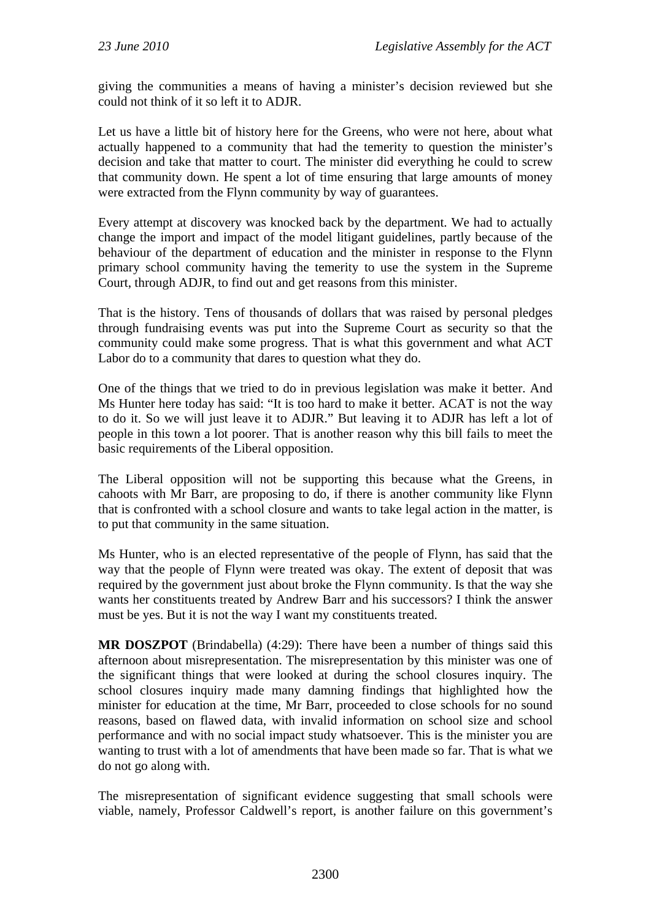giving the communities a means of having a minister's decision reviewed but she could not think of it so left it to ADJR.

Let us have a little bit of history here for the Greens, who were not here, about what actually happened to a community that had the temerity to question the minister's decision and take that matter to court. The minister did everything he could to screw that community down. He spent a lot of time ensuring that large amounts of money were extracted from the Flynn community by way of guarantees.

Every attempt at discovery was knocked back by the department. We had to actually change the import and impact of the model litigant guidelines, partly because of the behaviour of the department of education and the minister in response to the Flynn primary school community having the temerity to use the system in the Supreme Court, through ADJR, to find out and get reasons from this minister.

That is the history. Tens of thousands of dollars that was raised by personal pledges through fundraising events was put into the Supreme Court as security so that the community could make some progress. That is what this government and what ACT Labor do to a community that dares to question what they do.

One of the things that we tried to do in previous legislation was make it better. And Ms Hunter here today has said: "It is too hard to make it better. ACAT is not the way to do it. So we will just leave it to ADJR." But leaving it to ADJR has left a lot of people in this town a lot poorer. That is another reason why this bill fails to meet the basic requirements of the Liberal opposition.

The Liberal opposition will not be supporting this because what the Greens, in cahoots with Mr Barr, are proposing to do, if there is another community like Flynn that is confronted with a school closure and wants to take legal action in the matter, is to put that community in the same situation.

Ms Hunter, who is an elected representative of the people of Flynn, has said that the way that the people of Flynn were treated was okay. The extent of deposit that was required by the government just about broke the Flynn community. Is that the way she wants her constituents treated by Andrew Barr and his successors? I think the answer must be yes. But it is not the way I want my constituents treated.

**MR DOSZPOT** (Brindabella) (4:29): There have been a number of things said this afternoon about misrepresentation. The misrepresentation by this minister was one of the significant things that were looked at during the school closures inquiry. The school closures inquiry made many damning findings that highlighted how the minister for education at the time, Mr Barr, proceeded to close schools for no sound reasons, based on flawed data, with invalid information on school size and school performance and with no social impact study whatsoever. This is the minister you are wanting to trust with a lot of amendments that have been made so far. That is what we do not go along with.

The misrepresentation of significant evidence suggesting that small schools were viable, namely, Professor Caldwell's report, is another failure on this government's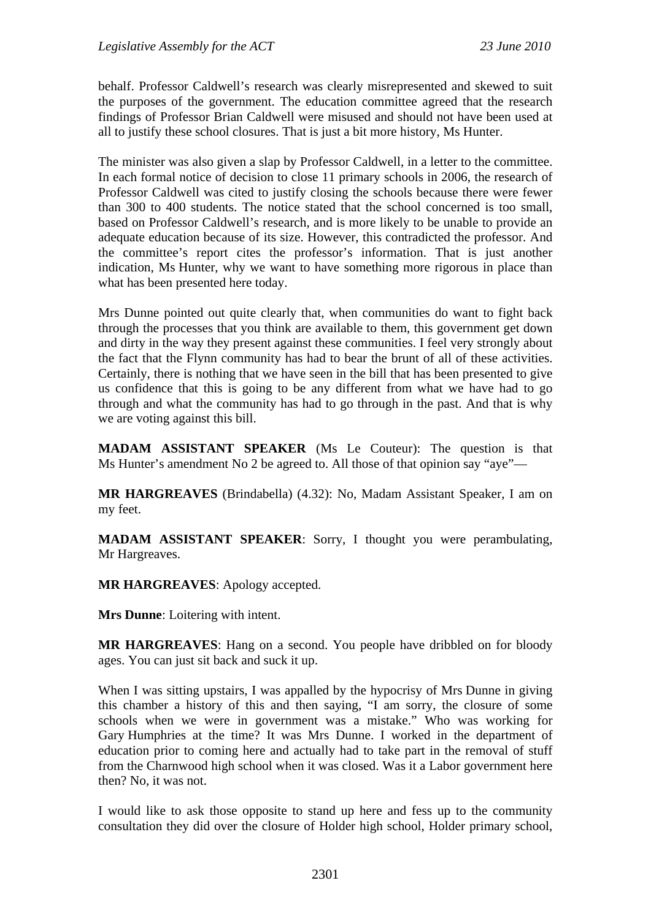behalf. Professor Caldwell's research was clearly misrepresented and skewed to suit the purposes of the government. The education committee agreed that the research findings of Professor Brian Caldwell were misused and should not have been used at all to justify these school closures. That is just a bit more history, Ms Hunter.

The minister was also given a slap by Professor Caldwell, in a letter to the committee. In each formal notice of decision to close 11 primary schools in 2006, the research of Professor Caldwell was cited to justify closing the schools because there were fewer than 300 to 400 students. The notice stated that the school concerned is too small, based on Professor Caldwell's research, and is more likely to be unable to provide an adequate education because of its size. However, this contradicted the professor. And the committee's report cites the professor's information. That is just another indication, Ms Hunter, why we want to have something more rigorous in place than what has been presented here today.

Mrs Dunne pointed out quite clearly that, when communities do want to fight back through the processes that you think are available to them, this government get down and dirty in the way they present against these communities. I feel very strongly about the fact that the Flynn community has had to bear the brunt of all of these activities. Certainly, there is nothing that we have seen in the bill that has been presented to give us confidence that this is going to be any different from what we have had to go through and what the community has had to go through in the past. And that is why we are voting against this bill.

**MADAM ASSISTANT SPEAKER** (Ms Le Couteur): The question is that Ms Hunter's amendment No 2 be agreed to. All those of that opinion say "aye"—

**MR HARGREAVES** (Brindabella) (4.32): No, Madam Assistant Speaker, I am on my feet.

**MADAM ASSISTANT SPEAKER**: Sorry, I thought you were perambulating, Mr Hargreaves.

**MR HARGREAVES**: Apology accepted.

**Mrs Dunne**: Loitering with intent.

**MR HARGREAVES**: Hang on a second. You people have dribbled on for bloody ages. You can just sit back and suck it up.

When I was sitting upstairs, I was appalled by the hypocrisy of Mrs Dunne in giving this chamber a history of this and then saying, "I am sorry, the closure of some schools when we were in government was a mistake." Who was working for Gary Humphries at the time? It was Mrs Dunne. I worked in the department of education prior to coming here and actually had to take part in the removal of stuff from the Charnwood high school when it was closed. Was it a Labor government here then? No, it was not.

I would like to ask those opposite to stand up here and fess up to the community consultation they did over the closure of Holder high school, Holder primary school,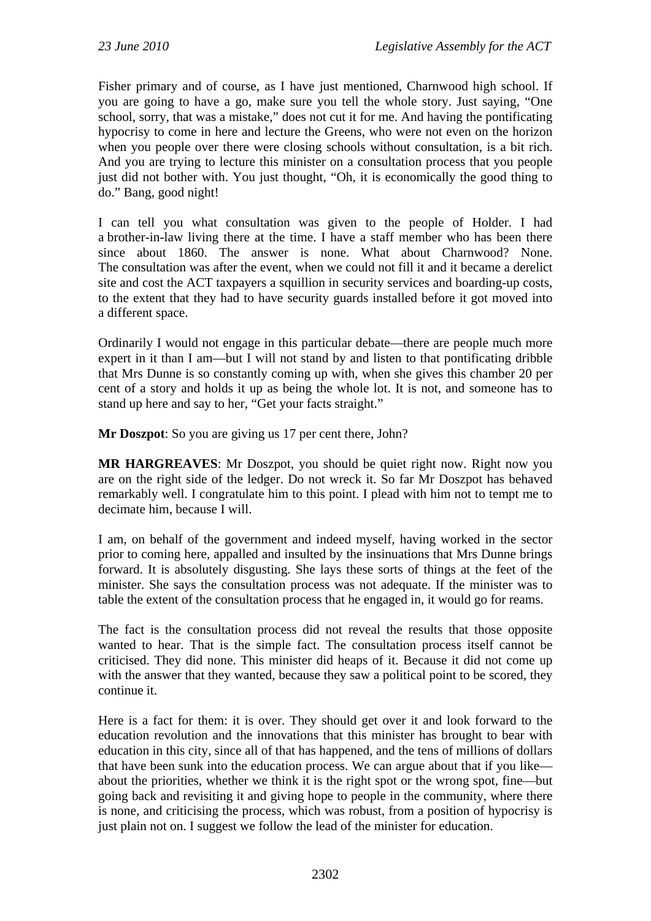Fisher primary and of course, as I have just mentioned, Charnwood high school. If you are going to have a go, make sure you tell the whole story. Just saying, "One school, sorry, that was a mistake," does not cut it for me. And having the pontificating hypocrisy to come in here and lecture the Greens, who were not even on the horizon when you people over there were closing schools without consultation, is a bit rich. And you are trying to lecture this minister on a consultation process that you people just did not bother with. You just thought, "Oh, it is economically the good thing to do." Bang, good night!

I can tell you what consultation was given to the people of Holder. I had a brother-in-law living there at the time. I have a staff member who has been there since about 1860. The answer is none. What about Charnwood? None. The consultation was after the event, when we could not fill it and it became a derelict site and cost the ACT taxpayers a squillion in security services and boarding-up costs, to the extent that they had to have security guards installed before it got moved into a different space.

Ordinarily I would not engage in this particular debate—there are people much more expert in it than I am—but I will not stand by and listen to that pontificating dribble that Mrs Dunne is so constantly coming up with, when she gives this chamber 20 per cent of a story and holds it up as being the whole lot. It is not, and someone has to stand up here and say to her, "Get your facts straight."

**Mr Doszpot**: So you are giving us 17 per cent there, John?

**MR HARGREAVES**: Mr Doszpot, you should be quiet right now. Right now you are on the right side of the ledger. Do not wreck it. So far Mr Doszpot has behaved remarkably well. I congratulate him to this point. I plead with him not to tempt me to decimate him, because I will.

I am, on behalf of the government and indeed myself, having worked in the sector prior to coming here, appalled and insulted by the insinuations that Mrs Dunne brings forward. It is absolutely disgusting. She lays these sorts of things at the feet of the minister. She says the consultation process was not adequate. If the minister was to table the extent of the consultation process that he engaged in, it would go for reams.

The fact is the consultation process did not reveal the results that those opposite wanted to hear. That is the simple fact. The consultation process itself cannot be criticised. They did none. This minister did heaps of it. Because it did not come up with the answer that they wanted, because they saw a political point to be scored, they continue it.

Here is a fact for them: it is over. They should get over it and look forward to the education revolution and the innovations that this minister has brought to bear with education in this city, since all of that has happened, and the tens of millions of dollars that have been sunk into the education process. We can argue about that if you like about the priorities, whether we think it is the right spot or the wrong spot, fine—but going back and revisiting it and giving hope to people in the community, where there is none, and criticising the process, which was robust, from a position of hypocrisy is just plain not on. I suggest we follow the lead of the minister for education.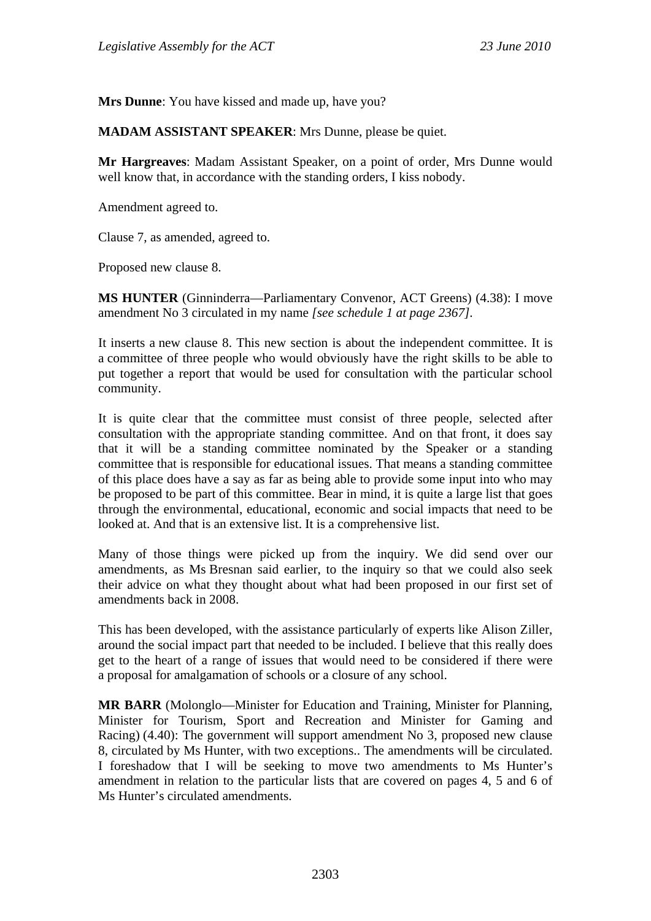**Mrs Dunne**: You have kissed and made up, have you?

**MADAM ASSISTANT SPEAKER**: Mrs Dunne, please be quiet.

**Mr Hargreaves**: Madam Assistant Speaker, on a point of order, Mrs Dunne would well know that, in accordance with the standing orders, I kiss nobody.

Amendment agreed to.

Clause 7, as amended, agreed to.

Proposed new clause 8.

**MS HUNTER** (Ginninderra—Parliamentary Convenor, ACT Greens) (4.38): I move amendment No 3 circulated in my name *[see schedule 1 at page 2367].*

It inserts a new clause 8. This new section is about the independent committee. It is a committee of three people who would obviously have the right skills to be able to put together a report that would be used for consultation with the particular school community.

It is quite clear that the committee must consist of three people, selected after consultation with the appropriate standing committee. And on that front, it does say that it will be a standing committee nominated by the Speaker or a standing committee that is responsible for educational issues. That means a standing committee of this place does have a say as far as being able to provide some input into who may be proposed to be part of this committee. Bear in mind, it is quite a large list that goes through the environmental, educational, economic and social impacts that need to be looked at. And that is an extensive list. It is a comprehensive list.

Many of those things were picked up from the inquiry. We did send over our amendments, as Ms Bresnan said earlier, to the inquiry so that we could also seek their advice on what they thought about what had been proposed in our first set of amendments back in 2008.

This has been developed, with the assistance particularly of experts like Alison Ziller, around the social impact part that needed to be included. I believe that this really does get to the heart of a range of issues that would need to be considered if there were a proposal for amalgamation of schools or a closure of any school.

**MR BARR** (Molonglo—Minister for Education and Training, Minister for Planning, Minister for Tourism, Sport and Recreation and Minister for Gaming and Racing) (4.40): The government will support amendment No 3, proposed new clause 8, circulated by Ms Hunter, with two exceptions.. The amendments will be circulated. I foreshadow that I will be seeking to move two amendments to Ms Hunter's amendment in relation to the particular lists that are covered on pages 4, 5 and 6 of Ms Hunter's circulated amendments.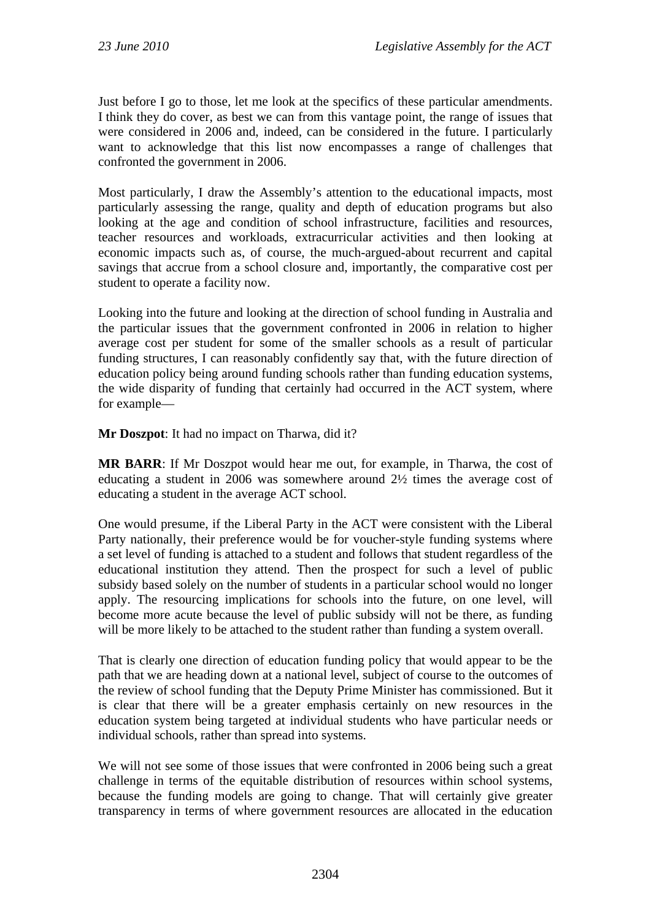Just before I go to those, let me look at the specifics of these particular amendments. I think they do cover, as best we can from this vantage point, the range of issues that were considered in 2006 and, indeed, can be considered in the future. I particularly want to acknowledge that this list now encompasses a range of challenges that confronted the government in 2006.

Most particularly, I draw the Assembly's attention to the educational impacts, most particularly assessing the range, quality and depth of education programs but also looking at the age and condition of school infrastructure, facilities and resources, teacher resources and workloads, extracurricular activities and then looking at economic impacts such as, of course, the much-argued-about recurrent and capital savings that accrue from a school closure and, importantly, the comparative cost per student to operate a facility now.

Looking into the future and looking at the direction of school funding in Australia and the particular issues that the government confronted in 2006 in relation to higher average cost per student for some of the smaller schools as a result of particular funding structures, I can reasonably confidently say that, with the future direction of education policy being around funding schools rather than funding education systems, the wide disparity of funding that certainly had occurred in the ACT system, where for example—

**Mr Doszpot**: It had no impact on Tharwa, did it?

**MR BARR**: If Mr Doszpot would hear me out, for example, in Tharwa, the cost of educating a student in 2006 was somewhere around 2½ times the average cost of educating a student in the average ACT school.

One would presume, if the Liberal Party in the ACT were consistent with the Liberal Party nationally, their preference would be for voucher-style funding systems where a set level of funding is attached to a student and follows that student regardless of the educational institution they attend. Then the prospect for such a level of public subsidy based solely on the number of students in a particular school would no longer apply. The resourcing implications for schools into the future, on one level, will become more acute because the level of public subsidy will not be there, as funding will be more likely to be attached to the student rather than funding a system overall.

That is clearly one direction of education funding policy that would appear to be the path that we are heading down at a national level, subject of course to the outcomes of the review of school funding that the Deputy Prime Minister has commissioned. But it is clear that there will be a greater emphasis certainly on new resources in the education system being targeted at individual students who have particular needs or individual schools, rather than spread into systems.

We will not see some of those issues that were confronted in 2006 being such a great challenge in terms of the equitable distribution of resources within school systems, because the funding models are going to change. That will certainly give greater transparency in terms of where government resources are allocated in the education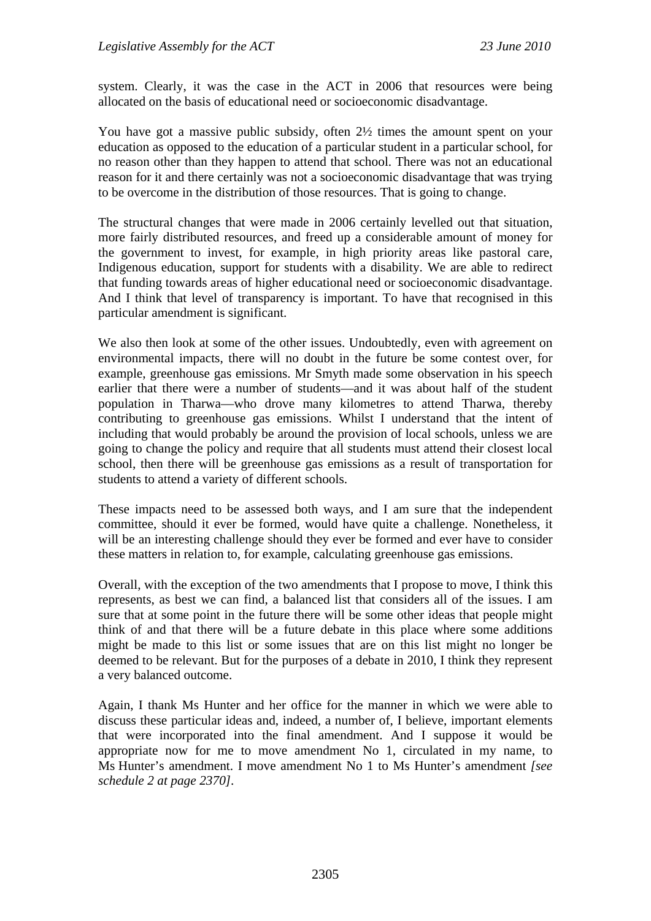system. Clearly, it was the case in the ACT in 2006 that resources were being allocated on the basis of educational need or socioeconomic disadvantage.

You have got a massive public subsidy, often 2½ times the amount spent on your education as opposed to the education of a particular student in a particular school, for no reason other than they happen to attend that school. There was not an educational reason for it and there certainly was not a socioeconomic disadvantage that was trying to be overcome in the distribution of those resources. That is going to change.

The structural changes that were made in 2006 certainly levelled out that situation, more fairly distributed resources, and freed up a considerable amount of money for the government to invest, for example, in high priority areas like pastoral care, Indigenous education, support for students with a disability. We are able to redirect that funding towards areas of higher educational need or socioeconomic disadvantage. And I think that level of transparency is important. To have that recognised in this particular amendment is significant.

We also then look at some of the other issues. Undoubtedly, even with agreement on environmental impacts, there will no doubt in the future be some contest over, for example, greenhouse gas emissions. Mr Smyth made some observation in his speech earlier that there were a number of students—and it was about half of the student population in Tharwa—who drove many kilometres to attend Tharwa, thereby contributing to greenhouse gas emissions. Whilst I understand that the intent of including that would probably be around the provision of local schools, unless we are going to change the policy and require that all students must attend their closest local school, then there will be greenhouse gas emissions as a result of transportation for students to attend a variety of different schools.

These impacts need to be assessed both ways, and I am sure that the independent committee, should it ever be formed, would have quite a challenge. Nonetheless, it will be an interesting challenge should they ever be formed and ever have to consider these matters in relation to, for example, calculating greenhouse gas emissions.

Overall, with the exception of the two amendments that I propose to move, I think this represents, as best we can find, a balanced list that considers all of the issues. I am sure that at some point in the future there will be some other ideas that people might think of and that there will be a future debate in this place where some additions might be made to this list or some issues that are on this list might no longer be deemed to be relevant. But for the purposes of a debate in 2010, I think they represent a very balanced outcome.

Again, I thank Ms Hunter and her office for the manner in which we were able to discuss these particular ideas and, indeed, a number of, I believe, important elements that were incorporated into the final amendment. And I suppose it would be appropriate now for me to move amendment No 1, circulated in my name, to Ms Hunter's amendment. I move amendment No 1 to Ms Hunter's amendment *[see schedule 2 at page 2370]*.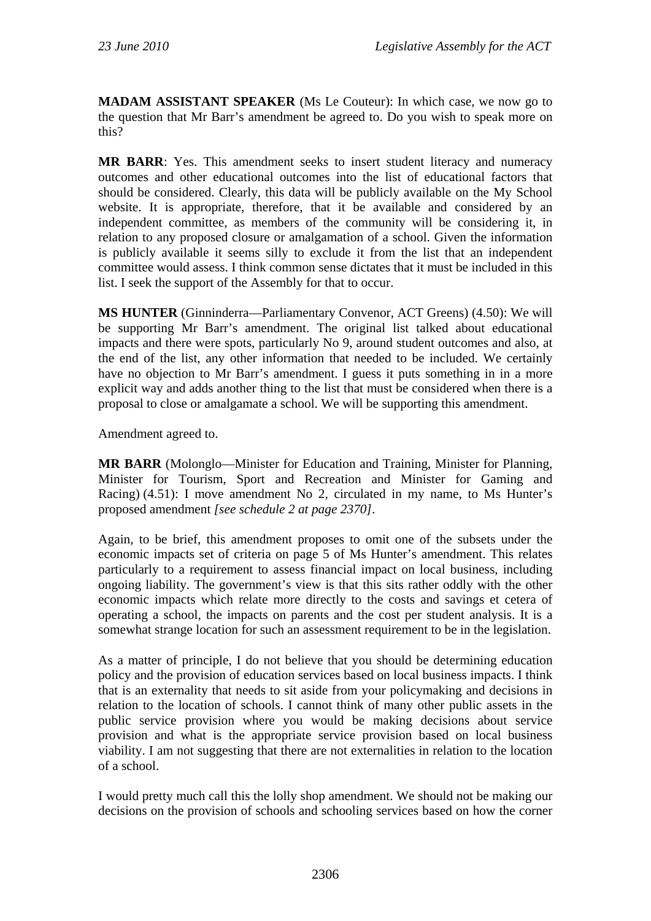**MADAM ASSISTANT SPEAKER** (Ms Le Couteur): In which case, we now go to the question that Mr Barr's amendment be agreed to. Do you wish to speak more on this?

**MR BARR**: Yes. This amendment seeks to insert student literacy and numeracy outcomes and other educational outcomes into the list of educational factors that should be considered. Clearly, this data will be publicly available on the My School website. It is appropriate, therefore, that it be available and considered by an independent committee, as members of the community will be considering it, in relation to any proposed closure or amalgamation of a school. Given the information is publicly available it seems silly to exclude it from the list that an independent committee would assess. I think common sense dictates that it must be included in this list. I seek the support of the Assembly for that to occur.

**MS HUNTER** (Ginninderra—Parliamentary Convenor, ACT Greens) (4.50): We will be supporting Mr Barr's amendment. The original list talked about educational impacts and there were spots, particularly No 9, around student outcomes and also, at the end of the list, any other information that needed to be included. We certainly have no objection to Mr Barr's amendment. I guess it puts something in in a more explicit way and adds another thing to the list that must be considered when there is a proposal to close or amalgamate a school. We will be supporting this amendment.

Amendment agreed to.

**MR BARR** (Molonglo—Minister for Education and Training, Minister for Planning, Minister for Tourism, Sport and Recreation and Minister for Gaming and Racing) (4.51): I move amendment No 2, circulated in my name, to Ms Hunter's proposed amendment *[see schedule 2 at page 2370]*.

Again, to be brief, this amendment proposes to omit one of the subsets under the economic impacts set of criteria on page 5 of Ms Hunter's amendment. This relates particularly to a requirement to assess financial impact on local business, including ongoing liability. The government's view is that this sits rather oddly with the other economic impacts which relate more directly to the costs and savings et cetera of operating a school, the impacts on parents and the cost per student analysis. It is a somewhat strange location for such an assessment requirement to be in the legislation.

As a matter of principle, I do not believe that you should be determining education policy and the provision of education services based on local business impacts. I think that is an externality that needs to sit aside from your policymaking and decisions in relation to the location of schools. I cannot think of many other public assets in the public service provision where you would be making decisions about service provision and what is the appropriate service provision based on local business viability. I am not suggesting that there are not externalities in relation to the location of a school.

I would pretty much call this the lolly shop amendment. We should not be making our decisions on the provision of schools and schooling services based on how the corner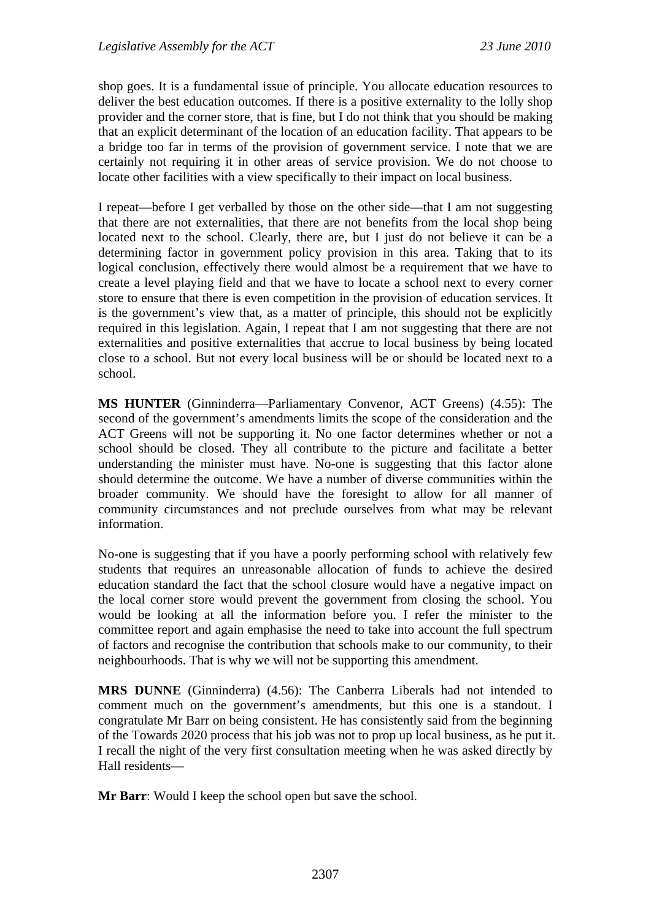shop goes. It is a fundamental issue of principle. You allocate education resources to deliver the best education outcomes. If there is a positive externality to the lolly shop provider and the corner store, that is fine, but I do not think that you should be making that an explicit determinant of the location of an education facility. That appears to be a bridge too far in terms of the provision of government service. I note that we are certainly not requiring it in other areas of service provision. We do not choose to locate other facilities with a view specifically to their impact on local business.

I repeat—before I get verballed by those on the other side—that I am not suggesting that there are not externalities, that there are not benefits from the local shop being located next to the school. Clearly, there are, but I just do not believe it can be a determining factor in government policy provision in this area. Taking that to its logical conclusion, effectively there would almost be a requirement that we have to create a level playing field and that we have to locate a school next to every corner store to ensure that there is even competition in the provision of education services. It is the government's view that, as a matter of principle, this should not be explicitly required in this legislation. Again, I repeat that I am not suggesting that there are not externalities and positive externalities that accrue to local business by being located close to a school. But not every local business will be or should be located next to a school.

**MS HUNTER** (Ginninderra—Parliamentary Convenor, ACT Greens) (4.55): The second of the government's amendments limits the scope of the consideration and the ACT Greens will not be supporting it. No one factor determines whether or not a school should be closed. They all contribute to the picture and facilitate a better understanding the minister must have. No-one is suggesting that this factor alone should determine the outcome. We have a number of diverse communities within the broader community. We should have the foresight to allow for all manner of community circumstances and not preclude ourselves from what may be relevant information.

No-one is suggesting that if you have a poorly performing school with relatively few students that requires an unreasonable allocation of funds to achieve the desired education standard the fact that the school closure would have a negative impact on the local corner store would prevent the government from closing the school. You would be looking at all the information before you. I refer the minister to the committee report and again emphasise the need to take into account the full spectrum of factors and recognise the contribution that schools make to our community, to their neighbourhoods. That is why we will not be supporting this amendment.

**MRS DUNNE** (Ginninderra) (4.56): The Canberra Liberals had not intended to comment much on the government's amendments, but this one is a standout. I congratulate Mr Barr on being consistent. He has consistently said from the beginning of the Towards 2020 process that his job was not to prop up local business, as he put it. I recall the night of the very first consultation meeting when he was asked directly by Hall residents—

**Mr Barr**: Would I keep the school open but save the school.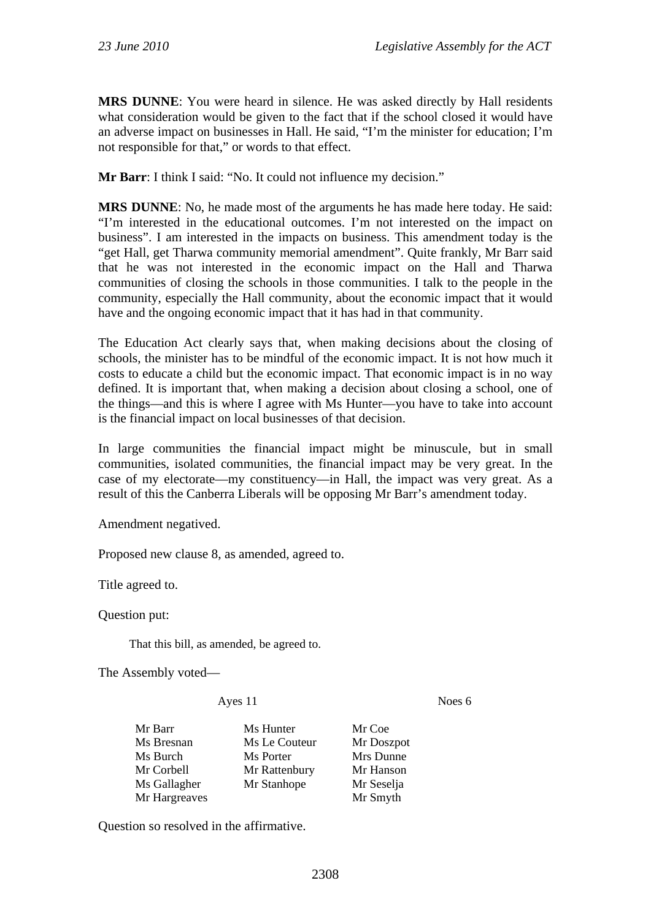**MRS DUNNE**: You were heard in silence. He was asked directly by Hall residents what consideration would be given to the fact that if the school closed it would have an adverse impact on businesses in Hall. He said, "I'm the minister for education; I'm not responsible for that," or words to that effect.

**Mr Barr**: I think I said: "No. It could not influence my decision."

**MRS DUNNE**: No, he made most of the arguments he has made here today. He said: "I'm interested in the educational outcomes. I'm not interested on the impact on business". I am interested in the impacts on business. This amendment today is the "get Hall, get Tharwa community memorial amendment". Quite frankly, Mr Barr said that he was not interested in the economic impact on the Hall and Tharwa communities of closing the schools in those communities. I talk to the people in the community, especially the Hall community, about the economic impact that it would have and the ongoing economic impact that it has had in that community.

The Education Act clearly says that, when making decisions about the closing of schools, the minister has to be mindful of the economic impact. It is not how much it costs to educate a child but the economic impact. That economic impact is in no way defined. It is important that, when making a decision about closing a school, one of the things—and this is where I agree with Ms Hunter—you have to take into account is the financial impact on local businesses of that decision.

In large communities the financial impact might be minuscule, but in small communities, isolated communities, the financial impact may be very great. In the case of my electorate—my constituency—in Hall, the impact was very great. As a result of this the Canberra Liberals will be opposing Mr Barr's amendment today.

Amendment negatived.

Proposed new clause 8, as amended, agreed to.

Title agreed to.

Question put:

That this bill, as amended, be agreed to.

The Assembly voted—

Ayes 11 Noes 6

| Mr Barr       | Ms Hunter     | Mr Coe     |
|---------------|---------------|------------|
| Ms Bresnan    | Ms Le Couteur | Mr Doszpot |
| Ms Burch      | Ms Porter     | Mrs Dunne  |
| Mr Corbell    | Mr Rattenbury | Mr Hanson  |
| Ms Gallagher  | Mr Stanhope   | Mr Seselja |
| Mr Hargreaves |               | Mr Smyth   |

Question so resolved in the affirmative.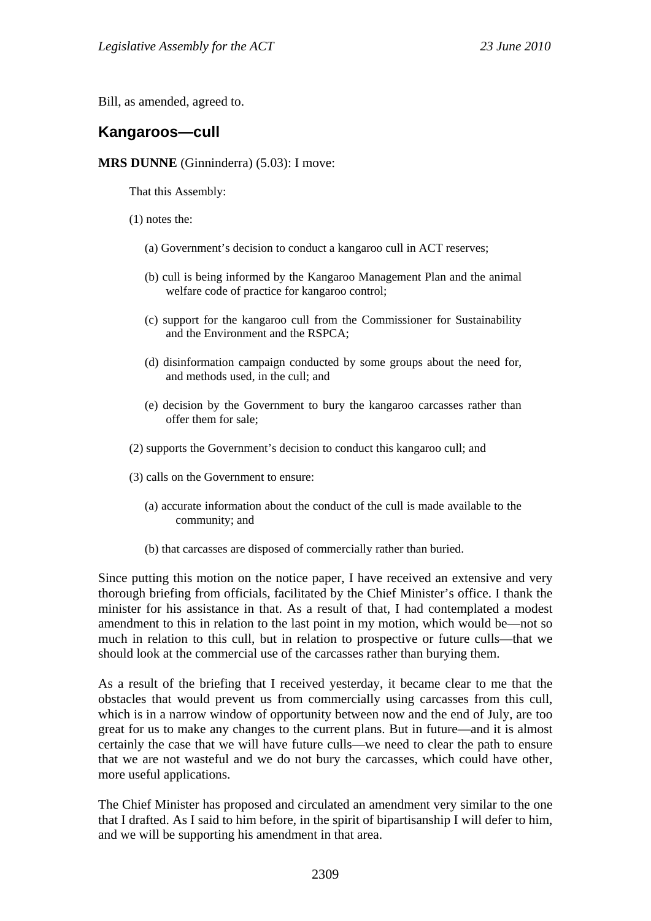Bill, as amended, agreed to.

## **Kangaroos—cull**

**MRS DUNNE** (Ginninderra) (5.03): I move:

That this Assembly:

(1) notes the:

- (a) Government's decision to conduct a kangaroo cull in ACT reserves;
- (b) cull is being informed by the Kangaroo Management Plan and the animal welfare code of practice for kangaroo control;
- (c) support for the kangaroo cull from the Commissioner for Sustainability and the Environment and the RSPCA;
- (d) disinformation campaign conducted by some groups about the need for, and methods used, in the cull; and
- (e) decision by the Government to bury the kangaroo carcasses rather than offer them for sale;
- (2) supports the Government's decision to conduct this kangaroo cull; and
- (3) calls on the Government to ensure:
	- (a) accurate information about the conduct of the cull is made available to the community; and
	- (b) that carcasses are disposed of commercially rather than buried.

Since putting this motion on the notice paper, I have received an extensive and very thorough briefing from officials, facilitated by the Chief Minister's office. I thank the minister for his assistance in that. As a result of that, I had contemplated a modest amendment to this in relation to the last point in my motion, which would be—not so much in relation to this cull, but in relation to prospective or future culls—that we should look at the commercial use of the carcasses rather than burying them.

As a result of the briefing that I received yesterday, it became clear to me that the obstacles that would prevent us from commercially using carcasses from this cull, which is in a narrow window of opportunity between now and the end of July, are too great for us to make any changes to the current plans. But in future—and it is almost certainly the case that we will have future culls—we need to clear the path to ensure that we are not wasteful and we do not bury the carcasses, which could have other, more useful applications.

The Chief Minister has proposed and circulated an amendment very similar to the one that I drafted. As I said to him before, in the spirit of bipartisanship I will defer to him, and we will be supporting his amendment in that area.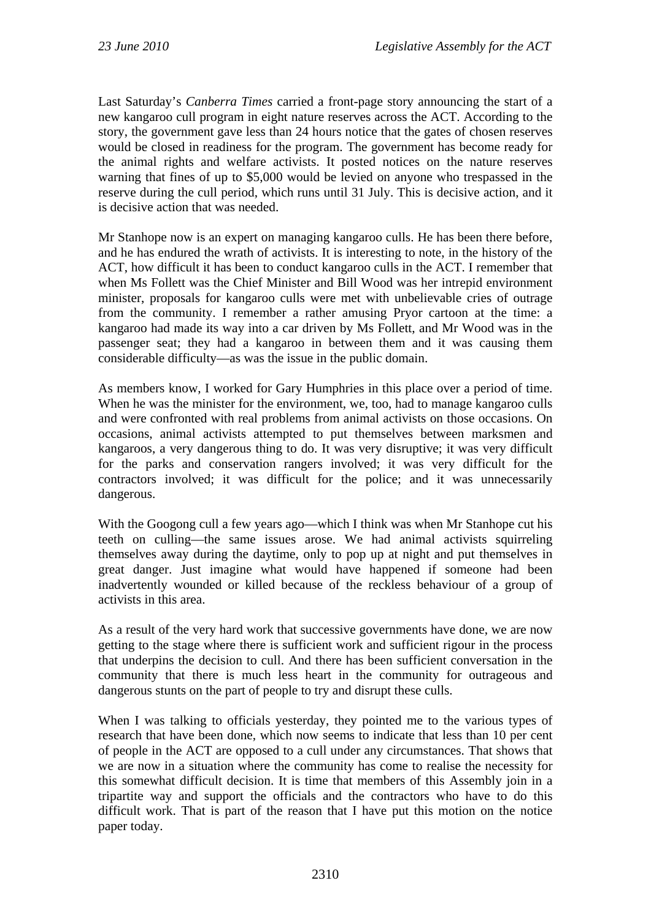Last Saturday's *Canberra Times* carried a front-page story announcing the start of a new kangaroo cull program in eight nature reserves across the ACT. According to the story, the government gave less than 24 hours notice that the gates of chosen reserves would be closed in readiness for the program. The government has become ready for the animal rights and welfare activists. It posted notices on the nature reserves warning that fines of up to \$5,000 would be levied on anyone who trespassed in the reserve during the cull period, which runs until 31 July. This is decisive action, and it is decisive action that was needed.

Mr Stanhope now is an expert on managing kangaroo culls. He has been there before, and he has endured the wrath of activists. It is interesting to note, in the history of the ACT, how difficult it has been to conduct kangaroo culls in the ACT. I remember that when Ms Follett was the Chief Minister and Bill Wood was her intrepid environment minister, proposals for kangaroo culls were met with unbelievable cries of outrage from the community. I remember a rather amusing Pryor cartoon at the time: a kangaroo had made its way into a car driven by Ms Follett, and Mr Wood was in the passenger seat; they had a kangaroo in between them and it was causing them considerable difficulty—as was the issue in the public domain.

As members know, I worked for Gary Humphries in this place over a period of time. When he was the minister for the environment, we, too, had to manage kangaroo culls and were confronted with real problems from animal activists on those occasions. On occasions, animal activists attempted to put themselves between marksmen and kangaroos, a very dangerous thing to do. It was very disruptive; it was very difficult for the parks and conservation rangers involved; it was very difficult for the contractors involved; it was difficult for the police; and it was unnecessarily dangerous.

With the Googong cull a few years ago—which I think was when Mr Stanhope cut his teeth on culling—the same issues arose. We had animal activists squirreling themselves away during the daytime, only to pop up at night and put themselves in great danger. Just imagine what would have happened if someone had been inadvertently wounded or killed because of the reckless behaviour of a group of activists in this area.

As a result of the very hard work that successive governments have done, we are now getting to the stage where there is sufficient work and sufficient rigour in the process that underpins the decision to cull. And there has been sufficient conversation in the community that there is much less heart in the community for outrageous and dangerous stunts on the part of people to try and disrupt these culls.

When I was talking to officials yesterday, they pointed me to the various types of research that have been done, which now seems to indicate that less than 10 per cent of people in the ACT are opposed to a cull under any circumstances. That shows that we are now in a situation where the community has come to realise the necessity for this somewhat difficult decision. It is time that members of this Assembly join in a tripartite way and support the officials and the contractors who have to do this difficult work. That is part of the reason that I have put this motion on the notice paper today.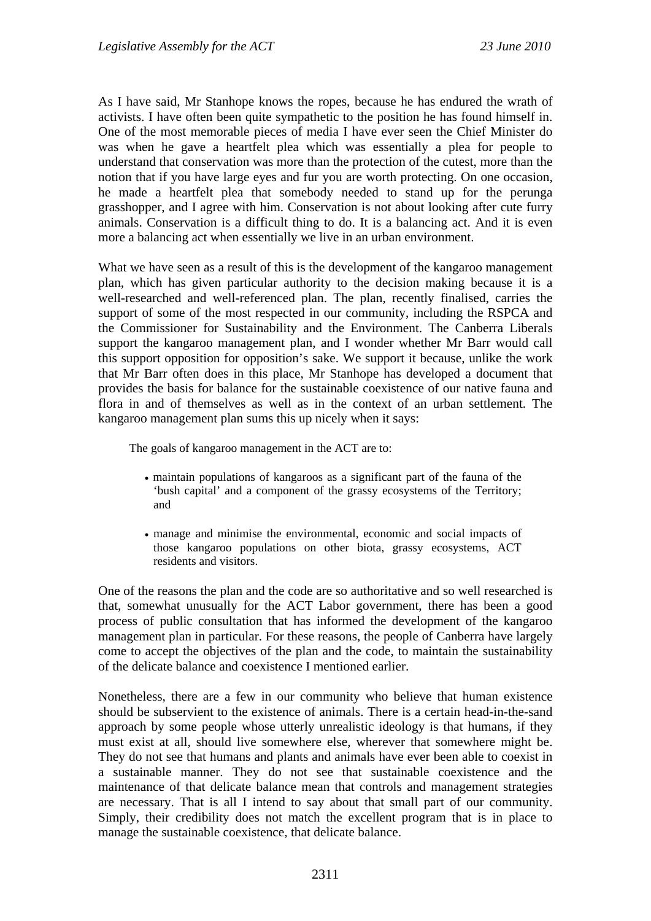As I have said, Mr Stanhope knows the ropes, because he has endured the wrath of activists. I have often been quite sympathetic to the position he has found himself in. One of the most memorable pieces of media I have ever seen the Chief Minister do was when he gave a heartfelt plea which was essentially a plea for people to understand that conservation was more than the protection of the cutest, more than the notion that if you have large eyes and fur you are worth protecting. On one occasion, he made a heartfelt plea that somebody needed to stand up for the perunga grasshopper, and I agree with him. Conservation is not about looking after cute furry animals. Conservation is a difficult thing to do. It is a balancing act. And it is even more a balancing act when essentially we live in an urban environment.

What we have seen as a result of this is the development of the kangaroo management plan, which has given particular authority to the decision making because it is a well-researched and well-referenced plan. The plan, recently finalised, carries the support of some of the most respected in our community, including the RSPCA and the Commissioner for Sustainability and the Environment. The Canberra Liberals support the kangaroo management plan, and I wonder whether Mr Barr would call this support opposition for opposition's sake. We support it because, unlike the work that Mr Barr often does in this place, Mr Stanhope has developed a document that provides the basis for balance for the sustainable coexistence of our native fauna and flora in and of themselves as well as in the context of an urban settlement. The kangaroo management plan sums this up nicely when it says:

The goals of kangaroo management in the ACT are to:

- maintain populations of kangaroos as a significant part of the fauna of the 'bush capital' and a component of the grassy ecosystems of the Territory; and
- manage and minimise the environmental, economic and social impacts of those kangaroo populations on other biota, grassy ecosystems, ACT residents and visitors.

One of the reasons the plan and the code are so authoritative and so well researched is that, somewhat unusually for the ACT Labor government, there has been a good process of public consultation that has informed the development of the kangaroo management plan in particular. For these reasons, the people of Canberra have largely come to accept the objectives of the plan and the code, to maintain the sustainability of the delicate balance and coexistence I mentioned earlier.

Nonetheless, there are a few in our community who believe that human existence should be subservient to the existence of animals. There is a certain head-in-the-sand approach by some people whose utterly unrealistic ideology is that humans, if they must exist at all, should live somewhere else, wherever that somewhere might be. They do not see that humans and plants and animals have ever been able to coexist in a sustainable manner. They do not see that sustainable coexistence and the maintenance of that delicate balance mean that controls and management strategies are necessary. That is all I intend to say about that small part of our community. Simply, their credibility does not match the excellent program that is in place to manage the sustainable coexistence, that delicate balance.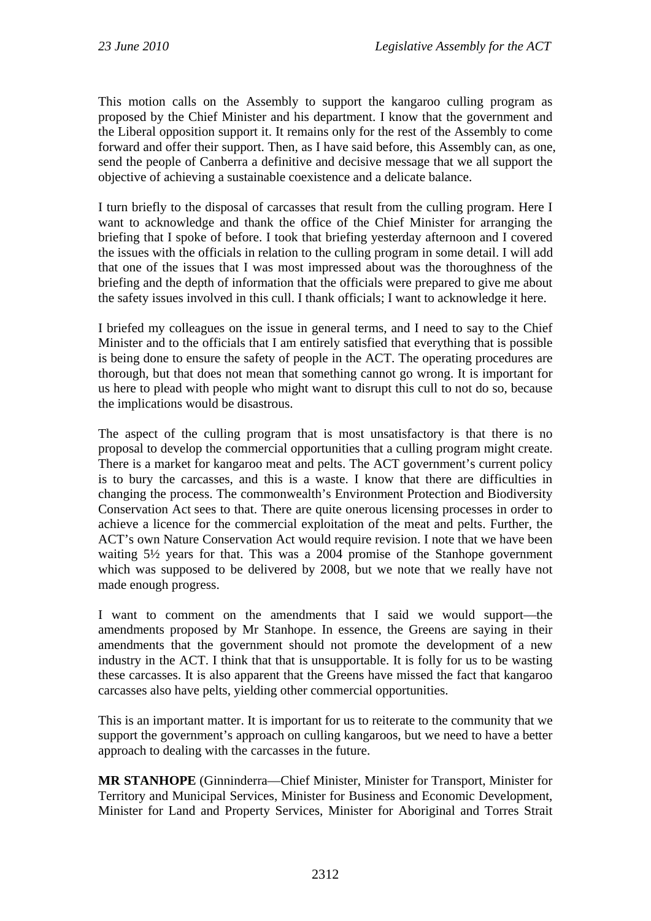This motion calls on the Assembly to support the kangaroo culling program as proposed by the Chief Minister and his department. I know that the government and the Liberal opposition support it. It remains only for the rest of the Assembly to come forward and offer their support. Then, as I have said before, this Assembly can, as one, send the people of Canberra a definitive and decisive message that we all support the objective of achieving a sustainable coexistence and a delicate balance.

I turn briefly to the disposal of carcasses that result from the culling program. Here I want to acknowledge and thank the office of the Chief Minister for arranging the briefing that I spoke of before. I took that briefing yesterday afternoon and I covered the issues with the officials in relation to the culling program in some detail. I will add that one of the issues that I was most impressed about was the thoroughness of the briefing and the depth of information that the officials were prepared to give me about the safety issues involved in this cull. I thank officials; I want to acknowledge it here.

I briefed my colleagues on the issue in general terms, and I need to say to the Chief Minister and to the officials that I am entirely satisfied that everything that is possible is being done to ensure the safety of people in the ACT. The operating procedures are thorough, but that does not mean that something cannot go wrong. It is important for us here to plead with people who might want to disrupt this cull to not do so, because the implications would be disastrous.

The aspect of the culling program that is most unsatisfactory is that there is no proposal to develop the commercial opportunities that a culling program might create. There is a market for kangaroo meat and pelts. The ACT government's current policy is to bury the carcasses, and this is a waste. I know that there are difficulties in changing the process. The commonwealth's Environment Protection and Biodiversity Conservation Act sees to that. There are quite onerous licensing processes in order to achieve a licence for the commercial exploitation of the meat and pelts. Further, the ACT's own Nature Conservation Act would require revision. I note that we have been waiting 5½ years for that. This was a 2004 promise of the Stanhope government which was supposed to be delivered by 2008, but we note that we really have not made enough progress.

I want to comment on the amendments that I said we would support—the amendments proposed by Mr Stanhope. In essence, the Greens are saying in their amendments that the government should not promote the development of a new industry in the ACT. I think that that is unsupportable. It is folly for us to be wasting these carcasses. It is also apparent that the Greens have missed the fact that kangaroo carcasses also have pelts, yielding other commercial opportunities.

This is an important matter. It is important for us to reiterate to the community that we support the government's approach on culling kangaroos, but we need to have a better approach to dealing with the carcasses in the future.

**MR STANHOPE** (Ginninderra—Chief Minister, Minister for Transport, Minister for Territory and Municipal Services, Minister for Business and Economic Development, Minister for Land and Property Services, Minister for Aboriginal and Torres Strait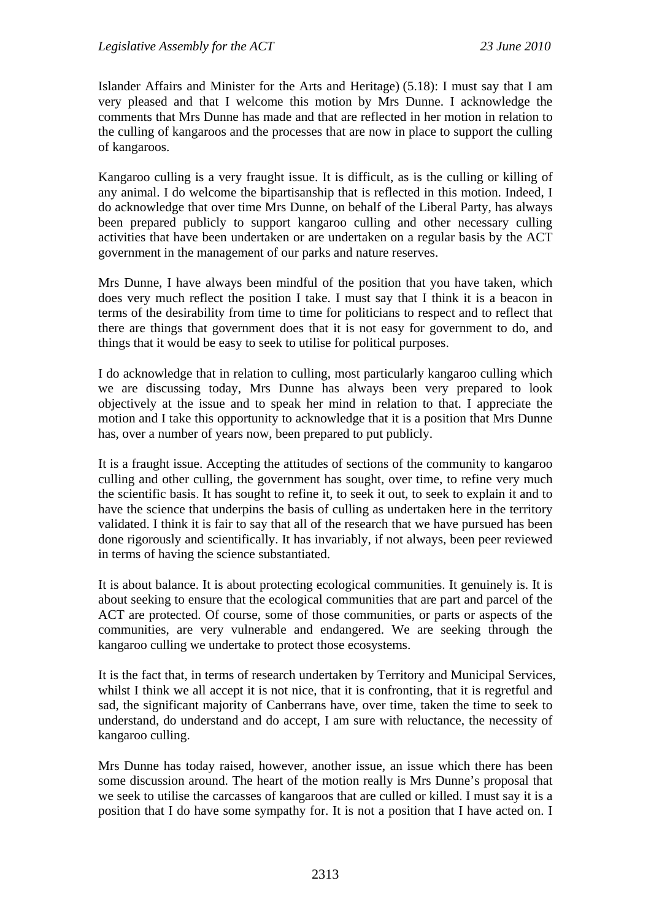Islander Affairs and Minister for the Arts and Heritage) (5.18): I must say that I am very pleased and that I welcome this motion by Mrs Dunne. I acknowledge the comments that Mrs Dunne has made and that are reflected in her motion in relation to the culling of kangaroos and the processes that are now in place to support the culling of kangaroos.

Kangaroo culling is a very fraught issue. It is difficult, as is the culling or killing of any animal. I do welcome the bipartisanship that is reflected in this motion. Indeed, I do acknowledge that over time Mrs Dunne, on behalf of the Liberal Party, has always been prepared publicly to support kangaroo culling and other necessary culling activities that have been undertaken or are undertaken on a regular basis by the ACT government in the management of our parks and nature reserves.

Mrs Dunne, I have always been mindful of the position that you have taken, which does very much reflect the position I take. I must say that I think it is a beacon in terms of the desirability from time to time for politicians to respect and to reflect that there are things that government does that it is not easy for government to do, and things that it would be easy to seek to utilise for political purposes.

I do acknowledge that in relation to culling, most particularly kangaroo culling which we are discussing today, Mrs Dunne has always been very prepared to look objectively at the issue and to speak her mind in relation to that. I appreciate the motion and I take this opportunity to acknowledge that it is a position that Mrs Dunne has, over a number of years now, been prepared to put publicly.

It is a fraught issue. Accepting the attitudes of sections of the community to kangaroo culling and other culling, the government has sought, over time, to refine very much the scientific basis. It has sought to refine it, to seek it out, to seek to explain it and to have the science that underpins the basis of culling as undertaken here in the territory validated. I think it is fair to say that all of the research that we have pursued has been done rigorously and scientifically. It has invariably, if not always, been peer reviewed in terms of having the science substantiated.

It is about balance. It is about protecting ecological communities. It genuinely is. It is about seeking to ensure that the ecological communities that are part and parcel of the ACT are protected. Of course, some of those communities, or parts or aspects of the communities, are very vulnerable and endangered. We are seeking through the kangaroo culling we undertake to protect those ecosystems.

It is the fact that, in terms of research undertaken by Territory and Municipal Services, whilst I think we all accept it is not nice, that it is confronting, that it is regretful and sad, the significant majority of Canberrans have, over time, taken the time to seek to understand, do understand and do accept, I am sure with reluctance, the necessity of kangaroo culling.

Mrs Dunne has today raised, however, another issue, an issue which there has been some discussion around. The heart of the motion really is Mrs Dunne's proposal that we seek to utilise the carcasses of kangaroos that are culled or killed. I must say it is a position that I do have some sympathy for. It is not a position that I have acted on. I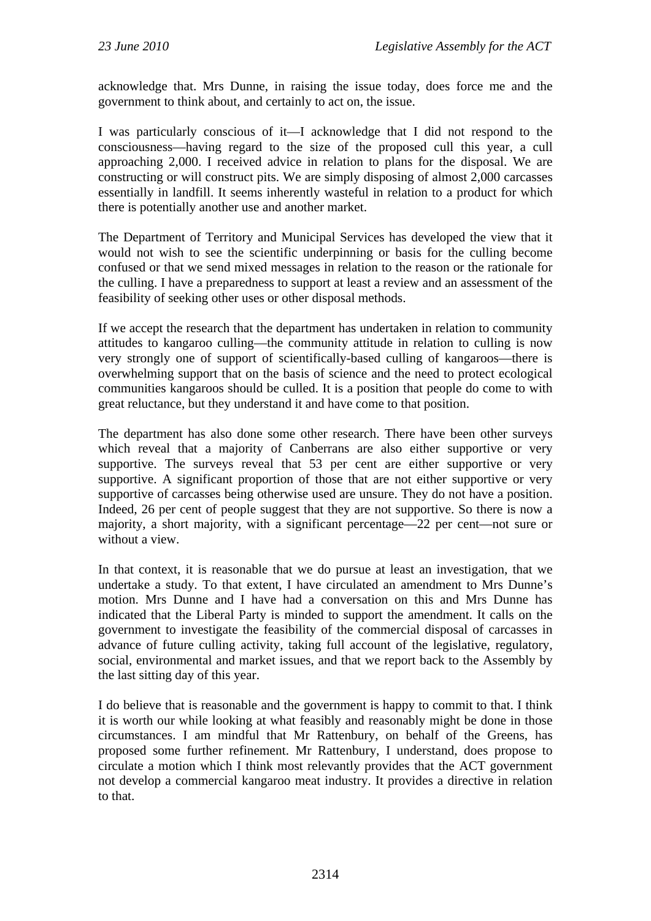acknowledge that. Mrs Dunne, in raising the issue today, does force me and the government to think about, and certainly to act on, the issue.

I was particularly conscious of it—I acknowledge that I did not respond to the consciousness—having regard to the size of the proposed cull this year, a cull approaching 2,000. I received advice in relation to plans for the disposal. We are constructing or will construct pits. We are simply disposing of almost 2,000 carcasses essentially in landfill. It seems inherently wasteful in relation to a product for which there is potentially another use and another market.

The Department of Territory and Municipal Services has developed the view that it would not wish to see the scientific underpinning or basis for the culling become confused or that we send mixed messages in relation to the reason or the rationale for the culling. I have a preparedness to support at least a review and an assessment of the feasibility of seeking other uses or other disposal methods.

If we accept the research that the department has undertaken in relation to community attitudes to kangaroo culling—the community attitude in relation to culling is now very strongly one of support of scientifically-based culling of kangaroos—there is overwhelming support that on the basis of science and the need to protect ecological communities kangaroos should be culled. It is a position that people do come to with great reluctance, but they understand it and have come to that position.

The department has also done some other research. There have been other surveys which reveal that a majority of Canberrans are also either supportive or very supportive. The surveys reveal that 53 per cent are either supportive or very supportive. A significant proportion of those that are not either supportive or very supportive of carcasses being otherwise used are unsure. They do not have a position. Indeed, 26 per cent of people suggest that they are not supportive. So there is now a majority, a short majority, with a significant percentage—22 per cent—not sure or without a view.

In that context, it is reasonable that we do pursue at least an investigation, that we undertake a study. To that extent, I have circulated an amendment to Mrs Dunne's motion. Mrs Dunne and I have had a conversation on this and Mrs Dunne has indicated that the Liberal Party is minded to support the amendment. It calls on the government to investigate the feasibility of the commercial disposal of carcasses in advance of future culling activity, taking full account of the legislative, regulatory, social, environmental and market issues, and that we report back to the Assembly by the last sitting day of this year.

I do believe that is reasonable and the government is happy to commit to that. I think it is worth our while looking at what feasibly and reasonably might be done in those circumstances. I am mindful that Mr Rattenbury, on behalf of the Greens, has proposed some further refinement. Mr Rattenbury, I understand, does propose to circulate a motion which I think most relevantly provides that the ACT government not develop a commercial kangaroo meat industry. It provides a directive in relation to that.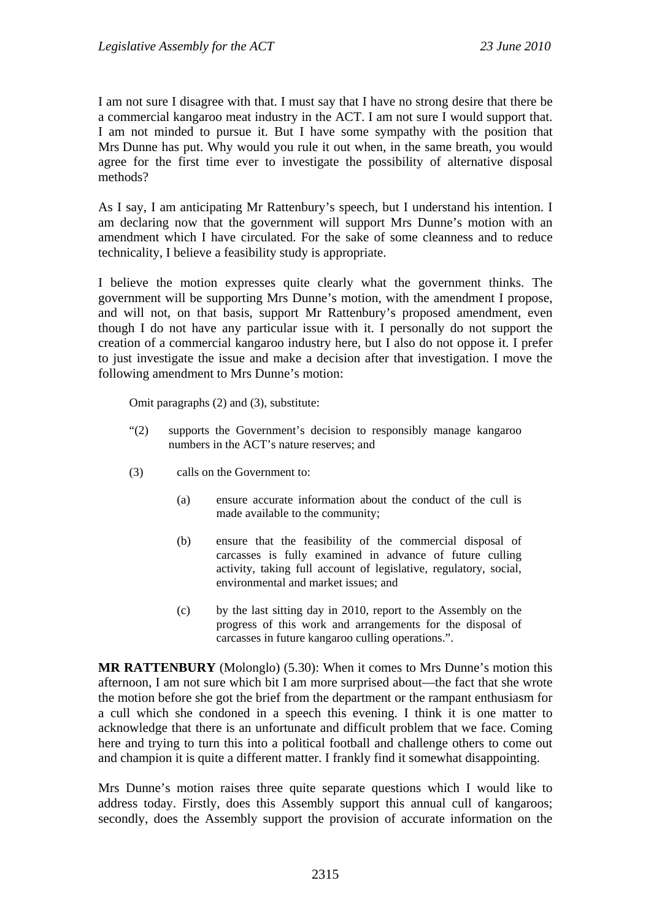I am not sure I disagree with that. I must say that I have no strong desire that there be a commercial kangaroo meat industry in the ACT. I am not sure I would support that. I am not minded to pursue it. But I have some sympathy with the position that Mrs Dunne has put. Why would you rule it out when, in the same breath, you would agree for the first time ever to investigate the possibility of alternative disposal methods?

As I say, I am anticipating Mr Rattenbury's speech, but I understand his intention. I am declaring now that the government will support Mrs Dunne's motion with an amendment which I have circulated. For the sake of some cleanness and to reduce technicality, I believe a feasibility study is appropriate.

I believe the motion expresses quite clearly what the government thinks. The government will be supporting Mrs Dunne's motion, with the amendment I propose, and will not, on that basis, support Mr Rattenbury's proposed amendment, even though I do not have any particular issue with it. I personally do not support the creation of a commercial kangaroo industry here, but I also do not oppose it. I prefer to just investigate the issue and make a decision after that investigation. I move the following amendment to Mrs Dunne's motion:

Omit paragraphs (2) and (3), substitute:

- "(2) supports the Government's decision to responsibly manage kangaroo numbers in the ACT's nature reserves; and
- (3) calls on the Government to:
	- (a) ensure accurate information about the conduct of the cull is made available to the community;
	- (b) ensure that the feasibility of the commercial disposal of carcasses is fully examined in advance of future culling activity, taking full account of legislative, regulatory, social, environmental and market issues; and
	- (c) by the last sitting day in 2010, report to the Assembly on the progress of this work and arrangements for the disposal of carcasses in future kangaroo culling operations.".

**MR RATTENBURY** (Molonglo) (5.30): When it comes to Mrs Dunne's motion this afternoon, I am not sure which bit I am more surprised about—the fact that she wrote the motion before she got the brief from the department or the rampant enthusiasm for a cull which she condoned in a speech this evening. I think it is one matter to acknowledge that there is an unfortunate and difficult problem that we face. Coming here and trying to turn this into a political football and challenge others to come out and champion it is quite a different matter. I frankly find it somewhat disappointing.

Mrs Dunne's motion raises three quite separate questions which I would like to address today. Firstly, does this Assembly support this annual cull of kangaroos; secondly, does the Assembly support the provision of accurate information on the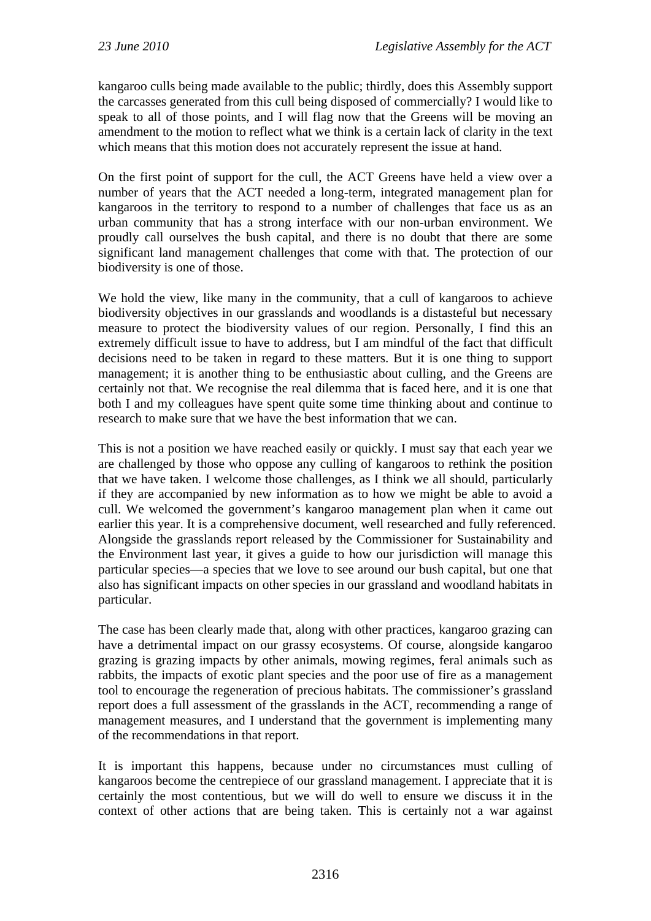kangaroo culls being made available to the public; thirdly, does this Assembly support the carcasses generated from this cull being disposed of commercially? I would like to speak to all of those points, and I will flag now that the Greens will be moving an amendment to the motion to reflect what we think is a certain lack of clarity in the text which means that this motion does not accurately represent the issue at hand.

On the first point of support for the cull, the ACT Greens have held a view over a number of years that the ACT needed a long-term, integrated management plan for kangaroos in the territory to respond to a number of challenges that face us as an urban community that has a strong interface with our non-urban environment. We proudly call ourselves the bush capital, and there is no doubt that there are some significant land management challenges that come with that. The protection of our biodiversity is one of those.

We hold the view, like many in the community, that a cull of kangaroos to achieve biodiversity objectives in our grasslands and woodlands is a distasteful but necessary measure to protect the biodiversity values of our region. Personally, I find this an extremely difficult issue to have to address, but I am mindful of the fact that difficult decisions need to be taken in regard to these matters. But it is one thing to support management; it is another thing to be enthusiastic about culling, and the Greens are certainly not that. We recognise the real dilemma that is faced here, and it is one that both I and my colleagues have spent quite some time thinking about and continue to research to make sure that we have the best information that we can.

This is not a position we have reached easily or quickly. I must say that each year we are challenged by those who oppose any culling of kangaroos to rethink the position that we have taken. I welcome those challenges, as I think we all should, particularly if they are accompanied by new information as to how we might be able to avoid a cull. We welcomed the government's kangaroo management plan when it came out earlier this year. It is a comprehensive document, well researched and fully referenced. Alongside the grasslands report released by the Commissioner for Sustainability and the Environment last year, it gives a guide to how our jurisdiction will manage this particular species—a species that we love to see around our bush capital, but one that also has significant impacts on other species in our grassland and woodland habitats in particular.

The case has been clearly made that, along with other practices, kangaroo grazing can have a detrimental impact on our grassy ecosystems. Of course, alongside kangaroo grazing is grazing impacts by other animals, mowing regimes, feral animals such as rabbits, the impacts of exotic plant species and the poor use of fire as a management tool to encourage the regeneration of precious habitats. The commissioner's grassland report does a full assessment of the grasslands in the ACT, recommending a range of management measures, and I understand that the government is implementing many of the recommendations in that report.

It is important this happens, because under no circumstances must culling of kangaroos become the centrepiece of our grassland management. I appreciate that it is certainly the most contentious, but we will do well to ensure we discuss it in the context of other actions that are being taken. This is certainly not a war against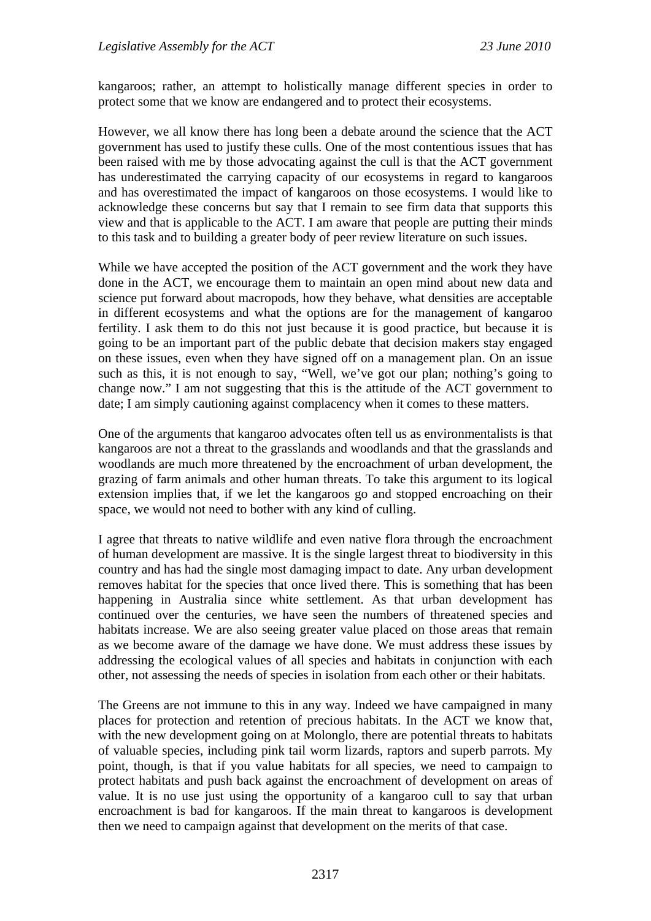kangaroos; rather, an attempt to holistically manage different species in order to protect some that we know are endangered and to protect their ecosystems.

However, we all know there has long been a debate around the science that the ACT government has used to justify these culls. One of the most contentious issues that has been raised with me by those advocating against the cull is that the ACT government has underestimated the carrying capacity of our ecosystems in regard to kangaroos and has overestimated the impact of kangaroos on those ecosystems. I would like to acknowledge these concerns but say that I remain to see firm data that supports this view and that is applicable to the ACT. I am aware that people are putting their minds to this task and to building a greater body of peer review literature on such issues.

While we have accepted the position of the ACT government and the work they have done in the ACT, we encourage them to maintain an open mind about new data and science put forward about macropods, how they behave, what densities are acceptable in different ecosystems and what the options are for the management of kangaroo fertility. I ask them to do this not just because it is good practice, but because it is going to be an important part of the public debate that decision makers stay engaged on these issues, even when they have signed off on a management plan. On an issue such as this, it is not enough to say, "Well, we've got our plan; nothing's going to change now." I am not suggesting that this is the attitude of the ACT government to date; I am simply cautioning against complacency when it comes to these matters.

One of the arguments that kangaroo advocates often tell us as environmentalists is that kangaroos are not a threat to the grasslands and woodlands and that the grasslands and woodlands are much more threatened by the encroachment of urban development, the grazing of farm animals and other human threats. To take this argument to its logical extension implies that, if we let the kangaroos go and stopped encroaching on their space, we would not need to bother with any kind of culling.

I agree that threats to native wildlife and even native flora through the encroachment of human development are massive. It is the single largest threat to biodiversity in this country and has had the single most damaging impact to date. Any urban development removes habitat for the species that once lived there. This is something that has been happening in Australia since white settlement. As that urban development has continued over the centuries, we have seen the numbers of threatened species and habitats increase. We are also seeing greater value placed on those areas that remain as we become aware of the damage we have done. We must address these issues by addressing the ecological values of all species and habitats in conjunction with each other, not assessing the needs of species in isolation from each other or their habitats.

The Greens are not immune to this in any way. Indeed we have campaigned in many places for protection and retention of precious habitats. In the ACT we know that, with the new development going on at Molonglo, there are potential threats to habitats of valuable species, including pink tail worm lizards, raptors and superb parrots. My point, though, is that if you value habitats for all species, we need to campaign to protect habitats and push back against the encroachment of development on areas of value. It is no use just using the opportunity of a kangaroo cull to say that urban encroachment is bad for kangaroos. If the main threat to kangaroos is development then we need to campaign against that development on the merits of that case.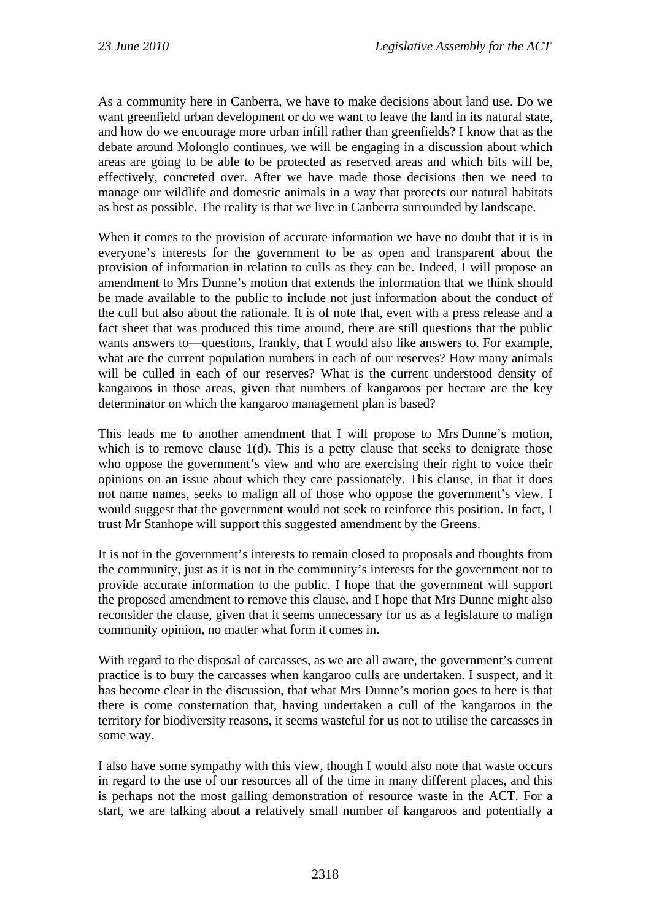As a community here in Canberra, we have to make decisions about land use. Do we want greenfield urban development or do we want to leave the land in its natural state, and how do we encourage more urban infill rather than greenfields? I know that as the debate around Molonglo continues, we will be engaging in a discussion about which areas are going to be able to be protected as reserved areas and which bits will be, effectively, concreted over. After we have made those decisions then we need to manage our wildlife and domestic animals in a way that protects our natural habitats as best as possible. The reality is that we live in Canberra surrounded by landscape.

When it comes to the provision of accurate information we have no doubt that it is in everyone's interests for the government to be as open and transparent about the provision of information in relation to culls as they can be. Indeed, I will propose an amendment to Mrs Dunne's motion that extends the information that we think should be made available to the public to include not just information about the conduct of the cull but also about the rationale. It is of note that, even with a press release and a fact sheet that was produced this time around, there are still questions that the public wants answers to—questions, frankly, that I would also like answers to. For example, what are the current population numbers in each of our reserves? How many animals will be culled in each of our reserves? What is the current understood density of kangaroos in those areas, given that numbers of kangaroos per hectare are the key determinator on which the kangaroo management plan is based?

This leads me to another amendment that I will propose to Mrs Dunne's motion, which is to remove clause 1(d). This is a petty clause that seeks to denigrate those who oppose the government's view and who are exercising their right to voice their opinions on an issue about which they care passionately. This clause, in that it does not name names, seeks to malign all of those who oppose the government's view. I would suggest that the government would not seek to reinforce this position. In fact, I trust Mr Stanhope will support this suggested amendment by the Greens.

It is not in the government's interests to remain closed to proposals and thoughts from the community, just as it is not in the community's interests for the government not to provide accurate information to the public. I hope that the government will support the proposed amendment to remove this clause, and I hope that Mrs Dunne might also reconsider the clause, given that it seems unnecessary for us as a legislature to malign community opinion, no matter what form it comes in.

With regard to the disposal of carcasses, as we are all aware, the government's current practice is to bury the carcasses when kangaroo culls are undertaken. I suspect, and it has become clear in the discussion, that what Mrs Dunne's motion goes to here is that there is come consternation that, having undertaken a cull of the kangaroos in the territory for biodiversity reasons, it seems wasteful for us not to utilise the carcasses in some way.

I also have some sympathy with this view, though I would also note that waste occurs in regard to the use of our resources all of the time in many different places, and this is perhaps not the most galling demonstration of resource waste in the ACT. For a start, we are talking about a relatively small number of kangaroos and potentially a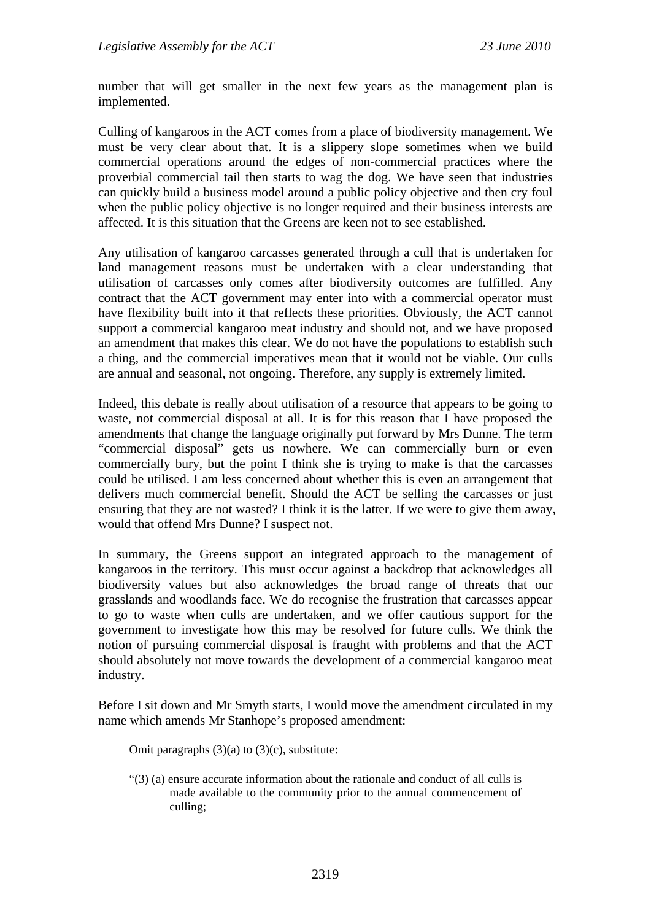number that will get smaller in the next few years as the management plan is implemented.

Culling of kangaroos in the ACT comes from a place of biodiversity management. We must be very clear about that. It is a slippery slope sometimes when we build commercial operations around the edges of non-commercial practices where the proverbial commercial tail then starts to wag the dog. We have seen that industries can quickly build a business model around a public policy objective and then cry foul when the public policy objective is no longer required and their business interests are affected. It is this situation that the Greens are keen not to see established.

Any utilisation of kangaroo carcasses generated through a cull that is undertaken for land management reasons must be undertaken with a clear understanding that utilisation of carcasses only comes after biodiversity outcomes are fulfilled. Any contract that the ACT government may enter into with a commercial operator must have flexibility built into it that reflects these priorities. Obviously, the ACT cannot support a commercial kangaroo meat industry and should not, and we have proposed an amendment that makes this clear. We do not have the populations to establish such a thing, and the commercial imperatives mean that it would not be viable. Our culls are annual and seasonal, not ongoing. Therefore, any supply is extremely limited.

Indeed, this debate is really about utilisation of a resource that appears to be going to waste, not commercial disposal at all. It is for this reason that I have proposed the amendments that change the language originally put forward by Mrs Dunne. The term "commercial disposal" gets us nowhere. We can commercially burn or even commercially bury, but the point I think she is trying to make is that the carcasses could be utilised. I am less concerned about whether this is even an arrangement that delivers much commercial benefit. Should the ACT be selling the carcasses or just ensuring that they are not wasted? I think it is the latter. If we were to give them away, would that offend Mrs Dunne? I suspect not.

In summary, the Greens support an integrated approach to the management of kangaroos in the territory. This must occur against a backdrop that acknowledges all biodiversity values but also acknowledges the broad range of threats that our grasslands and woodlands face. We do recognise the frustration that carcasses appear to go to waste when culls are undertaken, and we offer cautious support for the government to investigate how this may be resolved for future culls. We think the notion of pursuing commercial disposal is fraught with problems and that the ACT should absolutely not move towards the development of a commercial kangaroo meat industry.

Before I sit down and Mr Smyth starts, I would move the amendment circulated in my name which amends Mr Stanhope's proposed amendment:

Omit paragraphs (3)(a) to (3)(c), substitute:

"(3) (a) ensure accurate information about the rationale and conduct of all culls is made available to the community prior to the annual commencement of culling;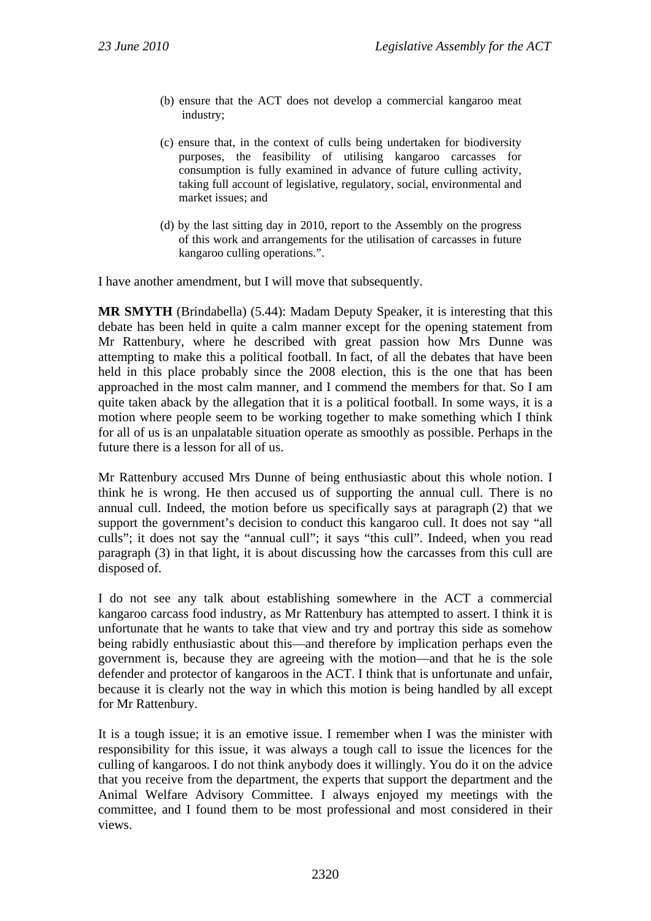- (b) ensure that the ACT does not develop a commercial kangaroo meat industry;
- (c) ensure that, in the context of culls being undertaken for biodiversity purposes, the feasibility of utilising kangaroo carcasses for consumption is fully examined in advance of future culling activity, taking full account of legislative, regulatory, social, environmental and market issues; and
- (d) by the last sitting day in 2010, report to the Assembly on the progress of this work and arrangements for the utilisation of carcasses in future kangaroo culling operations.".

I have another amendment, but I will move that subsequently.

**MR SMYTH** (Brindabella) (5.44): Madam Deputy Speaker, it is interesting that this debate has been held in quite a calm manner except for the opening statement from Mr Rattenbury, where he described with great passion how Mrs Dunne was attempting to make this a political football. In fact, of all the debates that have been held in this place probably since the 2008 election, this is the one that has been approached in the most calm manner, and I commend the members for that. So I am quite taken aback by the allegation that it is a political football. In some ways, it is a motion where people seem to be working together to make something which I think for all of us is an unpalatable situation operate as smoothly as possible. Perhaps in the future there is a lesson for all of us.

Mr Rattenbury accused Mrs Dunne of being enthusiastic about this whole notion. I think he is wrong. He then accused us of supporting the annual cull. There is no annual cull. Indeed, the motion before us specifically says at paragraph (2) that we support the government's decision to conduct this kangaroo cull. It does not say "all culls"; it does not say the "annual cull"; it says "this cull". Indeed, when you read paragraph (3) in that light, it is about discussing how the carcasses from this cull are disposed of.

I do not see any talk about establishing somewhere in the ACT a commercial kangaroo carcass food industry, as Mr Rattenbury has attempted to assert. I think it is unfortunate that he wants to take that view and try and portray this side as somehow being rabidly enthusiastic about this—and therefore by implication perhaps even the government is, because they are agreeing with the motion—and that he is the sole defender and protector of kangaroos in the ACT. I think that is unfortunate and unfair, because it is clearly not the way in which this motion is being handled by all except for Mr Rattenbury.

It is a tough issue; it is an emotive issue. I remember when I was the minister with responsibility for this issue, it was always a tough call to issue the licences for the culling of kangaroos. I do not think anybody does it willingly. You do it on the advice that you receive from the department, the experts that support the department and the Animal Welfare Advisory Committee. I always enjoyed my meetings with the committee, and I found them to be most professional and most considered in their views.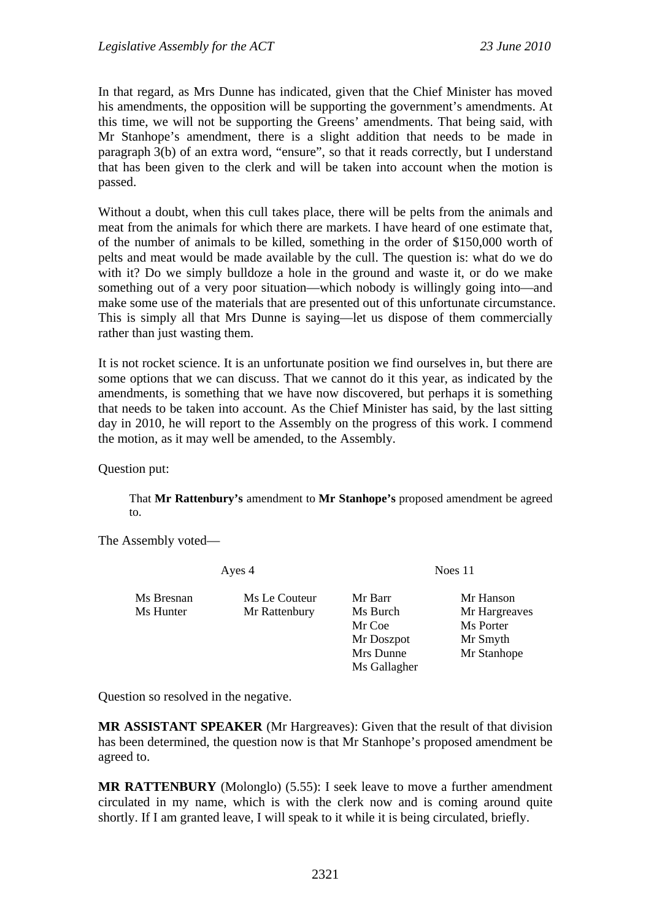In that regard, as Mrs Dunne has indicated, given that the Chief Minister has moved his amendments, the opposition will be supporting the government's amendments. At this time, we will not be supporting the Greens' amendments. That being said, with Mr Stanhope's amendment, there is a slight addition that needs to be made in paragraph 3(b) of an extra word, "ensure", so that it reads correctly, but I understand that has been given to the clerk and will be taken into account when the motion is passed.

Without a doubt, when this cull takes place, there will be pelts from the animals and meat from the animals for which there are markets. I have heard of one estimate that, of the number of animals to be killed, something in the order of \$150,000 worth of pelts and meat would be made available by the cull. The question is: what do we do with it? Do we simply bulldoze a hole in the ground and waste it, or do we make something out of a very poor situation—which nobody is willingly going into—and make some use of the materials that are presented out of this unfortunate circumstance. This is simply all that Mrs Dunne is saying—let us dispose of them commercially rather than just wasting them.

It is not rocket science. It is an unfortunate position we find ourselves in, but there are some options that we can discuss. That we cannot do it this year, as indicated by the amendments, is something that we have now discovered, but perhaps it is something that needs to be taken into account. As the Chief Minister has said, by the last sitting day in 2010, he will report to the Assembly on the progress of this work. I commend the motion, as it may well be amended, to the Assembly.

Question put:

That **Mr Rattenbury's** amendment to **Mr Stanhope's** proposed amendment be agreed to.

Ayes 4 Noes 11

The Assembly voted—

Ms Bresnan Ms Le Couteur Mr Barr Mr Hanson Ms Hunter Mr Rattenbury Ms Burch Mr Hargreaves

Mr Coe Ms Porter Mr Doszpot Mr Smyth Mrs Dunne Mr Stanhope Ms Gallagher

Question so resolved in the negative.

**MR ASSISTANT SPEAKER** (Mr Hargreaves): Given that the result of that division has been determined, the question now is that Mr Stanhope's proposed amendment be agreed to.

**MR RATTENBURY** (Molonglo) (5.55): I seek leave to move a further amendment circulated in my name, which is with the clerk now and is coming around quite shortly. If I am granted leave, I will speak to it while it is being circulated, briefly.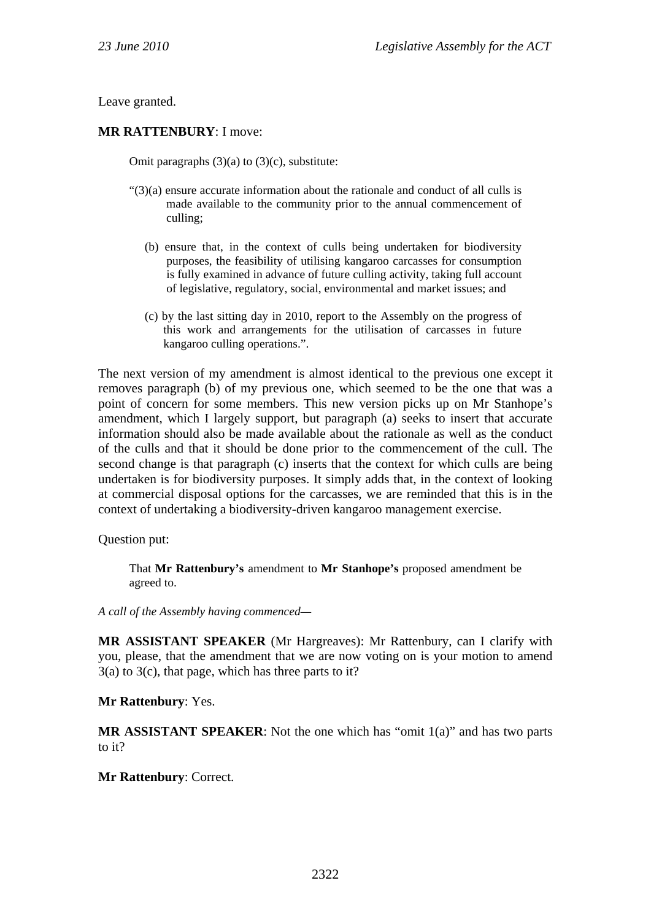Leave granted.

#### **MR RATTENBURY**: I move:

Omit paragraphs  $(3)(a)$  to  $(3)(c)$ , substitute:

- "(3)(a) ensure accurate information about the rationale and conduct of all culls is made available to the community prior to the annual commencement of culling;
	- (b) ensure that, in the context of culls being undertaken for biodiversity purposes, the feasibility of utilising kangaroo carcasses for consumption is fully examined in advance of future culling activity, taking full account of legislative, regulatory, social, environmental and market issues; and
	- (c) by the last sitting day in 2010, report to the Assembly on the progress of this work and arrangements for the utilisation of carcasses in future kangaroo culling operations.".

The next version of my amendment is almost identical to the previous one except it removes paragraph (b) of my previous one, which seemed to be the one that was a point of concern for some members. This new version picks up on Mr Stanhope's amendment, which I largely support, but paragraph (a) seeks to insert that accurate information should also be made available about the rationale as well as the conduct of the culls and that it should be done prior to the commencement of the cull. The second change is that paragraph (c) inserts that the context for which culls are being undertaken is for biodiversity purposes. It simply adds that, in the context of looking at commercial disposal options for the carcasses, we are reminded that this is in the context of undertaking a biodiversity-driven kangaroo management exercise.

Question put:

That **Mr Rattenbury's** amendment to **Mr Stanhope's** proposed amendment be agreed to.

*A call of the Assembly having commenced—* 

**MR ASSISTANT SPEAKER** (Mr Hargreaves): Mr Rattenbury, can I clarify with you, please, that the amendment that we are now voting on is your motion to amend  $3(a)$  to  $3(c)$ , that page, which has three parts to it?

**Mr Rattenbury**: Yes.

**MR ASSISTANT SPEAKER**: Not the one which has "omit 1(a)" and has two parts to it?

**Mr Rattenbury**: Correct.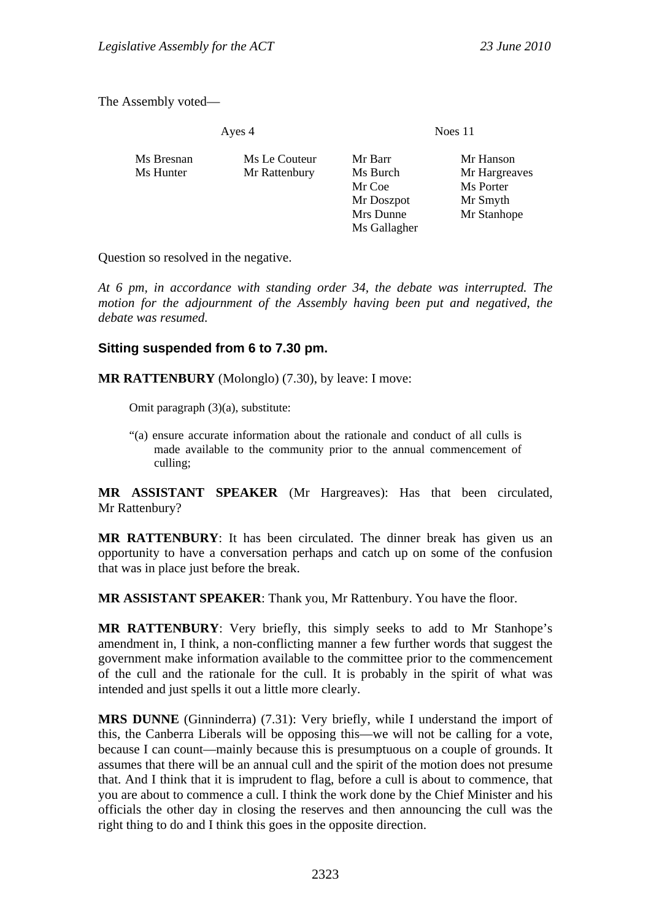The Assembly voted—

Noes 11

| Ms Bresnan<br>Ms Hunter | Ms Le Couteur<br>Mr Rattenbury | Mr Barr<br>Ms Burch<br>Mr Coe<br>Mr Doszpot<br>Mrs Dunne<br>Ms Gallagher | Mr Hanson<br>Mr Hargreaves<br>Ms Porter<br>Mr Smyth<br>Mr Stanhope |
|-------------------------|--------------------------------|--------------------------------------------------------------------------|--------------------------------------------------------------------|
|                         |                                |                                                                          |                                                                    |

Question so resolved in the negative.

*At 6 pm, in accordance with standing order 34, the debate was interrupted. The motion for the adjournment of the Assembly having been put and negatived, the debate was resumed.* 

### **Sitting suspended from 6 to 7.30 pm.**

**MR RATTENBURY** (Molonglo) (7.30), by leave: I move:

Omit paragraph (3)(a), substitute:

"(a) ensure accurate information about the rationale and conduct of all culls is made available to the community prior to the annual commencement of culling;

**MR ASSISTANT SPEAKER** (Mr Hargreaves): Has that been circulated, Mr Rattenbury?

**MR RATTENBURY**: It has been circulated. The dinner break has given us an opportunity to have a conversation perhaps and catch up on some of the confusion that was in place just before the break.

**MR ASSISTANT SPEAKER**: Thank you, Mr Rattenbury. You have the floor.

**MR RATTENBURY**: Very briefly, this simply seeks to add to Mr Stanhope's amendment in, I think, a non-conflicting manner a few further words that suggest the government make information available to the committee prior to the commencement of the cull and the rationale for the cull. It is probably in the spirit of what was intended and just spells it out a little more clearly.

**MRS DUNNE** (Ginninderra) (7.31): Very briefly, while I understand the import of this, the Canberra Liberals will be opposing this—we will not be calling for a vote, because I can count—mainly because this is presumptuous on a couple of grounds. It assumes that there will be an annual cull and the spirit of the motion does not presume that. And I think that it is imprudent to flag, before a cull is about to commence, that you are about to commence a cull. I think the work done by the Chief Minister and his officials the other day in closing the reserves and then announcing the cull was the right thing to do and I think this goes in the opposite direction.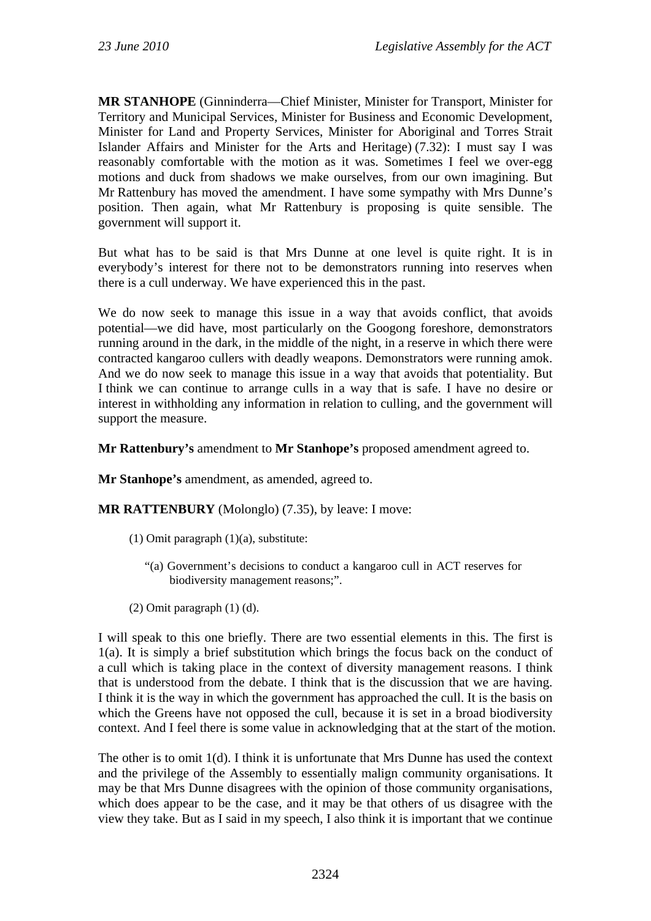**MR STANHOPE** (Ginninderra—Chief Minister, Minister for Transport, Minister for Territory and Municipal Services, Minister for Business and Economic Development, Minister for Land and Property Services, Minister for Aboriginal and Torres Strait Islander Affairs and Minister for the Arts and Heritage) (7.32): I must say I was reasonably comfortable with the motion as it was. Sometimes I feel we over-egg motions and duck from shadows we make ourselves, from our own imagining. But Mr Rattenbury has moved the amendment. I have some sympathy with Mrs Dunne's position. Then again, what Mr Rattenbury is proposing is quite sensible. The government will support it.

But what has to be said is that Mrs Dunne at one level is quite right. It is in everybody's interest for there not to be demonstrators running into reserves when there is a cull underway. We have experienced this in the past.

We do now seek to manage this issue in a way that avoids conflict, that avoids potential—we did have, most particularly on the Googong foreshore, demonstrators running around in the dark, in the middle of the night, in a reserve in which there were contracted kangaroo cullers with deadly weapons. Demonstrators were running amok. And we do now seek to manage this issue in a way that avoids that potentiality. But I think we can continue to arrange culls in a way that is safe. I have no desire or interest in withholding any information in relation to culling, and the government will support the measure.

**Mr Rattenbury's** amendment to **Mr Stanhope's** proposed amendment agreed to.

**Mr Stanhope's** amendment, as amended, agreed to.

**MR RATTENBURY** (Molonglo) (7.35), by leave: I move:

- (1) Omit paragraph  $(1)(a)$ , substitute:
	- "(a) Government's decisions to conduct a kangaroo cull in ACT reserves for biodiversity management reasons;".
- (2) Omit paragraph (1) (d).

I will speak to this one briefly. There are two essential elements in this. The first is 1(a). It is simply a brief substitution which brings the focus back on the conduct of a cull which is taking place in the context of diversity management reasons. I think that is understood from the debate. I think that is the discussion that we are having. I think it is the way in which the government has approached the cull. It is the basis on which the Greens have not opposed the cull, because it is set in a broad biodiversity context. And I feel there is some value in acknowledging that at the start of the motion.

The other is to omit  $1(d)$ . I think it is unfortunate that Mrs Dunne has used the context and the privilege of the Assembly to essentially malign community organisations. It may be that Mrs Dunne disagrees with the opinion of those community organisations, which does appear to be the case, and it may be that others of us disagree with the view they take. But as I said in my speech, I also think it is important that we continue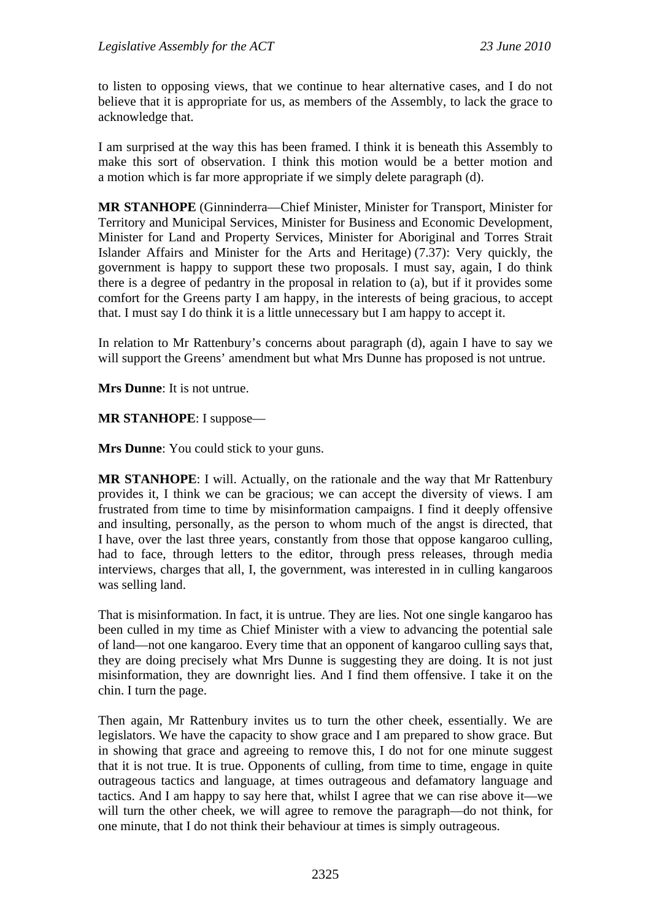to listen to opposing views, that we continue to hear alternative cases, and I do not believe that it is appropriate for us, as members of the Assembly, to lack the grace to acknowledge that.

I am surprised at the way this has been framed. I think it is beneath this Assembly to make this sort of observation. I think this motion would be a better motion and a motion which is far more appropriate if we simply delete paragraph (d).

**MR STANHOPE** (Ginninderra—Chief Minister, Minister for Transport, Minister for Territory and Municipal Services, Minister for Business and Economic Development, Minister for Land and Property Services, Minister for Aboriginal and Torres Strait Islander Affairs and Minister for the Arts and Heritage) (7.37): Very quickly, the government is happy to support these two proposals. I must say, again, I do think there is a degree of pedantry in the proposal in relation to (a), but if it provides some comfort for the Greens party I am happy, in the interests of being gracious, to accept that. I must say I do think it is a little unnecessary but I am happy to accept it.

In relation to Mr Rattenbury's concerns about paragraph (d), again I have to say we will support the Greens' amendment but what Mrs Dunne has proposed is not untrue.

**Mrs Dunne**: It is not untrue.

**MR STANHOPE**: I suppose—

**Mrs Dunne**: You could stick to your guns.

**MR STANHOPE**: I will. Actually, on the rationale and the way that Mr Rattenbury provides it, I think we can be gracious; we can accept the diversity of views. I am frustrated from time to time by misinformation campaigns. I find it deeply offensive and insulting, personally, as the person to whom much of the angst is directed, that I have, over the last three years, constantly from those that oppose kangaroo culling, had to face, through letters to the editor, through press releases, through media interviews, charges that all, I, the government, was interested in in culling kangaroos was selling land.

That is misinformation. In fact, it is untrue. They are lies. Not one single kangaroo has been culled in my time as Chief Minister with a view to advancing the potential sale of land—not one kangaroo. Every time that an opponent of kangaroo culling says that, they are doing precisely what Mrs Dunne is suggesting they are doing. It is not just misinformation, they are downright lies. And I find them offensive. I take it on the chin. I turn the page.

Then again, Mr Rattenbury invites us to turn the other cheek, essentially. We are legislators. We have the capacity to show grace and I am prepared to show grace. But in showing that grace and agreeing to remove this, I do not for one minute suggest that it is not true. It is true. Opponents of culling, from time to time, engage in quite outrageous tactics and language, at times outrageous and defamatory language and tactics. And I am happy to say here that, whilst I agree that we can rise above it—we will turn the other cheek, we will agree to remove the paragraph—do not think, for one minute, that I do not think their behaviour at times is simply outrageous.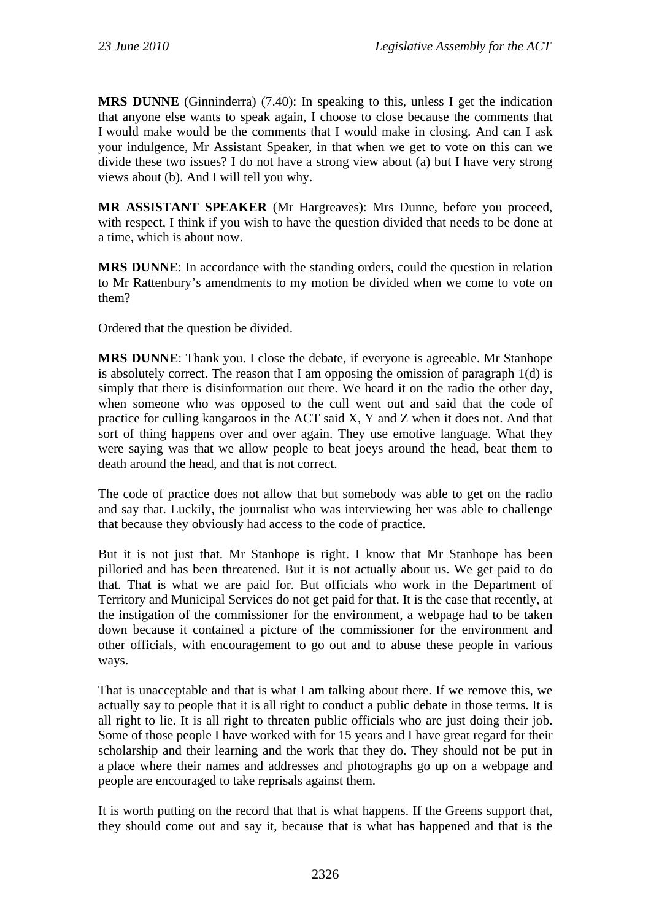**MRS DUNNE** (Ginninderra) (7.40): In speaking to this, unless I get the indication that anyone else wants to speak again, I choose to close because the comments that I would make would be the comments that I would make in closing. And can I ask your indulgence, Mr Assistant Speaker, in that when we get to vote on this can we divide these two issues? I do not have a strong view about (a) but I have very strong views about (b). And I will tell you why.

**MR ASSISTANT SPEAKER** (Mr Hargreaves): Mrs Dunne, before you proceed, with respect. I think if you wish to have the question divided that needs to be done at a time, which is about now.

**MRS DUNNE**: In accordance with the standing orders, could the question in relation to Mr Rattenbury's amendments to my motion be divided when we come to vote on them?

Ordered that the question be divided.

**MRS DUNNE**: Thank you. I close the debate, if everyone is agreeable. Mr Stanhope is absolutely correct. The reason that I am opposing the omission of paragraph 1(d) is simply that there is disinformation out there. We heard it on the radio the other day, when someone who was opposed to the cull went out and said that the code of practice for culling kangaroos in the ACT said X, Y and Z when it does not. And that sort of thing happens over and over again. They use emotive language. What they were saying was that we allow people to beat joeys around the head, beat them to death around the head, and that is not correct.

The code of practice does not allow that but somebody was able to get on the radio and say that. Luckily, the journalist who was interviewing her was able to challenge that because they obviously had access to the code of practice.

But it is not just that. Mr Stanhope is right. I know that Mr Stanhope has been pilloried and has been threatened. But it is not actually about us. We get paid to do that. That is what we are paid for. But officials who work in the Department of Territory and Municipal Services do not get paid for that. It is the case that recently, at the instigation of the commissioner for the environment, a webpage had to be taken down because it contained a picture of the commissioner for the environment and other officials, with encouragement to go out and to abuse these people in various ways.

That is unacceptable and that is what I am talking about there. If we remove this, we actually say to people that it is all right to conduct a public debate in those terms. It is all right to lie. It is all right to threaten public officials who are just doing their job. Some of those people I have worked with for 15 years and I have great regard for their scholarship and their learning and the work that they do. They should not be put in a place where their names and addresses and photographs go up on a webpage and people are encouraged to take reprisals against them.

It is worth putting on the record that that is what happens. If the Greens support that, they should come out and say it, because that is what has happened and that is the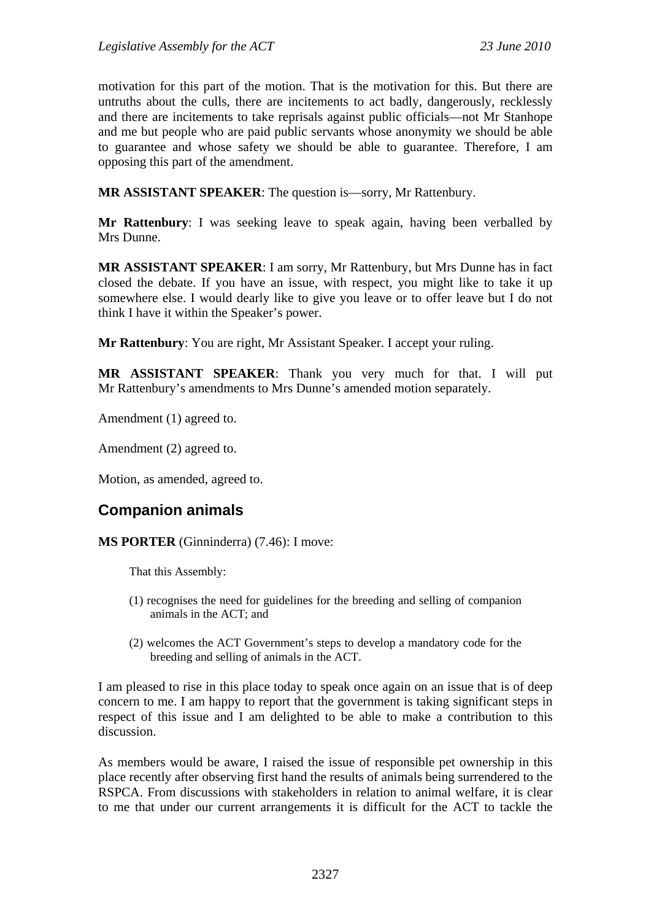motivation for this part of the motion. That is the motivation for this. But there are untruths about the culls, there are incitements to act badly, dangerously, recklessly and there are incitements to take reprisals against public officials—not Mr Stanhope and me but people who are paid public servants whose anonymity we should be able to guarantee and whose safety we should be able to guarantee. Therefore, I am opposing this part of the amendment.

**MR ASSISTANT SPEAKER**: The question is—sorry, Mr Rattenbury.

**Mr Rattenbury**: I was seeking leave to speak again, having been verballed by Mrs Dunne.

**MR ASSISTANT SPEAKER**: I am sorry, Mr Rattenbury, but Mrs Dunne has in fact closed the debate. If you have an issue, with respect, you might like to take it up somewhere else. I would dearly like to give you leave or to offer leave but I do not think I have it within the Speaker's power.

**Mr Rattenbury**: You are right, Mr Assistant Speaker. I accept your ruling.

**MR ASSISTANT SPEAKER**: Thank you very much for that. I will put Mr Rattenbury's amendments to Mrs Dunne's amended motion separately.

Amendment (1) agreed to.

Amendment (2) agreed to.

Motion, as amended, agreed to.

# **Companion animals**

**MS PORTER** (Ginninderra) (7.46): I move:

That this Assembly:

- (1) recognises the need for guidelines for the breeding and selling of companion animals in the ACT; and
- (2) welcomes the ACT Government's steps to develop a mandatory code for the breeding and selling of animals in the ACT.

I am pleased to rise in this place today to speak once again on an issue that is of deep concern to me. I am happy to report that the government is taking significant steps in respect of this issue and I am delighted to be able to make a contribution to this discussion.

As members would be aware, I raised the issue of responsible pet ownership in this place recently after observing first hand the results of animals being surrendered to the RSPCA. From discussions with stakeholders in relation to animal welfare, it is clear to me that under our current arrangements it is difficult for the ACT to tackle the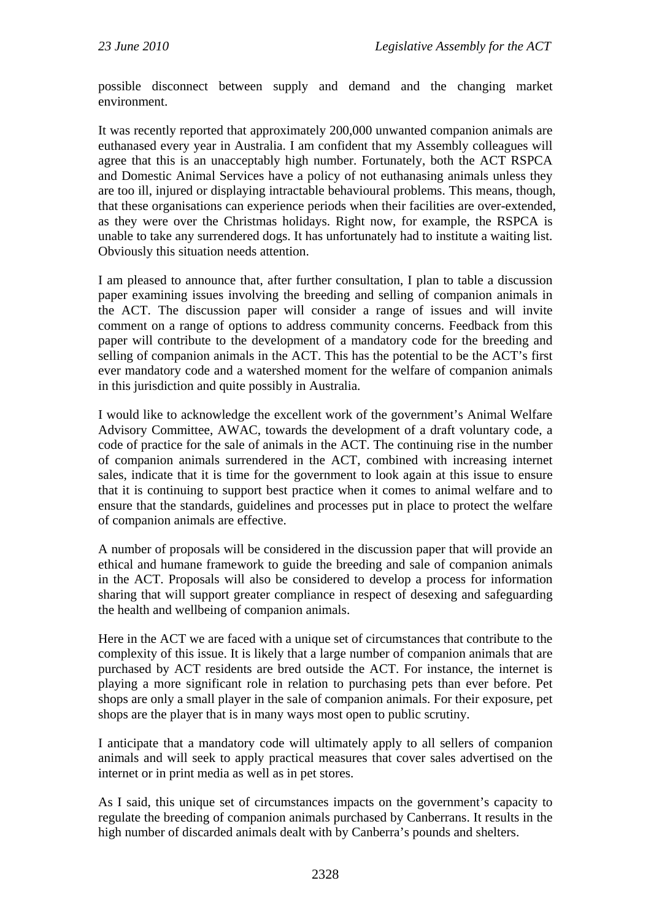possible disconnect between supply and demand and the changing market environment.

It was recently reported that approximately 200,000 unwanted companion animals are euthanased every year in Australia. I am confident that my Assembly colleagues will agree that this is an unacceptably high number. Fortunately, both the ACT RSPCA and Domestic Animal Services have a policy of not euthanasing animals unless they are too ill, injured or displaying intractable behavioural problems. This means, though, that these organisations can experience periods when their facilities are over-extended, as they were over the Christmas holidays. Right now, for example, the RSPCA is unable to take any surrendered dogs. It has unfortunately had to institute a waiting list. Obviously this situation needs attention.

I am pleased to announce that, after further consultation, I plan to table a discussion paper examining issues involving the breeding and selling of companion animals in the ACT. The discussion paper will consider a range of issues and will invite comment on a range of options to address community concerns. Feedback from this paper will contribute to the development of a mandatory code for the breeding and selling of companion animals in the ACT. This has the potential to be the ACT's first ever mandatory code and a watershed moment for the welfare of companion animals in this jurisdiction and quite possibly in Australia.

I would like to acknowledge the excellent work of the government's Animal Welfare Advisory Committee, AWAC, towards the development of a draft voluntary code, a code of practice for the sale of animals in the ACT. The continuing rise in the number of companion animals surrendered in the ACT, combined with increasing internet sales, indicate that it is time for the government to look again at this issue to ensure that it is continuing to support best practice when it comes to animal welfare and to ensure that the standards, guidelines and processes put in place to protect the welfare of companion animals are effective.

A number of proposals will be considered in the discussion paper that will provide an ethical and humane framework to guide the breeding and sale of companion animals in the ACT. Proposals will also be considered to develop a process for information sharing that will support greater compliance in respect of desexing and safeguarding the health and wellbeing of companion animals.

Here in the ACT we are faced with a unique set of circumstances that contribute to the complexity of this issue. It is likely that a large number of companion animals that are purchased by ACT residents are bred outside the ACT. For instance, the internet is playing a more significant role in relation to purchasing pets than ever before. Pet shops are only a small player in the sale of companion animals. For their exposure, pet shops are the player that is in many ways most open to public scrutiny.

I anticipate that a mandatory code will ultimately apply to all sellers of companion animals and will seek to apply practical measures that cover sales advertised on the internet or in print media as well as in pet stores.

As I said, this unique set of circumstances impacts on the government's capacity to regulate the breeding of companion animals purchased by Canberrans. It results in the high number of discarded animals dealt with by Canberra's pounds and shelters.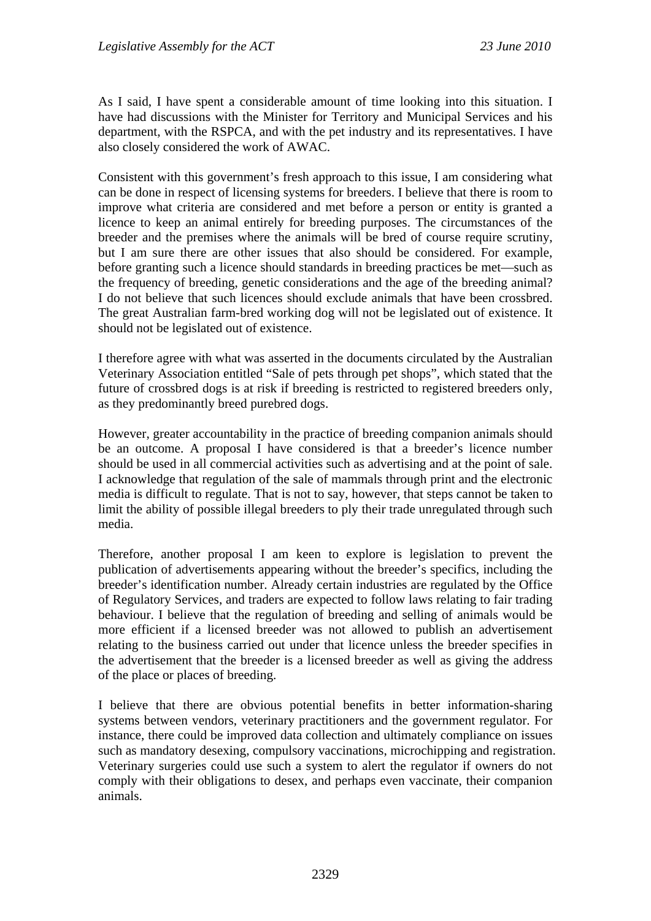As I said, I have spent a considerable amount of time looking into this situation. I have had discussions with the Minister for Territory and Municipal Services and his department, with the RSPCA, and with the pet industry and its representatives. I have also closely considered the work of AWAC.

Consistent with this government's fresh approach to this issue, I am considering what can be done in respect of licensing systems for breeders. I believe that there is room to improve what criteria are considered and met before a person or entity is granted a licence to keep an animal entirely for breeding purposes. The circumstances of the breeder and the premises where the animals will be bred of course require scrutiny, but I am sure there are other issues that also should be considered. For example, before granting such a licence should standards in breeding practices be met—such as the frequency of breeding, genetic considerations and the age of the breeding animal? I do not believe that such licences should exclude animals that have been crossbred. The great Australian farm-bred working dog will not be legislated out of existence. It should not be legislated out of existence.

I therefore agree with what was asserted in the documents circulated by the Australian Veterinary Association entitled "Sale of pets through pet shops", which stated that the future of crossbred dogs is at risk if breeding is restricted to registered breeders only, as they predominantly breed purebred dogs.

However, greater accountability in the practice of breeding companion animals should be an outcome. A proposal I have considered is that a breeder's licence number should be used in all commercial activities such as advertising and at the point of sale. I acknowledge that regulation of the sale of mammals through print and the electronic media is difficult to regulate. That is not to say, however, that steps cannot be taken to limit the ability of possible illegal breeders to ply their trade unregulated through such media.

Therefore, another proposal I am keen to explore is legislation to prevent the publication of advertisements appearing without the breeder's specifics, including the breeder's identification number. Already certain industries are regulated by the Office of Regulatory Services, and traders are expected to follow laws relating to fair trading behaviour. I believe that the regulation of breeding and selling of animals would be more efficient if a licensed breeder was not allowed to publish an advertisement relating to the business carried out under that licence unless the breeder specifies in the advertisement that the breeder is a licensed breeder as well as giving the address of the place or places of breeding.

I believe that there are obvious potential benefits in better information-sharing systems between vendors, veterinary practitioners and the government regulator. For instance, there could be improved data collection and ultimately compliance on issues such as mandatory desexing, compulsory vaccinations, microchipping and registration. Veterinary surgeries could use such a system to alert the regulator if owners do not comply with their obligations to desex, and perhaps even vaccinate, their companion animals.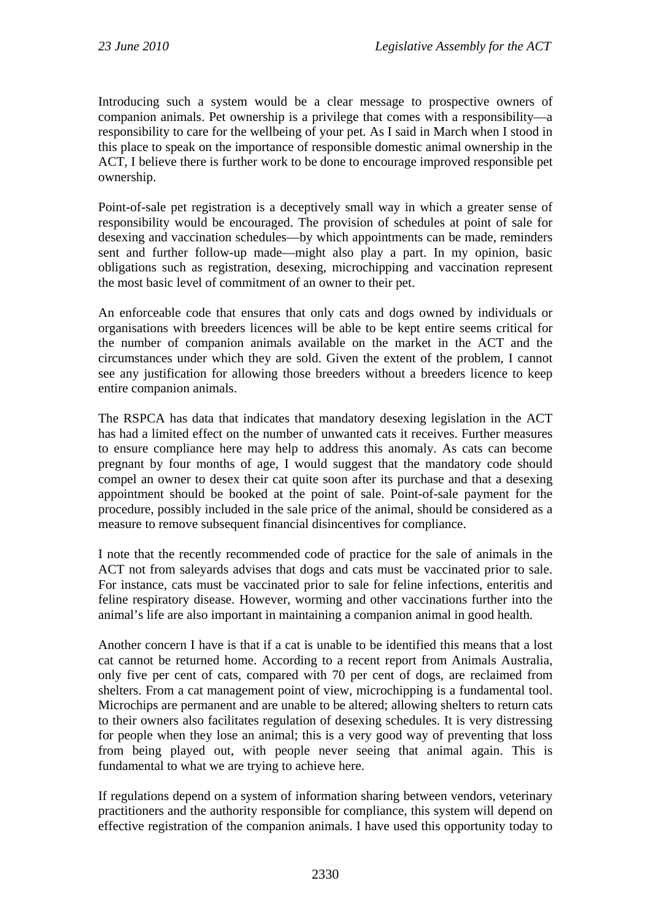Introducing such a system would be a clear message to prospective owners of companion animals. Pet ownership is a privilege that comes with a responsibility—a responsibility to care for the wellbeing of your pet. As I said in March when I stood in this place to speak on the importance of responsible domestic animal ownership in the ACT, I believe there is further work to be done to encourage improved responsible pet ownership.

Point-of-sale pet registration is a deceptively small way in which a greater sense of responsibility would be encouraged. The provision of schedules at point of sale for desexing and vaccination schedules—by which appointments can be made, reminders sent and further follow-up made—might also play a part. In my opinion, basic obligations such as registration, desexing, microchipping and vaccination represent the most basic level of commitment of an owner to their pet.

An enforceable code that ensures that only cats and dogs owned by individuals or organisations with breeders licences will be able to be kept entire seems critical for the number of companion animals available on the market in the ACT and the circumstances under which they are sold. Given the extent of the problem, I cannot see any justification for allowing those breeders without a breeders licence to keep entire companion animals.

The RSPCA has data that indicates that mandatory desexing legislation in the ACT has had a limited effect on the number of unwanted cats it receives. Further measures to ensure compliance here may help to address this anomaly. As cats can become pregnant by four months of age, I would suggest that the mandatory code should compel an owner to desex their cat quite soon after its purchase and that a desexing appointment should be booked at the point of sale. Point-of-sale payment for the procedure, possibly included in the sale price of the animal, should be considered as a measure to remove subsequent financial disincentives for compliance.

I note that the recently recommended code of practice for the sale of animals in the ACT not from saleyards advises that dogs and cats must be vaccinated prior to sale. For instance, cats must be vaccinated prior to sale for feline infections, enteritis and feline respiratory disease. However, worming and other vaccinations further into the animal's life are also important in maintaining a companion animal in good health.

Another concern I have is that if a cat is unable to be identified this means that a lost cat cannot be returned home. According to a recent report from Animals Australia, only five per cent of cats, compared with 70 per cent of dogs, are reclaimed from shelters. From a cat management point of view, microchipping is a fundamental tool. Microchips are permanent and are unable to be altered; allowing shelters to return cats to their owners also facilitates regulation of desexing schedules. It is very distressing for people when they lose an animal; this is a very good way of preventing that loss from being played out, with people never seeing that animal again. This is fundamental to what we are trying to achieve here.

If regulations depend on a system of information sharing between vendors, veterinary practitioners and the authority responsible for compliance, this system will depend on effective registration of the companion animals. I have used this opportunity today to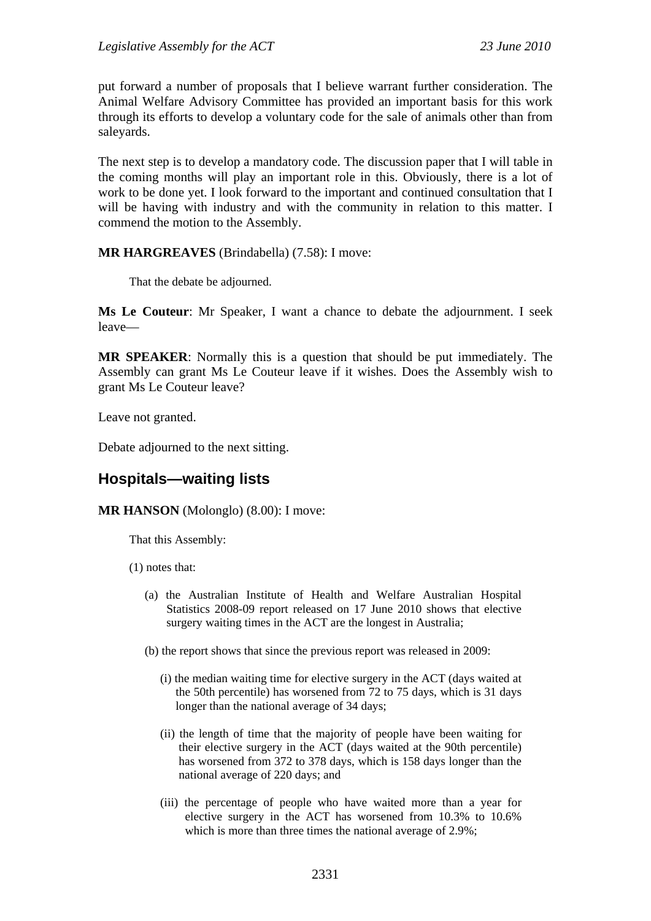put forward a number of proposals that I believe warrant further consideration. The Animal Welfare Advisory Committee has provided an important basis for this work through its efforts to develop a voluntary code for the sale of animals other than from saleyards.

The next step is to develop a mandatory code. The discussion paper that I will table in the coming months will play an important role in this. Obviously, there is a lot of work to be done yet. I look forward to the important and continued consultation that I will be having with industry and with the community in relation to this matter. I commend the motion to the Assembly.

### **MR HARGREAVES** (Brindabella) (7.58): I move:

That the debate be adjourned.

**Ms Le Couteur**: Mr Speaker, I want a chance to debate the adjournment. I seek leave—

**MR SPEAKER**: Normally this is a question that should be put immediately. The Assembly can grant Ms Le Couteur leave if it wishes. Does the Assembly wish to grant Ms Le Couteur leave?

Leave not granted.

Debate adjourned to the next sitting.

## **Hospitals—waiting lists**

**MR HANSON** (Molonglo) (8.00): I move:

That this Assembly:

- (1) notes that:
	- (a) the Australian Institute of Health and Welfare Australian Hospital Statistics 2008-09 report released on 17 June 2010 shows that elective surgery waiting times in the ACT are the longest in Australia;
	- (b) the report shows that since the previous report was released in 2009:
		- (i) the median waiting time for elective surgery in the ACT (days waited at the 50th percentile) has worsened from 72 to 75 days, which is 31 days longer than the national average of 34 days;
		- (ii) the length of time that the majority of people have been waiting for their elective surgery in the ACT (days waited at the 90th percentile) has worsened from 372 to 378 days, which is 158 days longer than the national average of 220 days; and
		- (iii) the percentage of people who have waited more than a year for elective surgery in the ACT has worsened from 10.3% to 10.6% which is more than three times the national average of 2.9%;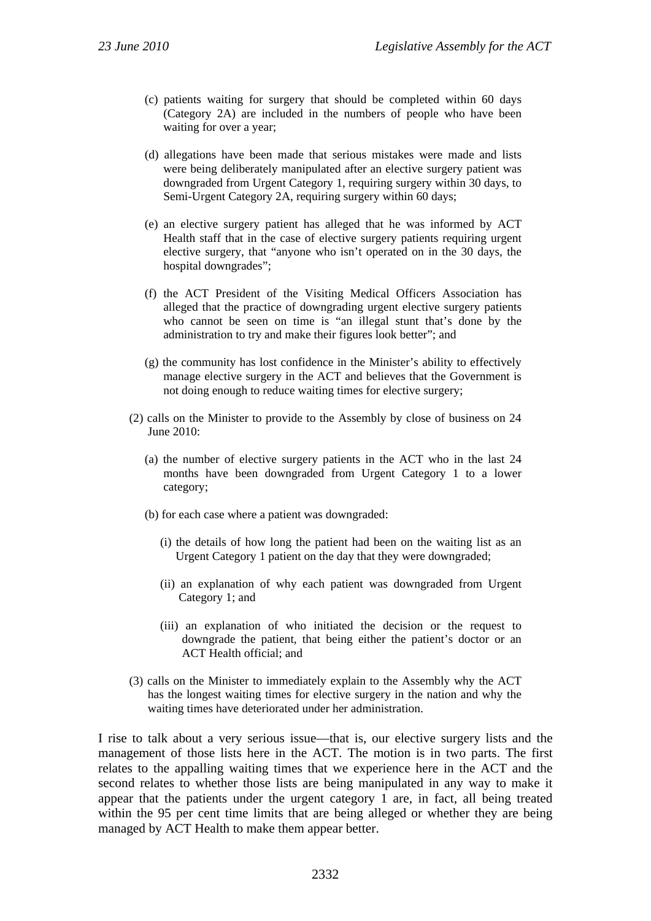- (c) patients waiting for surgery that should be completed within 60 days (Category 2A) are included in the numbers of people who have been waiting for over a year;
- (d) allegations have been made that serious mistakes were made and lists were being deliberately manipulated after an elective surgery patient was downgraded from Urgent Category 1, requiring surgery within 30 days, to Semi-Urgent Category 2A, requiring surgery within 60 days;
- (e) an elective surgery patient has alleged that he was informed by ACT Health staff that in the case of elective surgery patients requiring urgent elective surgery, that "anyone who isn't operated on in the 30 days, the hospital downgrades";
- (f) the ACT President of the Visiting Medical Officers Association has alleged that the practice of downgrading urgent elective surgery patients who cannot be seen on time is "an illegal stunt that's done by the administration to try and make their figures look better"; and
- (g) the community has lost confidence in the Minister's ability to effectively manage elective surgery in the ACT and believes that the Government is not doing enough to reduce waiting times for elective surgery;
- (2) calls on the Minister to provide to the Assembly by close of business on 24 June 2010:
	- (a) the number of elective surgery patients in the ACT who in the last 24 months have been downgraded from Urgent Category 1 to a lower category;
	- (b) for each case where a patient was downgraded:
		- (i) the details of how long the patient had been on the waiting list as an Urgent Category 1 patient on the day that they were downgraded;
		- (ii) an explanation of why each patient was downgraded from Urgent Category 1; and
		- (iii) an explanation of who initiated the decision or the request to downgrade the patient, that being either the patient's doctor or an ACT Health official; and
- (3) calls on the Minister to immediately explain to the Assembly why the ACT has the longest waiting times for elective surgery in the nation and why the waiting times have deteriorated under her administration.

I rise to talk about a very serious issue—that is, our elective surgery lists and the management of those lists here in the ACT. The motion is in two parts. The first relates to the appalling waiting times that we experience here in the ACT and the second relates to whether those lists are being manipulated in any way to make it appear that the patients under the urgent category 1 are, in fact, all being treated within the 95 per cent time limits that are being alleged or whether they are being managed by ACT Health to make them appear better.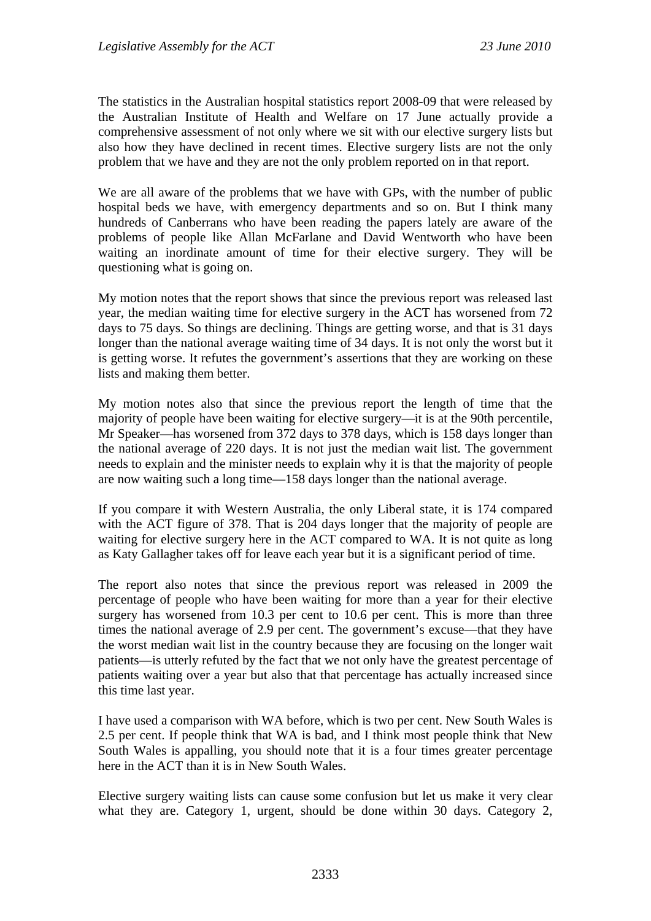The statistics in the Australian hospital statistics report 2008-09 that were released by the Australian Institute of Health and Welfare on 17 June actually provide a comprehensive assessment of not only where we sit with our elective surgery lists but also how they have declined in recent times. Elective surgery lists are not the only problem that we have and they are not the only problem reported on in that report.

We are all aware of the problems that we have with GPs, with the number of public hospital beds we have, with emergency departments and so on. But I think many hundreds of Canberrans who have been reading the papers lately are aware of the problems of people like Allan McFarlane and David Wentworth who have been waiting an inordinate amount of time for their elective surgery. They will be questioning what is going on.

My motion notes that the report shows that since the previous report was released last year, the median waiting time for elective surgery in the ACT has worsened from 72 days to 75 days. So things are declining. Things are getting worse, and that is 31 days longer than the national average waiting time of 34 days. It is not only the worst but it is getting worse. It refutes the government's assertions that they are working on these lists and making them better.

My motion notes also that since the previous report the length of time that the majority of people have been waiting for elective surgery—it is at the 90th percentile, Mr Speaker—has worsened from 372 days to 378 days, which is 158 days longer than the national average of 220 days. It is not just the median wait list. The government needs to explain and the minister needs to explain why it is that the majority of people are now waiting such a long time—158 days longer than the national average.

If you compare it with Western Australia, the only Liberal state, it is 174 compared with the ACT figure of 378. That is 204 days longer that the majority of people are waiting for elective surgery here in the ACT compared to WA. It is not quite as long as Katy Gallagher takes off for leave each year but it is a significant period of time.

The report also notes that since the previous report was released in 2009 the percentage of people who have been waiting for more than a year for their elective surgery has worsened from 10.3 per cent to 10.6 per cent. This is more than three times the national average of 2.9 per cent. The government's excuse—that they have the worst median wait list in the country because they are focusing on the longer wait patients—is utterly refuted by the fact that we not only have the greatest percentage of patients waiting over a year but also that that percentage has actually increased since this time last year.

I have used a comparison with WA before, which is two per cent. New South Wales is 2.5 per cent. If people think that WA is bad, and I think most people think that New South Wales is appalling, you should note that it is a four times greater percentage here in the ACT than it is in New South Wales.

Elective surgery waiting lists can cause some confusion but let us make it very clear what they are. Category 1, urgent, should be done within 30 days. Category 2,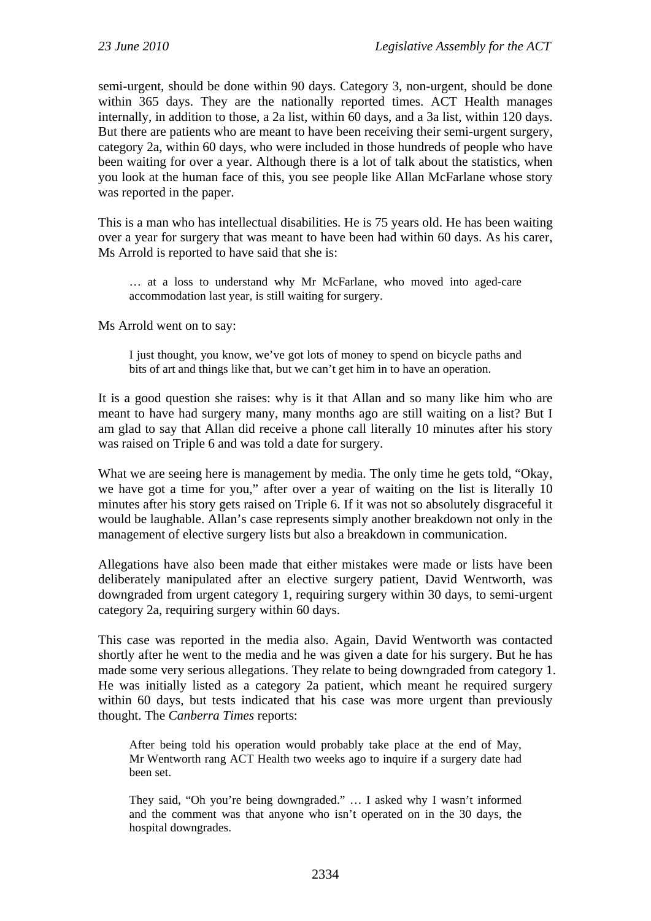semi-urgent, should be done within 90 days. Category 3, non-urgent, should be done within 365 days. They are the nationally reported times. ACT Health manages internally, in addition to those, a 2a list, within 60 days, and a 3a list, within 120 days. But there are patients who are meant to have been receiving their semi-urgent surgery, category 2a, within 60 days, who were included in those hundreds of people who have been waiting for over a year. Although there is a lot of talk about the statistics, when you look at the human face of this, you see people like Allan McFarlane whose story was reported in the paper.

This is a man who has intellectual disabilities. He is 75 years old. He has been waiting over a year for surgery that was meant to have been had within 60 days. As his carer, Ms Arrold is reported to have said that she is:

… at a loss to understand why Mr McFarlane, who moved into aged-care accommodation last year, is still waiting for surgery.

Ms Arrold went on to say:

I just thought, you know, we've got lots of money to spend on bicycle paths and bits of art and things like that, but we can't get him in to have an operation.

It is a good question she raises: why is it that Allan and so many like him who are meant to have had surgery many, many months ago are still waiting on a list? But I am glad to say that Allan did receive a phone call literally 10 minutes after his story was raised on Triple 6 and was told a date for surgery.

What we are seeing here is management by media. The only time he gets told, "Okay, we have got a time for you," after over a year of waiting on the list is literally 10 minutes after his story gets raised on Triple 6. If it was not so absolutely disgraceful it would be laughable. Allan's case represents simply another breakdown not only in the management of elective surgery lists but also a breakdown in communication.

Allegations have also been made that either mistakes were made or lists have been deliberately manipulated after an elective surgery patient, David Wentworth, was downgraded from urgent category 1, requiring surgery within 30 days, to semi-urgent category 2a, requiring surgery within 60 days.

This case was reported in the media also. Again, David Wentworth was contacted shortly after he went to the media and he was given a date for his surgery. But he has made some very serious allegations. They relate to being downgraded from category 1. He was initially listed as a category 2a patient, which meant he required surgery within 60 days, but tests indicated that his case was more urgent than previously thought. The *Canberra Times* reports:

After being told his operation would probably take place at the end of May, Mr Wentworth rang ACT Health two weeks ago to inquire if a surgery date had been set.

They said, "Oh you're being downgraded." … I asked why I wasn't informed and the comment was that anyone who isn't operated on in the 30 days, the hospital downgrades.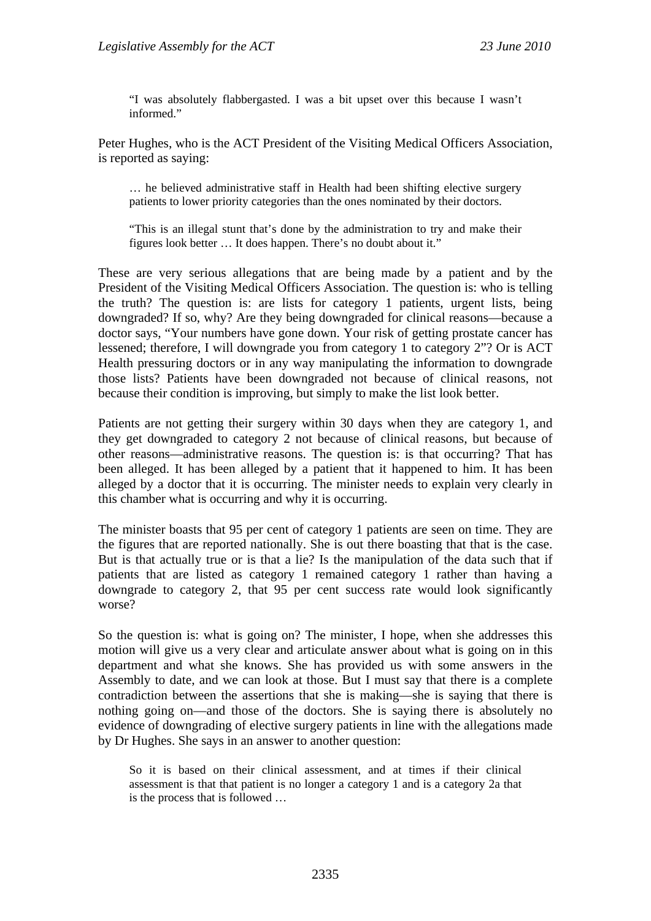"I was absolutely flabbergasted. I was a bit upset over this because I wasn't informed."

Peter Hughes, who is the ACT President of the Visiting Medical Officers Association, is reported as saying:

… he believed administrative staff in Health had been shifting elective surgery patients to lower priority categories than the ones nominated by their doctors.

"This is an illegal stunt that's done by the administration to try and make their figures look better … It does happen. There's no doubt about it."

These are very serious allegations that are being made by a patient and by the President of the Visiting Medical Officers Association. The question is: who is telling the truth? The question is: are lists for category 1 patients, urgent lists, being downgraded? If so, why? Are they being downgraded for clinical reasons—because a doctor says, "Your numbers have gone down. Your risk of getting prostate cancer has lessened; therefore, I will downgrade you from category 1 to category 2"? Or is ACT Health pressuring doctors or in any way manipulating the information to downgrade those lists? Patients have been downgraded not because of clinical reasons, not because their condition is improving, but simply to make the list look better.

Patients are not getting their surgery within 30 days when they are category 1, and they get downgraded to category 2 not because of clinical reasons, but because of other reasons—administrative reasons. The question is: is that occurring? That has been alleged. It has been alleged by a patient that it happened to him. It has been alleged by a doctor that it is occurring. The minister needs to explain very clearly in this chamber what is occurring and why it is occurring.

The minister boasts that 95 per cent of category 1 patients are seen on time. They are the figures that are reported nationally. She is out there boasting that that is the case. But is that actually true or is that a lie? Is the manipulation of the data such that if patients that are listed as category 1 remained category 1 rather than having a downgrade to category 2, that 95 per cent success rate would look significantly worse?

So the question is: what is going on? The minister, I hope, when she addresses this motion will give us a very clear and articulate answer about what is going on in this department and what she knows. She has provided us with some answers in the Assembly to date, and we can look at those. But I must say that there is a complete contradiction between the assertions that she is making—she is saying that there is nothing going on—and those of the doctors. She is saying there is absolutely no evidence of downgrading of elective surgery patients in line with the allegations made by Dr Hughes. She says in an answer to another question:

So it is based on their clinical assessment, and at times if their clinical assessment is that that patient is no longer a category 1 and is a category 2a that is the process that is followed …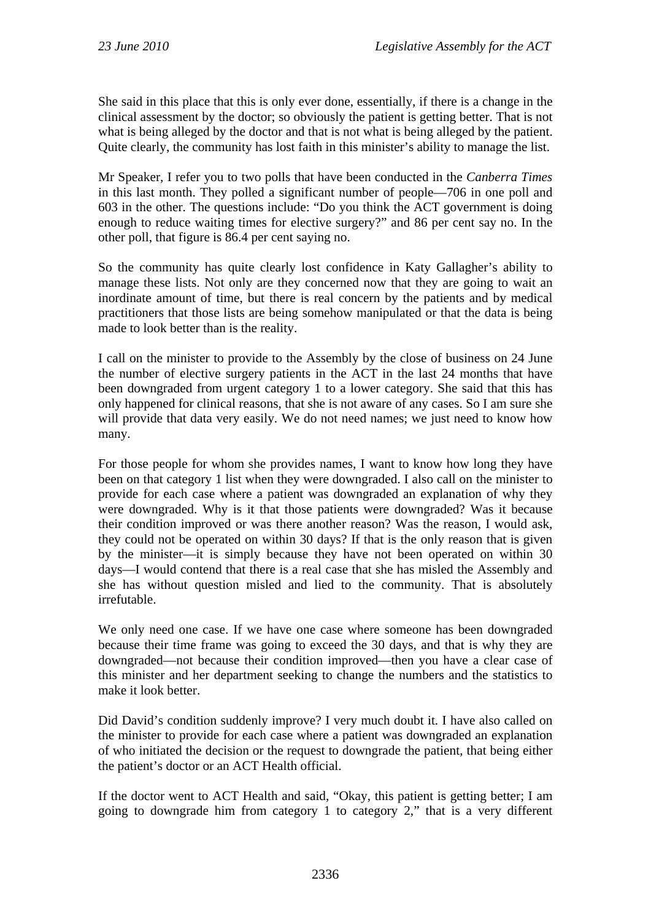She said in this place that this is only ever done, essentially, if there is a change in the clinical assessment by the doctor; so obviously the patient is getting better. That is not what is being alleged by the doctor and that is not what is being alleged by the patient. Quite clearly, the community has lost faith in this minister's ability to manage the list.

Mr Speaker, I refer you to two polls that have been conducted in the *Canberra Times* in this last month. They polled a significant number of people—706 in one poll and 603 in the other. The questions include: "Do you think the ACT government is doing enough to reduce waiting times for elective surgery?" and 86 per cent say no. In the other poll, that figure is 86.4 per cent saying no.

So the community has quite clearly lost confidence in Katy Gallagher's ability to manage these lists. Not only are they concerned now that they are going to wait an inordinate amount of time, but there is real concern by the patients and by medical practitioners that those lists are being somehow manipulated or that the data is being made to look better than is the reality.

I call on the minister to provide to the Assembly by the close of business on 24 June the number of elective surgery patients in the ACT in the last 24 months that have been downgraded from urgent category 1 to a lower category. She said that this has only happened for clinical reasons, that she is not aware of any cases. So I am sure she will provide that data very easily. We do not need names; we just need to know how many.

For those people for whom she provides names, I want to know how long they have been on that category 1 list when they were downgraded. I also call on the minister to provide for each case where a patient was downgraded an explanation of why they were downgraded. Why is it that those patients were downgraded? Was it because their condition improved or was there another reason? Was the reason, I would ask, they could not be operated on within 30 days? If that is the only reason that is given by the minister—it is simply because they have not been operated on within 30 days—I would contend that there is a real case that she has misled the Assembly and she has without question misled and lied to the community. That is absolutely irrefutable.

We only need one case. If we have one case where someone has been downgraded because their time frame was going to exceed the 30 days, and that is why they are downgraded—not because their condition improved—then you have a clear case of this minister and her department seeking to change the numbers and the statistics to make it look better.

Did David's condition suddenly improve? I very much doubt it. I have also called on the minister to provide for each case where a patient was downgraded an explanation of who initiated the decision or the request to downgrade the patient, that being either the patient's doctor or an ACT Health official.

If the doctor went to ACT Health and said, "Okay, this patient is getting better; I am going to downgrade him from category 1 to category 2," that is a very different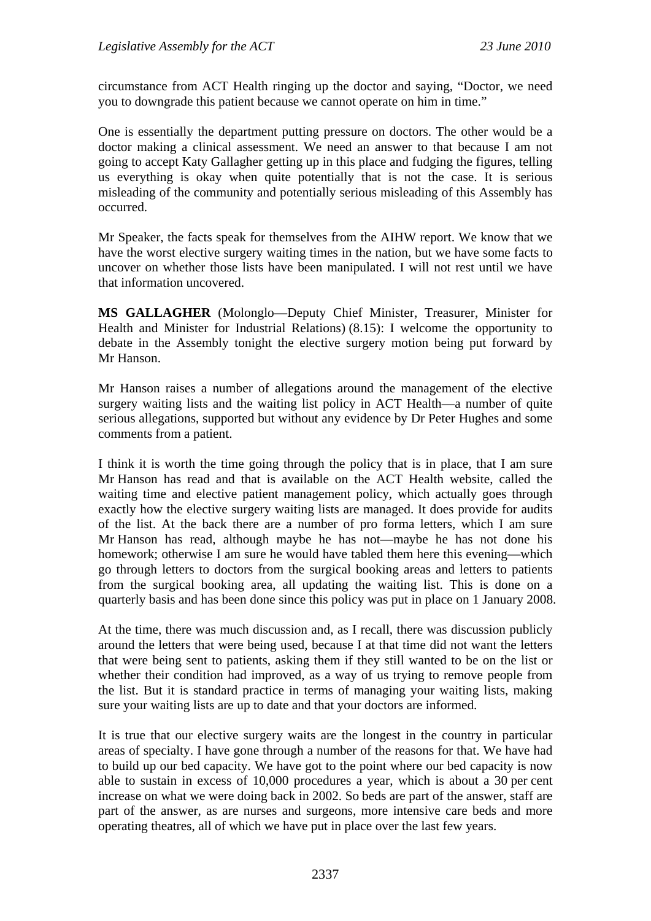circumstance from ACT Health ringing up the doctor and saying, "Doctor, we need you to downgrade this patient because we cannot operate on him in time."

One is essentially the department putting pressure on doctors. The other would be a doctor making a clinical assessment. We need an answer to that because I am not going to accept Katy Gallagher getting up in this place and fudging the figures, telling us everything is okay when quite potentially that is not the case. It is serious misleading of the community and potentially serious misleading of this Assembly has occurred.

Mr Speaker, the facts speak for themselves from the AIHW report. We know that we have the worst elective surgery waiting times in the nation, but we have some facts to uncover on whether those lists have been manipulated. I will not rest until we have that information uncovered.

**MS GALLAGHER** (Molonglo—Deputy Chief Minister, Treasurer, Minister for Health and Minister for Industrial Relations) (8.15): I welcome the opportunity to debate in the Assembly tonight the elective surgery motion being put forward by Mr Hanson.

Mr Hanson raises a number of allegations around the management of the elective surgery waiting lists and the waiting list policy in ACT Health—a number of quite serious allegations, supported but without any evidence by Dr Peter Hughes and some comments from a patient.

I think it is worth the time going through the policy that is in place, that I am sure Mr Hanson has read and that is available on the ACT Health website, called the waiting time and elective patient management policy, which actually goes through exactly how the elective surgery waiting lists are managed. It does provide for audits of the list. At the back there are a number of pro forma letters, which I am sure Mr Hanson has read, although maybe he has not—maybe he has not done his homework; otherwise I am sure he would have tabled them here this evening—which go through letters to doctors from the surgical booking areas and letters to patients from the surgical booking area, all updating the waiting list. This is done on a quarterly basis and has been done since this policy was put in place on 1 January 2008.

At the time, there was much discussion and, as I recall, there was discussion publicly around the letters that were being used, because I at that time did not want the letters that were being sent to patients, asking them if they still wanted to be on the list or whether their condition had improved, as a way of us trying to remove people from the list. But it is standard practice in terms of managing your waiting lists, making sure your waiting lists are up to date and that your doctors are informed.

It is true that our elective surgery waits are the longest in the country in particular areas of specialty. I have gone through a number of the reasons for that. We have had to build up our bed capacity. We have got to the point where our bed capacity is now able to sustain in excess of 10,000 procedures a year, which is about a 30 per cent increase on what we were doing back in 2002. So beds are part of the answer, staff are part of the answer, as are nurses and surgeons, more intensive care beds and more operating theatres, all of which we have put in place over the last few years.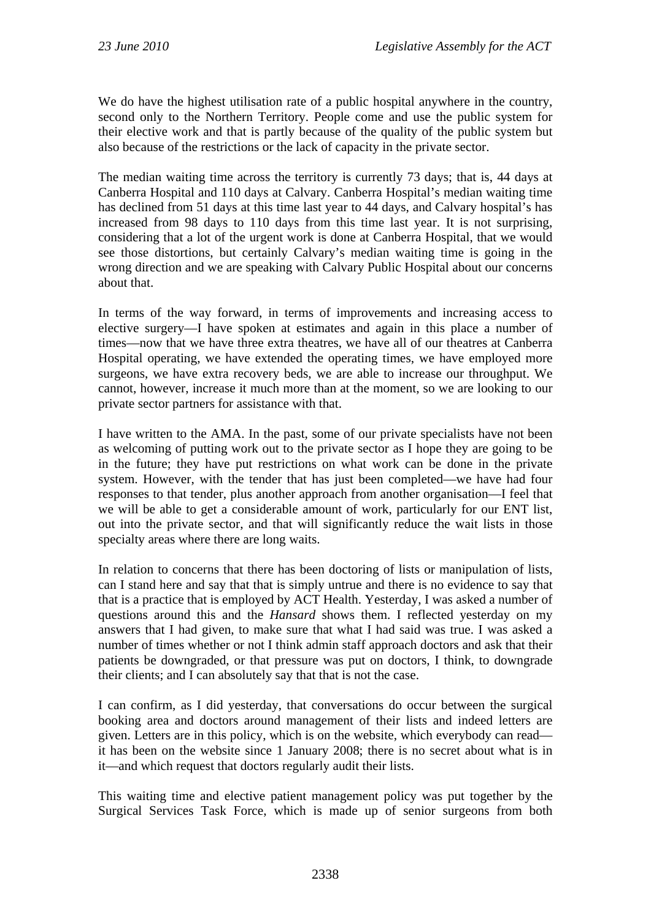We do have the highest utilisation rate of a public hospital anywhere in the country, second only to the Northern Territory. People come and use the public system for their elective work and that is partly because of the quality of the public system but also because of the restrictions or the lack of capacity in the private sector.

The median waiting time across the territory is currently 73 days; that is, 44 days at Canberra Hospital and 110 days at Calvary. Canberra Hospital's median waiting time has declined from 51 days at this time last year to 44 days, and Calvary hospital's has increased from 98 days to 110 days from this time last year. It is not surprising, considering that a lot of the urgent work is done at Canberra Hospital, that we would see those distortions, but certainly Calvary's median waiting time is going in the wrong direction and we are speaking with Calvary Public Hospital about our concerns about that.

In terms of the way forward, in terms of improvements and increasing access to elective surgery—I have spoken at estimates and again in this place a number of times—now that we have three extra theatres, we have all of our theatres at Canberra Hospital operating, we have extended the operating times, we have employed more surgeons, we have extra recovery beds, we are able to increase our throughput. We cannot, however, increase it much more than at the moment, so we are looking to our private sector partners for assistance with that.

I have written to the AMA. In the past, some of our private specialists have not been as welcoming of putting work out to the private sector as I hope they are going to be in the future; they have put restrictions on what work can be done in the private system. However, with the tender that has just been completed—we have had four responses to that tender, plus another approach from another organisation—I feel that we will be able to get a considerable amount of work, particularly for our ENT list, out into the private sector, and that will significantly reduce the wait lists in those specialty areas where there are long waits.

In relation to concerns that there has been doctoring of lists or manipulation of lists, can I stand here and say that that is simply untrue and there is no evidence to say that that is a practice that is employed by ACT Health. Yesterday, I was asked a number of questions around this and the *Hansard* shows them. I reflected yesterday on my answers that I had given, to make sure that what I had said was true. I was asked a number of times whether or not I think admin staff approach doctors and ask that their patients be downgraded, or that pressure was put on doctors, I think, to downgrade their clients; and I can absolutely say that that is not the case.

I can confirm, as I did yesterday, that conversations do occur between the surgical booking area and doctors around management of their lists and indeed letters are given. Letters are in this policy, which is on the website, which everybody can read it has been on the website since 1 January 2008; there is no secret about what is in it—and which request that doctors regularly audit their lists.

This waiting time and elective patient management policy was put together by the Surgical Services Task Force, which is made up of senior surgeons from both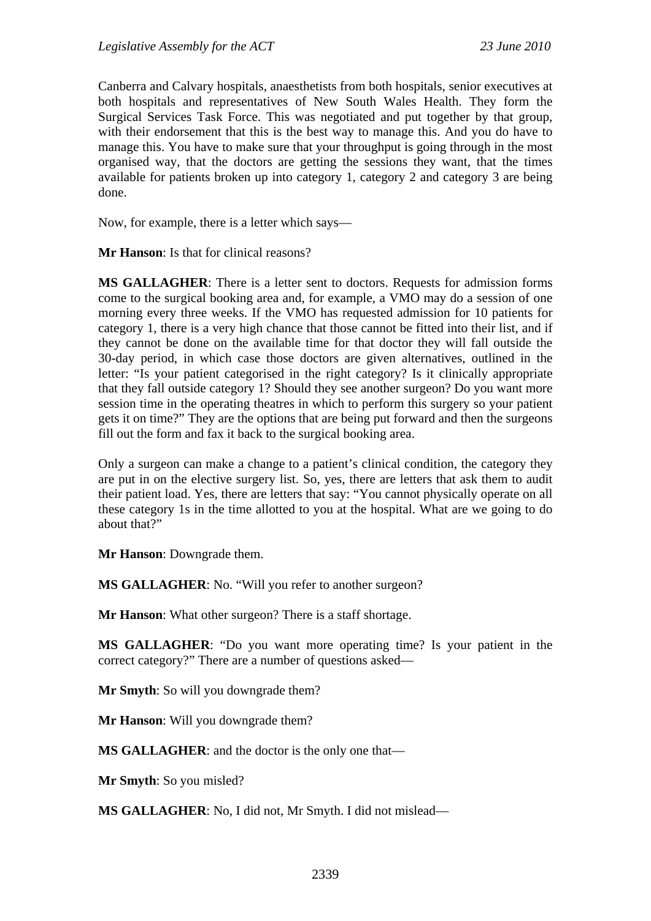Canberra and Calvary hospitals, anaesthetists from both hospitals, senior executives at both hospitals and representatives of New South Wales Health. They form the Surgical Services Task Force. This was negotiated and put together by that group, with their endorsement that this is the best way to manage this. And you do have to manage this. You have to make sure that your throughput is going through in the most organised way, that the doctors are getting the sessions they want, that the times available for patients broken up into category 1, category 2 and category 3 are being done.

Now, for example, there is a letter which says—

**Mr Hanson**: Is that for clinical reasons?

**MS GALLAGHER**: There is a letter sent to doctors. Requests for admission forms come to the surgical booking area and, for example, a VMO may do a session of one morning every three weeks. If the VMO has requested admission for 10 patients for category 1, there is a very high chance that those cannot be fitted into their list, and if they cannot be done on the available time for that doctor they will fall outside the 30-day period, in which case those doctors are given alternatives, outlined in the letter: "Is your patient categorised in the right category? Is it clinically appropriate that they fall outside category 1? Should they see another surgeon? Do you want more session time in the operating theatres in which to perform this surgery so your patient gets it on time?" They are the options that are being put forward and then the surgeons fill out the form and fax it back to the surgical booking area.

Only a surgeon can make a change to a patient's clinical condition, the category they are put in on the elective surgery list. So, yes, there are letters that ask them to audit their patient load. Yes, there are letters that say: "You cannot physically operate on all these category 1s in the time allotted to you at the hospital. What are we going to do about that?"

**Mr Hanson**: Downgrade them.

**MS GALLAGHER**: No. "Will you refer to another surgeon?

**Mr Hanson**: What other surgeon? There is a staff shortage.

**MS GALLAGHER**: "Do you want more operating time? Is your patient in the correct category?" There are a number of questions asked—

**Mr Smyth**: So will you downgrade them?

**Mr Hanson**: Will you downgrade them?

**MS GALLAGHER**: and the doctor is the only one that—

**Mr Smyth**: So you misled?

**MS GALLAGHER**: No, I did not, Mr Smyth. I did not mislead—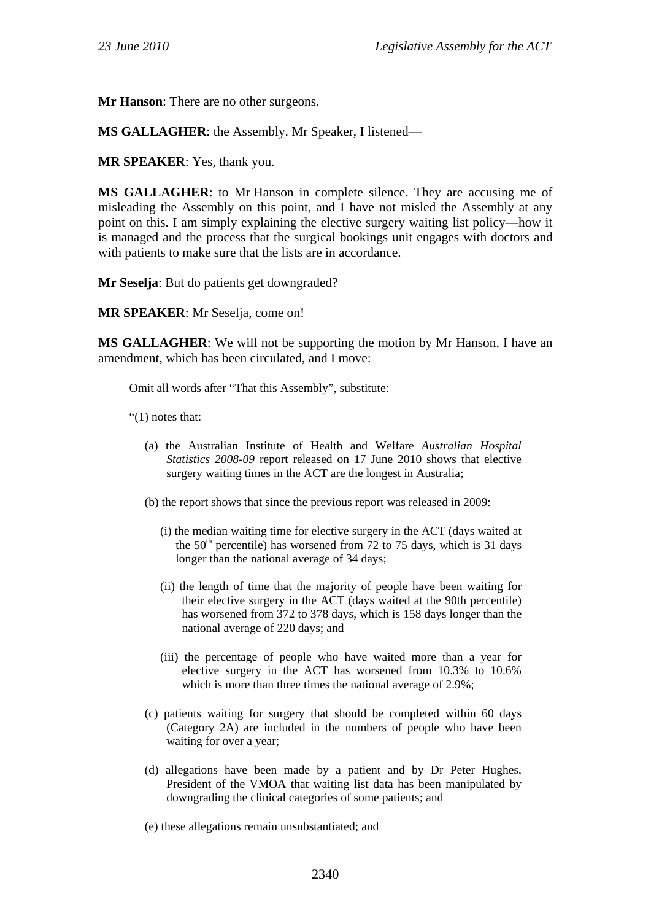**Mr Hanson**: There are no other surgeons.

**MS GALLAGHER**: the Assembly. Mr Speaker, I listened—

**MR SPEAKER**: Yes, thank you.

**MS GALLAGHER**: to Mr Hanson in complete silence. They are accusing me of misleading the Assembly on this point, and I have not misled the Assembly at any point on this. I am simply explaining the elective surgery waiting list policy—how it is managed and the process that the surgical bookings unit engages with doctors and with patients to make sure that the lists are in accordance.

**Mr Seselja**: But do patients get downgraded?

**MR SPEAKER**: Mr Seselja, come on!

**MS GALLAGHER**: We will not be supporting the motion by Mr Hanson. I have an amendment, which has been circulated, and I move:

Omit all words after "That this Assembly", substitute:

"(1) notes that:

- (a) the Australian Institute of Health and Welfare *Australian Hospital Statistics 2008-09* report released on 17 June 2010 shows that elective surgery waiting times in the ACT are the longest in Australia;
- (b) the report shows that since the previous report was released in 2009:
	- (i) the median waiting time for elective surgery in the ACT (days waited at the  $50<sup>th</sup>$  percentile) has worsened from 72 to 75 days, which is 31 days longer than the national average of 34 days;
	- (ii) the length of time that the majority of people have been waiting for their elective surgery in the ACT (days waited at the 90th percentile) has worsened from 372 to 378 days, which is 158 days longer than the national average of 220 days; and
	- (iii) the percentage of people who have waited more than a year for elective surgery in the ACT has worsened from 10.3% to 10.6% which is more than three times the national average of 2.9%;
- (c) patients waiting for surgery that should be completed within 60 days (Category 2A) are included in the numbers of people who have been waiting for over a year;
- (d) allegations have been made by a patient and by Dr Peter Hughes, President of the VMOA that waiting list data has been manipulated by downgrading the clinical categories of some patients; and
- (e) these allegations remain unsubstantiated; and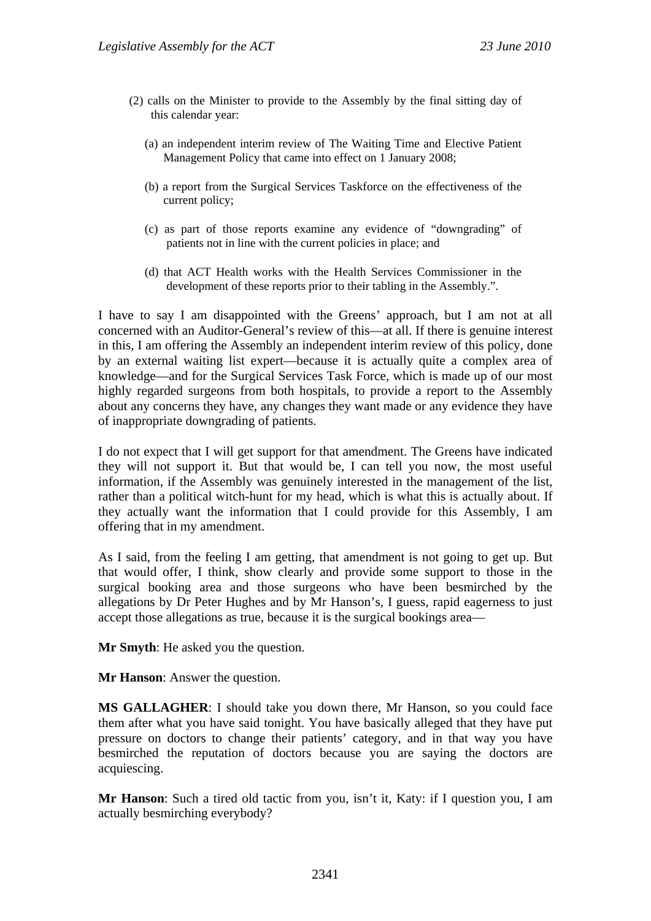- (2) calls on the Minister to provide to the Assembly by the final sitting day of this calendar year:
	- (a) an independent interim review of The Waiting Time and Elective Patient Management Policy that came into effect on 1 January 2008;
	- (b) a report from the Surgical Services Taskforce on the effectiveness of the current policy;
	- (c) as part of those reports examine any evidence of "downgrading" of patients not in line with the current policies in place; and
	- (d) that ACT Health works with the Health Services Commissioner in the development of these reports prior to their tabling in the Assembly.".

I have to say I am disappointed with the Greens' approach, but I am not at all concerned with an Auditor-General's review of this—at all. If there is genuine interest in this, I am offering the Assembly an independent interim review of this policy, done by an external waiting list expert—because it is actually quite a complex area of knowledge—and for the Surgical Services Task Force, which is made up of our most highly regarded surgeons from both hospitals, to provide a report to the Assembly about any concerns they have, any changes they want made or any evidence they have of inappropriate downgrading of patients.

I do not expect that I will get support for that amendment. The Greens have indicated they will not support it. But that would be, I can tell you now, the most useful information, if the Assembly was genuinely interested in the management of the list, rather than a political witch-hunt for my head, which is what this is actually about. If they actually want the information that I could provide for this Assembly, I am offering that in my amendment.

As I said, from the feeling I am getting, that amendment is not going to get up. But that would offer, I think, show clearly and provide some support to those in the surgical booking area and those surgeons who have been besmirched by the allegations by Dr Peter Hughes and by Mr Hanson's, I guess, rapid eagerness to just accept those allegations as true, because it is the surgical bookings area—

**Mr Smyth**: He asked you the question.

**Mr Hanson**: Answer the question.

**MS GALLAGHER**: I should take you down there, Mr Hanson, so you could face them after what you have said tonight. You have basically alleged that they have put pressure on doctors to change their patients' category, and in that way you have besmirched the reputation of doctors because you are saying the doctors are acquiescing.

**Mr Hanson**: Such a tired old tactic from you, isn't it, Katy: if I question you, I am actually besmirching everybody?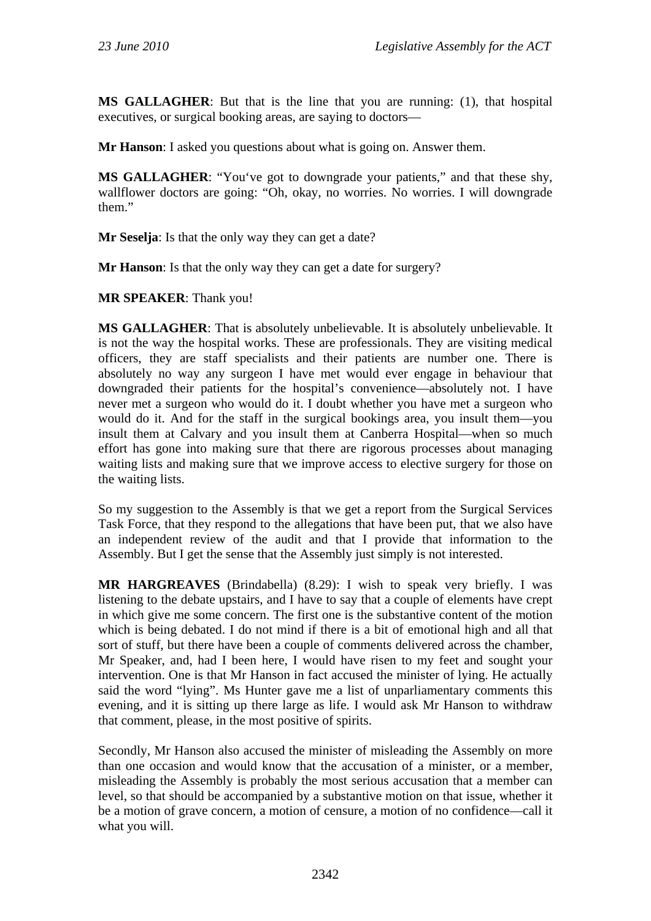**MS GALLAGHER**: But that is the line that you are running: (1), that hospital executives, or surgical booking areas, are saying to doctors—

**Mr Hanson**: I asked you questions about what is going on. Answer them.

**MS GALLAGHER**: "You've got to downgrade your patients," and that these shy, wallflower doctors are going: "Oh, okay, no worries. No worries. I will downgrade them."

**Mr Seselja**: Is that the only way they can get a date?

**Mr Hanson**: Is that the only way they can get a date for surgery?

**MR SPEAKER**: Thank you!

**MS GALLAGHER**: That is absolutely unbelievable. It is absolutely unbelievable. It is not the way the hospital works. These are professionals. They are visiting medical officers, they are staff specialists and their patients are number one. There is absolutely no way any surgeon I have met would ever engage in behaviour that downgraded their patients for the hospital's convenience—absolutely not. I have never met a surgeon who would do it. I doubt whether you have met a surgeon who would do it. And for the staff in the surgical bookings area, you insult them—you insult them at Calvary and you insult them at Canberra Hospital—when so much effort has gone into making sure that there are rigorous processes about managing waiting lists and making sure that we improve access to elective surgery for those on the waiting lists.

So my suggestion to the Assembly is that we get a report from the Surgical Services Task Force, that they respond to the allegations that have been put, that we also have an independent review of the audit and that I provide that information to the Assembly. But I get the sense that the Assembly just simply is not interested.

**MR HARGREAVES** (Brindabella) (8.29): I wish to speak very briefly. I was listening to the debate upstairs, and I have to say that a couple of elements have crept in which give me some concern. The first one is the substantive content of the motion which is being debated. I do not mind if there is a bit of emotional high and all that sort of stuff, but there have been a couple of comments delivered across the chamber, Mr Speaker, and, had I been here, I would have risen to my feet and sought your intervention. One is that Mr Hanson in fact accused the minister of lying. He actually said the word "lying". Ms Hunter gave me a list of unparliamentary comments this evening, and it is sitting up there large as life. I would ask Mr Hanson to withdraw that comment, please, in the most positive of spirits.

Secondly, Mr Hanson also accused the minister of misleading the Assembly on more than one occasion and would know that the accusation of a minister, or a member, misleading the Assembly is probably the most serious accusation that a member can level, so that should be accompanied by a substantive motion on that issue, whether it be a motion of grave concern, a motion of censure, a motion of no confidence—call it what you will.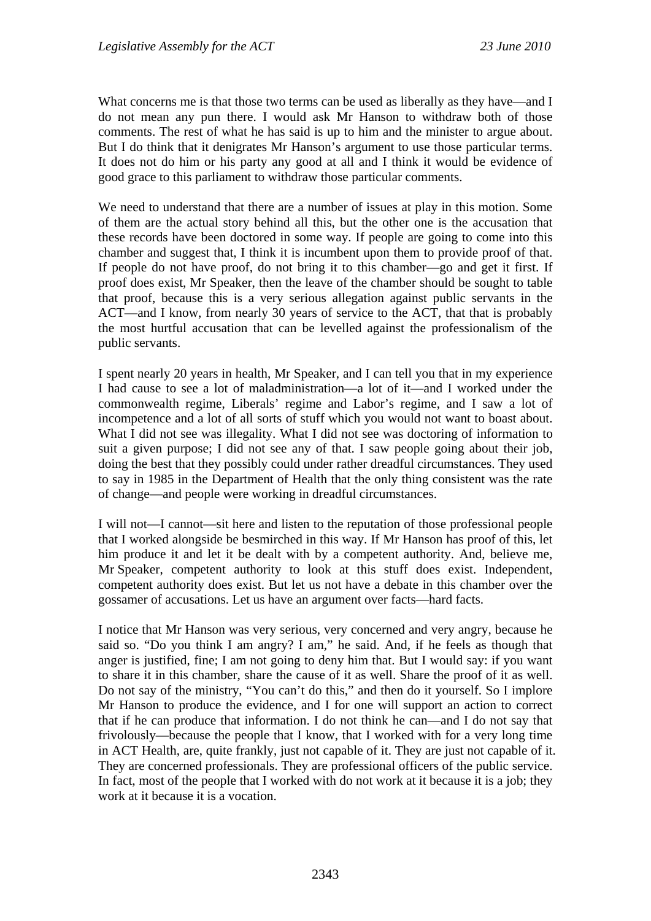What concerns me is that those two terms can be used as liberally as they have—and I do not mean any pun there. I would ask Mr Hanson to withdraw both of those comments. The rest of what he has said is up to him and the minister to argue about. But I do think that it denigrates Mr Hanson's argument to use those particular terms. It does not do him or his party any good at all and I think it would be evidence of good grace to this parliament to withdraw those particular comments.

We need to understand that there are a number of issues at play in this motion. Some of them are the actual story behind all this, but the other one is the accusation that these records have been doctored in some way. If people are going to come into this chamber and suggest that, I think it is incumbent upon them to provide proof of that. If people do not have proof, do not bring it to this chamber—go and get it first. If proof does exist, Mr Speaker, then the leave of the chamber should be sought to table that proof, because this is a very serious allegation against public servants in the ACT—and I know, from nearly 30 years of service to the ACT, that that is probably the most hurtful accusation that can be levelled against the professionalism of the public servants.

I spent nearly 20 years in health, Mr Speaker, and I can tell you that in my experience I had cause to see a lot of maladministration—a lot of it—and I worked under the commonwealth regime, Liberals' regime and Labor's regime, and I saw a lot of incompetence and a lot of all sorts of stuff which you would not want to boast about. What I did not see was illegality. What I did not see was doctoring of information to suit a given purpose; I did not see any of that. I saw people going about their job, doing the best that they possibly could under rather dreadful circumstances. They used to say in 1985 in the Department of Health that the only thing consistent was the rate of change—and people were working in dreadful circumstances.

I will not—I cannot—sit here and listen to the reputation of those professional people that I worked alongside be besmirched in this way. If Mr Hanson has proof of this, let him produce it and let it be dealt with by a competent authority. And, believe me, Mr Speaker, competent authority to look at this stuff does exist. Independent, competent authority does exist. But let us not have a debate in this chamber over the gossamer of accusations. Let us have an argument over facts—hard facts.

I notice that Mr Hanson was very serious, very concerned and very angry, because he said so. "Do you think I am angry? I am," he said. And, if he feels as though that anger is justified, fine; I am not going to deny him that. But I would say: if you want to share it in this chamber, share the cause of it as well. Share the proof of it as well. Do not say of the ministry, "You can't do this," and then do it yourself. So I implore Mr Hanson to produce the evidence, and I for one will support an action to correct that if he can produce that information. I do not think he can—and I do not say that frivolously—because the people that I know, that I worked with for a very long time in ACT Health, are, quite frankly, just not capable of it. They are just not capable of it. They are concerned professionals. They are professional officers of the public service. In fact, most of the people that I worked with do not work at it because it is a job; they work at it because it is a vocation.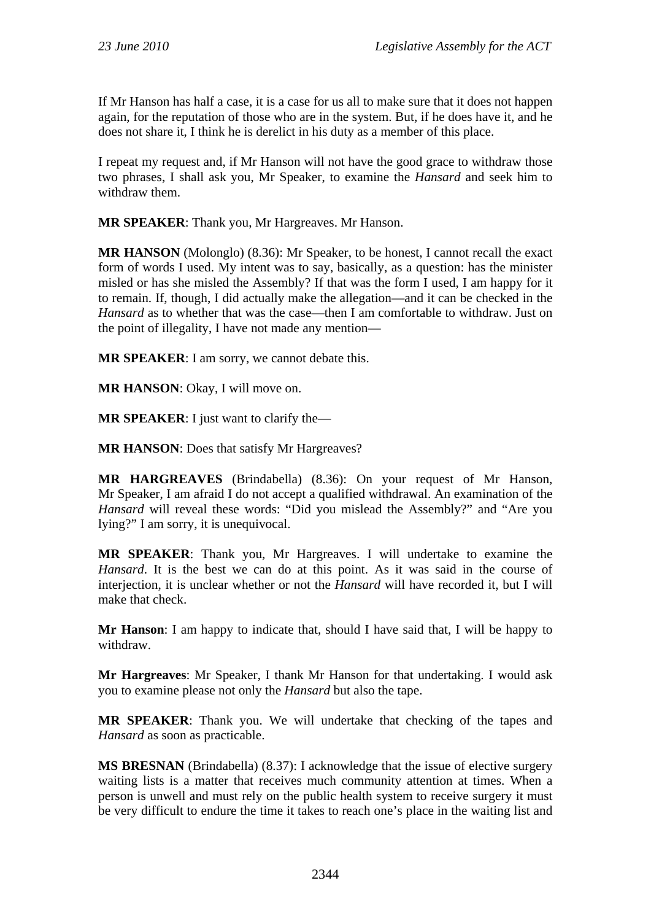If Mr Hanson has half a case, it is a case for us all to make sure that it does not happen again, for the reputation of those who are in the system. But, if he does have it, and he does not share it, I think he is derelict in his duty as a member of this place.

I repeat my request and, if Mr Hanson will not have the good grace to withdraw those two phrases, I shall ask you, Mr Speaker, to examine the *Hansard* and seek him to withdraw them.

**MR SPEAKER**: Thank you, Mr Hargreaves. Mr Hanson.

**MR HANSON** (Molonglo) (8.36): Mr Speaker, to be honest, I cannot recall the exact form of words I used. My intent was to say, basically, as a question: has the minister misled or has she misled the Assembly? If that was the form I used, I am happy for it to remain. If, though, I did actually make the allegation—and it can be checked in the *Hansard* as to whether that was the case—then I am comfortable to withdraw. Just on the point of illegality, I have not made any mention—

**MR SPEAKER**: I am sorry, we cannot debate this.

**MR HANSON**: Okay, I will move on.

**MR SPEAKER**: I just want to clarify the—

**MR HANSON**: Does that satisfy Mr Hargreaves?

**MR HARGREAVES** (Brindabella) (8.36): On your request of Mr Hanson, Mr Speaker, I am afraid I do not accept a qualified withdrawal. An examination of the *Hansard* will reveal these words: "Did you mislead the Assembly?" and "Are you lying?" I am sorry, it is unequivocal.

**MR SPEAKER**: Thank you, Mr Hargreaves. I will undertake to examine the *Hansard*. It is the best we can do at this point. As it was said in the course of interjection, it is unclear whether or not the *Hansard* will have recorded it, but I will make that check.

**Mr Hanson**: I am happy to indicate that, should I have said that, I will be happy to withdraw.

**Mr Hargreaves**: Mr Speaker, I thank Mr Hanson for that undertaking. I would ask you to examine please not only the *Hansard* but also the tape.

**MR SPEAKER**: Thank you. We will undertake that checking of the tapes and *Hansard* as soon as practicable.

**MS BRESNAN** (Brindabella) (8.37): I acknowledge that the issue of elective surgery waiting lists is a matter that receives much community attention at times. When a person is unwell and must rely on the public health system to receive surgery it must be very difficult to endure the time it takes to reach one's place in the waiting list and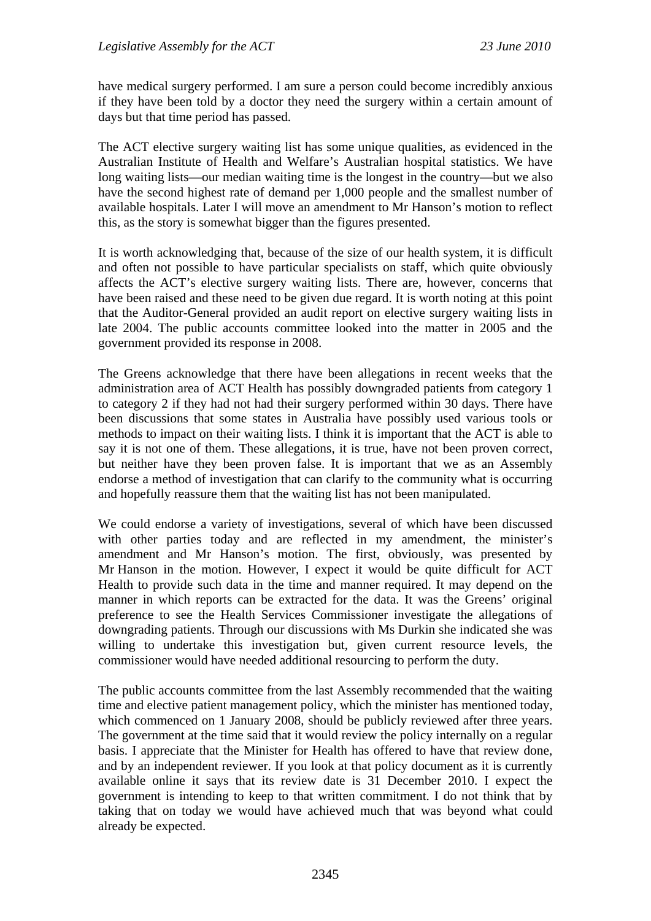have medical surgery performed. I am sure a person could become incredibly anxious if they have been told by a doctor they need the surgery within a certain amount of days but that time period has passed.

The ACT elective surgery waiting list has some unique qualities, as evidenced in the Australian Institute of Health and Welfare's Australian hospital statistics. We have long waiting lists—our median waiting time is the longest in the country—but we also have the second highest rate of demand per 1,000 people and the smallest number of available hospitals. Later I will move an amendment to Mr Hanson's motion to reflect this, as the story is somewhat bigger than the figures presented.

It is worth acknowledging that, because of the size of our health system, it is difficult and often not possible to have particular specialists on staff, which quite obviously affects the ACT's elective surgery waiting lists. There are, however, concerns that have been raised and these need to be given due regard. It is worth noting at this point that the Auditor-General provided an audit report on elective surgery waiting lists in late 2004. The public accounts committee looked into the matter in 2005 and the government provided its response in 2008.

The Greens acknowledge that there have been allegations in recent weeks that the administration area of ACT Health has possibly downgraded patients from category 1 to category 2 if they had not had their surgery performed within 30 days. There have been discussions that some states in Australia have possibly used various tools or methods to impact on their waiting lists. I think it is important that the ACT is able to say it is not one of them. These allegations, it is true, have not been proven correct, but neither have they been proven false. It is important that we as an Assembly endorse a method of investigation that can clarify to the community what is occurring and hopefully reassure them that the waiting list has not been manipulated.

We could endorse a variety of investigations, several of which have been discussed with other parties today and are reflected in my amendment, the minister's amendment and Mr Hanson's motion. The first, obviously, was presented by Mr Hanson in the motion. However, I expect it would be quite difficult for ACT Health to provide such data in the time and manner required. It may depend on the manner in which reports can be extracted for the data. It was the Greens' original preference to see the Health Services Commissioner investigate the allegations of downgrading patients. Through our discussions with Ms Durkin she indicated she was willing to undertake this investigation but, given current resource levels, the commissioner would have needed additional resourcing to perform the duty.

The public accounts committee from the last Assembly recommended that the waiting time and elective patient management policy, which the minister has mentioned today, which commenced on 1 January 2008, should be publicly reviewed after three years. The government at the time said that it would review the policy internally on a regular basis. I appreciate that the Minister for Health has offered to have that review done, and by an independent reviewer. If you look at that policy document as it is currently available online it says that its review date is 31 December 2010. I expect the government is intending to keep to that written commitment. I do not think that by taking that on today we would have achieved much that was beyond what could already be expected.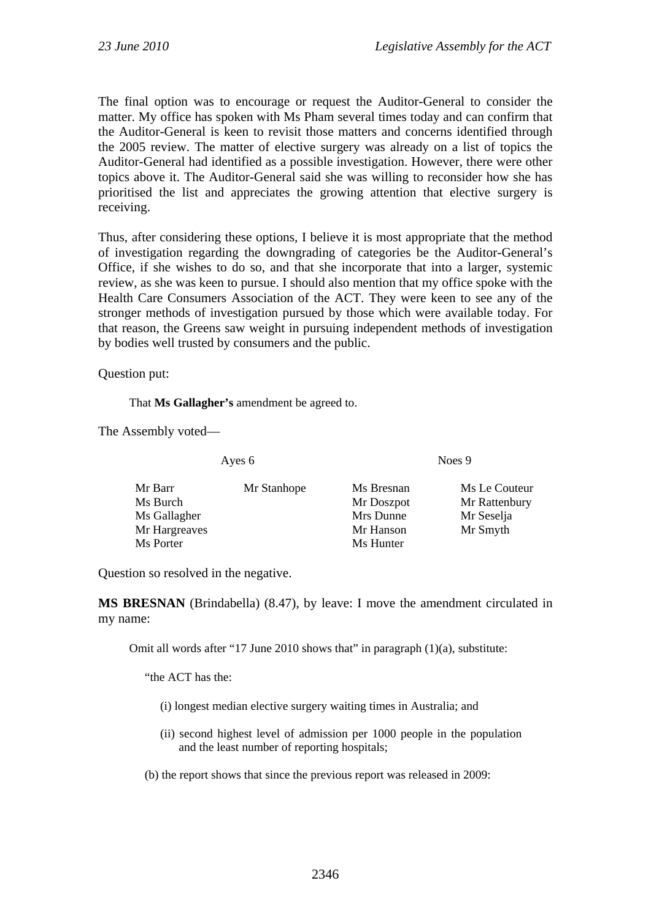The final option was to encourage or request the Auditor-General to consider the matter. My office has spoken with Ms Pham several times today and can confirm that the Auditor-General is keen to revisit those matters and concerns identified through the 2005 review. The matter of elective surgery was already on a list of topics the Auditor-General had identified as a possible investigation. However, there were other topics above it. The Auditor-General said she was willing to reconsider how she has prioritised the list and appreciates the growing attention that elective surgery is receiving.

Thus, after considering these options, I believe it is most appropriate that the method of investigation regarding the downgrading of categories be the Auditor-General's Office, if she wishes to do so, and that she incorporate that into a larger, systemic review, as she was keen to pursue. I should also mention that my office spoke with the Health Care Consumers Association of the ACT. They were keen to see any of the stronger methods of investigation pursued by those which were available today. For that reason, the Greens saw weight in pursuing independent methods of investigation by bodies well trusted by consumers and the public.

Question put:

That **Ms Gallagher's** amendment be agreed to.

The Assembly voted—

| Mr Barr       | Mr Stanhope | Ms Bresnan | Ms Le Couteur |
|---------------|-------------|------------|---------------|
| Ms Burch      |             | Mr Doszpot | Mr Rattenbury |
| Ms Gallagher  |             | Mrs Dunne  | Mr Seselja    |
| Mr Hargreaves |             | Mr Hanson  | Mr Smyth      |
| Ms Porter     |             | Ms Hunter  |               |

Ayes 6 Noes 9

Question so resolved in the negative.

**MS BRESNAN** (Brindabella) (8.47), by leave: I move the amendment circulated in my name:

Omit all words after "17 June 2010 shows that" in paragraph (1)(a), substitute:

"the ACT has the:

- (i) longest median elective surgery waiting times in Australia; and
- (ii) second highest level of admission per 1000 people in the population and the least number of reporting hospitals;
- (b) the report shows that since the previous report was released in 2009: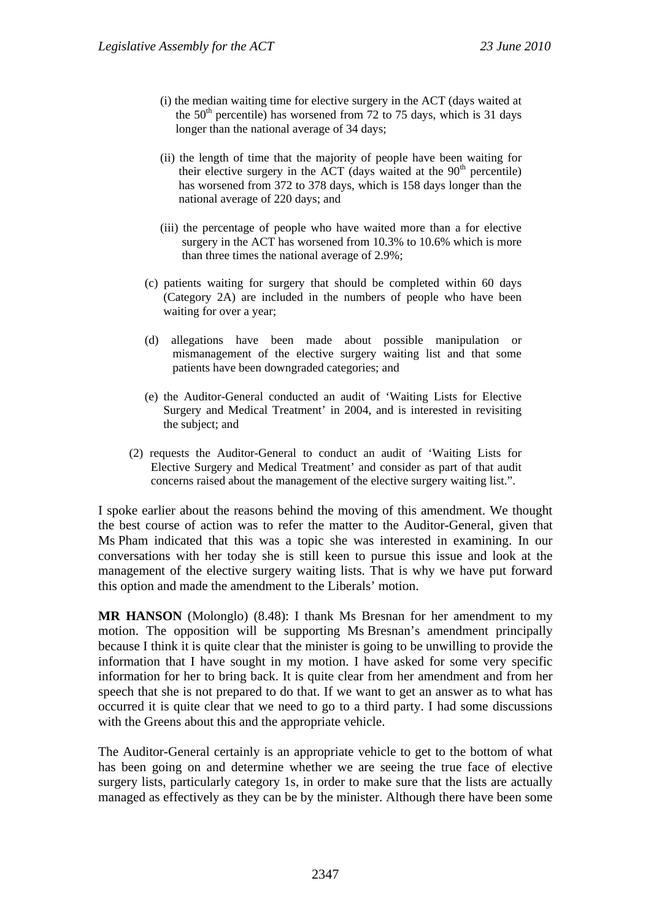- (i) the median waiting time for elective surgery in the ACT (days waited at the  $50<sup>th</sup>$  percentile) has worsened from 72 to 75 days, which is 31 days longer than the national average of 34 days;
- (ii) the length of time that the majority of people have been waiting for their elective surgery in the ACT (days waited at the  $90<sup>th</sup>$  percentile) has worsened from 372 to 378 days, which is 158 days longer than the national average of 220 days; and
- (iii) the percentage of people who have waited more than a for elective surgery in the ACT has worsened from 10.3% to 10.6% which is more than three times the national average of 2.9%;
- (c) patients waiting for surgery that should be completed within 60 days (Category 2A) are included in the numbers of people who have been waiting for over a year;
- (d) allegations have been made about possible manipulation or mismanagement of the elective surgery waiting list and that some patients have been downgraded categories; and
- (e) the Auditor-General conducted an audit of 'Waiting Lists for Elective Surgery and Medical Treatment' in 2004, and is interested in revisiting the subject; and
- (2) requests the Auditor-General to conduct an audit of 'Waiting Lists for Elective Surgery and Medical Treatment' and consider as part of that audit concerns raised about the management of the elective surgery waiting list.".

I spoke earlier about the reasons behind the moving of this amendment. We thought the best course of action was to refer the matter to the Auditor-General, given that Ms Pham indicated that this was a topic she was interested in examining. In our conversations with her today she is still keen to pursue this issue and look at the management of the elective surgery waiting lists. That is why we have put forward this option and made the amendment to the Liberals' motion.

**MR HANSON** (Molonglo) (8.48): I thank Ms Bresnan for her amendment to my motion. The opposition will be supporting Ms Bresnan's amendment principally because I think it is quite clear that the minister is going to be unwilling to provide the information that I have sought in my motion. I have asked for some very specific information for her to bring back. It is quite clear from her amendment and from her speech that she is not prepared to do that. If we want to get an answer as to what has occurred it is quite clear that we need to go to a third party. I had some discussions with the Greens about this and the appropriate vehicle.

The Auditor-General certainly is an appropriate vehicle to get to the bottom of what has been going on and determine whether we are seeing the true face of elective surgery lists, particularly category 1s, in order to make sure that the lists are actually managed as effectively as they can be by the minister. Although there have been some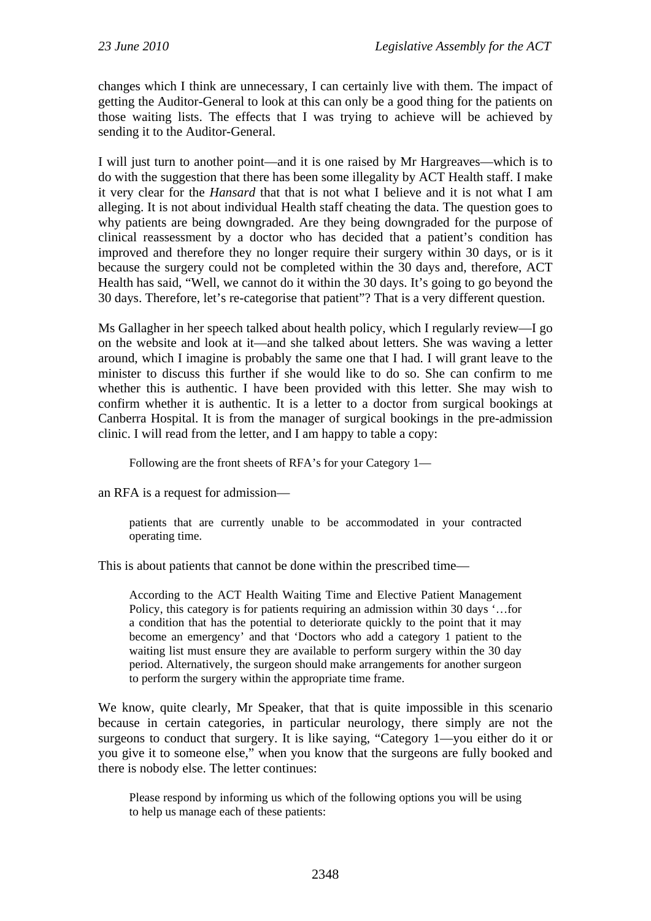changes which I think are unnecessary, I can certainly live with them. The impact of getting the Auditor-General to look at this can only be a good thing for the patients on those waiting lists. The effects that I was trying to achieve will be achieved by sending it to the Auditor-General.

I will just turn to another point—and it is one raised by Mr Hargreaves—which is to do with the suggestion that there has been some illegality by ACT Health staff. I make it very clear for the *Hansard* that that is not what I believe and it is not what I am alleging. It is not about individual Health staff cheating the data. The question goes to why patients are being downgraded. Are they being downgraded for the purpose of clinical reassessment by a doctor who has decided that a patient's condition has improved and therefore they no longer require their surgery within 30 days, or is it because the surgery could not be completed within the 30 days and, therefore, ACT Health has said, "Well, we cannot do it within the 30 days. It's going to go beyond the 30 days. Therefore, let's re-categorise that patient"? That is a very different question.

Ms Gallagher in her speech talked about health policy, which I regularly review—I go on the website and look at it—and she talked about letters. She was waving a letter around, which I imagine is probably the same one that I had. I will grant leave to the minister to discuss this further if she would like to do so. She can confirm to me whether this is authentic. I have been provided with this letter. She may wish to confirm whether it is authentic. It is a letter to a doctor from surgical bookings at Canberra Hospital. It is from the manager of surgical bookings in the pre-admission clinic. I will read from the letter, and I am happy to table a copy:

Following are the front sheets of RFA's for your Category 1—

an RFA is a request for admission—

patients that are currently unable to be accommodated in your contracted operating time.

This is about patients that cannot be done within the prescribed time—

According to the ACT Health Waiting Time and Elective Patient Management Policy, this category is for patients requiring an admission within 30 days '…for a condition that has the potential to deteriorate quickly to the point that it may become an emergency' and that 'Doctors who add a category 1 patient to the waiting list must ensure they are available to perform surgery within the 30 day period. Alternatively, the surgeon should make arrangements for another surgeon to perform the surgery within the appropriate time frame.

We know, quite clearly, Mr Speaker, that that is quite impossible in this scenario because in certain categories, in particular neurology, there simply are not the surgeons to conduct that surgery. It is like saying, "Category 1—you either do it or you give it to someone else," when you know that the surgeons are fully booked and there is nobody else. The letter continues:

Please respond by informing us which of the following options you will be using to help us manage each of these patients: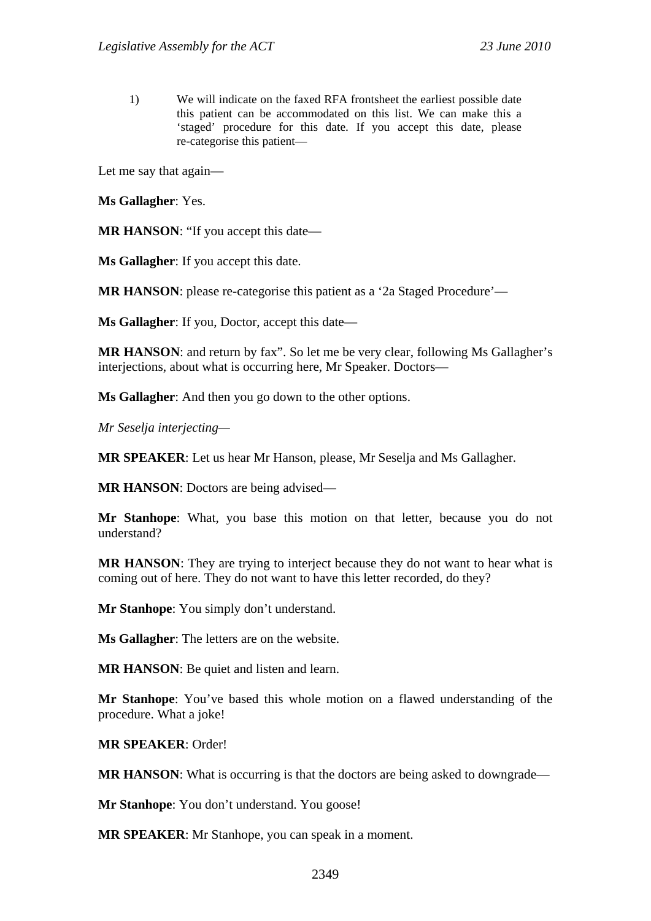1) We will indicate on the faxed RFA frontsheet the earliest possible date this patient can be accommodated on this list. We can make this a 'staged' procedure for this date. If you accept this date, please re-categorise this patient—

Let me say that again—

**Ms Gallagher**: Yes.

**MR HANSON**: "If you accept this date—

**Ms Gallagher**: If you accept this date.

**MR HANSON**: please re-categorise this patient as a '2a Staged Procedure'—

**Ms Gallagher**: If you, Doctor, accept this date—

**MR HANSON**: and return by fax". So let me be very clear, following Ms Gallagher's interjections, about what is occurring here, Mr Speaker. Doctors—

**Ms Gallagher**: And then you go down to the other options.

*Mr Seselja interjecting—* 

**MR SPEAKER**: Let us hear Mr Hanson, please, Mr Seselja and Ms Gallagher.

**MR HANSON**: Doctors are being advised—

**Mr Stanhope**: What, you base this motion on that letter, because you do not understand?

**MR HANSON**: They are trying to interject because they do not want to hear what is coming out of here. They do not want to have this letter recorded, do they?

**Mr Stanhope**: You simply don't understand.

**Ms Gallagher**: The letters are on the website.

**MR HANSON:** Be quiet and listen and learn.

**Mr Stanhope**: You've based this whole motion on a flawed understanding of the procedure. What a joke!

**MR SPEAKER**: Order!

**MR HANSON:** What is occurring is that the doctors are being asked to downgrade—

**Mr Stanhope**: You don't understand. You goose!

**MR SPEAKER**: Mr Stanhope, you can speak in a moment.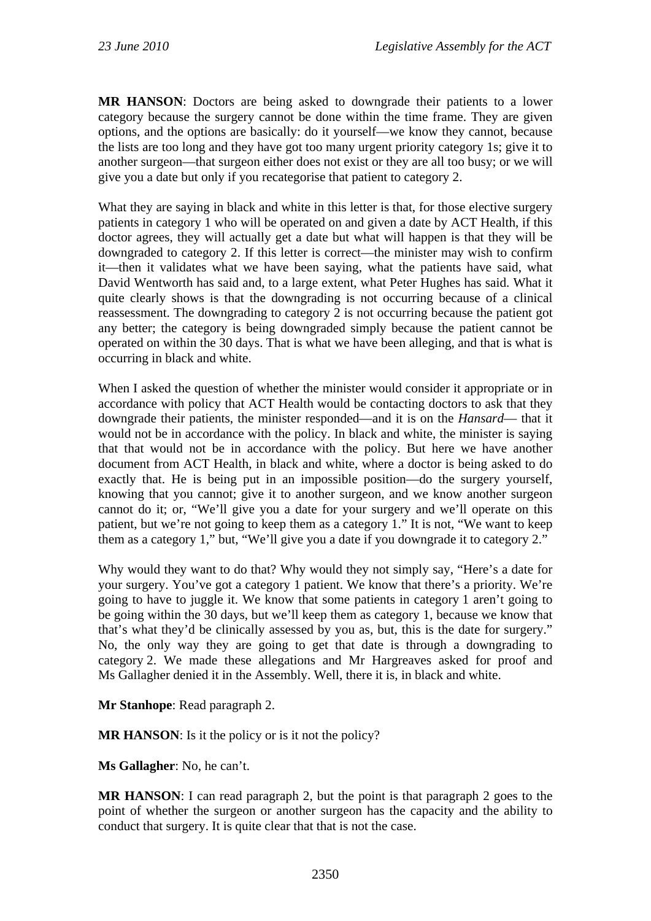**MR HANSON**: Doctors are being asked to downgrade their patients to a lower category because the surgery cannot be done within the time frame. They are given options, and the options are basically: do it yourself—we know they cannot, because the lists are too long and they have got too many urgent priority category 1s; give it to another surgeon—that surgeon either does not exist or they are all too busy; or we will give you a date but only if you recategorise that patient to category 2.

What they are saying in black and white in this letter is that, for those elective surgery patients in category 1 who will be operated on and given a date by ACT Health, if this doctor agrees, they will actually get a date but what will happen is that they will be downgraded to category 2. If this letter is correct—the minister may wish to confirm it—then it validates what we have been saying, what the patients have said, what David Wentworth has said and, to a large extent, what Peter Hughes has said. What it quite clearly shows is that the downgrading is not occurring because of a clinical reassessment. The downgrading to category 2 is not occurring because the patient got any better; the category is being downgraded simply because the patient cannot be operated on within the 30 days. That is what we have been alleging, and that is what is occurring in black and white.

When I asked the question of whether the minister would consider it appropriate or in accordance with policy that ACT Health would be contacting doctors to ask that they downgrade their patients, the minister responded—and it is on the *Hansard*— that it would not be in accordance with the policy. In black and white, the minister is saying that that would not be in accordance with the policy. But here we have another document from ACT Health, in black and white, where a doctor is being asked to do exactly that. He is being put in an impossible position—do the surgery yourself, knowing that you cannot; give it to another surgeon, and we know another surgeon cannot do it; or, "We'll give you a date for your surgery and we'll operate on this patient, but we're not going to keep them as a category 1." It is not, "We want to keep them as a category 1," but, "We'll give you a date if you downgrade it to category 2."

Why would they want to do that? Why would they not simply say, "Here's a date for your surgery. You've got a category 1 patient. We know that there's a priority. We're going to have to juggle it. We know that some patients in category 1 aren't going to be going within the 30 days, but we'll keep them as category 1, because we know that that's what they'd be clinically assessed by you as, but, this is the date for surgery." No, the only way they are going to get that date is through a downgrading to category 2. We made these allegations and Mr Hargreaves asked for proof and Ms Gallagher denied it in the Assembly. Well, there it is, in black and white.

**Mr Stanhope**: Read paragraph 2.

**MR HANSON:** Is it the policy or is it not the policy?

**Ms Gallagher**: No, he can't.

**MR HANSON**: I can read paragraph 2, but the point is that paragraph 2 goes to the point of whether the surgeon or another surgeon has the capacity and the ability to conduct that surgery. It is quite clear that that is not the case.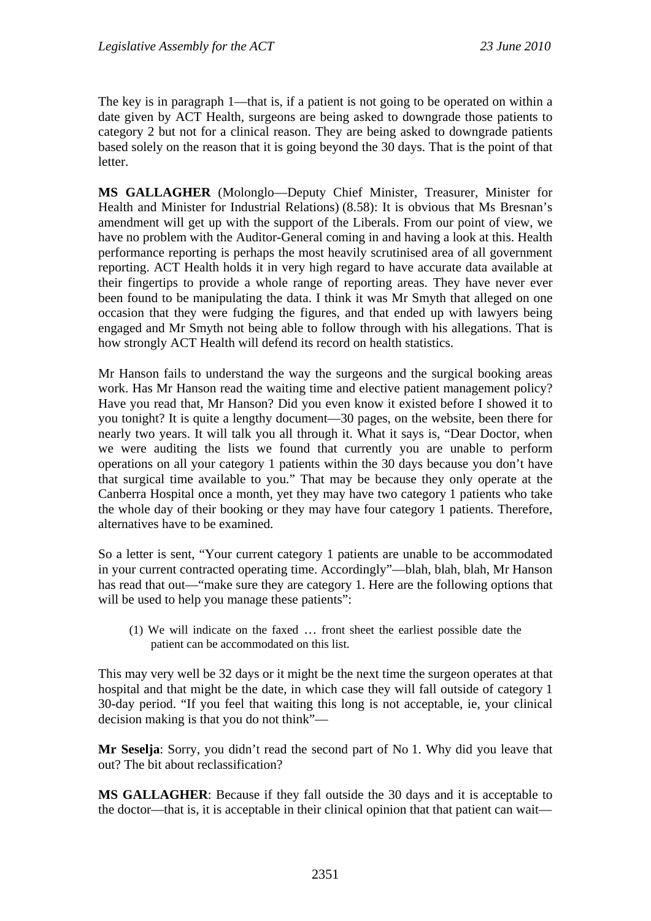The key is in paragraph 1—that is, if a patient is not going to be operated on within a date given by ACT Health, surgeons are being asked to downgrade those patients to category 2 but not for a clinical reason. They are being asked to downgrade patients based solely on the reason that it is going beyond the 30 days. That is the point of that letter.

**MS GALLAGHER** (Molonglo—Deputy Chief Minister, Treasurer, Minister for Health and Minister for Industrial Relations) (8.58): It is obvious that Ms Bresnan's amendment will get up with the support of the Liberals. From our point of view, we have no problem with the Auditor-General coming in and having a look at this. Health performance reporting is perhaps the most heavily scrutinised area of all government reporting. ACT Health holds it in very high regard to have accurate data available at their fingertips to provide a whole range of reporting areas. They have never ever been found to be manipulating the data. I think it was Mr Smyth that alleged on one occasion that they were fudging the figures, and that ended up with lawyers being engaged and Mr Smyth not being able to follow through with his allegations. That is how strongly ACT Health will defend its record on health statistics.

Mr Hanson fails to understand the way the surgeons and the surgical booking areas work. Has Mr Hanson read the waiting time and elective patient management policy? Have you read that, Mr Hanson? Did you even know it existed before I showed it to you tonight? It is quite a lengthy document—30 pages, on the website, been there for nearly two years. It will talk you all through it. What it says is, "Dear Doctor, when we were auditing the lists we found that currently you are unable to perform operations on all your category 1 patients within the 30 days because you don't have that surgical time available to you." That may be because they only operate at the Canberra Hospital once a month, yet they may have two category 1 patients who take the whole day of their booking or they may have four category 1 patients. Therefore, alternatives have to be examined.

So a letter is sent, "Your current category 1 patients are unable to be accommodated in your current contracted operating time. Accordingly"—blah, blah, blah, Mr Hanson has read that out—"make sure they are category 1. Here are the following options that will be used to help you manage these patients":

(1) We will indicate on the faxed … front sheet the earliest possible date the patient can be accommodated on this list.

This may very well be 32 days or it might be the next time the surgeon operates at that hospital and that might be the date, in which case they will fall outside of category 1 30-day period. "If you feel that waiting this long is not acceptable, ie, your clinical decision making is that you do not think"—

**Mr Seselja**: Sorry, you didn't read the second part of No 1. Why did you leave that out? The bit about reclassification?

**MS GALLAGHER**: Because if they fall outside the 30 days and it is acceptable to the doctor—that is, it is acceptable in their clinical opinion that that patient can wait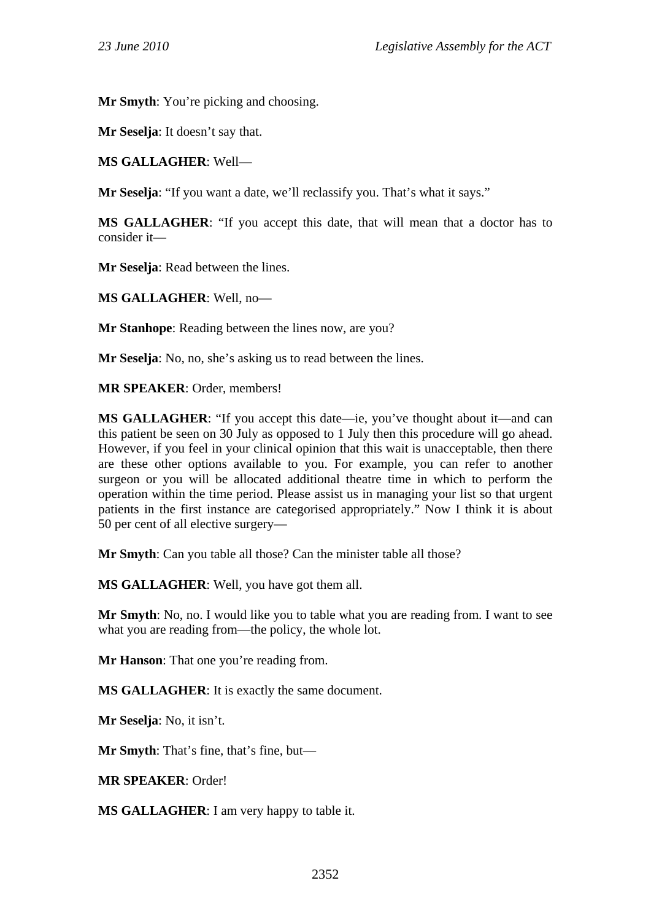**Mr Smyth**: You're picking and choosing.

**Mr Seselja**: It doesn't say that.

**MS GALLAGHER**: Well—

**Mr Seselja:** "If you want a date, we'll reclassify you. That's what it says."

**MS GALLAGHER**: "If you accept this date, that will mean that a doctor has to consider it—

**Mr Seselja**: Read between the lines.

**MS GALLAGHER**: Well, no—

**Mr Stanhope**: Reading between the lines now, are you?

**Mr Seselja**: No, no, she's asking us to read between the lines.

**MR SPEAKER**: Order, members!

**MS GALLAGHER**: "If you accept this date—ie, you've thought about it—and can this patient be seen on 30 July as opposed to 1 July then this procedure will go ahead. However, if you feel in your clinical opinion that this wait is unacceptable, then there are these other options available to you. For example, you can refer to another surgeon or you will be allocated additional theatre time in which to perform the operation within the time period. Please assist us in managing your list so that urgent patients in the first instance are categorised appropriately." Now I think it is about 50 per cent of all elective surgery—

**Mr Smyth**: Can you table all those? Can the minister table all those?

**MS GALLAGHER**: Well, you have got them all.

**Mr Smyth**: No, no. I would like you to table what you are reading from. I want to see what you are reading from—the policy, the whole lot.

**Mr Hanson:** That one you're reading from.

**MS GALLAGHER**: It is exactly the same document.

**Mr Seselja**: No, it isn't.

**Mr Smyth**: That's fine, that's fine, but—

**MR SPEAKER**: Order!

**MS GALLAGHER**: I am very happy to table it.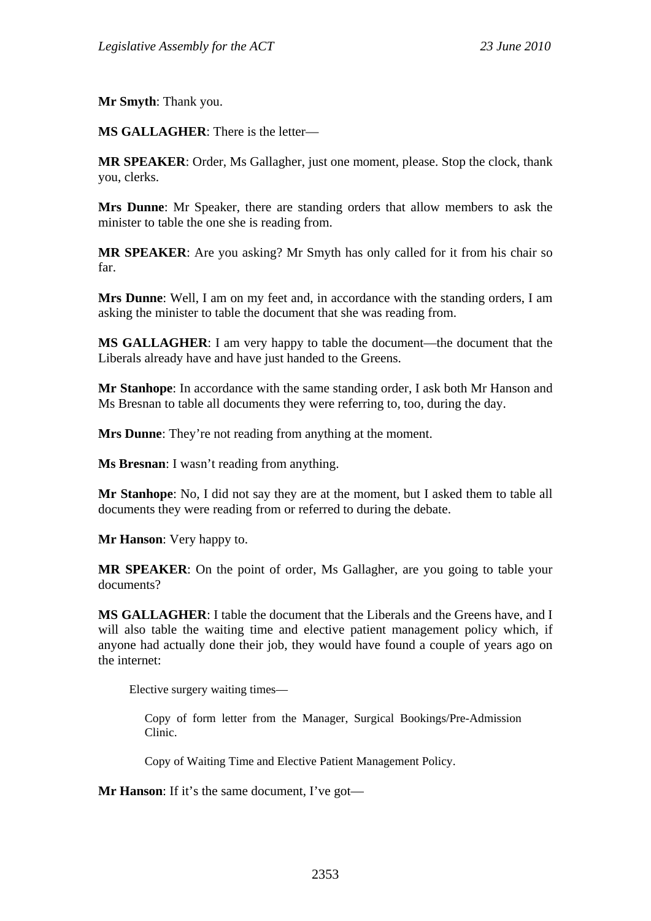**Mr Smyth**: Thank you.

**MS GALLAGHER**: There is the letter—

**MR SPEAKER**: Order, Ms Gallagher, just one moment, please. Stop the clock, thank you, clerks.

**Mrs Dunne**: Mr Speaker, there are standing orders that allow members to ask the minister to table the one she is reading from.

**MR SPEAKER**: Are you asking? Mr Smyth has only called for it from his chair so far.

**Mrs Dunne**: Well, I am on my feet and, in accordance with the standing orders, I am asking the minister to table the document that she was reading from.

**MS GALLAGHER**: I am very happy to table the document—the document that the Liberals already have and have just handed to the Greens.

**Mr Stanhope**: In accordance with the same standing order, I ask both Mr Hanson and Ms Bresnan to table all documents they were referring to, too, during the day.

**Mrs Dunne**: They're not reading from anything at the moment.

**Ms Bresnan**: I wasn't reading from anything.

**Mr Stanhope**: No, I did not say they are at the moment, but I asked them to table all documents they were reading from or referred to during the debate.

**Mr Hanson**: Very happy to.

**MR SPEAKER**: On the point of order, Ms Gallagher, are you going to table your documents?

**MS GALLAGHER**: I table the document that the Liberals and the Greens have, and I will also table the waiting time and elective patient management policy which, if anyone had actually done their job, they would have found a couple of years ago on the internet:

Elective surgery waiting times—

Copy of form letter from the Manager, Surgical Bookings/Pre-Admission Clinic.

Copy of Waiting Time and Elective Patient Management Policy.

**Mr Hanson**: If it's the same document, I've got—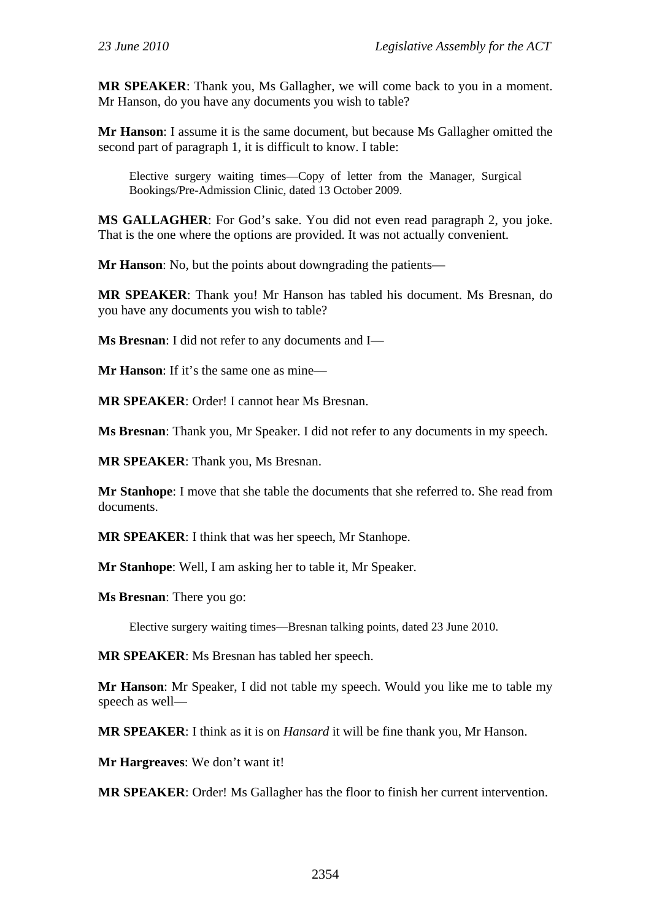**MR SPEAKER**: Thank you, Ms Gallagher, we will come back to you in a moment. Mr Hanson, do you have any documents you wish to table?

**Mr Hanson**: I assume it is the same document, but because Ms Gallagher omitted the second part of paragraph 1, it is difficult to know. I table:

Elective surgery waiting times—Copy of letter from the Manager, Surgical Bookings/Pre-Admission Clinic, dated 13 October 2009.

**MS GALLAGHER**: For God's sake. You did not even read paragraph 2, you joke. That is the one where the options are provided. It was not actually convenient.

**Mr Hanson**: No, but the points about downgrading the patients—

**MR SPEAKER**: Thank you! Mr Hanson has tabled his document. Ms Bresnan, do you have any documents you wish to table?

**Ms Bresnan**: I did not refer to any documents and I—

**Mr Hanson**: If it's the same one as mine—

**MR SPEAKER**: Order! I cannot hear Ms Bresnan.

**Ms Bresnan**: Thank you, Mr Speaker. I did not refer to any documents in my speech.

**MR SPEAKER**: Thank you, Ms Bresnan.

**Mr Stanhope**: I move that she table the documents that she referred to. She read from documents.

**MR SPEAKER**: I think that was her speech, Mr Stanhope.

**Mr Stanhope**: Well, I am asking her to table it, Mr Speaker.

**Ms Bresnan**: There you go:

Elective surgery waiting times—Bresnan talking points, dated 23 June 2010.

**MR SPEAKER**: Ms Bresnan has tabled her speech.

**Mr Hanson**: Mr Speaker, I did not table my speech. Would you like me to table my speech as well—

**MR SPEAKER**: I think as it is on *Hansard* it will be fine thank you, Mr Hanson.

**Mr Hargreaves**: We don't want it!

**MR SPEAKER**: Order! Ms Gallagher has the floor to finish her current intervention.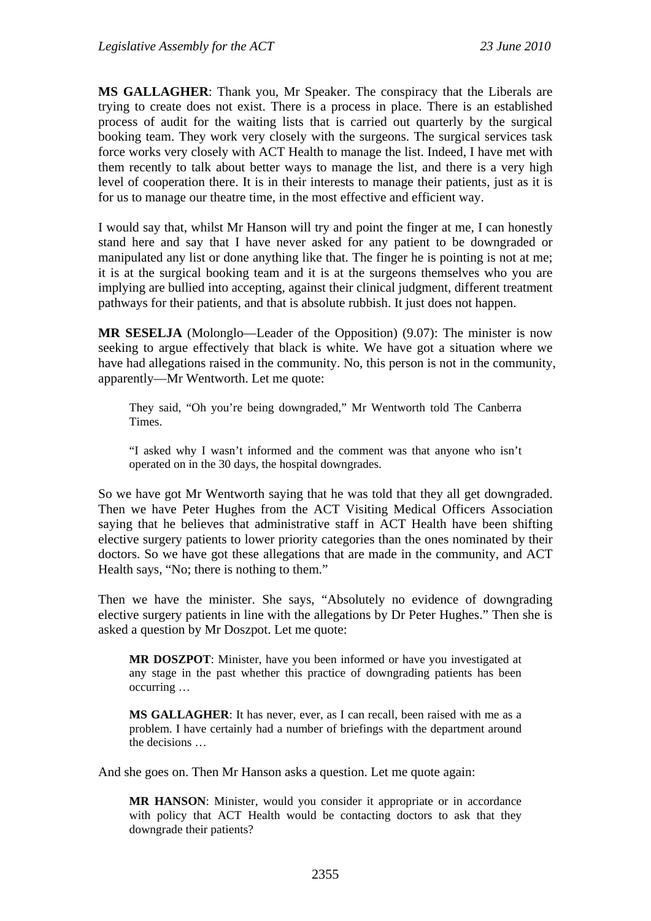**MS GALLAGHER**: Thank you, Mr Speaker. The conspiracy that the Liberals are trying to create does not exist. There is a process in place. There is an established process of audit for the waiting lists that is carried out quarterly by the surgical booking team. They work very closely with the surgeons. The surgical services task force works very closely with ACT Health to manage the list. Indeed, I have met with them recently to talk about better ways to manage the list, and there is a very high level of cooperation there. It is in their interests to manage their patients, just as it is for us to manage our theatre time, in the most effective and efficient way.

I would say that, whilst Mr Hanson will try and point the finger at me, I can honestly stand here and say that I have never asked for any patient to be downgraded or manipulated any list or done anything like that. The finger he is pointing is not at me; it is at the surgical booking team and it is at the surgeons themselves who you are implying are bullied into accepting, against their clinical judgment, different treatment pathways for their patients, and that is absolute rubbish. It just does not happen.

**MR SESELJA** (Molonglo—Leader of the Opposition) (9.07): The minister is now seeking to argue effectively that black is white. We have got a situation where we have had allegations raised in the community. No, this person is not in the community, apparently—Mr Wentworth. Let me quote:

They said, "Oh you're being downgraded," Mr Wentworth told The Canberra Times.

"I asked why I wasn't informed and the comment was that anyone who isn't operated on in the 30 days, the hospital downgrades.

So we have got Mr Wentworth saying that he was told that they all get downgraded. Then we have Peter Hughes from the ACT Visiting Medical Officers Association saying that he believes that administrative staff in ACT Health have been shifting elective surgery patients to lower priority categories than the ones nominated by their doctors. So we have got these allegations that are made in the community, and ACT Health says, "No; there is nothing to them."

Then we have the minister. She says, "Absolutely no evidence of downgrading elective surgery patients in line with the allegations by Dr Peter Hughes." Then she is asked a question by Mr Doszpot. Let me quote:

**MR DOSZPOT**: Minister, have you been informed or have you investigated at any stage in the past whether this practice of downgrading patients has been occurring …

**MS GALLAGHER**: It has never, ever, as I can recall, been raised with me as a problem. I have certainly had a number of briefings with the department around the decisions …

And she goes on. Then Mr Hanson asks a question. Let me quote again:

**MR HANSON**: Minister, would you consider it appropriate or in accordance with policy that ACT Health would be contacting doctors to ask that they downgrade their patients?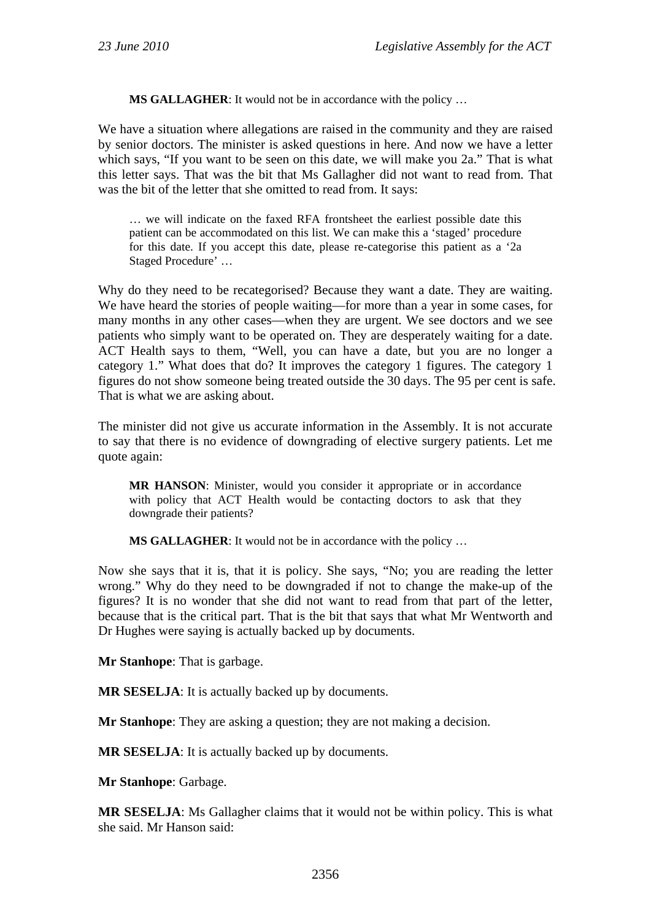**MS GALLAGHER**: It would not be in accordance with the policy …

We have a situation where allegations are raised in the community and they are raised by senior doctors. The minister is asked questions in here. And now we have a letter which says, "If you want to be seen on this date, we will make you 2a." That is what this letter says. That was the bit that Ms Gallagher did not want to read from. That was the bit of the letter that she omitted to read from. It says:

… we will indicate on the faxed RFA frontsheet the earliest possible date this patient can be accommodated on this list. We can make this a 'staged' procedure for this date. If you accept this date, please re-categorise this patient as a '2a Staged Procedure' …

Why do they need to be recategorised? Because they want a date. They are waiting. We have heard the stories of people waiting—for more than a year in some cases, for many months in any other cases—when they are urgent. We see doctors and we see patients who simply want to be operated on. They are desperately waiting for a date. ACT Health says to them, "Well, you can have a date, but you are no longer a category 1." What does that do? It improves the category 1 figures. The category 1 figures do not show someone being treated outside the 30 days. The 95 per cent is safe. That is what we are asking about.

The minister did not give us accurate information in the Assembly. It is not accurate to say that there is no evidence of downgrading of elective surgery patients. Let me quote again:

**MR HANSON**: Minister, would you consider it appropriate or in accordance with policy that ACT Health would be contacting doctors to ask that they downgrade their patients?

**MS GALLAGHER**: It would not be in accordance with the policy …

Now she says that it is, that it is policy. She says, "No; you are reading the letter wrong." Why do they need to be downgraded if not to change the make-up of the figures? It is no wonder that she did not want to read from that part of the letter, because that is the critical part. That is the bit that says that what Mr Wentworth and Dr Hughes were saying is actually backed up by documents.

**Mr Stanhope**: That is garbage.

**MR SESELJA**: It is actually backed up by documents.

**Mr Stanhope**: They are asking a question; they are not making a decision.

**MR SESELJA**: It is actually backed up by documents.

**Mr Stanhope**: Garbage.

**MR SESELJA**: Ms Gallagher claims that it would not be within policy. This is what she said. Mr Hanson said: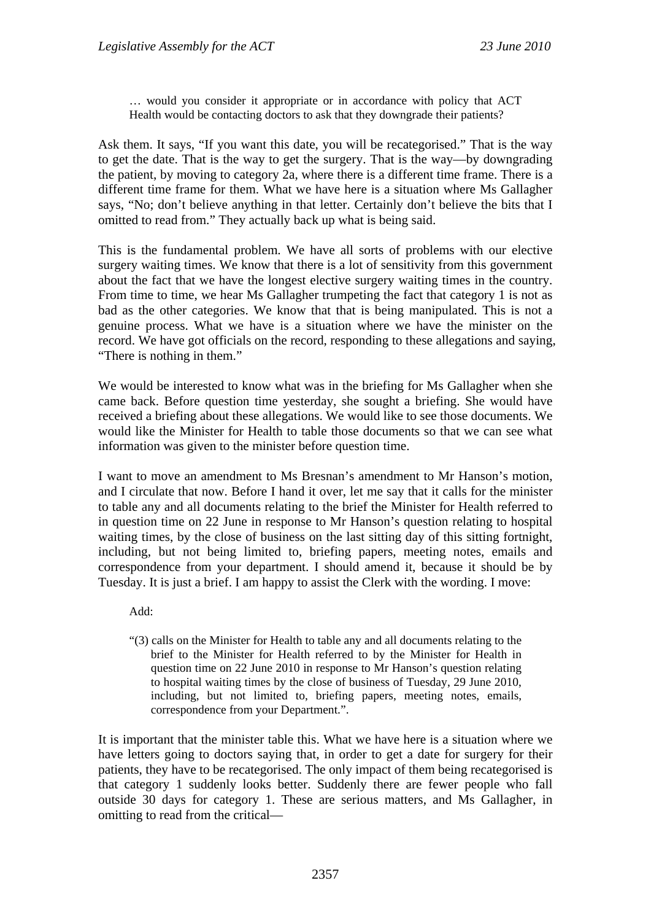… would you consider it appropriate or in accordance with policy that ACT Health would be contacting doctors to ask that they downgrade their patients?

Ask them. It says, "If you want this date, you will be recategorised." That is the way to get the date. That is the way to get the surgery. That is the way—by downgrading the patient, by moving to category 2a, where there is a different time frame. There is a different time frame for them. What we have here is a situation where Ms Gallagher says, "No; don't believe anything in that letter. Certainly don't believe the bits that I omitted to read from." They actually back up what is being said.

This is the fundamental problem. We have all sorts of problems with our elective surgery waiting times. We know that there is a lot of sensitivity from this government about the fact that we have the longest elective surgery waiting times in the country. From time to time, we hear Ms Gallagher trumpeting the fact that category 1 is not as bad as the other categories. We know that that is being manipulated. This is not a genuine process. What we have is a situation where we have the minister on the record. We have got officials on the record, responding to these allegations and saying, "There is nothing in them."

We would be interested to know what was in the briefing for Ms Gallagher when she came back. Before question time yesterday, she sought a briefing. She would have received a briefing about these allegations. We would like to see those documents. We would like the Minister for Health to table those documents so that we can see what information was given to the minister before question time.

I want to move an amendment to Ms Bresnan's amendment to Mr Hanson's motion, and I circulate that now. Before I hand it over, let me say that it calls for the minister to table any and all documents relating to the brief the Minister for Health referred to in question time on 22 June in response to Mr Hanson's question relating to hospital waiting times, by the close of business on the last sitting day of this sitting fortnight, including, but not being limited to, briefing papers, meeting notes, emails and correspondence from your department. I should amend it, because it should be by Tuesday. It is just a brief. I am happy to assist the Clerk with the wording. I move:

Add:

"(3) calls on the Minister for Health to table any and all documents relating to the brief to the Minister for Health referred to by the Minister for Health in question time on 22 June 2010 in response to Mr Hanson's question relating to hospital waiting times by the close of business of Tuesday, 29 June 2010, including, but not limited to, briefing papers, meeting notes, emails, correspondence from your Department.".

It is important that the minister table this. What we have here is a situation where we have letters going to doctors saying that, in order to get a date for surgery for their patients, they have to be recategorised. The only impact of them being recategorised is that category 1 suddenly looks better. Suddenly there are fewer people who fall outside 30 days for category 1. These are serious matters, and Ms Gallagher, in omitting to read from the critical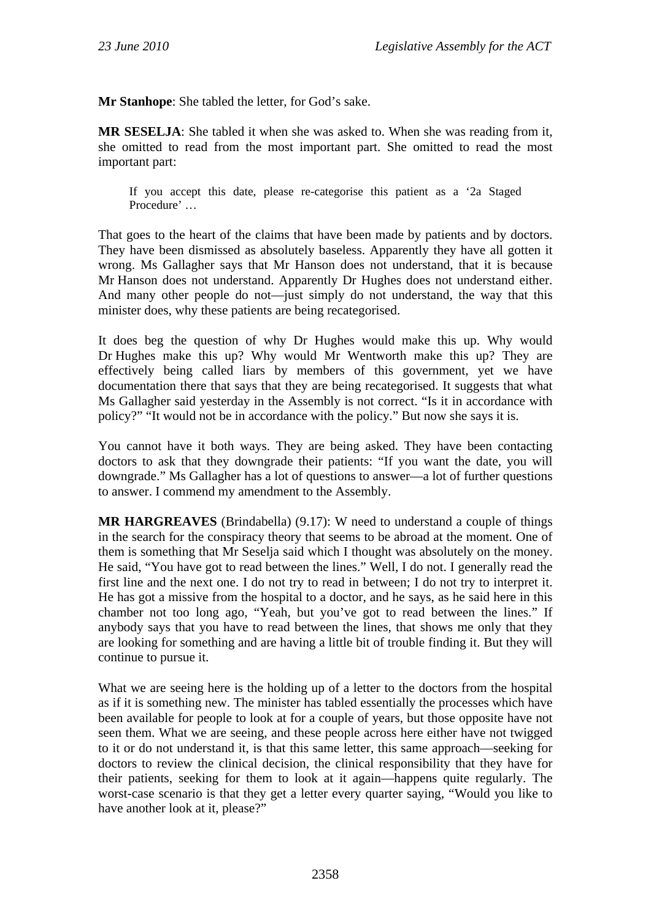**Mr Stanhope**: She tabled the letter, for God's sake.

**MR SESELJA**: She tabled it when she was asked to. When she was reading from it, she omitted to read from the most important part. She omitted to read the most important part:

If you accept this date, please re-categorise this patient as a '2a Staged Procedure' …

That goes to the heart of the claims that have been made by patients and by doctors. They have been dismissed as absolutely baseless. Apparently they have all gotten it wrong. Ms Gallagher says that Mr Hanson does not understand, that it is because Mr Hanson does not understand. Apparently Dr Hughes does not understand either. And many other people do not—just simply do not understand, the way that this minister does, why these patients are being recategorised.

It does beg the question of why Dr Hughes would make this up. Why would Dr Hughes make this up? Why would Mr Wentworth make this up? They are effectively being called liars by members of this government, yet we have documentation there that says that they are being recategorised. It suggests that what Ms Gallagher said yesterday in the Assembly is not correct. "Is it in accordance with policy?" "It would not be in accordance with the policy." But now she says it is.

You cannot have it both ways. They are being asked. They have been contacting doctors to ask that they downgrade their patients: "If you want the date, you will downgrade." Ms Gallagher has a lot of questions to answer—a lot of further questions to answer. I commend my amendment to the Assembly.

**MR HARGREAVES** (Brindabella) (9.17): W need to understand a couple of things in the search for the conspiracy theory that seems to be abroad at the moment. One of them is something that Mr Seselja said which I thought was absolutely on the money. He said, "You have got to read between the lines." Well, I do not. I generally read the first line and the next one. I do not try to read in between; I do not try to interpret it. He has got a missive from the hospital to a doctor, and he says, as he said here in this chamber not too long ago, "Yeah, but you've got to read between the lines." If anybody says that you have to read between the lines, that shows me only that they are looking for something and are having a little bit of trouble finding it. But they will continue to pursue it.

What we are seeing here is the holding up of a letter to the doctors from the hospital as if it is something new. The minister has tabled essentially the processes which have been available for people to look at for a couple of years, but those opposite have not seen them. What we are seeing, and these people across here either have not twigged to it or do not understand it, is that this same letter, this same approach—seeking for doctors to review the clinical decision, the clinical responsibility that they have for their patients, seeking for them to look at it again—happens quite regularly. The worst-case scenario is that they get a letter every quarter saying, "Would you like to have another look at it, please?"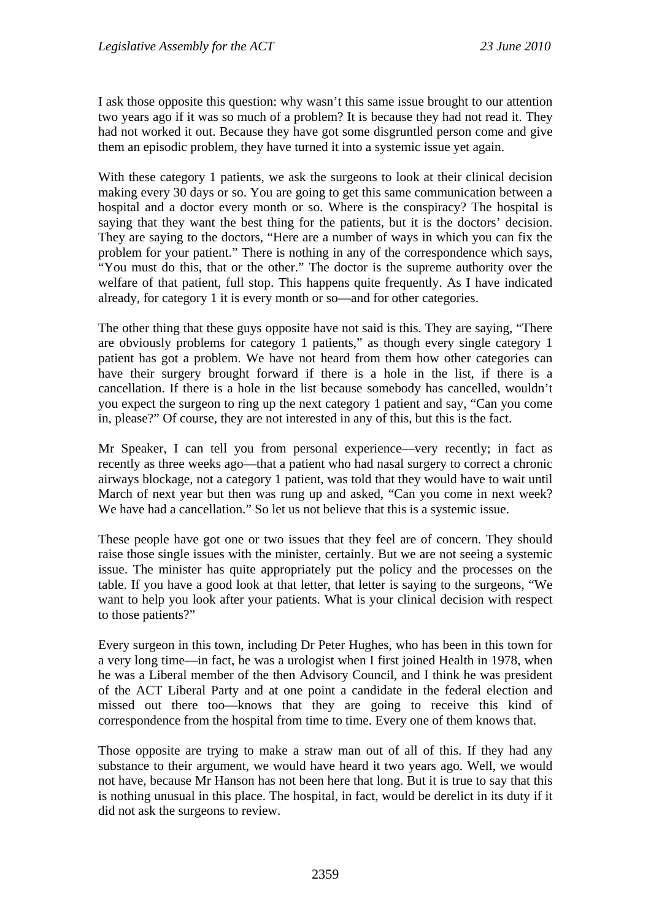I ask those opposite this question: why wasn't this same issue brought to our attention two years ago if it was so much of a problem? It is because they had not read it. They had not worked it out. Because they have got some disgruntled person come and give them an episodic problem, they have turned it into a systemic issue yet again.

With these category 1 patients, we ask the surgeons to look at their clinical decision making every 30 days or so. You are going to get this same communication between a hospital and a doctor every month or so. Where is the conspiracy? The hospital is saying that they want the best thing for the patients, but it is the doctors' decision. They are saying to the doctors, "Here are a number of ways in which you can fix the problem for your patient." There is nothing in any of the correspondence which says, "You must do this, that or the other." The doctor is the supreme authority over the welfare of that patient, full stop. This happens quite frequently. As I have indicated already, for category 1 it is every month or so—and for other categories.

The other thing that these guys opposite have not said is this. They are saying, "There are obviously problems for category 1 patients," as though every single category 1 patient has got a problem. We have not heard from them how other categories can have their surgery brought forward if there is a hole in the list, if there is a cancellation. If there is a hole in the list because somebody has cancelled, wouldn't you expect the surgeon to ring up the next category 1 patient and say, "Can you come in, please?" Of course, they are not interested in any of this, but this is the fact.

Mr Speaker, I can tell you from personal experience—very recently; in fact as recently as three weeks ago—that a patient who had nasal surgery to correct a chronic airways blockage, not a category 1 patient, was told that they would have to wait until March of next year but then was rung up and asked, "Can you come in next week? We have had a cancellation." So let us not believe that this is a systemic issue.

These people have got one or two issues that they feel are of concern. They should raise those single issues with the minister, certainly. But we are not seeing a systemic issue. The minister has quite appropriately put the policy and the processes on the table. If you have a good look at that letter, that letter is saying to the surgeons, "We want to help you look after your patients. What is your clinical decision with respect to those patients?"

Every surgeon in this town, including Dr Peter Hughes, who has been in this town for a very long time—in fact, he was a urologist when I first joined Health in 1978, when he was a Liberal member of the then Advisory Council, and I think he was president of the ACT Liberal Party and at one point a candidate in the federal election and missed out there too—knows that they are going to receive this kind of correspondence from the hospital from time to time. Every one of them knows that.

Those opposite are trying to make a straw man out of all of this. If they had any substance to their argument, we would have heard it two years ago. Well, we would not have, because Mr Hanson has not been here that long. But it is true to say that this is nothing unusual in this place. The hospital, in fact, would be derelict in its duty if it did not ask the surgeons to review.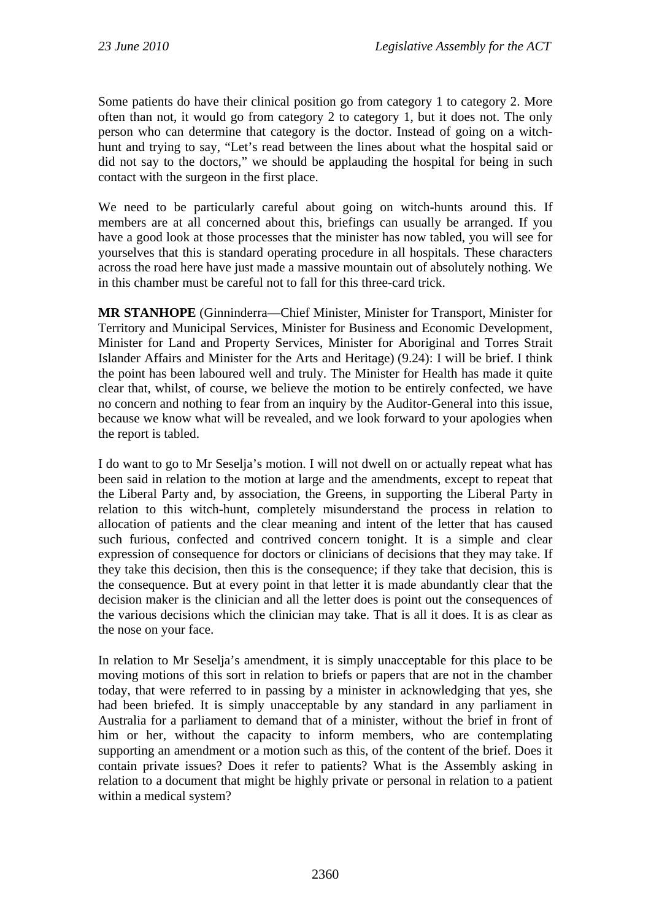Some patients do have their clinical position go from category 1 to category 2. More often than not, it would go from category 2 to category 1, but it does not. The only person who can determine that category is the doctor. Instead of going on a witchhunt and trying to say, "Let's read between the lines about what the hospital said or did not say to the doctors," we should be applauding the hospital for being in such contact with the surgeon in the first place.

We need to be particularly careful about going on witch-hunts around this. If members are at all concerned about this, briefings can usually be arranged. If you have a good look at those processes that the minister has now tabled, you will see for yourselves that this is standard operating procedure in all hospitals. These characters across the road here have just made a massive mountain out of absolutely nothing. We in this chamber must be careful not to fall for this three-card trick.

**MR STANHOPE** (Ginninderra—Chief Minister, Minister for Transport, Minister for Territory and Municipal Services, Minister for Business and Economic Development, Minister for Land and Property Services, Minister for Aboriginal and Torres Strait Islander Affairs and Minister for the Arts and Heritage) (9.24): I will be brief. I think the point has been laboured well and truly. The Minister for Health has made it quite clear that, whilst, of course, we believe the motion to be entirely confected, we have no concern and nothing to fear from an inquiry by the Auditor-General into this issue, because we know what will be revealed, and we look forward to your apologies when the report is tabled.

I do want to go to Mr Seselja's motion. I will not dwell on or actually repeat what has been said in relation to the motion at large and the amendments, except to repeat that the Liberal Party and, by association, the Greens, in supporting the Liberal Party in relation to this witch-hunt, completely misunderstand the process in relation to allocation of patients and the clear meaning and intent of the letter that has caused such furious, confected and contrived concern tonight. It is a simple and clear expression of consequence for doctors or clinicians of decisions that they may take. If they take this decision, then this is the consequence; if they take that decision, this is the consequence. But at every point in that letter it is made abundantly clear that the decision maker is the clinician and all the letter does is point out the consequences of the various decisions which the clinician may take. That is all it does. It is as clear as the nose on your face.

In relation to Mr Seselja's amendment, it is simply unacceptable for this place to be moving motions of this sort in relation to briefs or papers that are not in the chamber today, that were referred to in passing by a minister in acknowledging that yes, she had been briefed. It is simply unacceptable by any standard in any parliament in Australia for a parliament to demand that of a minister, without the brief in front of him or her, without the capacity to inform members, who are contemplating supporting an amendment or a motion such as this, of the content of the brief. Does it contain private issues? Does it refer to patients? What is the Assembly asking in relation to a document that might be highly private or personal in relation to a patient within a medical system?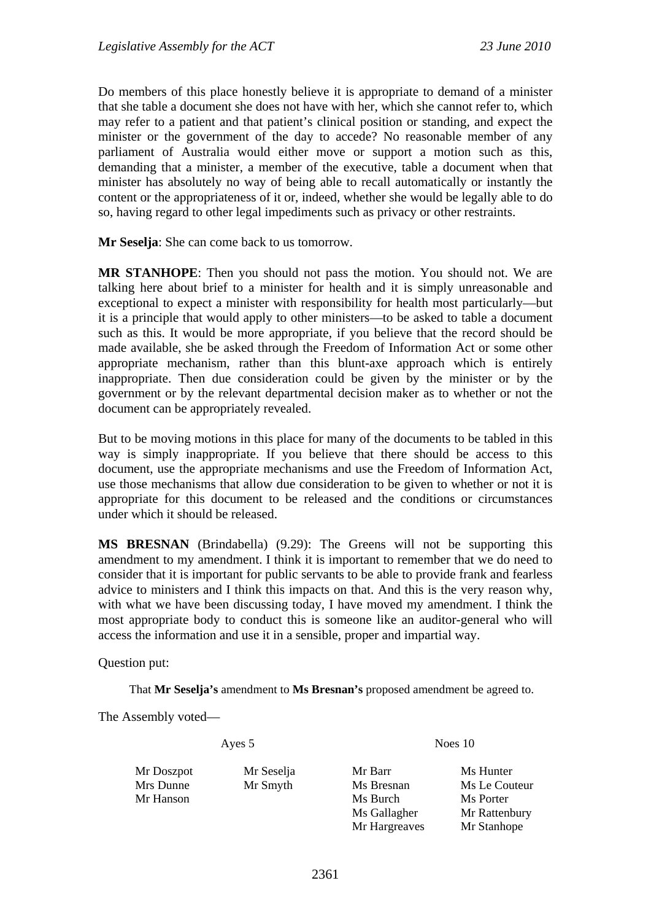Do members of this place honestly believe it is appropriate to demand of a minister that she table a document she does not have with her, which she cannot refer to, which may refer to a patient and that patient's clinical position or standing, and expect the minister or the government of the day to accede? No reasonable member of any parliament of Australia would either move or support a motion such as this, demanding that a minister, a member of the executive, table a document when that minister has absolutely no way of being able to recall automatically or instantly the content or the appropriateness of it or, indeed, whether she would be legally able to do so, having regard to other legal impediments such as privacy or other restraints.

**Mr Seselja**: She can come back to us tomorrow.

**MR STANHOPE**: Then you should not pass the motion. You should not. We are talking here about brief to a minister for health and it is simply unreasonable and exceptional to expect a minister with responsibility for health most particularly—but it is a principle that would apply to other ministers—to be asked to table a document such as this. It would be more appropriate, if you believe that the record should be made available, she be asked through the Freedom of Information Act or some other appropriate mechanism, rather than this blunt-axe approach which is entirely inappropriate. Then due consideration could be given by the minister or by the government or by the relevant departmental decision maker as to whether or not the document can be appropriately revealed.

But to be moving motions in this place for many of the documents to be tabled in this way is simply inappropriate. If you believe that there should be access to this document, use the appropriate mechanisms and use the Freedom of Information Act, use those mechanisms that allow due consideration to be given to whether or not it is appropriate for this document to be released and the conditions or circumstances under which it should be released.

**MS BRESNAN** (Brindabella) (9.29): The Greens will not be supporting this amendment to my amendment. I think it is important to remember that we do need to consider that it is important for public servants to be able to provide frank and fearless advice to ministers and I think this impacts on that. And this is the very reason why, with what we have been discussing today, I have moved my amendment. I think the most appropriate body to conduct this is someone like an auditor-general who will access the information and use it in a sensible, proper and impartial way.

Question put:

That **Mr Seselja's** amendment to **Ms Bresnan's** proposed amendment be agreed to.

The Assembly voted—

Ayes 5 Noes 10

Mr Doszpot Mr Seselja Mr Barr Ms Hunter

Mr Hanson Ms Burch Ms Porter Mr Hargreaves Mr Stanhope

Mrs Dunne Mr Smyth Ms Bresnan Ms Le Couteur Ms Gallagher Mr Rattenbury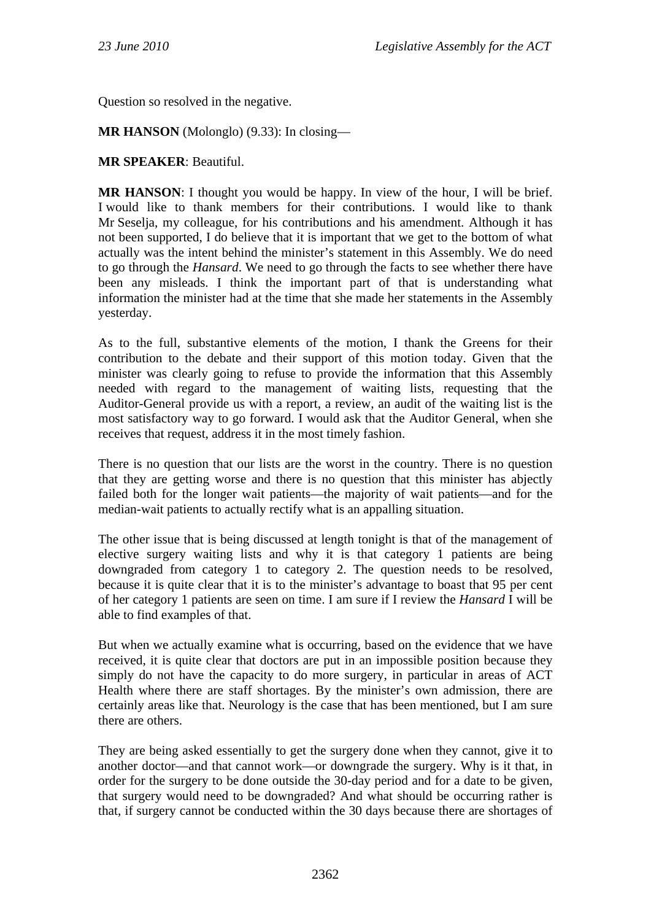Question so resolved in the negative.

**MR HANSON** (Molonglo) (9.33): In closing—

### **MR SPEAKER**: Beautiful.

**MR HANSON**: I thought you would be happy. In view of the hour, I will be brief. I would like to thank members for their contributions. I would like to thank Mr Seselja, my colleague, for his contributions and his amendment. Although it has not been supported, I do believe that it is important that we get to the bottom of what actually was the intent behind the minister's statement in this Assembly. We do need to go through the *Hansard*. We need to go through the facts to see whether there have been any misleads. I think the important part of that is understanding what information the minister had at the time that she made her statements in the Assembly yesterday.

As to the full, substantive elements of the motion, I thank the Greens for their contribution to the debate and their support of this motion today. Given that the minister was clearly going to refuse to provide the information that this Assembly needed with regard to the management of waiting lists, requesting that the Auditor-General provide us with a report, a review, an audit of the waiting list is the most satisfactory way to go forward. I would ask that the Auditor General, when she receives that request, address it in the most timely fashion.

There is no question that our lists are the worst in the country. There is no question that they are getting worse and there is no question that this minister has abjectly failed both for the longer wait patients—the majority of wait patients—and for the median-wait patients to actually rectify what is an appalling situation.

The other issue that is being discussed at length tonight is that of the management of elective surgery waiting lists and why it is that category 1 patients are being downgraded from category 1 to category 2. The question needs to be resolved, because it is quite clear that it is to the minister's advantage to boast that 95 per cent of her category 1 patients are seen on time. I am sure if I review the *Hansard* I will be able to find examples of that.

But when we actually examine what is occurring, based on the evidence that we have received, it is quite clear that doctors are put in an impossible position because they simply do not have the capacity to do more surgery, in particular in areas of ACT Health where there are staff shortages. By the minister's own admission, there are certainly areas like that. Neurology is the case that has been mentioned, but I am sure there are others.

They are being asked essentially to get the surgery done when they cannot, give it to another doctor—and that cannot work—or downgrade the surgery. Why is it that, in order for the surgery to be done outside the 30-day period and for a date to be given, that surgery would need to be downgraded? And what should be occurring rather is that, if surgery cannot be conducted within the 30 days because there are shortages of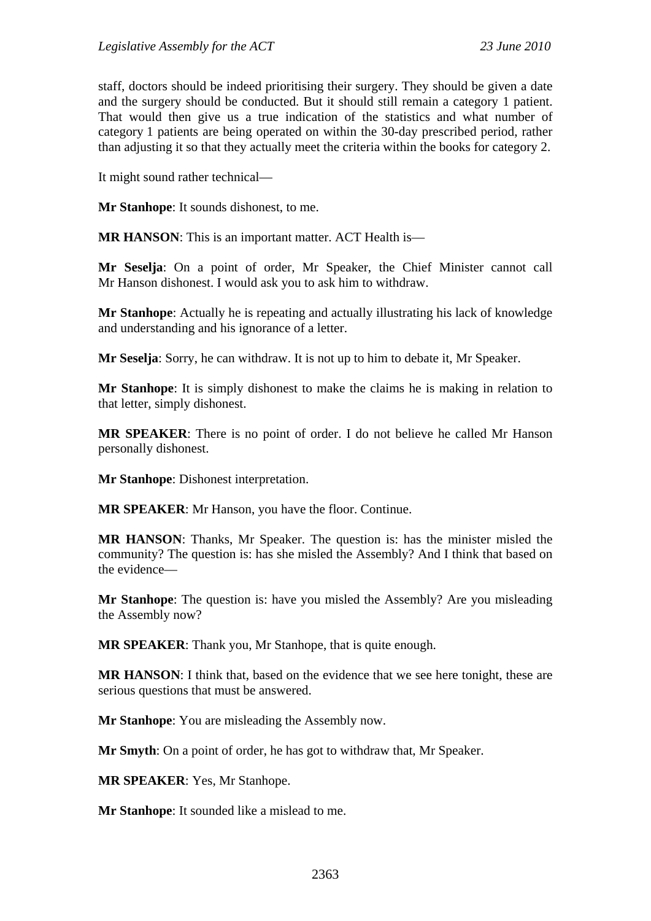staff, doctors should be indeed prioritising their surgery. They should be given a date and the surgery should be conducted. But it should still remain a category 1 patient. That would then give us a true indication of the statistics and what number of category 1 patients are being operated on within the 30-day prescribed period, rather than adjusting it so that they actually meet the criteria within the books for category 2.

It might sound rather technical—

**Mr Stanhope**: It sounds dishonest, to me.

**MR HANSON**: This is an important matter. ACT Health is—

**Mr Seselja**: On a point of order, Mr Speaker, the Chief Minister cannot call Mr Hanson dishonest. I would ask you to ask him to withdraw.

**Mr Stanhope**: Actually he is repeating and actually illustrating his lack of knowledge and understanding and his ignorance of a letter.

**Mr Seselja**: Sorry, he can withdraw. It is not up to him to debate it, Mr Speaker.

**Mr Stanhope**: It is simply dishonest to make the claims he is making in relation to that letter, simply dishonest.

**MR SPEAKER**: There is no point of order. I do not believe he called Mr Hanson personally dishonest.

**Mr Stanhope**: Dishonest interpretation.

**MR SPEAKER**: Mr Hanson, you have the floor. Continue.

**MR HANSON**: Thanks, Mr Speaker. The question is: has the minister misled the community? The question is: has she misled the Assembly? And I think that based on the evidence—

**Mr Stanhope**: The question is: have you misled the Assembly? Are you misleading the Assembly now?

**MR SPEAKER**: Thank you, Mr Stanhope, that is quite enough.

**MR HANSON**: I think that, based on the evidence that we see here tonight, these are serious questions that must be answered.

**Mr Stanhope**: You are misleading the Assembly now.

**Mr Smyth**: On a point of order, he has got to withdraw that, Mr Speaker.

**MR SPEAKER**: Yes, Mr Stanhope.

**Mr Stanhope**: It sounded like a mislead to me.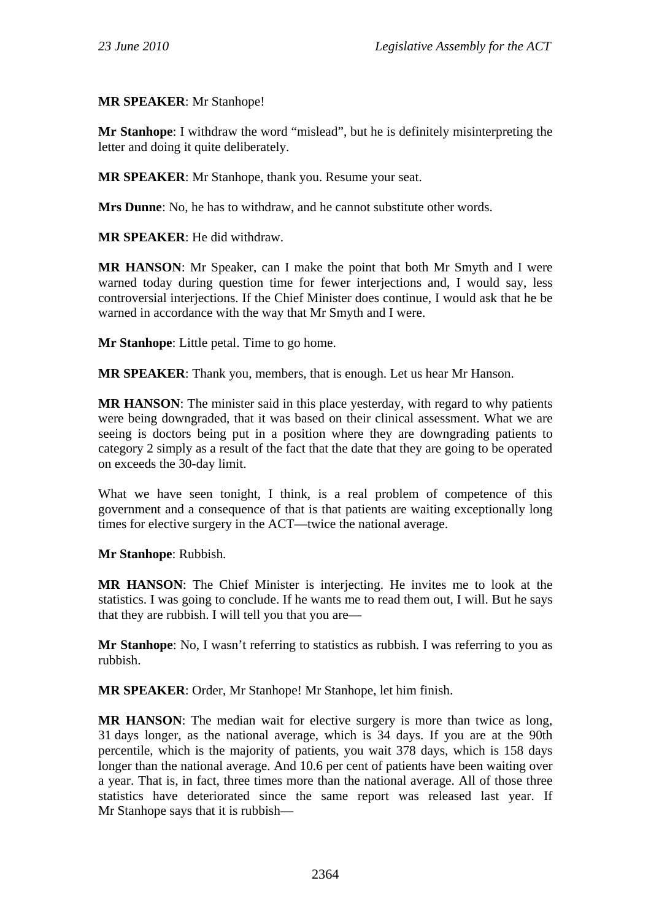### **MR SPEAKER**: Mr Stanhope!

**Mr Stanhope**: I withdraw the word "mislead", but he is definitely misinterpreting the letter and doing it quite deliberately.

**MR SPEAKER**: Mr Stanhope, thank you. Resume your seat.

**Mrs Dunne**: No, he has to withdraw, and he cannot substitute other words.

**MR SPEAKER**: He did withdraw.

**MR HANSON**: Mr Speaker, can I make the point that both Mr Smyth and I were warned today during question time for fewer interjections and, I would say, less controversial interjections. If the Chief Minister does continue, I would ask that he be warned in accordance with the way that Mr Smyth and I were.

**Mr Stanhope**: Little petal. Time to go home.

**MR SPEAKER**: Thank you, members, that is enough. Let us hear Mr Hanson.

**MR HANSON**: The minister said in this place yesterday, with regard to why patients were being downgraded, that it was based on their clinical assessment. What we are seeing is doctors being put in a position where they are downgrading patients to category 2 simply as a result of the fact that the date that they are going to be operated on exceeds the 30-day limit.

What we have seen tonight, I think, is a real problem of competence of this government and a consequence of that is that patients are waiting exceptionally long times for elective surgery in the ACT—twice the national average.

### **Mr Stanhope**: Rubbish.

**MR HANSON**: The Chief Minister is interjecting. He invites me to look at the statistics. I was going to conclude. If he wants me to read them out, I will. But he says that they are rubbish. I will tell you that you are—

**Mr Stanhope**: No, I wasn't referring to statistics as rubbish. I was referring to you as rubbish.

**MR SPEAKER**: Order, Mr Stanhope! Mr Stanhope, let him finish.

**MR HANSON**: The median wait for elective surgery is more than twice as long, 31 days longer, as the national average, which is 34 days. If you are at the 90th percentile, which is the majority of patients, you wait 378 days, which is 158 days longer than the national average. And 10.6 per cent of patients have been waiting over a year. That is, in fact, three times more than the national average. All of those three statistics have deteriorated since the same report was released last year. If Mr Stanhope says that it is rubbish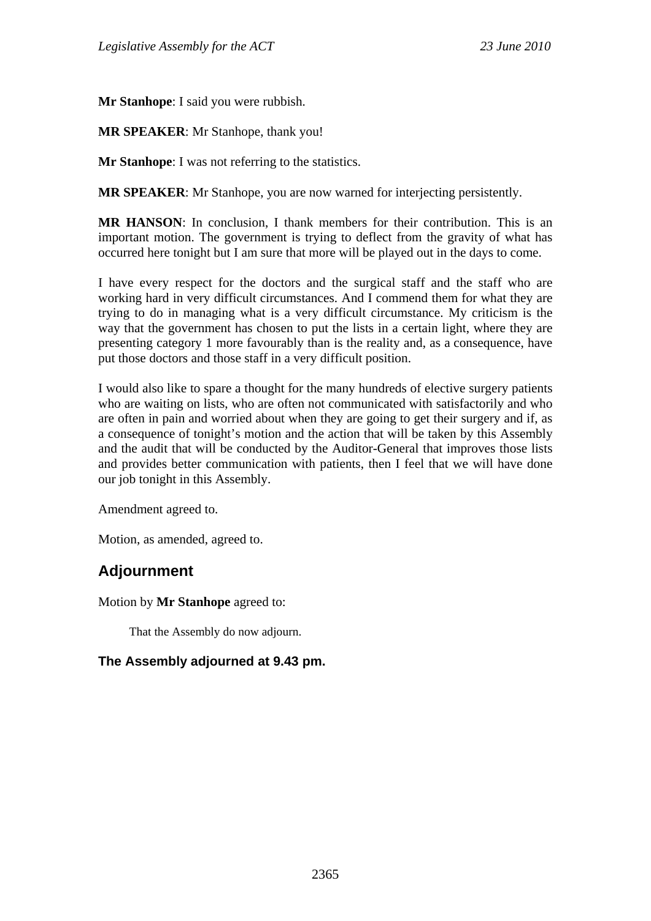**Mr Stanhope**: I said you were rubbish.

**MR SPEAKER**: Mr Stanhope, thank you!

**Mr Stanhope**: I was not referring to the statistics.

**MR SPEAKER**: Mr Stanhope, you are now warned for interjecting persistently.

**MR HANSON**: In conclusion, I thank members for their contribution. This is an important motion. The government is trying to deflect from the gravity of what has occurred here tonight but I am sure that more will be played out in the days to come.

I have every respect for the doctors and the surgical staff and the staff who are working hard in very difficult circumstances. And I commend them for what they are trying to do in managing what is a very difficult circumstance. My criticism is the way that the government has chosen to put the lists in a certain light, where they are presenting category 1 more favourably than is the reality and, as a consequence, have put those doctors and those staff in a very difficult position.

I would also like to spare a thought for the many hundreds of elective surgery patients who are waiting on lists, who are often not communicated with satisfactorily and who are often in pain and worried about when they are going to get their surgery and if, as a consequence of tonight's motion and the action that will be taken by this Assembly and the audit that will be conducted by the Auditor-General that improves those lists and provides better communication with patients, then I feel that we will have done our job tonight in this Assembly.

Amendment agreed to.

Motion, as amended, agreed to.

# **Adjournment**

Motion by **Mr Stanhope** agreed to:

That the Assembly do now adjourn.

## **The Assembly adjourned at 9.43 pm.**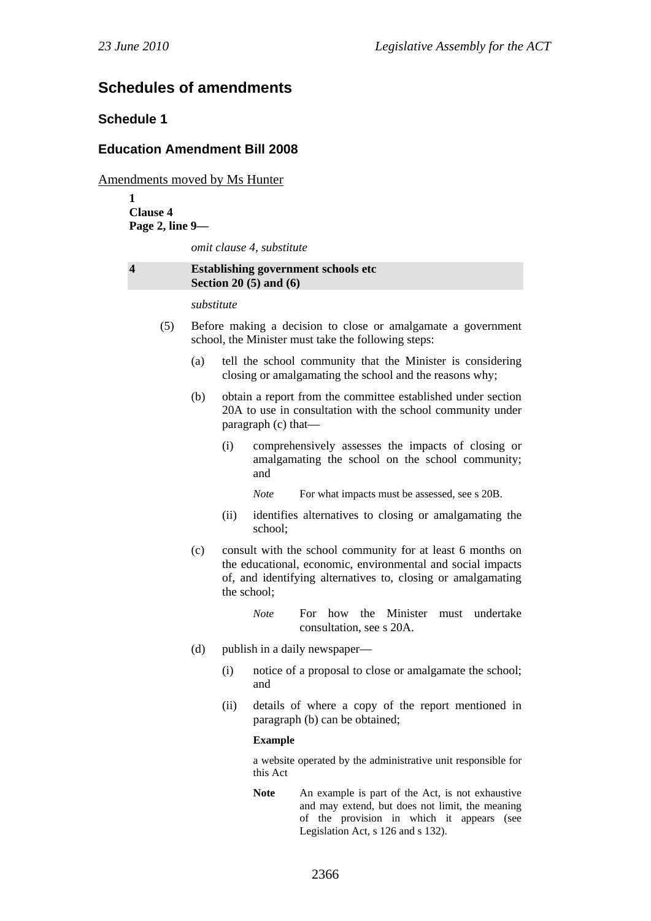# **Schedules of amendments**

### **Schedule 1**

### **Education Amendment Bill 2008**

Amendments moved by Ms Hunter

**1 Clause 4 Page 2, line 9—** 

*omit clause 4, substitute* 

#### **4 Establishing government schools etc Section 20 (5) and (6)**

*substitute* 

- (5) Before making a decision to close or amalgamate a government school, the Minister must take the following steps:
	- (a) tell the school community that the Minister is considering closing or amalgamating the school and the reasons why;
	- (b) obtain a report from the committee established under section 20A to use in consultation with the school community under paragraph (c) that—
		- (i) comprehensively assesses the impacts of closing or amalgamating the school on the school community; and
			- *Note* For what impacts must be assessed, see s 20B.
		- (ii) identifies alternatives to closing or amalgamating the school;
	- (c) consult with the school community for at least 6 months on the educational, economic, environmental and social impacts of, and identifying alternatives to, closing or amalgamating the school;
		- *Note* For how the Minister must undertake consultation, see s 20A.
	- (d) publish in a daily newspaper—
		- (i) notice of a proposal to close or amalgamate the school; and
		- (ii) details of where a copy of the report mentioned in paragraph (b) can be obtained;

#### **Example**

a website operated by the administrative unit responsible for this Act

Note An example is part of the Act, is not exhaustive and may extend, but does not limit, the meaning of the provision in which it appears (see Legislation Act, s 126 and s 132).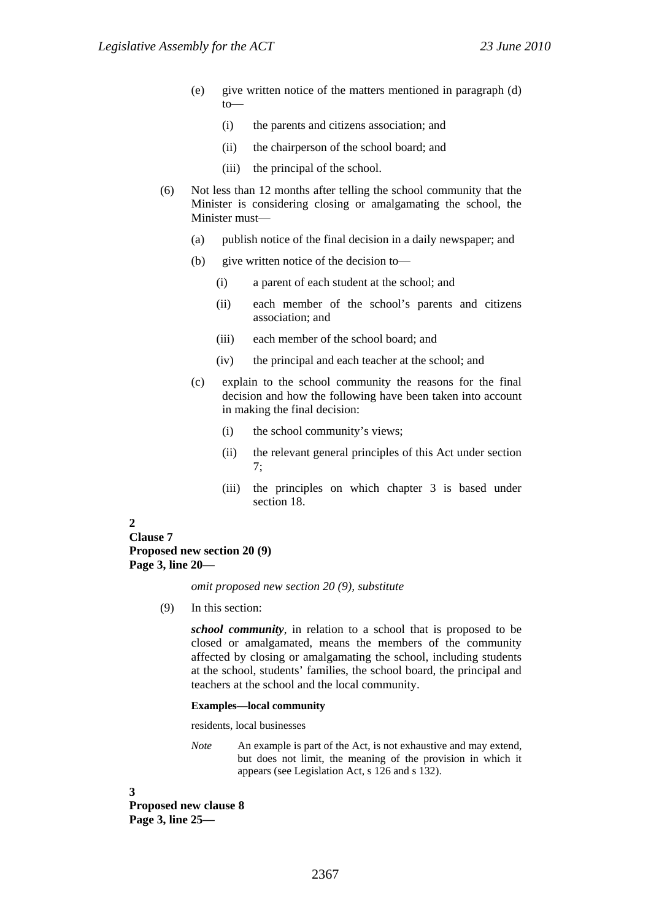- (e) give written notice of the matters mentioned in paragraph (d) to—
	- (i) the parents and citizens association; and
	- (ii) the chairperson of the school board; and
	- (iii) the principal of the school.
- (6) Not less than 12 months after telling the school community that the Minister is considering closing or amalgamating the school, the Minister must—
	- (a) publish notice of the final decision in a daily newspaper; and
	- (b) give written notice of the decision to—
		- (i) a parent of each student at the school; and
		- (ii) each member of the school's parents and citizens association; and
		- (iii) each member of the school board; and
		- (iv) the principal and each teacher at the school; and
	- (c) explain to the school community the reasons for the final decision and how the following have been taken into account in making the final decision:
		- (i) the school community's views;
		- (ii) the relevant general principles of this Act under section 7;
		- (iii) the principles on which chapter 3 is based under section 18.

#### **2**

### **Clause 7 Proposed new section 20 (9) Page 3, line 20—**

*omit proposed new section 20 (9), substitute* 

(9) In this section:

*school community*, in relation to a school that is proposed to be closed or amalgamated, means the members of the community affected by closing or amalgamating the school, including students at the school, students' families, the school board, the principal and teachers at the school and the local community.

#### **Examples—local community**

residents, local businesses

*Note* An example is part of the Act, is not exhaustive and may extend, but does not limit, the meaning of the provision in which it appears (see Legislation Act, s 126 and s 132).

**3** 

**Proposed new clause 8 Page 3, line 25—**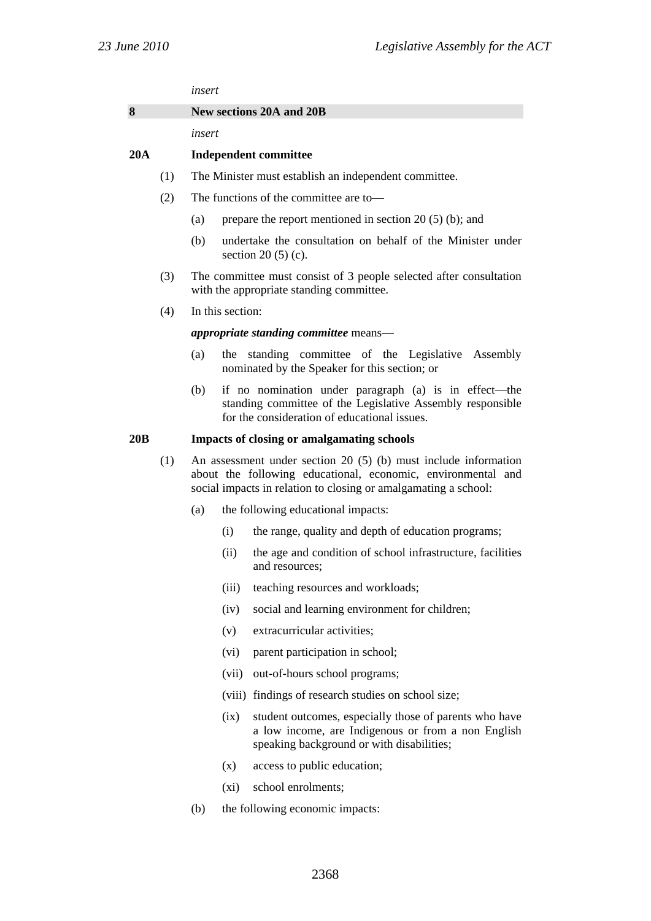*insert* 

| 8<br>New sections 20A and 20B |  |
|-------------------------------|--|
|-------------------------------|--|

*insert* 

#### **20A Independent committee**

- (1) The Minister must establish an independent committee.
- (2) The functions of the committee are to—
	- (a) prepare the report mentioned in section 20 (5) (b); and
	- (b) undertake the consultation on behalf of the Minister under section 20 (5) (c).
- (3) The committee must consist of 3 people selected after consultation with the appropriate standing committee.
- (4) In this section:

*appropriate standing committee* means—

- (a) the standing committee of the Legislative Assembly nominated by the Speaker for this section; or
- (b) if no nomination under paragraph (a) is in effect—the standing committee of the Legislative Assembly responsible for the consideration of educational issues.

#### **20B Impacts of closing or amalgamating schools**

- (1) An assessment under section 20 (5) (b) must include information about the following educational, economic, environmental and social impacts in relation to closing or amalgamating a school:
	- (a) the following educational impacts:
		- (i) the range, quality and depth of education programs;
		- (ii) the age and condition of school infrastructure, facilities and resources;
		- (iii) teaching resources and workloads;
		- (iv) social and learning environment for children;
		- (v) extracurricular activities;
		- (vi) parent participation in school;
		- (vii) out-of-hours school programs;
		- (viii) findings of research studies on school size;
		- (ix) student outcomes, especially those of parents who have a low income, are Indigenous or from a non English speaking background or with disabilities;
		- (x) access to public education;
		- (xi) school enrolments;
	- (b) the following economic impacts: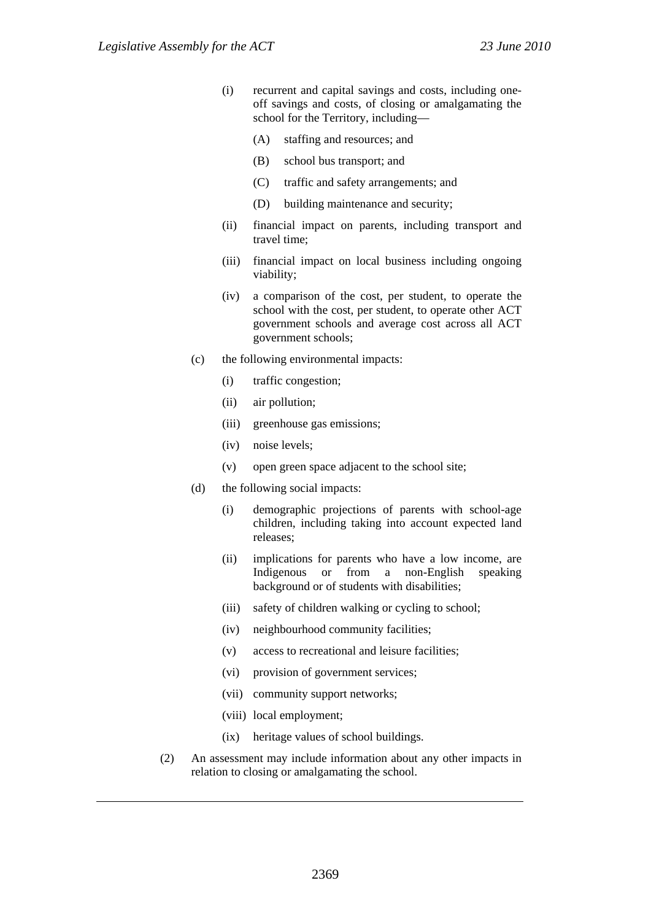- (i) recurrent and capital savings and costs, including oneoff savings and costs, of closing or amalgamating the school for the Territory, including—
	- (A) staffing and resources; and
	- (B) school bus transport; and
	- (C) traffic and safety arrangements; and
	- (D) building maintenance and security;
- (ii) financial impact on parents, including transport and travel time;
- (iii) financial impact on local business including ongoing viability;
- (iv) a comparison of the cost, per student, to operate the school with the cost, per student, to operate other ACT government schools and average cost across all ACT government schools;
- (c) the following environmental impacts:
	- (i) traffic congestion;
	- (ii) air pollution;
	- (iii) greenhouse gas emissions;
	- (iv) noise levels;
	- (v) open green space adjacent to the school site;
- (d) the following social impacts:
	- (i) demographic projections of parents with school-age children, including taking into account expected land releases;
	- (ii) implications for parents who have a low income, are Indigenous or from a non-English speaking background or of students with disabilities;
	- (iii) safety of children walking or cycling to school;
	- (iv) neighbourhood community facilities;
	- (v) access to recreational and leisure facilities;
	- (vi) provision of government services;
	- (vii) community support networks;
	- (viii) local employment;
	- (ix) heritage values of school buildings.
- (2) An assessment may include information about any other impacts in relation to closing or amalgamating the school.